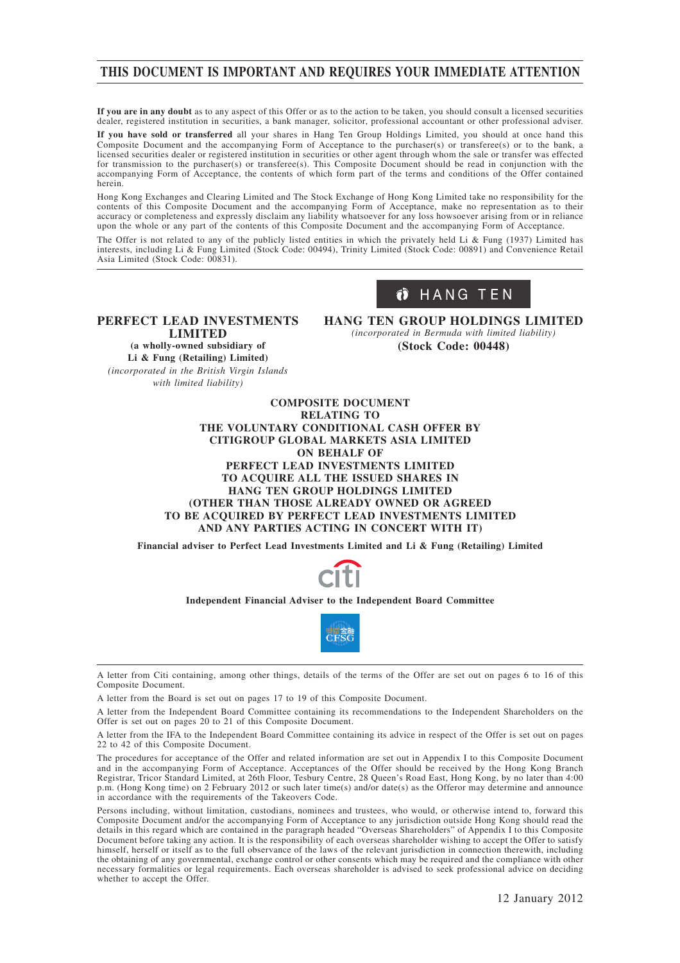# **THIS DOCUMENT IS IMPORTANT AND REQUIRES YOUR IMMEDIATE ATTENTION**

**If you are in any doubt** as to any aspect of this Offer or as to the action to be taken, you should consult a licensed securities dealer, registered institution in securities, a bank manager, solicitor, professional accountant or other professional adviser.

**If you have sold or transferred** all your shares in Hang Ten Group Holdings Limited, you should at once hand this Composite Document and the accompanying Form of Acceptance to the purchaser(s) or transferee(s) or to the bank, a licensed securities dealer or registered institution in securities or other agent through whom the sale or transfer was effected for transmission to the purchaser(s) or transferee(s). This Composite Document should be read in conjunction with the accompanying Form of Acceptance, the contents of which form part of the terms and conditions of the Offer contained herein.

Hong Kong Exchanges and Clearing Limited and The Stock Exchange of Hong Kong Limited take no responsibility for the contents of this Composite Document and the accompanying Form of Acceptance, make no representation as to their accuracy or completeness and expressly disclaim any liability whatsoever for any loss howsoever arising from or in reliance upon the whole or any part of the contents of this Composite Document and the accompanying Form of Acceptance.

The Offer is not related to any of the publicly listed entities in which the privately held Li & Fung (1937) Limited has interests, including Li & Fung Limited (Stock Code: 00494), Trinity Limited (Stock Code: 00891) and Convenience Retail Asia Limited (Stock Code: 00831).

# Ö HANG TEN

**PERFECT LEAD INVESTMENTS LIMITED (a wholly-owned subsidiary of Li & Fung (Retailing) Limited)**

*(incorporated in the British Virgin Islands with limited liability)*

**HANG TEN GROUP HOLDINGS LIMITED** *(incorporated in Bermuda with limited liability)* **(Stock Code: 00448)**

### **COMPOSITE DOCUMENT RELATING TO THE VOLUNTARY CONDITIONAL CASH OFFER BY CITIGROUP GLOBAL MARKETS ASIA LIMITED ON BEHALF OF PERFECT LEAD INVESTMENTS LIMITED TO ACQUIRE ALL THE ISSUED SHARES IN HANG TEN GROUP HOLDINGS LIMITED (OTHER THAN THOSE ALREADY OWNED OR AGREED TO BE ACQUIRED BY PERFECT LEAD INVESTMENTS LIMITED AND ANY PARTIES ACTING IN CONCERT WITH IT)**

**Financial adviser to Perfect Lead Investments Limited and Li & Fung (Retailing) Limited**



### **Independent Financial Adviser to the Independent Board Committee**



A letter from Citi containing, among other things, details of the terms of the Offer are set out on pages 6 to 16 of this Composite Document.

A letter from the Board is set out on pages 17 to 19 of this Composite Document.

A letter from the Independent Board Committee containing its recommendations to the Independent Shareholders on the Offer is set out on pages 20 to 21 of this Composite Document.

A letter from the IFA to the Independent Board Committee containing its advice in respect of the Offer is set out on pages 22 to 42 of this Composite Document.

The procedures for acceptance of the Offer and related information are set out in Appendix I to this Composite Document and in the accompanying Form of Acceptance. Acceptances of the Offer should be received by the Hong Kong Branch Registrar, Tricor Standard Limited, at 26th Floor, Tesbury Centre, 28 Queen's Road East, Hong Kong, by no later than 4:00 p.m. (Hong Kong time) on 2 February 2012 or such later time(s) and/or date(s) as the Offeror may determine and announce in accordance with the requirements of the Takeovers Code.

Persons including, without limitation, custodians, nominees and trustees, who would, or otherwise intend to, forward this Composite Document and/or the accompanying Form of Acceptance to any jurisdiction outside Hong Kong should read the details in this regard which are contained in the paragraph headed "Overseas Shareholders" of Appendix I to this Composite Document before taking any action. It is the responsibility of each overseas shareholder wishing to accept the Offer to satisfy himself, herself or itself as to the full observance of the laws of the relevant jurisdiction in connection therewith, including the obtaining of any governmental, exchange control or other consents which may be required and the compliance with other necessary formalities or legal requirements. Each overseas shareholder is advised to seek professional advice on deciding whether to accept the Offer.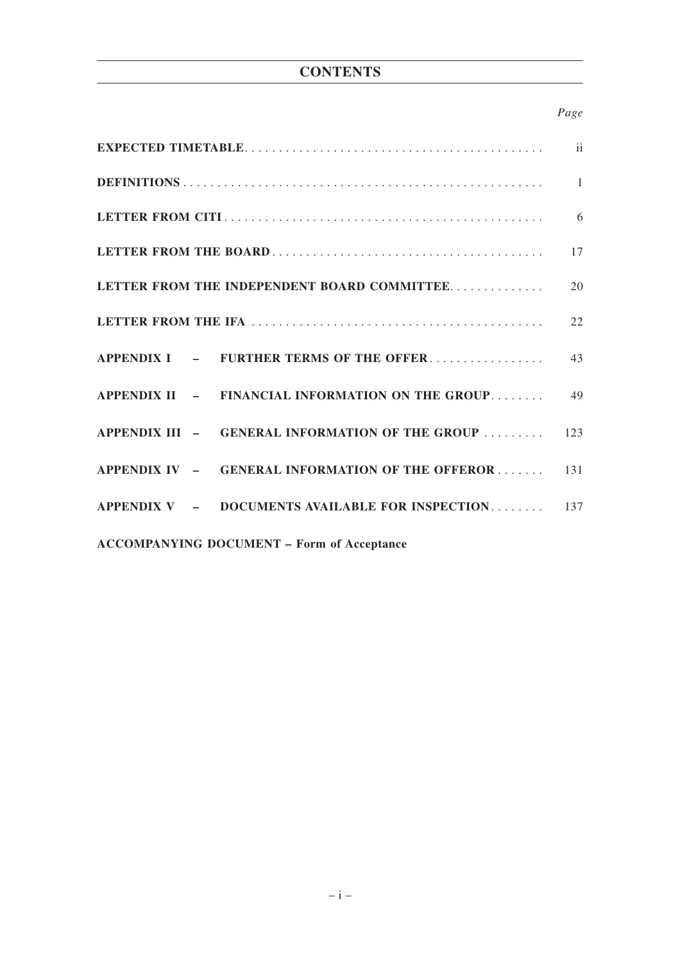# **CONTENTS**

# *Page*

|                                                       | 17 |  |  |
|-------------------------------------------------------|----|--|--|
| LETTER FROM THE INDEPENDENT BOARD COMMITTEE.          | 20 |  |  |
|                                                       |    |  |  |
|                                                       |    |  |  |
| APPENDIX II - FINANCIAL INFORMATION ON THE GROUP 49   |    |  |  |
| APPENDIX III - GENERAL INFORMATION OF THE GROUP  123  |    |  |  |
| APPENDIX IV - GENERAL INFORMATION OF THE OFFEROR 131  |    |  |  |
| APPENDIX V $-$ DOCUMENTS AVAILABLE FOR INSPECTION 137 |    |  |  |
| <b>ACCOMPANYING DOCUMENT - Form of Acceptance</b>     |    |  |  |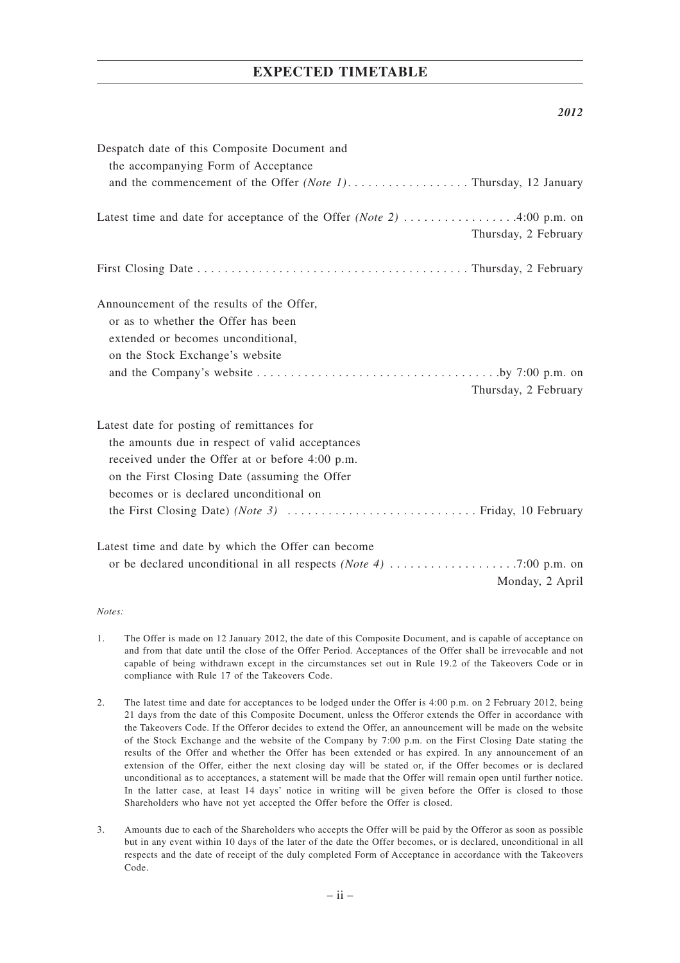# **EXPECTED TIMETABLE**

### *2012*

| Despatch date of this Composite Document and       |
|----------------------------------------------------|
| the accompanying Form of Acceptance                |
|                                                    |
| Thursday, 2 February                               |
|                                                    |
| Announcement of the results of the Offer,          |
| or as to whether the Offer has been                |
| extended or becomes unconditional,                 |
| on the Stock Exchange's website                    |
|                                                    |
| Thursday, 2 February                               |
| Latest date for posting of remittances for         |
| the amounts due in respect of valid acceptances    |
| received under the Offer at or before 4:00 p.m.    |
| on the First Closing Date (assuming the Offer      |
| becomes or is declared unconditional on            |
|                                                    |
| Latest time and date by which the Offer can become |
|                                                    |
| Monday, 2 April                                    |

### *Notes:*

- 1. The Offer is made on 12 January 2012, the date of this Composite Document, and is capable of acceptance on and from that date until the close of the Offer Period. Acceptances of the Offer shall be irrevocable and not capable of being withdrawn except in the circumstances set out in Rule 19.2 of the Takeovers Code or in compliance with Rule 17 of the Takeovers Code.
- 2. The latest time and date for acceptances to be lodged under the Offer is 4:00 p.m. on 2 February 2012, being 21 days from the date of this Composite Document, unless the Offeror extends the Offer in accordance with the Takeovers Code. If the Offeror decides to extend the Offer, an announcement will be made on the website of the Stock Exchange and the website of the Company by 7:00 p.m. on the First Closing Date stating the results of the Offer and whether the Offer has been extended or has expired. In any announcement of an extension of the Offer, either the next closing day will be stated or, if the Offer becomes or is declared unconditional as to acceptances, a statement will be made that the Offer will remain open until further notice. In the latter case, at least 14 days' notice in writing will be given before the Offer is closed to those Shareholders who have not yet accepted the Offer before the Offer is closed.
- 3. Amounts due to each of the Shareholders who accepts the Offer will be paid by the Offeror as soon as possible but in any event within 10 days of the later of the date the Offer becomes, or is declared, unconditional in all respects and the date of receipt of the duly completed Form of Acceptance in accordance with the Takeovers Code.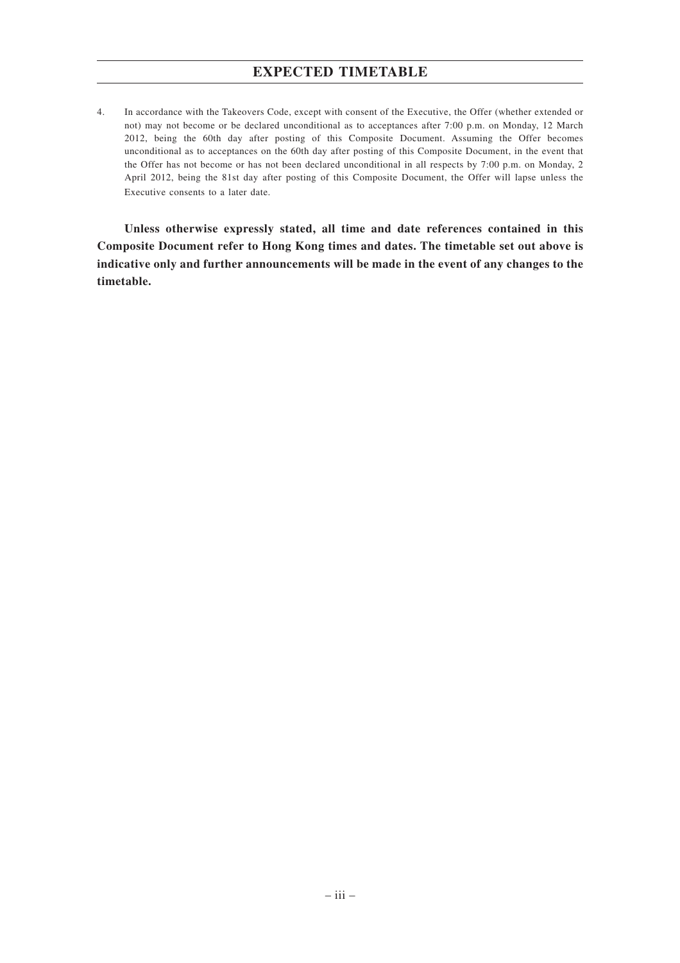# **EXPECTED TIMETABLE**

4. In accordance with the Takeovers Code, except with consent of the Executive, the Offer (whether extended or not) may not become or be declared unconditional as to acceptances after 7:00 p.m. on Monday, 12 March 2012, being the 60th day after posting of this Composite Document. Assuming the Offer becomes unconditional as to acceptances on the 60th day after posting of this Composite Document, in the event that the Offer has not become or has not been declared unconditional in all respects by 7:00 p.m. on Monday, 2 April 2012, being the 81st day after posting of this Composite Document, the Offer will lapse unless the Executive consents to a later date.

**Unless otherwise expressly stated, all time and date references contained in this Composite Document refer to Hong Kong times and dates. The timetable set out above is indicative only and further announcements will be made in the event of any changes to the timetable.**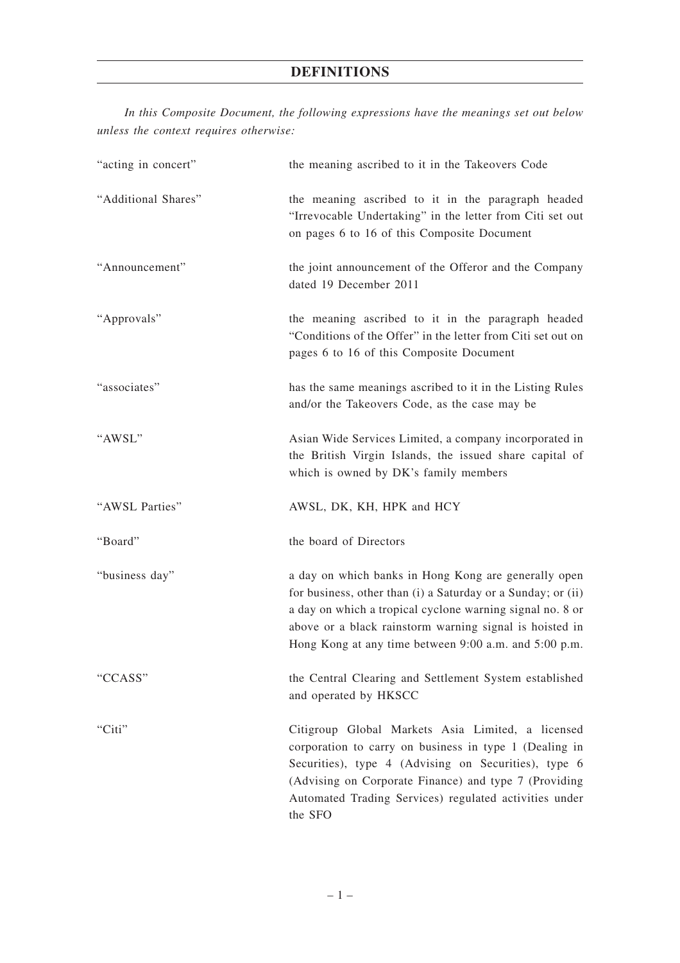*In this Composite Document, the following expressions have the meanings set out below unless the context requires otherwise:*

| "acting in concert" | the meaning ascribed to it in the Takeovers Code                                                                                                                                                                                                                                                      |
|---------------------|-------------------------------------------------------------------------------------------------------------------------------------------------------------------------------------------------------------------------------------------------------------------------------------------------------|
| "Additional Shares" | the meaning ascribed to it in the paragraph headed<br>"Irrevocable Undertaking" in the letter from Citi set out<br>on pages 6 to 16 of this Composite Document                                                                                                                                        |
| "Announcement"      | the joint announcement of the Offeror and the Company<br>dated 19 December 2011                                                                                                                                                                                                                       |
| "Approvals"         | the meaning ascribed to it in the paragraph headed<br>"Conditions of the Offer" in the letter from Citi set out on<br>pages 6 to 16 of this Composite Document                                                                                                                                        |
| "associates"        | has the same meanings ascribed to it in the Listing Rules<br>and/or the Takeovers Code, as the case may be                                                                                                                                                                                            |
| "AWSL"              | Asian Wide Services Limited, a company incorporated in<br>the British Virgin Islands, the issued share capital of<br>which is owned by DK's family members                                                                                                                                            |
| "AWSL Parties"      | AWSL, DK, KH, HPK and HCY                                                                                                                                                                                                                                                                             |
| "Board"             | the board of Directors                                                                                                                                                                                                                                                                                |
| "business day"      | a day on which banks in Hong Kong are generally open<br>for business, other than (i) a Saturday or a Sunday; or (ii)<br>a day on which a tropical cyclone warning signal no. 8 or<br>above or a black rainstorm warning signal is hoisted in<br>Hong Kong at any time between 9:00 a.m. and 5:00 p.m. |
| "CCASS"             | the Central Clearing and Settlement System established<br>and operated by HKSCC                                                                                                                                                                                                                       |
| "Citi"              | Citigroup Global Markets Asia Limited, a licensed<br>corporation to carry on business in type 1 (Dealing in<br>Securities), type 4 (Advising on Securities), type 6<br>(Advising on Corporate Finance) and type 7 (Providing<br>Automated Trading Services) regulated activities under                |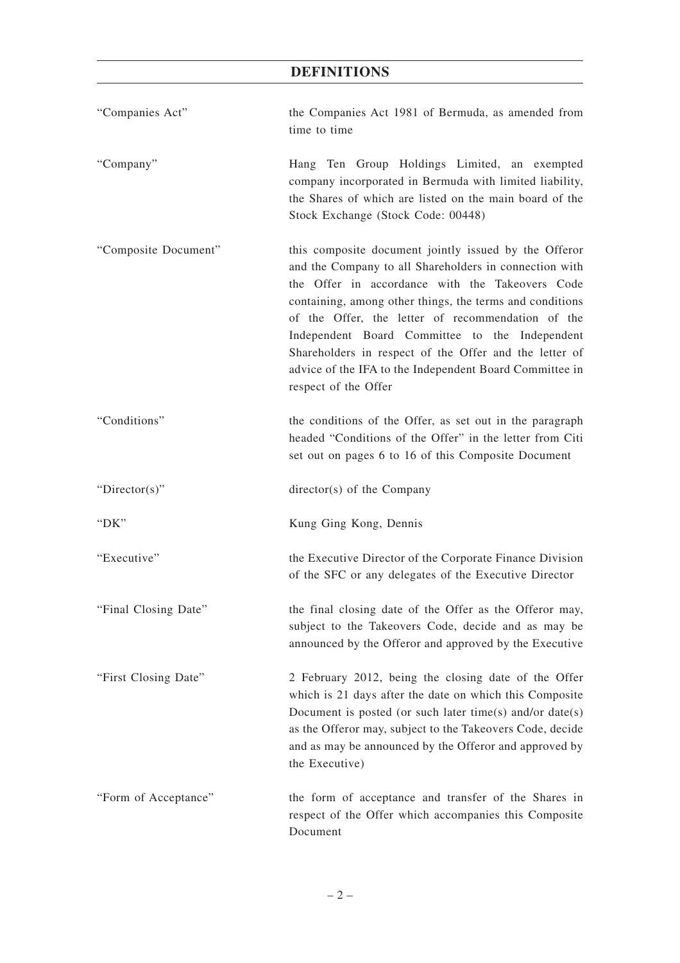| "Companies Act"      | the Companies Act 1981 of Bermuda, as amended from<br>time to time                                                                                                                                                                                                                                                                                                                                                                                                                 |
|----------------------|------------------------------------------------------------------------------------------------------------------------------------------------------------------------------------------------------------------------------------------------------------------------------------------------------------------------------------------------------------------------------------------------------------------------------------------------------------------------------------|
| "Company"            | Hang Ten Group Holdings Limited, an exempted<br>company incorporated in Bermuda with limited liability,<br>the Shares of which are listed on the main board of the<br>Stock Exchange (Stock Code: 00448)                                                                                                                                                                                                                                                                           |
| "Composite Document" | this composite document jointly issued by the Offeror<br>and the Company to all Shareholders in connection with<br>the Offer in accordance with the Takeovers Code<br>containing, among other things, the terms and conditions<br>of the Offer, the letter of recommendation of the<br>Independent Board Committee to the Independent<br>Shareholders in respect of the Offer and the letter of<br>advice of the IFA to the Independent Board Committee in<br>respect of the Offer |
| "Conditions"         | the conditions of the Offer, as set out in the paragraph<br>headed "Conditions of the Offer" in the letter from Citi<br>set out on pages 6 to 16 of this Composite Document                                                                                                                                                                                                                                                                                                        |
| "Director(s)"        | director(s) of the Company                                                                                                                                                                                                                                                                                                                                                                                                                                                         |
| " $DK"$              | Kung Ging Kong, Dennis                                                                                                                                                                                                                                                                                                                                                                                                                                                             |
| "Executive"          | the Executive Director of the Corporate Finance Division<br>of the SFC or any delegates of the Executive Director                                                                                                                                                                                                                                                                                                                                                                  |
| "Final Closing Date" | the final closing date of the Offer as the Offeror may,<br>subject to the Takeovers Code, decide and as may be<br>announced by the Offeror and approved by the Executive                                                                                                                                                                                                                                                                                                           |
| "First Closing Date" | 2 February 2012, being the closing date of the Offer<br>which is 21 days after the date on which this Composite<br>Document is posted (or such later time(s) and/or date(s)<br>as the Offeror may, subject to the Takeovers Code, decide<br>and as may be announced by the Offeror and approved by<br>the Executive)                                                                                                                                                               |
| "Form of Acceptance" | the form of acceptance and transfer of the Shares in<br>respect of the Offer which accompanies this Composite<br>Document                                                                                                                                                                                                                                                                                                                                                          |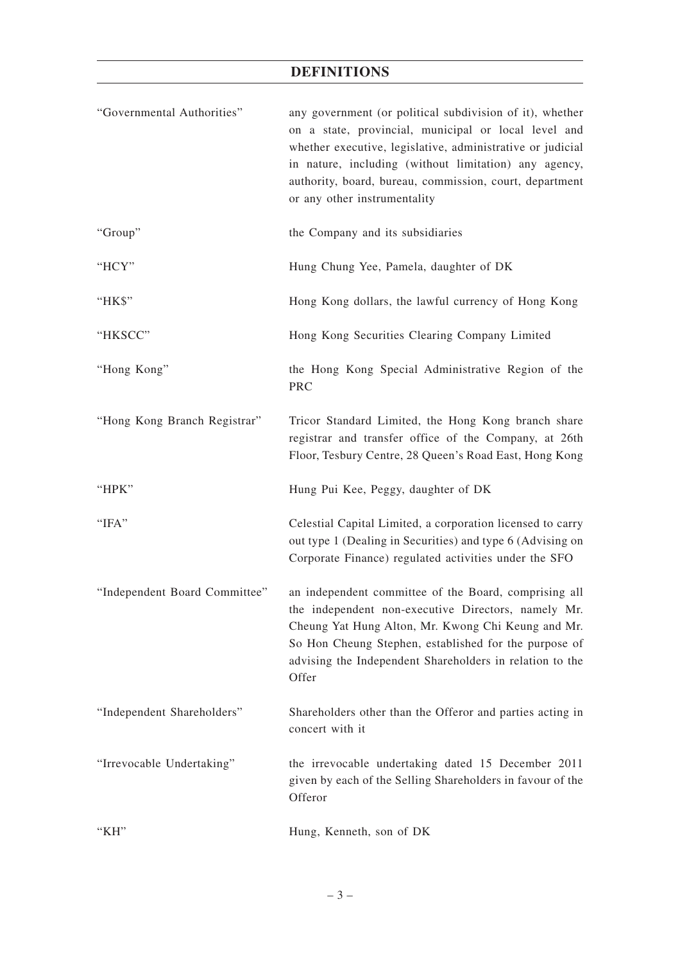| "Governmental Authorities"    | any government (or political subdivision of it), whether<br>on a state, provincial, municipal or local level and<br>whether executive, legislative, administrative or judicial<br>in nature, including (without limitation) any agency,<br>authority, board, bureau, commission, court, department<br>or any other instrumentality |
|-------------------------------|------------------------------------------------------------------------------------------------------------------------------------------------------------------------------------------------------------------------------------------------------------------------------------------------------------------------------------|
| "Group"                       | the Company and its subsidiaries                                                                                                                                                                                                                                                                                                   |
| "HCY"                         | Hung Chung Yee, Pamela, daughter of DK                                                                                                                                                                                                                                                                                             |
| "HK\$"                        | Hong Kong dollars, the lawful currency of Hong Kong                                                                                                                                                                                                                                                                                |
| "HKSCC"                       | Hong Kong Securities Clearing Company Limited                                                                                                                                                                                                                                                                                      |
| "Hong Kong"                   | the Hong Kong Special Administrative Region of the<br>PRC                                                                                                                                                                                                                                                                          |
| "Hong Kong Branch Registrar"  | Tricor Standard Limited, the Hong Kong branch share<br>registrar and transfer office of the Company, at 26th<br>Floor, Tesbury Centre, 28 Queen's Road East, Hong Kong                                                                                                                                                             |
| "HPK"                         | Hung Pui Kee, Peggy, daughter of DK                                                                                                                                                                                                                                                                                                |
| " $IFA"$                      | Celestial Capital Limited, a corporation licensed to carry<br>out type 1 (Dealing in Securities) and type 6 (Advising on<br>Corporate Finance) regulated activities under the SFO                                                                                                                                                  |
| "Independent Board Committee" | an independent committee of the Board, comprising all<br>the independent non-executive Directors, namely Mr.<br>Cheung Yat Hung Alton, Mr. Kwong Chi Keung and Mr.<br>So Hon Cheung Stephen, established for the purpose of<br>advising the Independent Shareholders in relation to the<br>Offer                                   |
| "Independent Shareholders"    | Shareholders other than the Offeror and parties acting in<br>concert with it                                                                                                                                                                                                                                                       |
| "Irrevocable Undertaking"     | the irrevocable undertaking dated 15 December 2011<br>given by each of the Selling Shareholders in favour of the<br>Offeror                                                                                                                                                                                                        |
|                               |                                                                                                                                                                                                                                                                                                                                    |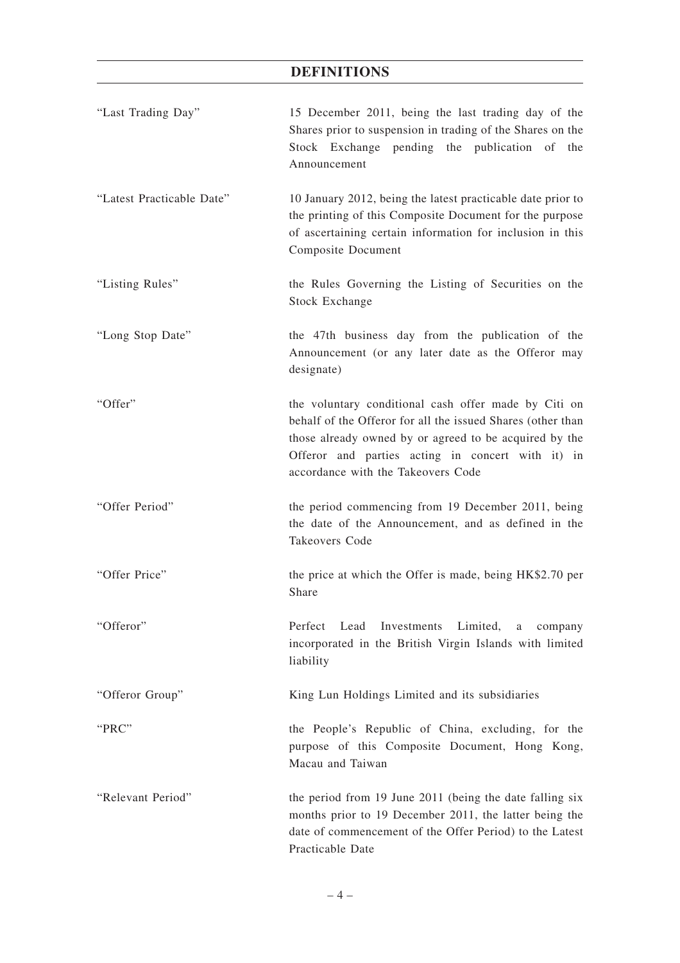| "Last Trading Day"        | 15 December 2011, being the last trading day of the<br>Shares prior to suspension in trading of the Shares on the<br>Stock Exchange pending the publication of the<br>Announcement                                                                                       |
|---------------------------|--------------------------------------------------------------------------------------------------------------------------------------------------------------------------------------------------------------------------------------------------------------------------|
| "Latest Practicable Date" | 10 January 2012, being the latest practicable date prior to<br>the printing of this Composite Document for the purpose<br>of ascertaining certain information for inclusion in this<br>Composite Document                                                                |
| "Listing Rules"           | the Rules Governing the Listing of Securities on the<br><b>Stock Exchange</b>                                                                                                                                                                                            |
| "Long Stop Date"          | the 47th business day from the publication of the<br>Announcement (or any later date as the Offeror may<br>designate)                                                                                                                                                    |
| "Offer"                   | the voluntary conditional cash offer made by Citi on<br>behalf of the Offeror for all the issued Shares (other than<br>those already owned by or agreed to be acquired by the<br>Offeror and parties acting in concert with it) in<br>accordance with the Takeovers Code |
| "Offer Period"            | the period commencing from 19 December 2011, being<br>the date of the Announcement, and as defined in the<br>Takeovers Code                                                                                                                                              |
| "Offer Price"             | the price at which the Offer is made, being HK\$2.70 per<br>Share                                                                                                                                                                                                        |
| "Offeror"                 | Perfect<br>Lead Investments Limited, a<br>company<br>incorporated in the British Virgin Islands with limited<br>liability                                                                                                                                                |
| "Offeror Group"           | King Lun Holdings Limited and its subsidiaries                                                                                                                                                                                                                           |
| "PRC"                     | the People's Republic of China, excluding, for the<br>purpose of this Composite Document, Hong Kong,<br>Macau and Taiwan                                                                                                                                                 |
| "Relevant Period"         | the period from 19 June 2011 (being the date falling six<br>months prior to 19 December 2011, the latter being the<br>date of commencement of the Offer Period) to the Latest<br>Practicable Date                                                                        |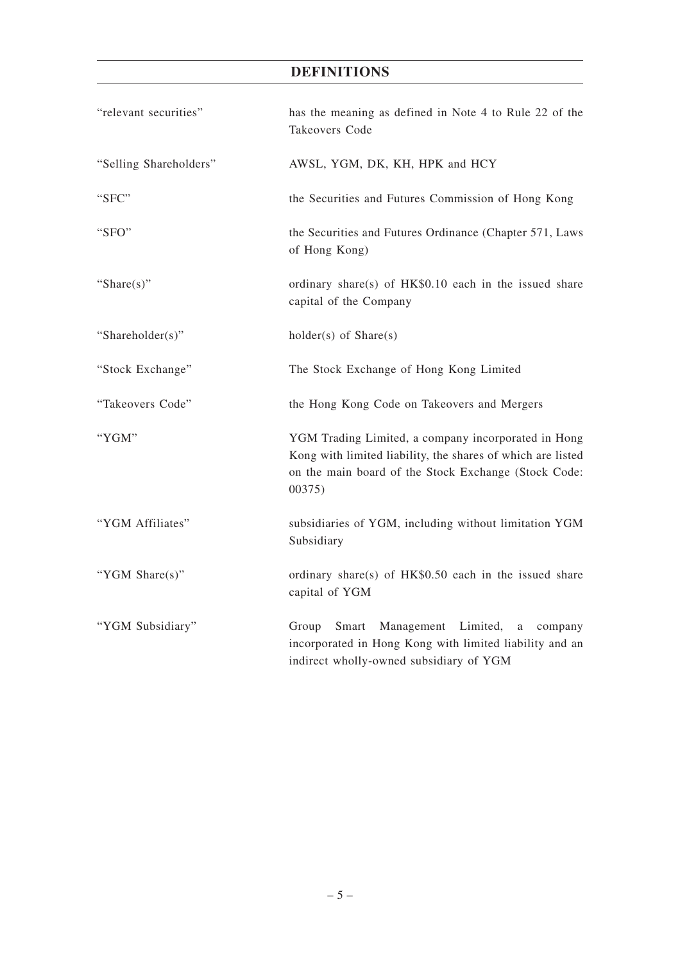| "relevant securities"  | has the meaning as defined in Note 4 to Rule 22 of the<br>Takeovers Code                                                                                                             |
|------------------------|--------------------------------------------------------------------------------------------------------------------------------------------------------------------------------------|
| "Selling Shareholders" | AWSL, YGM, DK, KH, HPK and HCY                                                                                                                                                       |
| "SFC"                  | the Securities and Futures Commission of Hong Kong                                                                                                                                   |
| "SFO"                  | the Securities and Futures Ordinance (Chapter 571, Laws<br>of Hong Kong)                                                                                                             |
| "Share $(s)$ "         | ordinary share(s) of HK\$0.10 each in the issued share<br>capital of the Company                                                                                                     |
| "Shareholder(s)"       | $holder(s)$ of $Share(s)$                                                                                                                                                            |
| "Stock Exchange"       | The Stock Exchange of Hong Kong Limited                                                                                                                                              |
| "Takeovers Code"       | the Hong Kong Code on Takeovers and Mergers                                                                                                                                          |
| "YGM"                  | YGM Trading Limited, a company incorporated in Hong<br>Kong with limited liability, the shares of which are listed<br>on the main board of the Stock Exchange (Stock Code:<br>00375) |
| "YGM Affiliates"       | subsidiaries of YGM, including without limitation YGM<br>Subsidiary                                                                                                                  |
| "YGM Share(s)"         | ordinary share(s) of HK\$0.50 each in the issued share<br>capital of YGM                                                                                                             |
| "YGM Subsidiary"       | Smart Management Limited,<br>Group<br>a<br>company<br>incorporated in Hong Kong with limited liability and an<br>indirect wholly-owned subsidiary of YGM                             |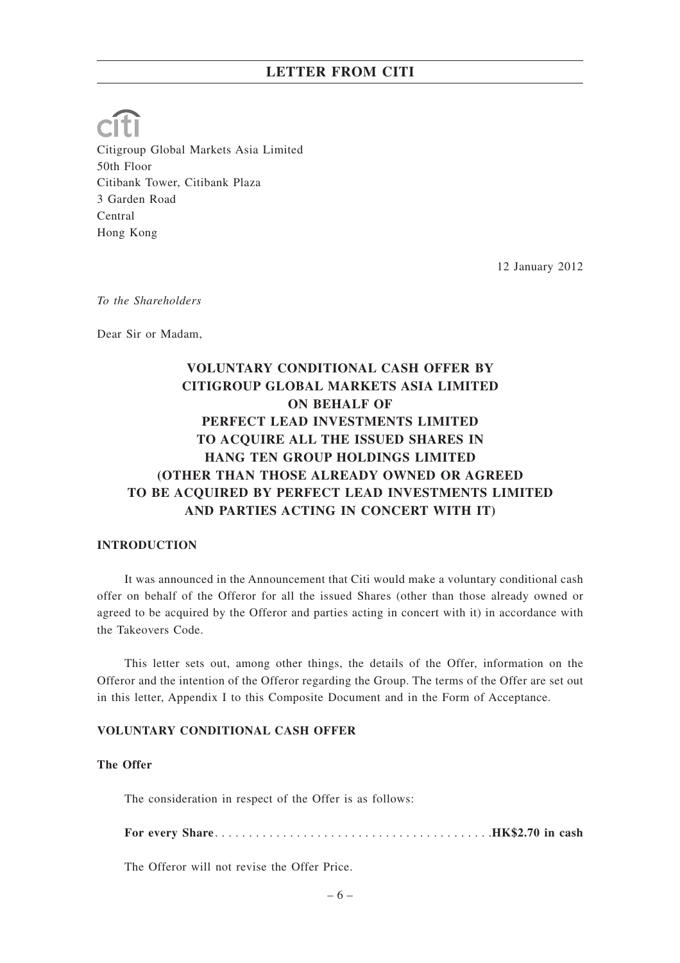Citigroup Global Markets Asia Limited 50th Floor Citibank Tower, Citibank Plaza 3 Garden Road Central Hong Kong

12 January 2012

*To the Shareholders*

Dear Sir or Madam,

# **VOLUNTARY CONDITIONAL CASH OFFER BY CITIGROUP GLOBAL MARKETS ASIA LIMITED ON BEHALF OF PERFECT LEAD INVESTMENTS LIMITED TO ACQUIRE ALL THE ISSUED SHARES IN HANG TEN GROUP HOLDINGS LIMITED (OTHER THAN THOSE ALREADY OWNED OR AGREED TO BE ACQUIRED BY PERFECT LEAD INVESTMENTS LIMITED AND PARTIES ACTING IN CONCERT WITH IT)**

### **INTRODUCTION**

It was announced in the Announcement that Citi would make a voluntary conditional cash offer on behalf of the Offeror for all the issued Shares (other than those already owned or agreed to be acquired by the Offeror and parties acting in concert with it) in accordance with the Takeovers Code.

This letter sets out, among other things, the details of the Offer, information on the Offeror and the intention of the Offeror regarding the Group. The terms of the Offer are set out in this letter, Appendix I to this Composite Document and in the Form of Acceptance.

# **VOLUNTARY CONDITIONAL CASH OFFER**

### **The Offer**

The consideration in respect of the Offer is as follows:

**For every Share**. . . . . . . . . . . . . . . . . . . . . . . . . . . . . . . . . . . . . . . . .**HK\$2.70 in cash**

The Offeror will not revise the Offer Price.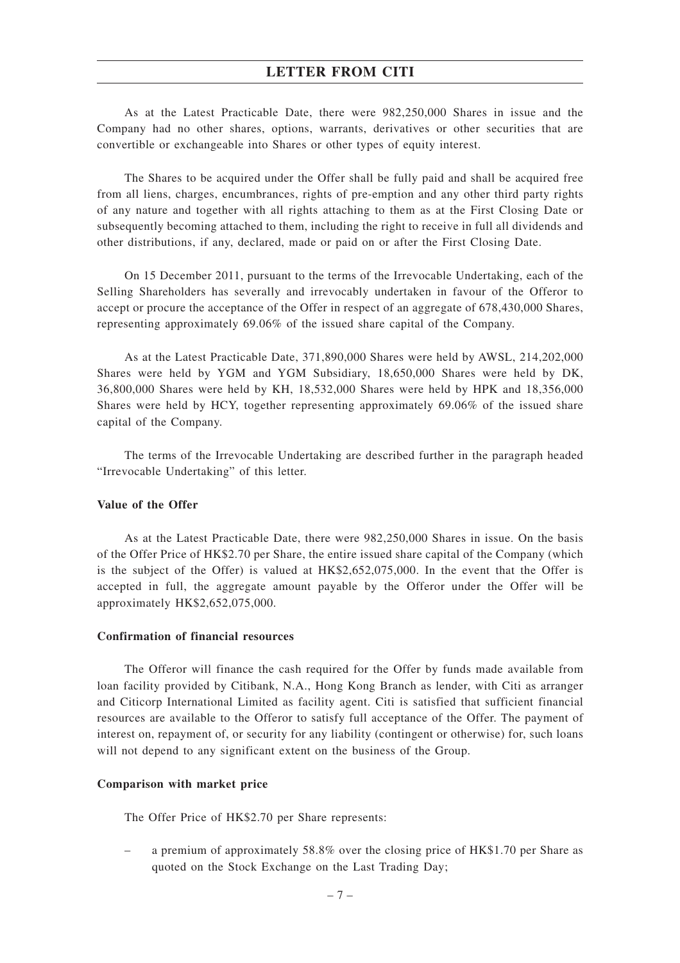As at the Latest Practicable Date, there were 982,250,000 Shares in issue and the Company had no other shares, options, warrants, derivatives or other securities that are convertible or exchangeable into Shares or other types of equity interest.

The Shares to be acquired under the Offer shall be fully paid and shall be acquired free from all liens, charges, encumbrances, rights of pre-emption and any other third party rights of any nature and together with all rights attaching to them as at the First Closing Date or subsequently becoming attached to them, including the right to receive in full all dividends and other distributions, if any, declared, made or paid on or after the First Closing Date.

On 15 December 2011, pursuant to the terms of the Irrevocable Undertaking, each of the Selling Shareholders has severally and irrevocably undertaken in favour of the Offeror to accept or procure the acceptance of the Offer in respect of an aggregate of 678,430,000 Shares, representing approximately 69.06% of the issued share capital of the Company.

As at the Latest Practicable Date, 371,890,000 Shares were held by AWSL, 214,202,000 Shares were held by YGM and YGM Subsidiary, 18,650,000 Shares were held by DK, 36,800,000 Shares were held by KH, 18,532,000 Shares were held by HPK and 18,356,000 Shares were held by HCY, together representing approximately 69.06% of the issued share capital of the Company.

The terms of the Irrevocable Undertaking are described further in the paragraph headed "Irrevocable Undertaking" of this letter.

## **Value of the Offer**

As at the Latest Practicable Date, there were 982,250,000 Shares in issue. On the basis of the Offer Price of HK\$2.70 per Share, the entire issued share capital of the Company (which is the subject of the Offer) is valued at HK\$2,652,075,000. In the event that the Offer is accepted in full, the aggregate amount payable by the Offeror under the Offer will be approximately HK\$2,652,075,000.

### **Confirmation of financial resources**

The Offeror will finance the cash required for the Offer by funds made available from loan facility provided by Citibank, N.A., Hong Kong Branch as lender, with Citi as arranger and Citicorp International Limited as facility agent. Citi is satisfied that sufficient financial resources are available to the Offeror to satisfy full acceptance of the Offer. The payment of interest on, repayment of, or security for any liability (contingent or otherwise) for, such loans will not depend to any significant extent on the business of the Group.

### **Comparison with market price**

The Offer Price of HK\$2.70 per Share represents:

– a premium of approximately 58.8% over the closing price of HK\$1.70 per Share as quoted on the Stock Exchange on the Last Trading Day;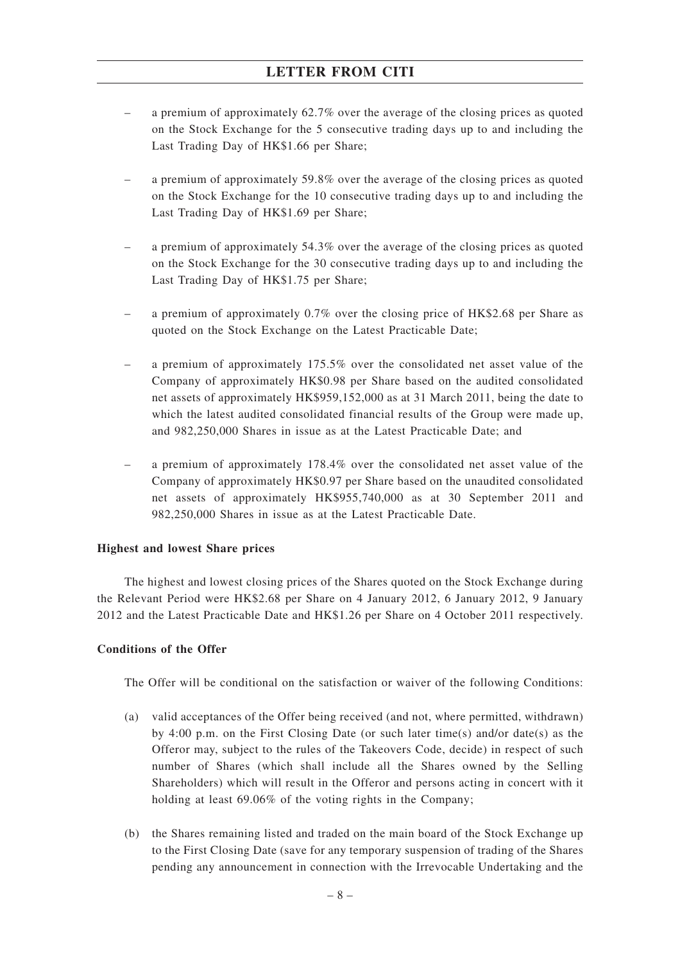- a premium of approximately 62.7% over the average of the closing prices as quoted on the Stock Exchange for the 5 consecutive trading days up to and including the Last Trading Day of HK\$1.66 per Share;
- a premium of approximately 59.8% over the average of the closing prices as quoted on the Stock Exchange for the 10 consecutive trading days up to and including the Last Trading Day of HK\$1.69 per Share;
- a premium of approximately 54.3% over the average of the closing prices as quoted on the Stock Exchange for the 30 consecutive trading days up to and including the Last Trading Day of HK\$1.75 per Share;
- a premium of approximately 0.7% over the closing price of HK\$2.68 per Share as quoted on the Stock Exchange on the Latest Practicable Date;
- a premium of approximately 175.5% over the consolidated net asset value of the Company of approximately HK\$0.98 per Share based on the audited consolidated net assets of approximately HK\$959,152,000 as at 31 March 2011, being the date to which the latest audited consolidated financial results of the Group were made up, and 982,250,000 Shares in issue as at the Latest Practicable Date; and
- a premium of approximately 178.4% over the consolidated net asset value of the Company of approximately HK\$0.97 per Share based on the unaudited consolidated net assets of approximately HK\$955,740,000 as at 30 September 2011 and 982,250,000 Shares in issue as at the Latest Practicable Date.

# **Highest and lowest Share prices**

The highest and lowest closing prices of the Shares quoted on the Stock Exchange during the Relevant Period were HK\$2.68 per Share on 4 January 2012, 6 January 2012, 9 January 2012 and the Latest Practicable Date and HK\$1.26 per Share on 4 October 2011 respectively.

# **Conditions of the Offer**

The Offer will be conditional on the satisfaction or waiver of the following Conditions:

- (a) valid acceptances of the Offer being received (and not, where permitted, withdrawn) by 4:00 p.m. on the First Closing Date (or such later time(s) and/or date(s) as the Offeror may, subject to the rules of the Takeovers Code, decide) in respect of such number of Shares (which shall include all the Shares owned by the Selling Shareholders) which will result in the Offeror and persons acting in concert with it holding at least 69.06% of the voting rights in the Company;
- (b) the Shares remaining listed and traded on the main board of the Stock Exchange up to the First Closing Date (save for any temporary suspension of trading of the Shares pending any announcement in connection with the Irrevocable Undertaking and the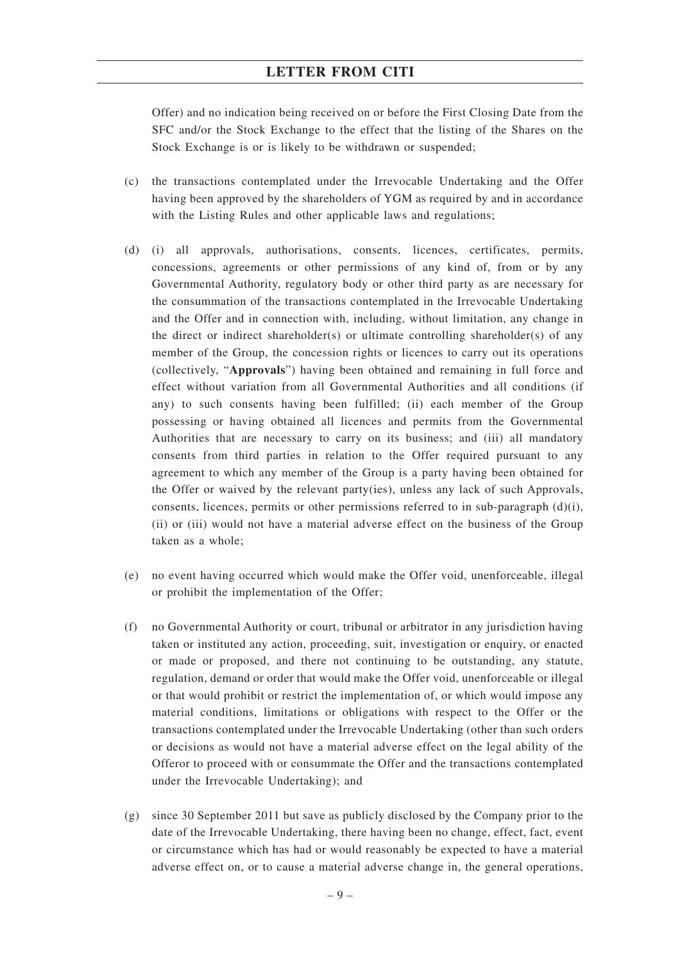Offer) and no indication being received on or before the First Closing Date from the SFC and/or the Stock Exchange to the effect that the listing of the Shares on the Stock Exchange is or is likely to be withdrawn or suspended;

- (c) the transactions contemplated under the Irrevocable Undertaking and the Offer having been approved by the shareholders of YGM as required by and in accordance with the Listing Rules and other applicable laws and regulations;
- (d) (i) all approvals, authorisations, consents, licences, certificates, permits, concessions, agreements or other permissions of any kind of, from or by any Governmental Authority, regulatory body or other third party as are necessary for the consummation of the transactions contemplated in the Irrevocable Undertaking and the Offer and in connection with, including, without limitation, any change in the direct or indirect shareholder(s) or ultimate controlling shareholder(s) of any member of the Group, the concession rights or licences to carry out its operations (collectively, "**Approvals**") having been obtained and remaining in full force and effect without variation from all Governmental Authorities and all conditions (if any) to such consents having been fulfilled; (ii) each member of the Group possessing or having obtained all licences and permits from the Governmental Authorities that are necessary to carry on its business; and (iii) all mandatory consents from third parties in relation to the Offer required pursuant to any agreement to which any member of the Group is a party having been obtained for the Offer or waived by the relevant party(ies), unless any lack of such Approvals, consents, licences, permits or other permissions referred to in sub-paragraph  $(d)(i)$ , (ii) or (iii) would not have a material adverse effect on the business of the Group taken as a whole;
- (e) no event having occurred which would make the Offer void, unenforceable, illegal or prohibit the implementation of the Offer;
- (f) no Governmental Authority or court, tribunal or arbitrator in any jurisdiction having taken or instituted any action, proceeding, suit, investigation or enquiry, or enacted or made or proposed, and there not continuing to be outstanding, any statute, regulation, demand or order that would make the Offer void, unenforceable or illegal or that would prohibit or restrict the implementation of, or which would impose any material conditions, limitations or obligations with respect to the Offer or the transactions contemplated under the Irrevocable Undertaking (other than such orders or decisions as would not have a material adverse effect on the legal ability of the Offeror to proceed with or consummate the Offer and the transactions contemplated under the Irrevocable Undertaking); and
- (g) since 30 September 2011 but save as publicly disclosed by the Company prior to the date of the Irrevocable Undertaking, there having been no change, effect, fact, event or circumstance which has had or would reasonably be expected to have a material adverse effect on, or to cause a material adverse change in, the general operations,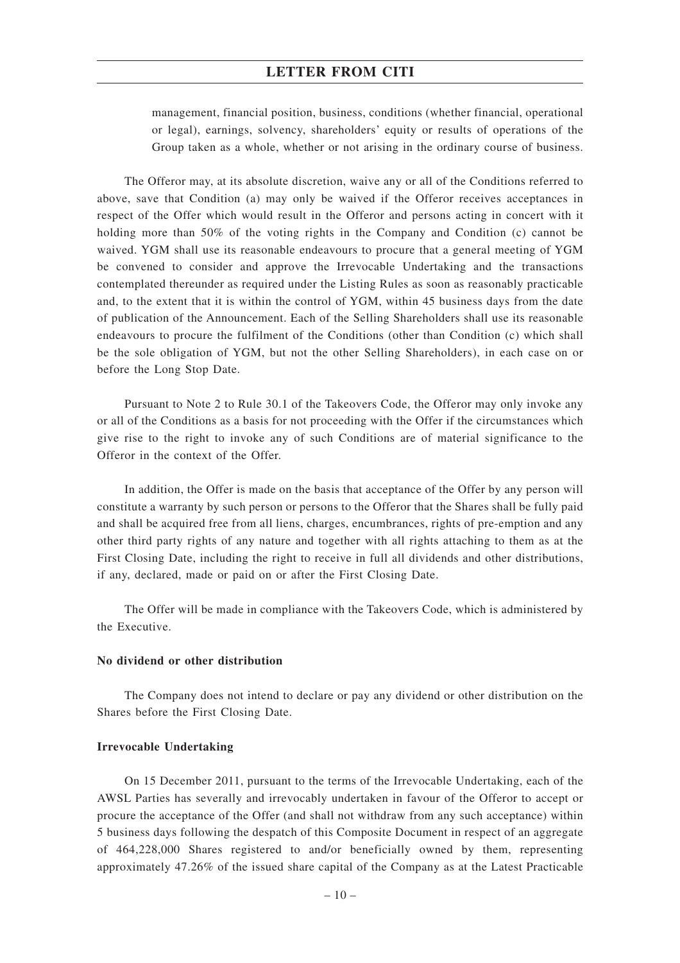management, financial position, business, conditions (whether financial, operational or legal), earnings, solvency, shareholders' equity or results of operations of the Group taken as a whole, whether or not arising in the ordinary course of business.

The Offeror may, at its absolute discretion, waive any or all of the Conditions referred to above, save that Condition (a) may only be waived if the Offeror receives acceptances in respect of the Offer which would result in the Offeror and persons acting in concert with it holding more than 50% of the voting rights in the Company and Condition (c) cannot be waived. YGM shall use its reasonable endeavours to procure that a general meeting of YGM be convened to consider and approve the Irrevocable Undertaking and the transactions contemplated thereunder as required under the Listing Rules as soon as reasonably practicable and, to the extent that it is within the control of YGM, within 45 business days from the date of publication of the Announcement. Each of the Selling Shareholders shall use its reasonable endeavours to procure the fulfilment of the Conditions (other than Condition (c) which shall be the sole obligation of YGM, but not the other Selling Shareholders), in each case on or before the Long Stop Date.

Pursuant to Note 2 to Rule 30.1 of the Takeovers Code, the Offeror may only invoke any or all of the Conditions as a basis for not proceeding with the Offer if the circumstances which give rise to the right to invoke any of such Conditions are of material significance to the Offeror in the context of the Offer.

In addition, the Offer is made on the basis that acceptance of the Offer by any person will constitute a warranty by such person or persons to the Offeror that the Shares shall be fully paid and shall be acquired free from all liens, charges, encumbrances, rights of pre-emption and any other third party rights of any nature and together with all rights attaching to them as at the First Closing Date, including the right to receive in full all dividends and other distributions, if any, declared, made or paid on or after the First Closing Date.

The Offer will be made in compliance with the Takeovers Code, which is administered by the Executive.

### **No dividend or other distribution**

The Company does not intend to declare or pay any dividend or other distribution on the Shares before the First Closing Date.

### **Irrevocable Undertaking**

On 15 December 2011, pursuant to the terms of the Irrevocable Undertaking, each of the AWSL Parties has severally and irrevocably undertaken in favour of the Offeror to accept or procure the acceptance of the Offer (and shall not withdraw from any such acceptance) within 5 business days following the despatch of this Composite Document in respect of an aggregate of 464,228,000 Shares registered to and/or beneficially owned by them, representing approximately 47.26% of the issued share capital of the Company as at the Latest Practicable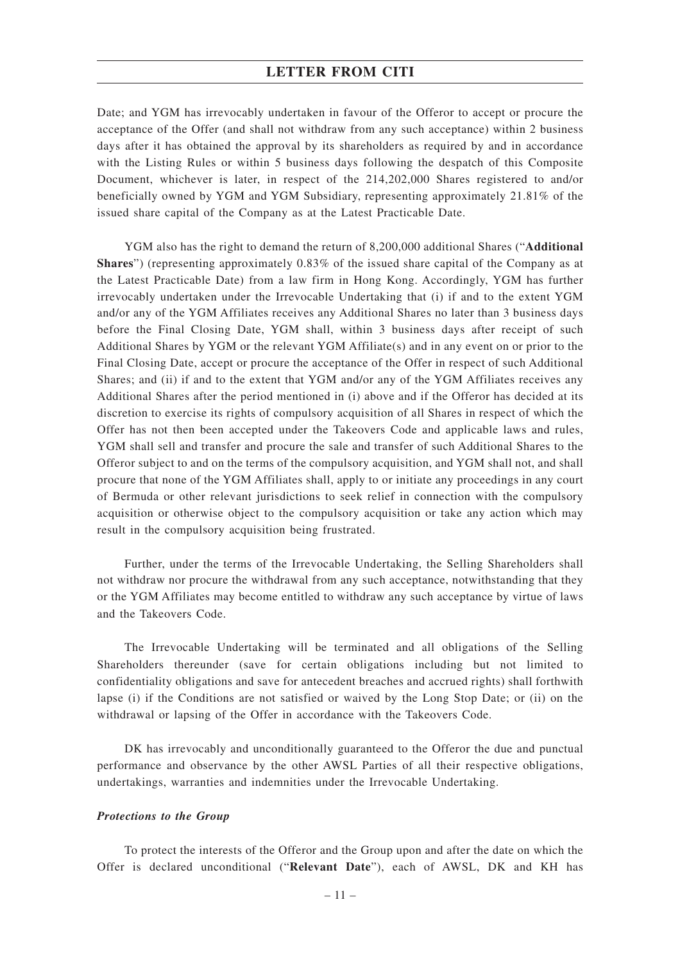Date; and YGM has irrevocably undertaken in favour of the Offeror to accept or procure the acceptance of the Offer (and shall not withdraw from any such acceptance) within 2 business days after it has obtained the approval by its shareholders as required by and in accordance with the Listing Rules or within 5 business days following the despatch of this Composite Document, whichever is later, in respect of the 214,202,000 Shares registered to and/or beneficially owned by YGM and YGM Subsidiary, representing approximately 21.81% of the issued share capital of the Company as at the Latest Practicable Date.

YGM also has the right to demand the return of 8,200,000 additional Shares ("**Additional Shares**") (representing approximately 0.83% of the issued share capital of the Company as at the Latest Practicable Date) from a law firm in Hong Kong. Accordingly, YGM has further irrevocably undertaken under the Irrevocable Undertaking that (i) if and to the extent YGM and/or any of the YGM Affiliates receives any Additional Shares no later than 3 business days before the Final Closing Date, YGM shall, within 3 business days after receipt of such Additional Shares by YGM or the relevant YGM Affiliate(s) and in any event on or prior to the Final Closing Date, accept or procure the acceptance of the Offer in respect of such Additional Shares; and (ii) if and to the extent that YGM and/or any of the YGM Affiliates receives any Additional Shares after the period mentioned in (i) above and if the Offeror has decided at its discretion to exercise its rights of compulsory acquisition of all Shares in respect of which the Offer has not then been accepted under the Takeovers Code and applicable laws and rules, YGM shall sell and transfer and procure the sale and transfer of such Additional Shares to the Offeror subject to and on the terms of the compulsory acquisition, and YGM shall not, and shall procure that none of the YGM Affiliates shall, apply to or initiate any proceedings in any court of Bermuda or other relevant jurisdictions to seek relief in connection with the compulsory acquisition or otherwise object to the compulsory acquisition or take any action which may result in the compulsory acquisition being frustrated.

Further, under the terms of the Irrevocable Undertaking, the Selling Shareholders shall not withdraw nor procure the withdrawal from any such acceptance, notwithstanding that they or the YGM Affiliates may become entitled to withdraw any such acceptance by virtue of laws and the Takeovers Code.

The Irrevocable Undertaking will be terminated and all obligations of the Selling Shareholders thereunder (save for certain obligations including but not limited to confidentiality obligations and save for antecedent breaches and accrued rights) shall forthwith lapse (i) if the Conditions are not satisfied or waived by the Long Stop Date; or (ii) on the withdrawal or lapsing of the Offer in accordance with the Takeovers Code.

DK has irrevocably and unconditionally guaranteed to the Offeror the due and punctual performance and observance by the other AWSL Parties of all their respective obligations, undertakings, warranties and indemnities under the Irrevocable Undertaking.

### *Protections to the Group*

To protect the interests of the Offeror and the Group upon and after the date on which the Offer is declared unconditional ("**Relevant Date**"), each of AWSL, DK and KH has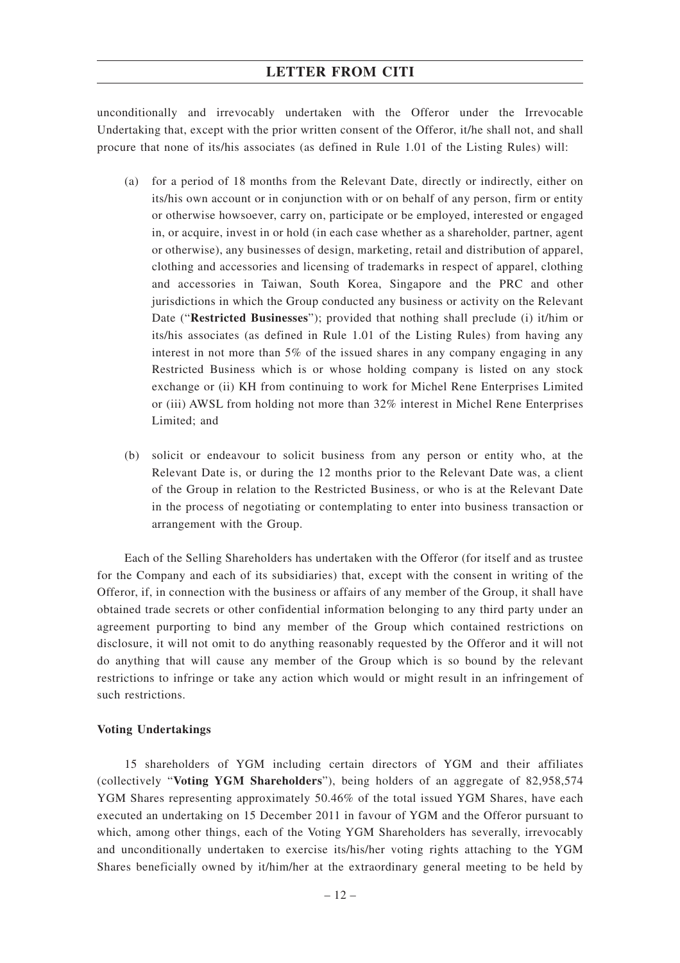unconditionally and irrevocably undertaken with the Offeror under the Irrevocable Undertaking that, except with the prior written consent of the Offeror, it/he shall not, and shall procure that none of its/his associates (as defined in Rule 1.01 of the Listing Rules) will:

- (a) for a period of 18 months from the Relevant Date, directly or indirectly, either on its/his own account or in conjunction with or on behalf of any person, firm or entity or otherwise howsoever, carry on, participate or be employed, interested or engaged in, or acquire, invest in or hold (in each case whether as a shareholder, partner, agent or otherwise), any businesses of design, marketing, retail and distribution of apparel, clothing and accessories and licensing of trademarks in respect of apparel, clothing and accessories in Taiwan, South Korea, Singapore and the PRC and other jurisdictions in which the Group conducted any business or activity on the Relevant Date ("**Restricted Businesses**"); provided that nothing shall preclude (i) it/him or its/his associates (as defined in Rule 1.01 of the Listing Rules) from having any interest in not more than 5% of the issued shares in any company engaging in any Restricted Business which is or whose holding company is listed on any stock exchange or (ii) KH from continuing to work for Michel Rene Enterprises Limited or (iii) AWSL from holding not more than 32% interest in Michel Rene Enterprises Limited; and
- (b) solicit or endeavour to solicit business from any person or entity who, at the Relevant Date is, or during the 12 months prior to the Relevant Date was, a client of the Group in relation to the Restricted Business, or who is at the Relevant Date in the process of negotiating or contemplating to enter into business transaction or arrangement with the Group.

Each of the Selling Shareholders has undertaken with the Offeror (for itself and as trustee for the Company and each of its subsidiaries) that, except with the consent in writing of the Offeror, if, in connection with the business or affairs of any member of the Group, it shall have obtained trade secrets or other confidential information belonging to any third party under an agreement purporting to bind any member of the Group which contained restrictions on disclosure, it will not omit to do anything reasonably requested by the Offeror and it will not do anything that will cause any member of the Group which is so bound by the relevant restrictions to infringe or take any action which would or might result in an infringement of such restrictions.

### **Voting Undertakings**

15 shareholders of YGM including certain directors of YGM and their affiliates (collectively "**Voting YGM Shareholders**"), being holders of an aggregate of 82,958,574 YGM Shares representing approximately 50.46% of the total issued YGM Shares, have each executed an undertaking on 15 December 2011 in favour of YGM and the Offeror pursuant to which, among other things, each of the Voting YGM Shareholders has severally, irrevocably and unconditionally undertaken to exercise its/his/her voting rights attaching to the YGM Shares beneficially owned by it/him/her at the extraordinary general meeting to be held by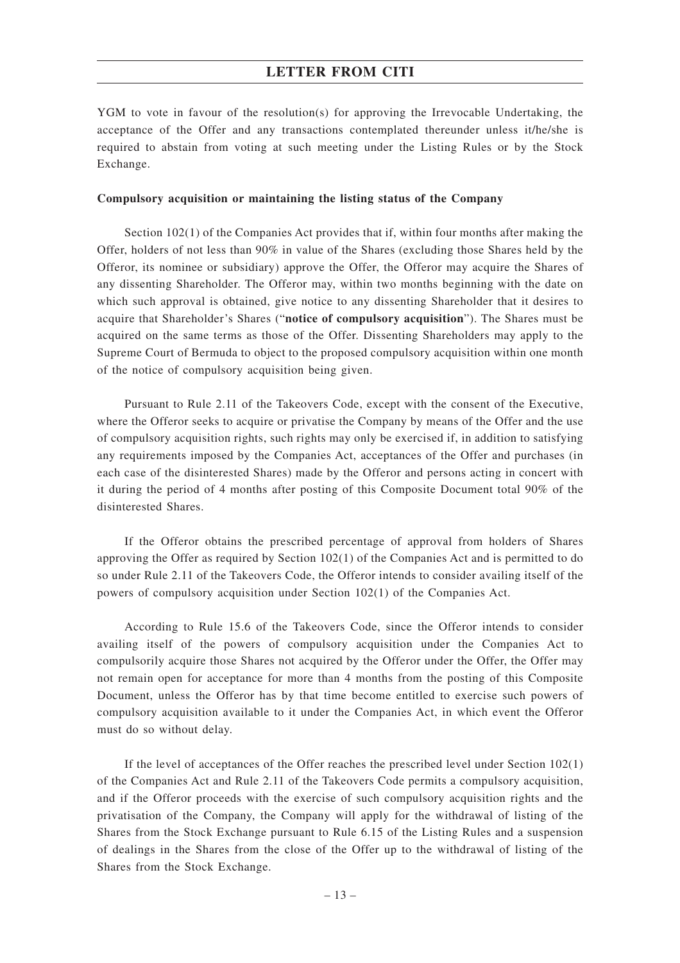YGM to vote in favour of the resolution(s) for approving the Irrevocable Undertaking, the acceptance of the Offer and any transactions contemplated thereunder unless it/he/she is required to abstain from voting at such meeting under the Listing Rules or by the Stock Exchange.

### **Compulsory acquisition or maintaining the listing status of the Company**

Section 102(1) of the Companies Act provides that if, within four months after making the Offer, holders of not less than 90% in value of the Shares (excluding those Shares held by the Offeror, its nominee or subsidiary) approve the Offer, the Offeror may acquire the Shares of any dissenting Shareholder. The Offeror may, within two months beginning with the date on which such approval is obtained, give notice to any dissenting Shareholder that it desires to acquire that Shareholder's Shares ("**notice of compulsory acquisition**"). The Shares must be acquired on the same terms as those of the Offer. Dissenting Shareholders may apply to the Supreme Court of Bermuda to object to the proposed compulsory acquisition within one month of the notice of compulsory acquisition being given.

Pursuant to Rule 2.11 of the Takeovers Code, except with the consent of the Executive, where the Offeror seeks to acquire or privatise the Company by means of the Offer and the use of compulsory acquisition rights, such rights may only be exercised if, in addition to satisfying any requirements imposed by the Companies Act, acceptances of the Offer and purchases (in each case of the disinterested Shares) made by the Offeror and persons acting in concert with it during the period of 4 months after posting of this Composite Document total 90% of the disinterested Shares.

If the Offeror obtains the prescribed percentage of approval from holders of Shares approving the Offer as required by Section 102(1) of the Companies Act and is permitted to do so under Rule 2.11 of the Takeovers Code, the Offeror intends to consider availing itself of the powers of compulsory acquisition under Section 102(1) of the Companies Act.

According to Rule 15.6 of the Takeovers Code, since the Offeror intends to consider availing itself of the powers of compulsory acquisition under the Companies Act to compulsorily acquire those Shares not acquired by the Offeror under the Offer, the Offer may not remain open for acceptance for more than 4 months from the posting of this Composite Document, unless the Offeror has by that time become entitled to exercise such powers of compulsory acquisition available to it under the Companies Act, in which event the Offeror must do so without delay.

If the level of acceptances of the Offer reaches the prescribed level under Section  $102(1)$ of the Companies Act and Rule 2.11 of the Takeovers Code permits a compulsory acquisition, and if the Offeror proceeds with the exercise of such compulsory acquisition rights and the privatisation of the Company, the Company will apply for the withdrawal of listing of the Shares from the Stock Exchange pursuant to Rule 6.15 of the Listing Rules and a suspension of dealings in the Shares from the close of the Offer up to the withdrawal of listing of the Shares from the Stock Exchange.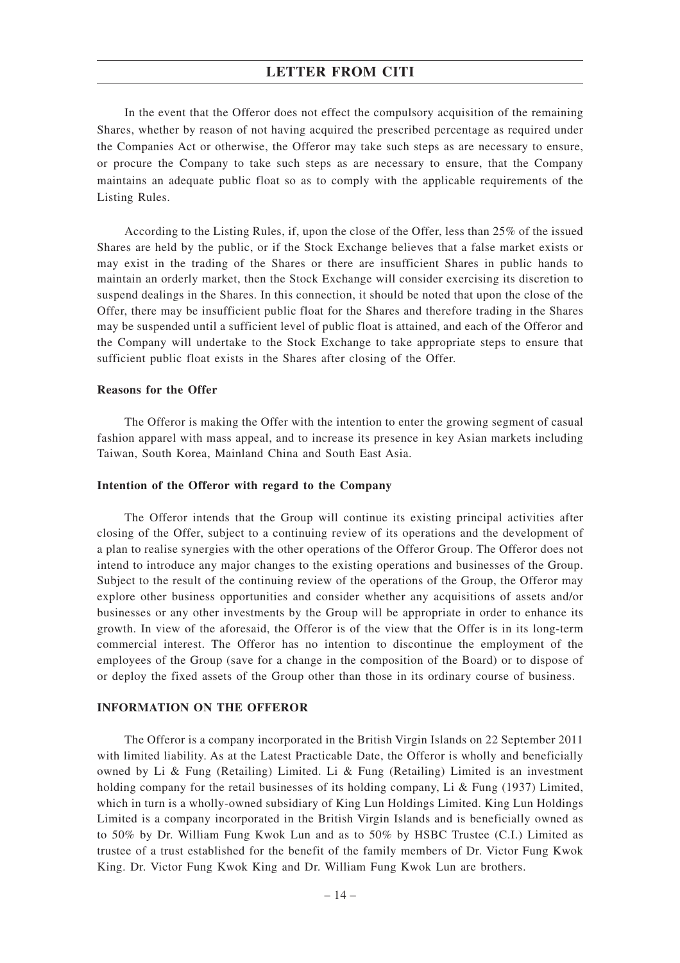In the event that the Offeror does not effect the compulsory acquisition of the remaining Shares, whether by reason of not having acquired the prescribed percentage as required under the Companies Act or otherwise, the Offeror may take such steps as are necessary to ensure, or procure the Company to take such steps as are necessary to ensure, that the Company maintains an adequate public float so as to comply with the applicable requirements of the Listing Rules.

According to the Listing Rules, if, upon the close of the Offer, less than 25% of the issued Shares are held by the public, or if the Stock Exchange believes that a false market exists or may exist in the trading of the Shares or there are insufficient Shares in public hands to maintain an orderly market, then the Stock Exchange will consider exercising its discretion to suspend dealings in the Shares. In this connection, it should be noted that upon the close of the Offer, there may be insufficient public float for the Shares and therefore trading in the Shares may be suspended until a sufficient level of public float is attained, and each of the Offeror and the Company will undertake to the Stock Exchange to take appropriate steps to ensure that sufficient public float exists in the Shares after closing of the Offer.

### **Reasons for the Offer**

The Offeror is making the Offer with the intention to enter the growing segment of casual fashion apparel with mass appeal, and to increase its presence in key Asian markets including Taiwan, South Korea, Mainland China and South East Asia.

### **Intention of the Offeror with regard to the Company**

The Offeror intends that the Group will continue its existing principal activities after closing of the Offer, subject to a continuing review of its operations and the development of a plan to realise synergies with the other operations of the Offeror Group. The Offeror does not intend to introduce any major changes to the existing operations and businesses of the Group. Subject to the result of the continuing review of the operations of the Group, the Offeror may explore other business opportunities and consider whether any acquisitions of assets and/or businesses or any other investments by the Group will be appropriate in order to enhance its growth. In view of the aforesaid, the Offeror is of the view that the Offer is in its long-term commercial interest. The Offeror has no intention to discontinue the employment of the employees of the Group (save for a change in the composition of the Board) or to dispose of or deploy the fixed assets of the Group other than those in its ordinary course of business.

### **INFORMATION ON THE OFFEROR**

The Offeror is a company incorporated in the British Virgin Islands on 22 September 2011 with limited liability. As at the Latest Practicable Date, the Offeror is wholly and beneficially owned by Li & Fung (Retailing) Limited. Li & Fung (Retailing) Limited is an investment holding company for the retail businesses of its holding company, Li & Fung (1937) Limited, which in turn is a wholly-owned subsidiary of King Lun Holdings Limited. King Lun Holdings Limited is a company incorporated in the British Virgin Islands and is beneficially owned as to 50% by Dr. William Fung Kwok Lun and as to 50% by HSBC Trustee (C.I.) Limited as trustee of a trust established for the benefit of the family members of Dr. Victor Fung Kwok King. Dr. Victor Fung Kwok King and Dr. William Fung Kwok Lun are brothers.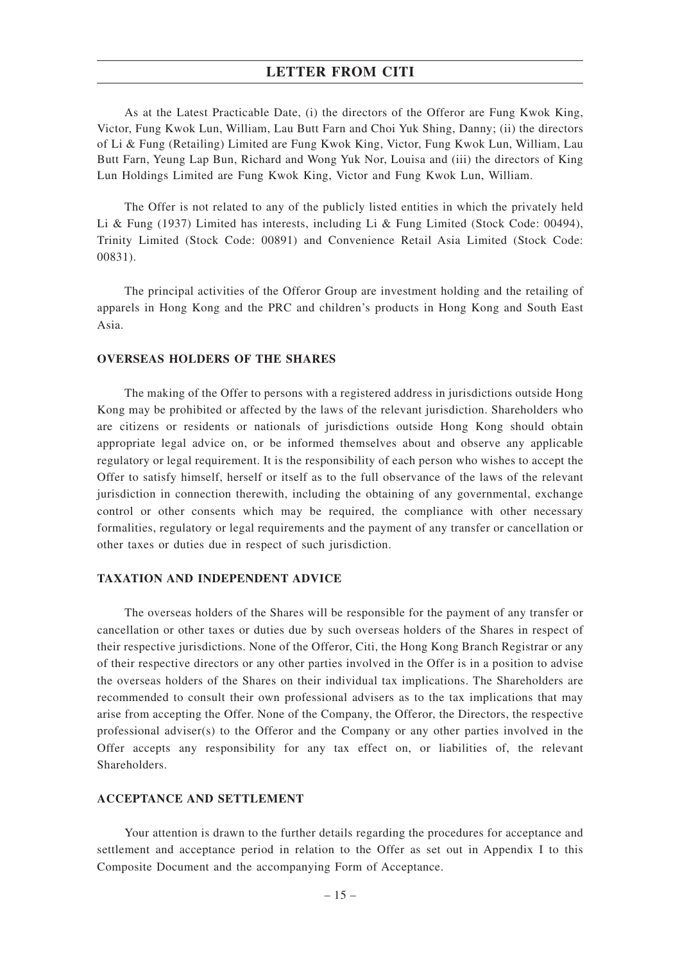As at the Latest Practicable Date, (i) the directors of the Offeror are Fung Kwok King, Victor, Fung Kwok Lun, William, Lau Butt Farn and Choi Yuk Shing, Danny; (ii) the directors of Li & Fung (Retailing) Limited are Fung Kwok King, Victor, Fung Kwok Lun, William, Lau Butt Farn, Yeung Lap Bun, Richard and Wong Yuk Nor, Louisa and (iii) the directors of King Lun Holdings Limited are Fung Kwok King, Victor and Fung Kwok Lun, William.

The Offer is not related to any of the publicly listed entities in which the privately held Li & Fung (1937) Limited has interests, including Li & Fung Limited (Stock Code: 00494), Trinity Limited (Stock Code: 00891) and Convenience Retail Asia Limited (Stock Code: 00831).

The principal activities of the Offeror Group are investment holding and the retailing of apparels in Hong Kong and the PRC and children's products in Hong Kong and South East Asia.

### **OVERSEAS HOLDERS OF THE SHARES**

The making of the Offer to persons with a registered address in jurisdictions outside Hong Kong may be prohibited or affected by the laws of the relevant jurisdiction. Shareholders who are citizens or residents or nationals of jurisdictions outside Hong Kong should obtain appropriate legal advice on, or be informed themselves about and observe any applicable regulatory or legal requirement. It is the responsibility of each person who wishes to accept the Offer to satisfy himself, herself or itself as to the full observance of the laws of the relevant jurisdiction in connection therewith, including the obtaining of any governmental, exchange control or other consents which may be required, the compliance with other necessary formalities, regulatory or legal requirements and the payment of any transfer or cancellation or other taxes or duties due in respect of such jurisdiction.

### **TAXATION AND INDEPENDENT ADVICE**

The overseas holders of the Shares will be responsible for the payment of any transfer or cancellation or other taxes or duties due by such overseas holders of the Shares in respect of their respective jurisdictions. None of the Offeror, Citi, the Hong Kong Branch Registrar or any of their respective directors or any other parties involved in the Offer is in a position to advise the overseas holders of the Shares on their individual tax implications. The Shareholders are recommended to consult their own professional advisers as to the tax implications that may arise from accepting the Offer. None of the Company, the Offeror, the Directors, the respective professional adviser(s) to the Offeror and the Company or any other parties involved in the Offer accepts any responsibility for any tax effect on, or liabilities of, the relevant Shareholders.

### **ACCEPTANCE AND SETTLEMENT**

Your attention is drawn to the further details regarding the procedures for acceptance and settlement and acceptance period in relation to the Offer as set out in Appendix I to this Composite Document and the accompanying Form of Acceptance.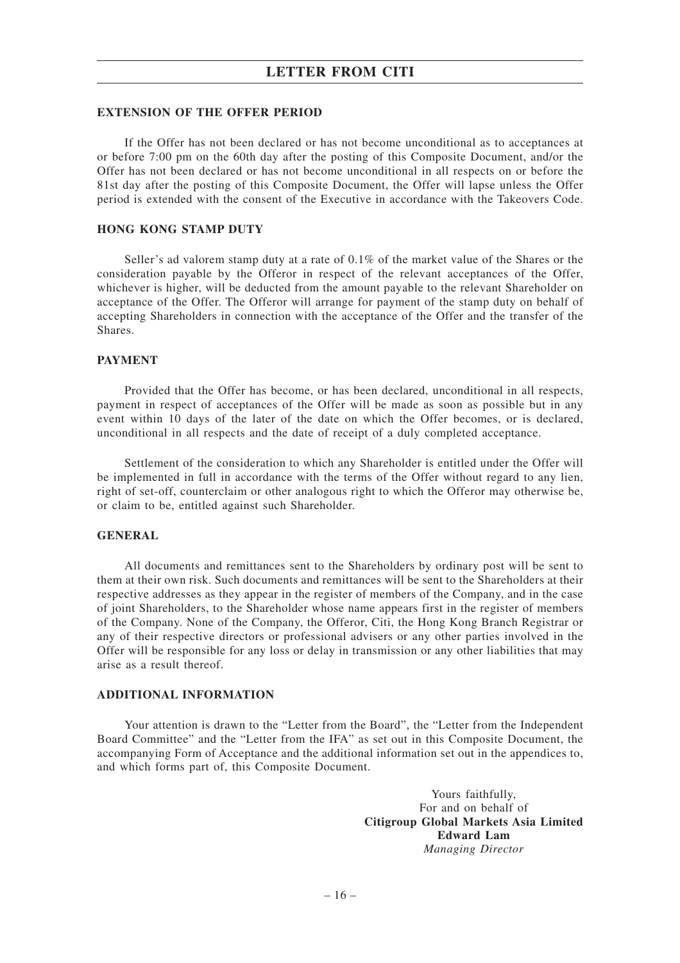### **EXTENSION OF THE OFFER PERIOD**

If the Offer has not been declared or has not become unconditional as to acceptances at or before 7:00 pm on the 60th day after the posting of this Composite Document, and/or the Offer has not been declared or has not become unconditional in all respects on or before the 81st day after the posting of this Composite Document, the Offer will lapse unless the Offer period is extended with the consent of the Executive in accordance with the Takeovers Code.

## **HONG KONG STAMP DUTY**

Seller's ad valorem stamp duty at a rate of 0.1% of the market value of the Shares or the consideration payable by the Offeror in respect of the relevant acceptances of the Offer, whichever is higher, will be deducted from the amount payable to the relevant Shareholder on acceptance of the Offer. The Offeror will arrange for payment of the stamp duty on behalf of accepting Shareholders in connection with the acceptance of the Offer and the transfer of the Shares.

### **PAYMENT**

Provided that the Offer has become, or has been declared, unconditional in all respects, payment in respect of acceptances of the Offer will be made as soon as possible but in any event within 10 days of the later of the date on which the Offer becomes, or is declared, unconditional in all respects and the date of receipt of a duly completed acceptance.

Settlement of the consideration to which any Shareholder is entitled under the Offer will be implemented in full in accordance with the terms of the Offer without regard to any lien, right of set-off, counterclaim or other analogous right to which the Offeror may otherwise be, or claim to be, entitled against such Shareholder.

## **GENERAL**

All documents and remittances sent to the Shareholders by ordinary post will be sent to them at their own risk. Such documents and remittances will be sent to the Shareholders at their respective addresses as they appear in the register of members of the Company, and in the case of joint Shareholders, to the Shareholder whose name appears first in the register of members of the Company. None of the Company, the Offeror, Citi, the Hong Kong Branch Registrar or any of their respective directors or professional advisers or any other parties involved in the Offer will be responsible for any loss or delay in transmission or any other liabilities that may arise as a result thereof.

## **ADDITIONAL INFORMATION**

Your attention is drawn to the "Letter from the Board", the "Letter from the Independent Board Committee" and the "Letter from the IFA" as set out in this Composite Document, the accompanying Form of Acceptance and the additional information set out in the appendices to, and which forms part of, this Composite Document.

> Yours faithfully, For and on behalf of **Citigroup Global Markets Asia Limited Edward Lam** *Managing Director*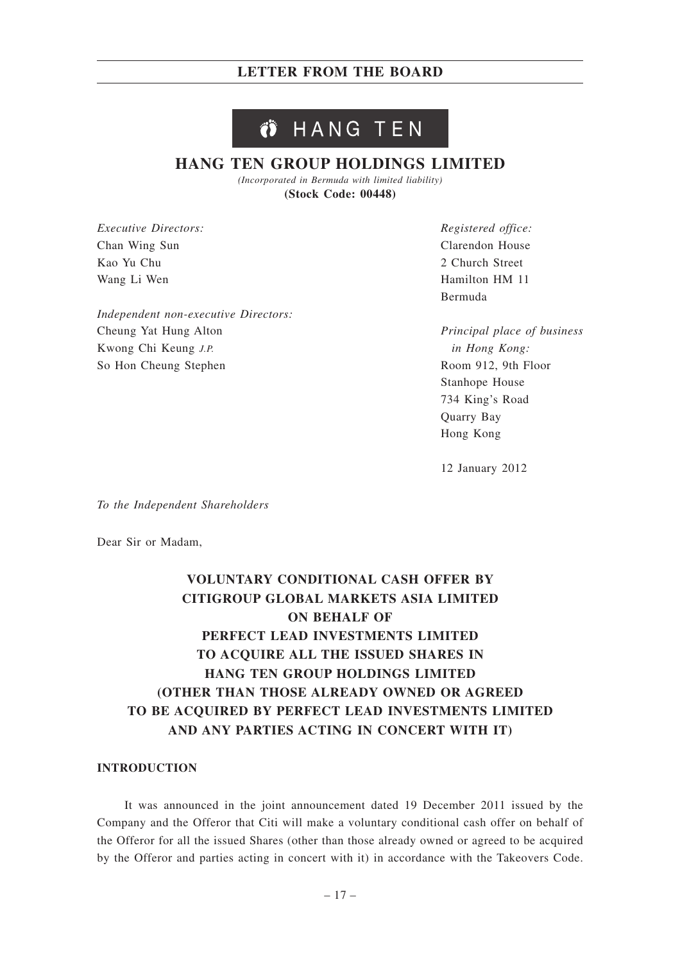# **LETTER FROM THE BOARD**

# Ö HANG TEN

# **HANG TEN GROUP HOLDINGS LIMITED**

*(Incorporated in Bermuda with limited liability)* **(Stock Code: 00448)**

*Executive Directors:* Chan Wing Sun Kao Yu Chu Wang Li Wen

*Independent non-executive Directors:* Cheung Yat Hung Alton Kwong Chi Keung *J.P.* So Hon Cheung Stephen

*Registered office:* Clarendon House 2 Church Street Hamilton HM 11 Bermuda

*Principal place of business in Hong Kong:* Room 912, 9th Floor Stanhope House 734 King's Road Quarry Bay Hong Kong

12 January 2012

*To the Independent Shareholders*

Dear Sir or Madam,

# **VOLUNTARY CONDITIONAL CASH OFFER BY CITIGROUP GLOBAL MARKETS ASIA LIMITED ON BEHALF OF PERFECT LEAD INVESTMENTS LIMITED TO ACQUIRE ALL THE ISSUED SHARES IN HANG TEN GROUP HOLDINGS LIMITED (OTHER THAN THOSE ALREADY OWNED OR AGREED TO BE ACQUIRED BY PERFECT LEAD INVESTMENTS LIMITED AND ANY PARTIES ACTING IN CONCERT WITH IT)**

## **INTRODUCTION**

It was announced in the joint announcement dated 19 December 2011 issued by the Company and the Offeror that Citi will make a voluntary conditional cash offer on behalf of the Offeror for all the issued Shares (other than those already owned or agreed to be acquired by the Offeror and parties acting in concert with it) in accordance with the Takeovers Code.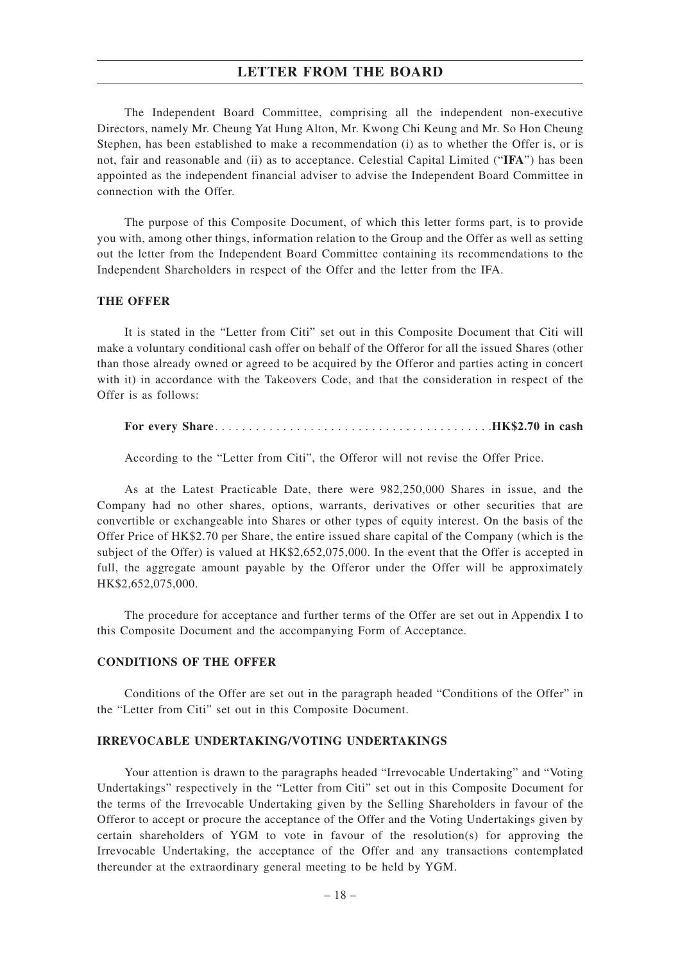# **LETTER FROM THE BOARD**

The Independent Board Committee, comprising all the independent non-executive Directors, namely Mr. Cheung Yat Hung Alton, Mr. Kwong Chi Keung and Mr. So Hon Cheung Stephen, has been established to make a recommendation (i) as to whether the Offer is, or is not, fair and reasonable and (ii) as to acceptance. Celestial Capital Limited ("**IFA**") has been appointed as the independent financial adviser to advise the Independent Board Committee in connection with the Offer.

The purpose of this Composite Document, of which this letter forms part, is to provide you with, among other things, information relation to the Group and the Offer as well as setting out the letter from the Independent Board Committee containing its recommendations to the Independent Shareholders in respect of the Offer and the letter from the IFA.

## **THE OFFER**

It is stated in the "Letter from Citi" set out in this Composite Document that Citi will make a voluntary conditional cash offer on behalf of the Offeror for all the issued Shares (other than those already owned or agreed to be acquired by the Offeror and parties acting in concert with it) in accordance with the Takeovers Code, and that the consideration in respect of the Offer is as follows:

|--|

According to the "Letter from Citi", the Offeror will not revise the Offer Price.

As at the Latest Practicable Date, there were 982,250,000 Shares in issue, and the Company had no other shares, options, warrants, derivatives or other securities that are convertible or exchangeable into Shares or other types of equity interest. On the basis of the Offer Price of HK\$2.70 per Share, the entire issued share capital of the Company (which is the subject of the Offer) is valued at HK\$2,652,075,000. In the event that the Offer is accepted in full, the aggregate amount payable by the Offeror under the Offer will be approximately HK\$2,652,075,000.

The procedure for acceptance and further terms of the Offer are set out in Appendix I to this Composite Document and the accompanying Form of Acceptance.

### **CONDITIONS OF THE OFFER**

Conditions of the Offer are set out in the paragraph headed "Conditions of the Offer" in the "Letter from Citi" set out in this Composite Document.

### **IRREVOCABLE UNDERTAKING/VOTING UNDERTAKINGS**

Your attention is drawn to the paragraphs headed "Irrevocable Undertaking" and "Voting Undertakings" respectively in the "Letter from Citi" set out in this Composite Document for the terms of the Irrevocable Undertaking given by the Selling Shareholders in favour of the Offeror to accept or procure the acceptance of the Offer and the Voting Undertakings given by certain shareholders of YGM to vote in favour of the resolution(s) for approving the Irrevocable Undertaking, the acceptance of the Offer and any transactions contemplated thereunder at the extraordinary general meeting to be held by YGM.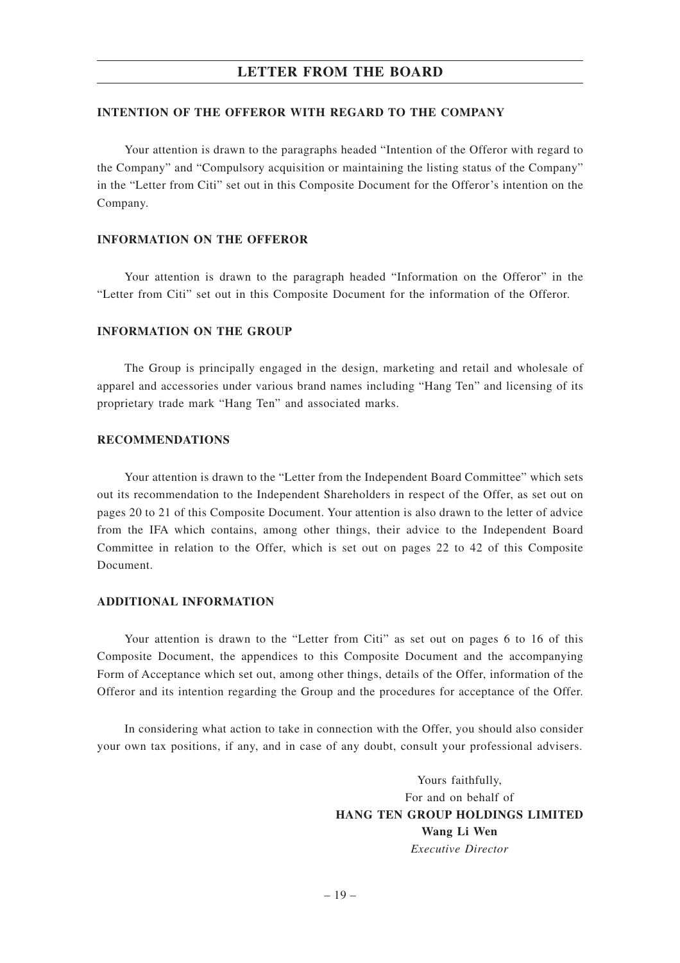# **LETTER FROM THE BOARD**

## **INTENTION OF THE OFFEROR WITH REGARD TO THE COMPANY**

Your attention is drawn to the paragraphs headed "Intention of the Offeror with regard to the Company" and "Compulsory acquisition or maintaining the listing status of the Company" in the "Letter from Citi" set out in this Composite Document for the Offeror's intention on the Company.

## **INFORMATION ON THE OFFEROR**

Your attention is drawn to the paragraph headed "Information on the Offeror" in the "Letter from Citi" set out in this Composite Document for the information of the Offeror.

## **INFORMATION ON THE GROUP**

The Group is principally engaged in the design, marketing and retail and wholesale of apparel and accessories under various brand names including "Hang Ten" and licensing of its proprietary trade mark "Hang Ten" and associated marks.

## **RECOMMENDATIONS**

Your attention is drawn to the "Letter from the Independent Board Committee" which sets out its recommendation to the Independent Shareholders in respect of the Offer, as set out on pages 20 to 21 of this Composite Document. Your attention is also drawn to the letter of advice from the IFA which contains, among other things, their advice to the Independent Board Committee in relation to the Offer, which is set out on pages 22 to 42 of this Composite Document.

### **ADDITIONAL INFORMATION**

Your attention is drawn to the "Letter from Citi" as set out on pages 6 to 16 of this Composite Document, the appendices to this Composite Document and the accompanying Form of Acceptance which set out, among other things, details of the Offer, information of the Offeror and its intention regarding the Group and the procedures for acceptance of the Offer.

In considering what action to take in connection with the Offer, you should also consider your own tax positions, if any, and in case of any doubt, consult your professional advisers.

> Yours faithfully, For and on behalf of **HANG TEN GROUP HOLDINGS LIMITED Wang Li Wen** *Executive Director*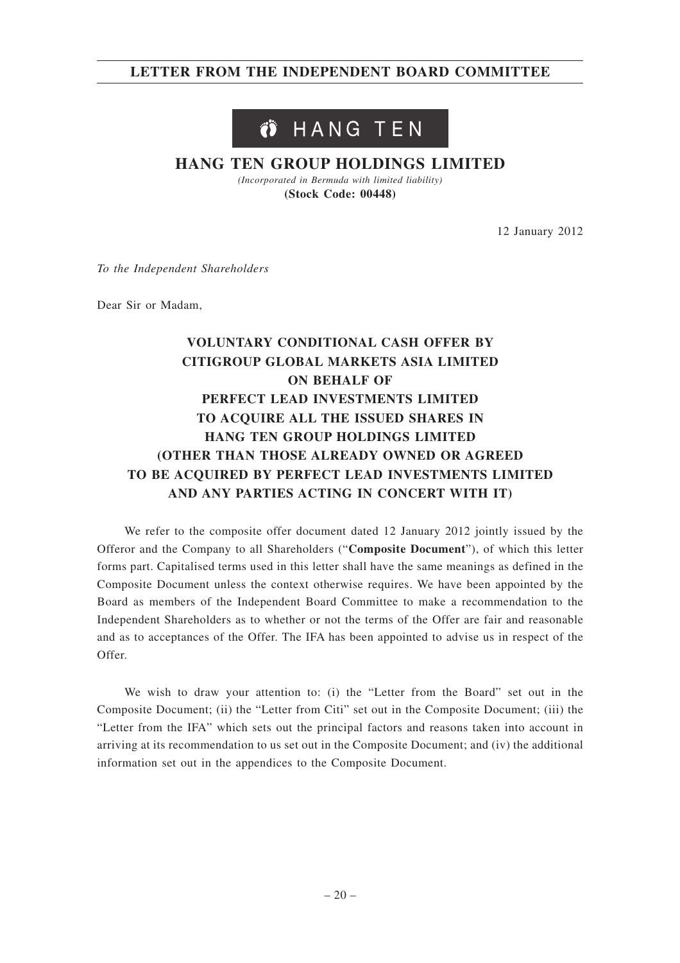# **LETTER FROM THE INDEPENDENT BOARD COMMITTEE**

# Ö HANG TEN

# **HANG TEN GROUP HOLDINGS LIMITED**

*(Incorporated in Bermuda with limited liability)* **(Stock Code: 00448)**

12 January 2012

*To the Independent Shareholders*

Dear Sir or Madam,

# **VOLUNTARY CONDITIONAL CASH OFFER BY CITIGROUP GLOBAL MARKETS ASIA LIMITED ON BEHALF OF PERFECT LEAD INVESTMENTS LIMITED TO ACQUIRE ALL THE ISSUED SHARES IN HANG TEN GROUP HOLDINGS LIMITED (OTHER THAN THOSE ALREADY OWNED OR AGREED TO BE ACQUIRED BY PERFECT LEAD INVESTMENTS LIMITED AND ANY PARTIES ACTING IN CONCERT WITH IT)**

We refer to the composite offer document dated 12 January 2012 jointly issued by the Offeror and the Company to all Shareholders ("**Composite Document**"), of which this letter forms part. Capitalised terms used in this letter shall have the same meanings as defined in the Composite Document unless the context otherwise requires. We have been appointed by the Board as members of the Independent Board Committee to make a recommendation to the Independent Shareholders as to whether or not the terms of the Offer are fair and reasonable and as to acceptances of the Offer. The IFA has been appointed to advise us in respect of the Offer.

We wish to draw your attention to: (i) the "Letter from the Board" set out in the Composite Document; (ii) the "Letter from Citi" set out in the Composite Document; (iii) the "Letter from the IFA" which sets out the principal factors and reasons taken into account in arriving at its recommendation to us set out in the Composite Document; and (iv) the additional information set out in the appendices to the Composite Document.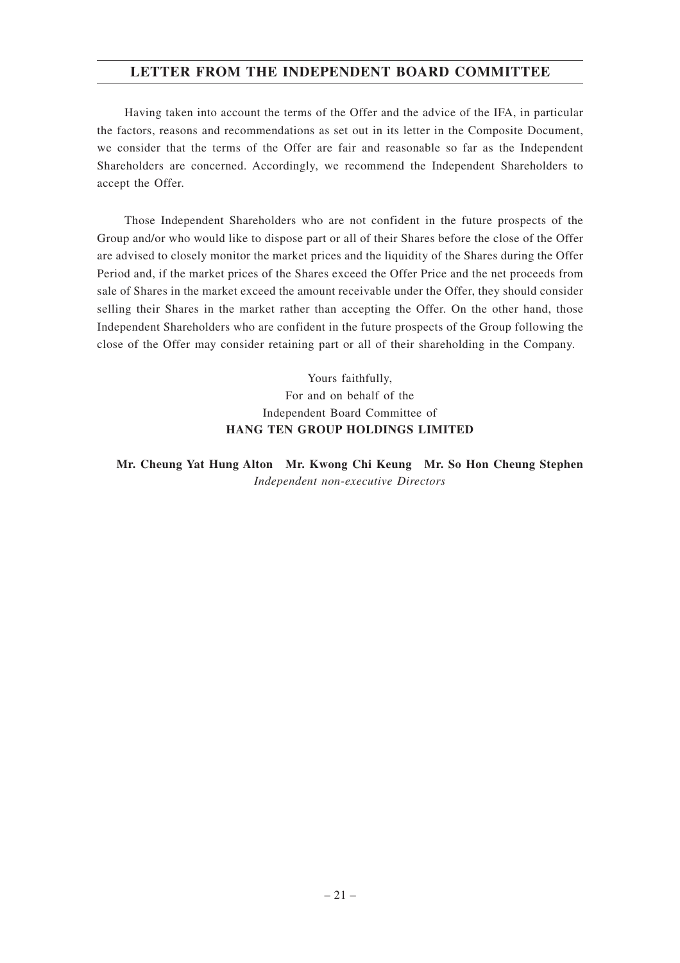# **LETTER FROM THE INDEPENDENT BOARD COMMITTEE**

Having taken into account the terms of the Offer and the advice of the IFA, in particular the factors, reasons and recommendations as set out in its letter in the Composite Document, we consider that the terms of the Offer are fair and reasonable so far as the Independent Shareholders are concerned. Accordingly, we recommend the Independent Shareholders to accept the Offer.

Those Independent Shareholders who are not confident in the future prospects of the Group and/or who would like to dispose part or all of their Shares before the close of the Offer are advised to closely monitor the market prices and the liquidity of the Shares during the Offer Period and, if the market prices of the Shares exceed the Offer Price and the net proceeds from sale of Shares in the market exceed the amount receivable under the Offer, they should consider selling their Shares in the market rather than accepting the Offer. On the other hand, those Independent Shareholders who are confident in the future prospects of the Group following the close of the Offer may consider retaining part or all of their shareholding in the Company.

> Yours faithfully, For and on behalf of the Independent Board Committee of **HANG TEN GROUP HOLDINGS LIMITED**

**Mr. Cheung Yat Hung Alton Mr. Kwong Chi Keung Mr. So Hon Cheung Stephen** *Independent non-executive Directors*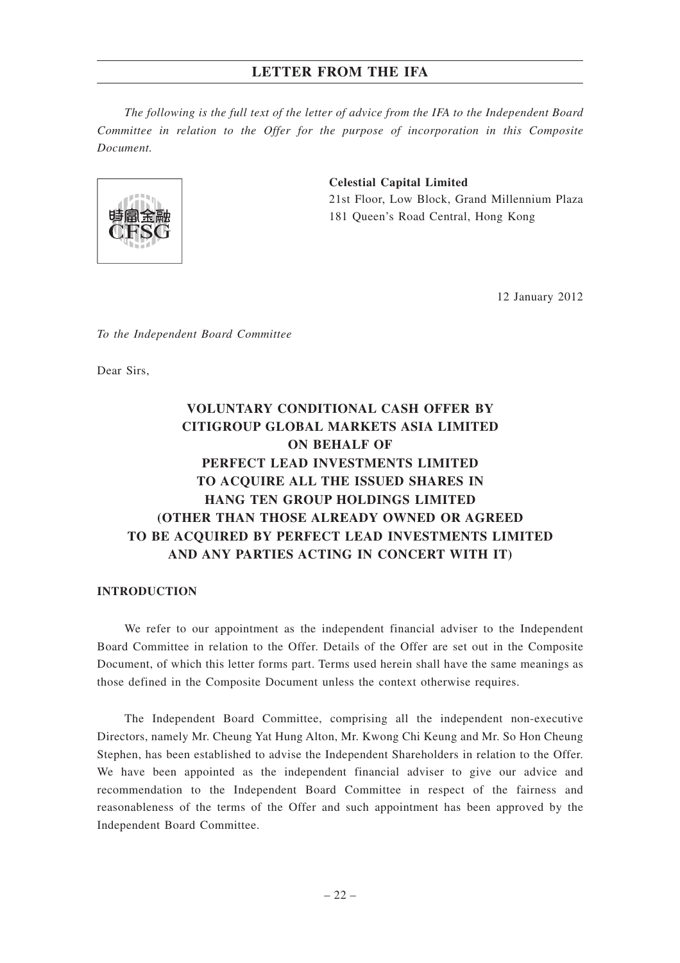*The following is the full text of the letter of advice from the IFA to the Independent Board Committee in relation to the Offer for the purpose of incorporation in this Composite Document.*



# **Celestial Capital Limited** 21st Floor, Low Block, Grand Millennium Plaza 181 Queen's Road Central, Hong Kong

12 January 2012

*To the Independent Board Committee*

Dear Sirs,

# **VOLUNTARY CONDITIONAL CASH OFFER BY CITIGROUP GLOBAL MARKETS ASIA LIMITED ON BEHALF OF PERFECT LEAD INVESTMENTS LIMITED TO ACQUIRE ALL THE ISSUED SHARES IN HANG TEN GROUP HOLDINGS LIMITED (OTHER THAN THOSE ALREADY OWNED OR AGREED TO BE ACQUIRED BY PERFECT LEAD INVESTMENTS LIMITED AND ANY PARTIES ACTING IN CONCERT WITH IT)**

### **INTRODUCTION**

We refer to our appointment as the independent financial adviser to the Independent Board Committee in relation to the Offer. Details of the Offer are set out in the Composite Document, of which this letter forms part. Terms used herein shall have the same meanings as those defined in the Composite Document unless the context otherwise requires.

The Independent Board Committee, comprising all the independent non-executive Directors, namely Mr. Cheung Yat Hung Alton, Mr. Kwong Chi Keung and Mr. So Hon Cheung Stephen, has been established to advise the Independent Shareholders in relation to the Offer. We have been appointed as the independent financial adviser to give our advice and recommendation to the Independent Board Committee in respect of the fairness and reasonableness of the terms of the Offer and such appointment has been approved by the Independent Board Committee.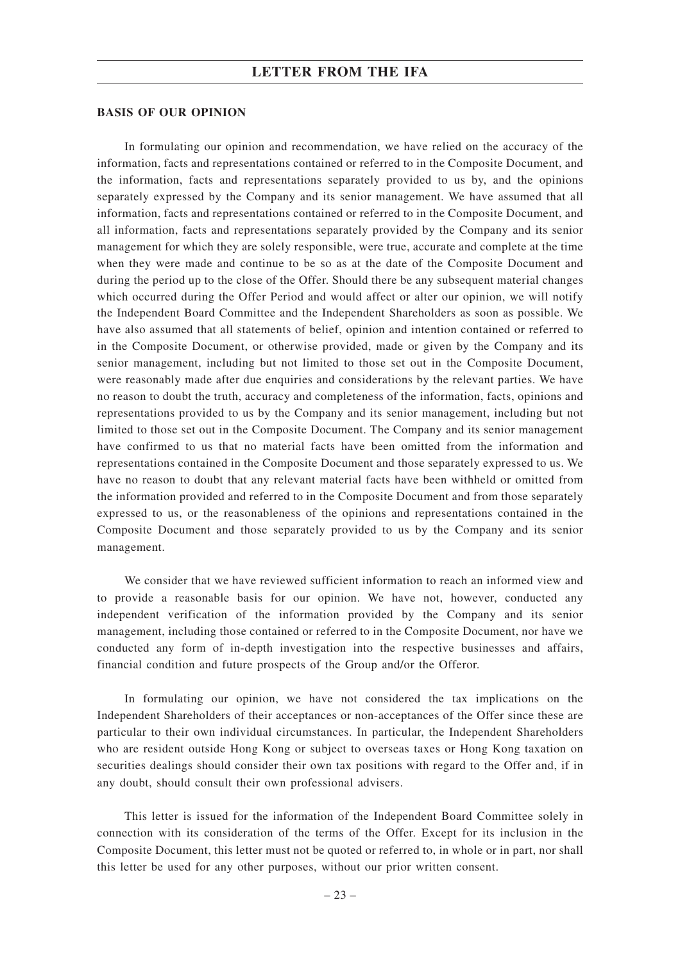### **BASIS OF OUR OPINION**

In formulating our opinion and recommendation, we have relied on the accuracy of the information, facts and representations contained or referred to in the Composite Document, and the information, facts and representations separately provided to us by, and the opinions separately expressed by the Company and its senior management. We have assumed that all information, facts and representations contained or referred to in the Composite Document, and all information, facts and representations separately provided by the Company and its senior management for which they are solely responsible, were true, accurate and complete at the time when they were made and continue to be so as at the date of the Composite Document and during the period up to the close of the Offer. Should there be any subsequent material changes which occurred during the Offer Period and would affect or alter our opinion, we will notify the Independent Board Committee and the Independent Shareholders as soon as possible. We have also assumed that all statements of belief, opinion and intention contained or referred to in the Composite Document, or otherwise provided, made or given by the Company and its senior management, including but not limited to those set out in the Composite Document, were reasonably made after due enquiries and considerations by the relevant parties. We have no reason to doubt the truth, accuracy and completeness of the information, facts, opinions and representations provided to us by the Company and its senior management, including but not limited to those set out in the Composite Document. The Company and its senior management have confirmed to us that no material facts have been omitted from the information and representations contained in the Composite Document and those separately expressed to us. We have no reason to doubt that any relevant material facts have been withheld or omitted from the information provided and referred to in the Composite Document and from those separately expressed to us, or the reasonableness of the opinions and representations contained in the Composite Document and those separately provided to us by the Company and its senior management.

We consider that we have reviewed sufficient information to reach an informed view and to provide a reasonable basis for our opinion. We have not, however, conducted any independent verification of the information provided by the Company and its senior management, including those contained or referred to in the Composite Document, nor have we conducted any form of in-depth investigation into the respective businesses and affairs, financial condition and future prospects of the Group and/or the Offeror.

In formulating our opinion, we have not considered the tax implications on the Independent Shareholders of their acceptances or non-acceptances of the Offer since these are particular to their own individual circumstances. In particular, the Independent Shareholders who are resident outside Hong Kong or subject to overseas taxes or Hong Kong taxation on securities dealings should consider their own tax positions with regard to the Offer and, if in any doubt, should consult their own professional advisers.

This letter is issued for the information of the Independent Board Committee solely in connection with its consideration of the terms of the Offer. Except for its inclusion in the Composite Document, this letter must not be quoted or referred to, in whole or in part, nor shall this letter be used for any other purposes, without our prior written consent.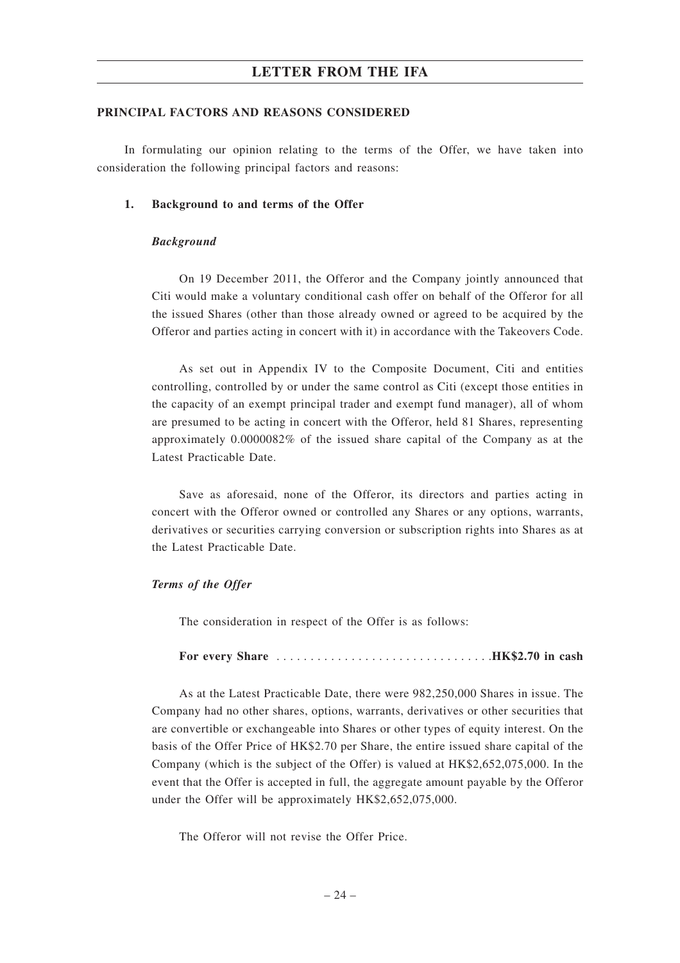### **PRINCIPAL FACTORS AND REASONS CONSIDERED**

In formulating our opinion relating to the terms of the Offer, we have taken into consideration the following principal factors and reasons:

### **1. Background to and terms of the Offer**

### *Background*

On 19 December 2011, the Offeror and the Company jointly announced that Citi would make a voluntary conditional cash offer on behalf of the Offeror for all the issued Shares (other than those already owned or agreed to be acquired by the Offeror and parties acting in concert with it) in accordance with the Takeovers Code.

As set out in Appendix IV to the Composite Document, Citi and entities controlling, controlled by or under the same control as Citi (except those entities in the capacity of an exempt principal trader and exempt fund manager), all of whom are presumed to be acting in concert with the Offeror, held 81 Shares, representing approximately 0.0000082% of the issued share capital of the Company as at the Latest Practicable Date.

Save as aforesaid, none of the Offeror, its directors and parties acting in concert with the Offeror owned or controlled any Shares or any options, warrants, derivatives or securities carrying conversion or subscription rights into Shares as at the Latest Practicable Date.

### *Terms of the Offer*

The consideration in respect of the Offer is as follows:

**For every Share** . . . . . . . . . . . . . . . . . . . . . . . . . . . . . . . .**HK\$2.70 in cash**

As at the Latest Practicable Date, there were 982,250,000 Shares in issue. The Company had no other shares, options, warrants, derivatives or other securities that are convertible or exchangeable into Shares or other types of equity interest. On the basis of the Offer Price of HK\$2.70 per Share, the entire issued share capital of the Company (which is the subject of the Offer) is valued at HK\$2,652,075,000. In the event that the Offer is accepted in full, the aggregate amount payable by the Offeror under the Offer will be approximately HK\$2,652,075,000.

The Offeror will not revise the Offer Price.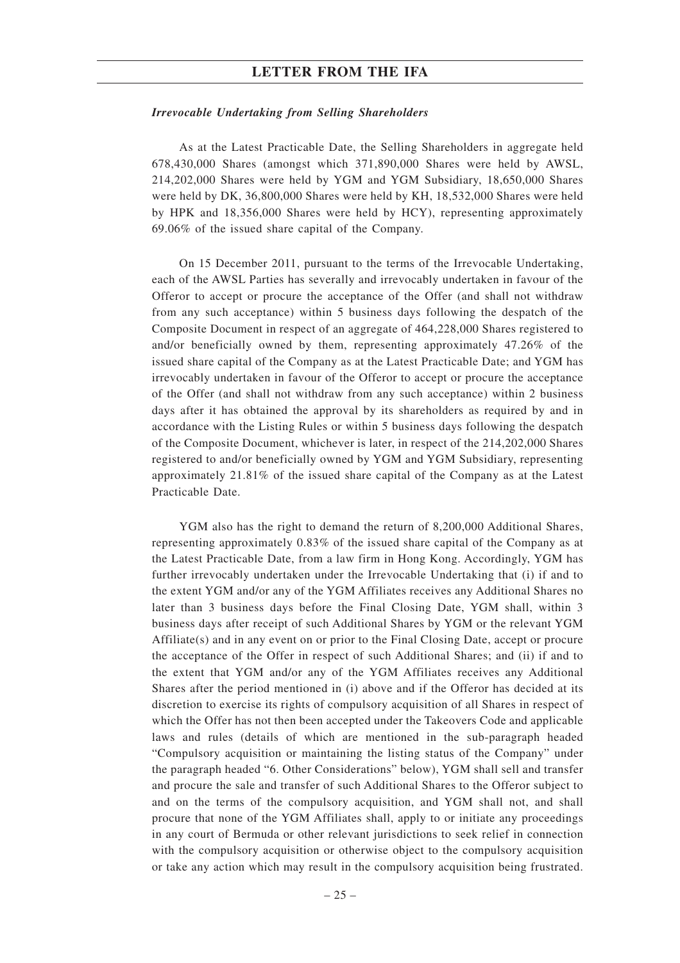### *Irrevocable Undertaking from Selling Shareholders*

As at the Latest Practicable Date, the Selling Shareholders in aggregate held 678,430,000 Shares (amongst which 371,890,000 Shares were held by AWSL, 214,202,000 Shares were held by YGM and YGM Subsidiary, 18,650,000 Shares were held by DK, 36,800,000 Shares were held by KH, 18,532,000 Shares were held by HPK and 18,356,000 Shares were held by HCY), representing approximately 69.06% of the issued share capital of the Company.

On 15 December 2011, pursuant to the terms of the Irrevocable Undertaking, each of the AWSL Parties has severally and irrevocably undertaken in favour of the Offeror to accept or procure the acceptance of the Offer (and shall not withdraw from any such acceptance) within 5 business days following the despatch of the Composite Document in respect of an aggregate of 464,228,000 Shares registered to and/or beneficially owned by them, representing approximately 47.26% of the issued share capital of the Company as at the Latest Practicable Date; and YGM has irrevocably undertaken in favour of the Offeror to accept or procure the acceptance of the Offer (and shall not withdraw from any such acceptance) within 2 business days after it has obtained the approval by its shareholders as required by and in accordance with the Listing Rules or within 5 business days following the despatch of the Composite Document, whichever is later, in respect of the 214,202,000 Shares registered to and/or beneficially owned by YGM and YGM Subsidiary, representing approximately 21.81% of the issued share capital of the Company as at the Latest Practicable Date.

YGM also has the right to demand the return of 8,200,000 Additional Shares, representing approximately 0.83% of the issued share capital of the Company as at the Latest Practicable Date, from a law firm in Hong Kong. Accordingly, YGM has further irrevocably undertaken under the Irrevocable Undertaking that (i) if and to the extent YGM and/or any of the YGM Affiliates receives any Additional Shares no later than 3 business days before the Final Closing Date, YGM shall, within 3 business days after receipt of such Additional Shares by YGM or the relevant YGM Affiliate(s) and in any event on or prior to the Final Closing Date, accept or procure the acceptance of the Offer in respect of such Additional Shares; and (ii) if and to the extent that YGM and/or any of the YGM Affiliates receives any Additional Shares after the period mentioned in (i) above and if the Offeror has decided at its discretion to exercise its rights of compulsory acquisition of all Shares in respect of which the Offer has not then been accepted under the Takeovers Code and applicable laws and rules (details of which are mentioned in the sub-paragraph headed "Compulsory acquisition or maintaining the listing status of the Company" under the paragraph headed "6. Other Considerations" below), YGM shall sell and transfer and procure the sale and transfer of such Additional Shares to the Offeror subject to and on the terms of the compulsory acquisition, and YGM shall not, and shall procure that none of the YGM Affiliates shall, apply to or initiate any proceedings in any court of Bermuda or other relevant jurisdictions to seek relief in connection with the compulsory acquisition or otherwise object to the compulsory acquisition or take any action which may result in the compulsory acquisition being frustrated.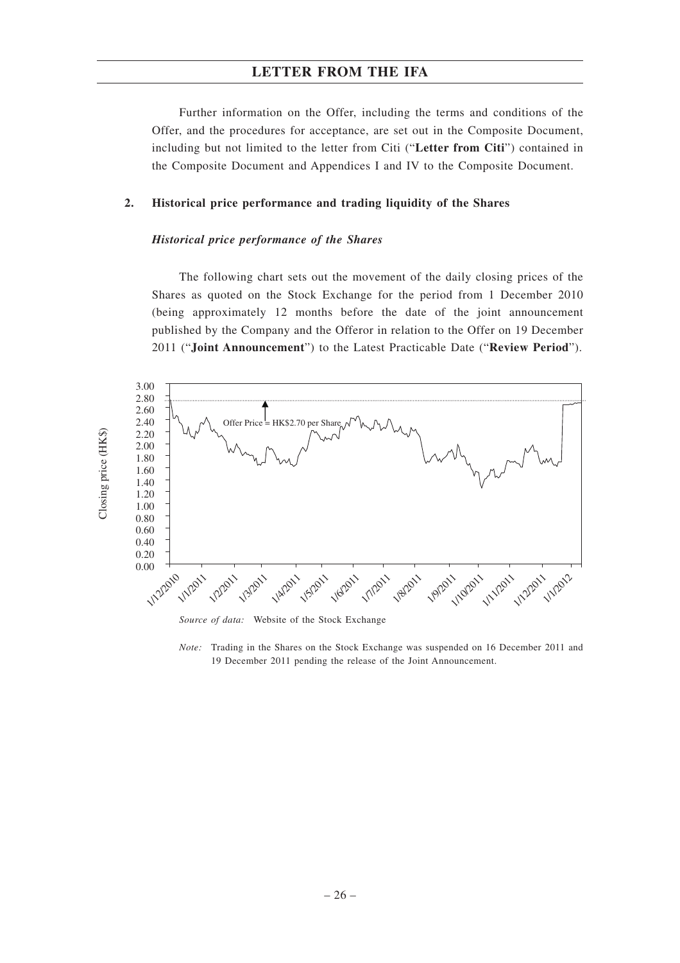Further information on the Offer, including the terms and conditions of the Offer, and the procedures for acceptance, are set out in the Composite Document, including but not limited to the letter from Citi ("**Letter from Citi**") contained in the Composite Document and Appendices I and IV to the Composite Document.

### **2. Historical price performance and trading liquidity of the Shares**

### *Historical price performance of the Shares*

The following chart sets out the movement of the daily closing prices of the Shares as quoted on the Stock Exchange for the period from 1 December 2010 (being approximately 12 months before the date of the joint announcement published by the Company and the Offeror in relation to the Offer on 19 December 2011 ("**Joint Announcement**") to the Latest Practicable Date ("**Review Period**").



*Source of data:* Website of the Stock Exchange

*Note:* Trading in the Shares on the Stock Exchange was suspended on 16 December 2011 and 19 December 2011 pending the release of the Joint Announcement.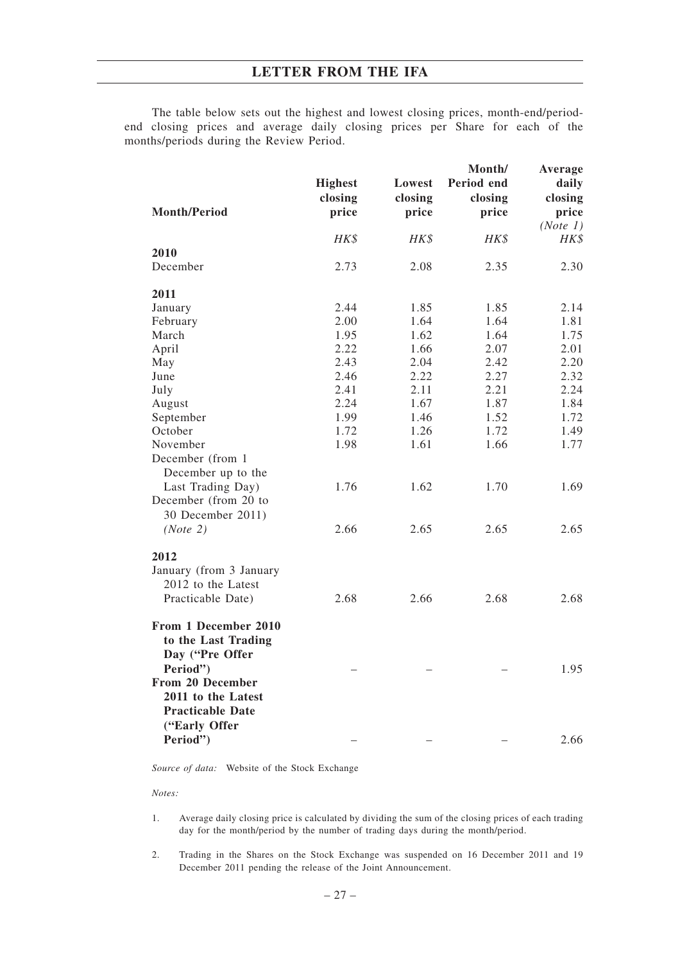The table below sets out the highest and lowest closing prices, month-end/periodend closing prices and average daily closing prices per Share for each of the months/periods during the Review Period.

| <b>Month/Period</b>                                                                                                                             | <b>Highest</b><br>closing<br>price | Lowest<br>closing<br>price | Month/<br>Period end<br>closing<br>price | Average<br>daily<br>closing<br>price<br>(Note 1) |
|-------------------------------------------------------------------------------------------------------------------------------------------------|------------------------------------|----------------------------|------------------------------------------|--------------------------------------------------|
|                                                                                                                                                 | HK\$                               | HK\$                       | HK\$                                     | HK\$                                             |
| 2010                                                                                                                                            |                                    |                            |                                          |                                                  |
| December                                                                                                                                        | 2.73                               | 2.08                       | 2.35                                     | 2.30                                             |
| 2011                                                                                                                                            |                                    |                            |                                          |                                                  |
| January                                                                                                                                         | 2.44                               | 1.85                       | 1.85                                     | 2.14                                             |
| February                                                                                                                                        | 2.00                               | 1.64                       | 1.64                                     | 1.81                                             |
| March                                                                                                                                           | 1.95                               | 1.62                       | 1.64                                     | 1.75                                             |
| April                                                                                                                                           | 2.22                               | 1.66                       | 2.07                                     | 2.01                                             |
| May                                                                                                                                             | 2.43                               | 2.04                       | 2.42                                     | 2.20                                             |
| June                                                                                                                                            | 2.46                               | 2.22                       | 2.27                                     | 2.32                                             |
| July                                                                                                                                            | 2.41                               | 2.11                       | 2.21                                     | 2.24                                             |
| August                                                                                                                                          | 2.24                               | 1.67                       | 1.87                                     | 1.84                                             |
| September                                                                                                                                       | 1.99                               | 1.46                       | 1.52                                     | 1.72                                             |
| October                                                                                                                                         | 1.72                               | 1.26                       | 1.72                                     | 1.49                                             |
| November                                                                                                                                        | 1.98                               | 1.61                       | 1.66                                     | 1.77                                             |
| December (from 1<br>December up to the                                                                                                          |                                    |                            |                                          |                                                  |
| Last Trading Day)<br>December (from 20 to                                                                                                       | 1.76                               | 1.62                       | 1.70                                     | 1.69                                             |
| 30 December 2011)<br>(Note 2)                                                                                                                   | 2.66                               | 2.65                       | 2.65                                     | 2.65                                             |
| 2012<br>January (from 3 January<br>2012 to the Latest<br>Practicable Date)                                                                      | 2.68                               | 2.66                       | 2.68                                     | 2.68                                             |
| From 1 December 2010<br>to the Last Trading<br>Day ("Pre Offer<br>Period")<br>From 20 December<br>2011 to the Latest<br><b>Practicable Date</b> |                                    |                            |                                          | 1.95                                             |
| ("Early Offer<br>Period")                                                                                                                       |                                    |                            |                                          | 2.66                                             |

*Source of data:* Website of the Stock Exchange

### *Notes:*

- 1. Average daily closing price is calculated by dividing the sum of the closing prices of each trading day for the month/period by the number of trading days during the month/period.
- 2. Trading in the Shares on the Stock Exchange was suspended on 16 December 2011 and 19 December 2011 pending the release of the Joint Announcement.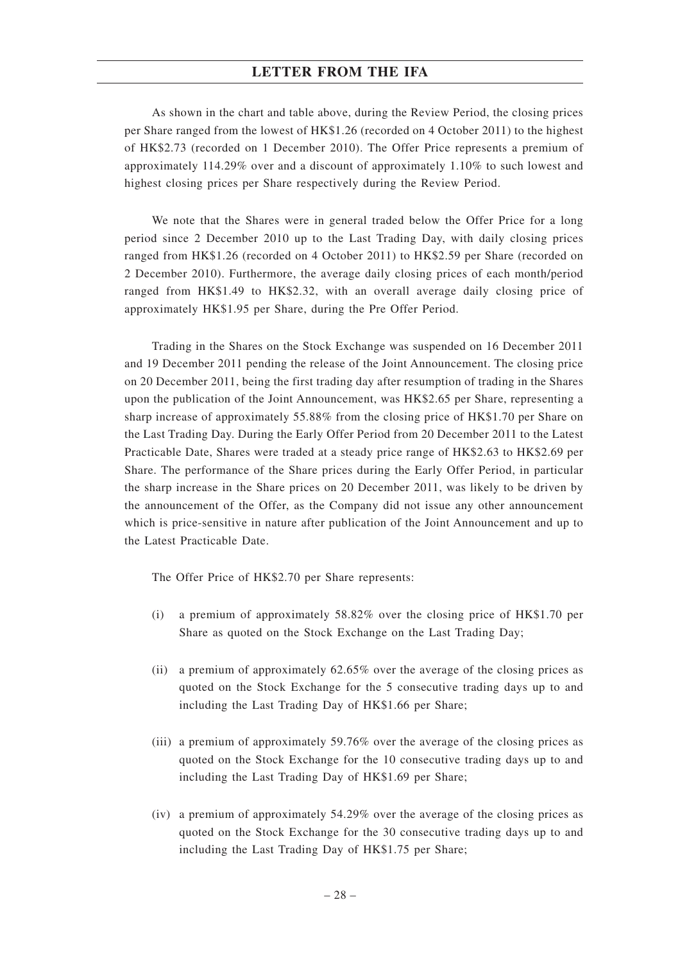As shown in the chart and table above, during the Review Period, the closing prices per Share ranged from the lowest of HK\$1.26 (recorded on 4 October 2011) to the highest of HK\$2.73 (recorded on 1 December 2010). The Offer Price represents a premium of approximately 114.29% over and a discount of approximately 1.10% to such lowest and highest closing prices per Share respectively during the Review Period.

We note that the Shares were in general traded below the Offer Price for a long period since 2 December 2010 up to the Last Trading Day, with daily closing prices ranged from HK\$1.26 (recorded on 4 October 2011) to HK\$2.59 per Share (recorded on 2 December 2010). Furthermore, the average daily closing prices of each month/period ranged from HK\$1.49 to HK\$2.32, with an overall average daily closing price of approximately HK\$1.95 per Share, during the Pre Offer Period.

Trading in the Shares on the Stock Exchange was suspended on 16 December 2011 and 19 December 2011 pending the release of the Joint Announcement. The closing price on 20 December 2011, being the first trading day after resumption of trading in the Shares upon the publication of the Joint Announcement, was HK\$2.65 per Share, representing a sharp increase of approximately 55.88% from the closing price of HK\$1.70 per Share on the Last Trading Day. During the Early Offer Period from 20 December 2011 to the Latest Practicable Date, Shares were traded at a steady price range of HK\$2.63 to HK\$2.69 per Share. The performance of the Share prices during the Early Offer Period, in particular the sharp increase in the Share prices on 20 December 2011, was likely to be driven by the announcement of the Offer, as the Company did not issue any other announcement which is price-sensitive in nature after publication of the Joint Announcement and up to the Latest Practicable Date.

The Offer Price of HK\$2.70 per Share represents:

- (i) a premium of approximately 58.82% over the closing price of HK\$1.70 per Share as quoted on the Stock Exchange on the Last Trading Day;
- (ii) a premium of approximately 62.65% over the average of the closing prices as quoted on the Stock Exchange for the 5 consecutive trading days up to and including the Last Trading Day of HK\$1.66 per Share;
- (iii) a premium of approximately 59.76% over the average of the closing prices as quoted on the Stock Exchange for the 10 consecutive trading days up to and including the Last Trading Day of HK\$1.69 per Share;
- (iv) a premium of approximately 54.29% over the average of the closing prices as quoted on the Stock Exchange for the 30 consecutive trading days up to and including the Last Trading Day of HK\$1.75 per Share;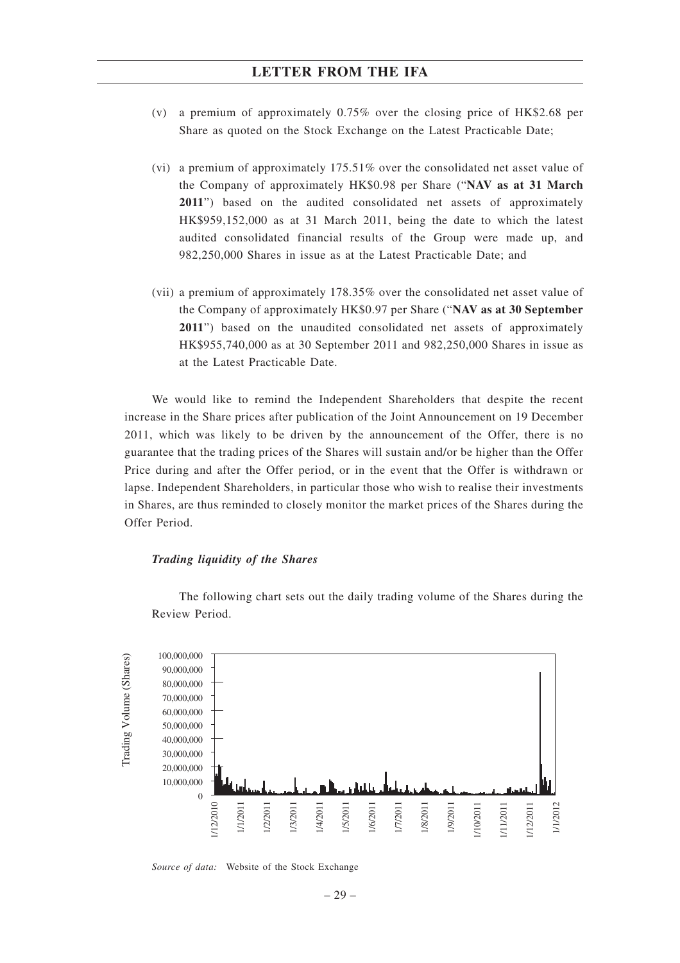- (v) a premium of approximately 0.75% over the closing price of HK\$2.68 per Share as quoted on the Stock Exchange on the Latest Practicable Date;
- (vi) a premium of approximately 175.51% over the consolidated net asset value of the Company of approximately HK\$0.98 per Share ("**NAV as at 31 March 2011**") based on the audited consolidated net assets of approximately HK\$959,152,000 as at 31 March 2011, being the date to which the latest audited consolidated financial results of the Group were made up, and 982,250,000 Shares in issue as at the Latest Practicable Date; and
- (vii) a premium of approximately 178.35% over the consolidated net asset value of the Company of approximately HK\$0.97 per Share ("**NAV as at 30 September 2011**") based on the unaudited consolidated net assets of approximately HK\$955,740,000 as at 30 September 2011 and 982,250,000 Shares in issue as at the Latest Practicable Date.

We would like to remind the Independent Shareholders that despite the recent increase in the Share prices after publication of the Joint Announcement on 19 December 2011, which was likely to be driven by the announcement of the Offer, there is no guarantee that the trading prices of the Shares will sustain and/or be higher than the Offer Price during and after the Offer period, or in the event that the Offer is withdrawn or lapse. Independent Shareholders, in particular those who wish to realise their investments in Shares, are thus reminded to closely monitor the market prices of the Shares during the Offer Period.

### *Trading liquidity of the Shares*



The following chart sets out the daily trading volume of the Shares during the Review Period.

*Source of data:* Website of the Stock Exchange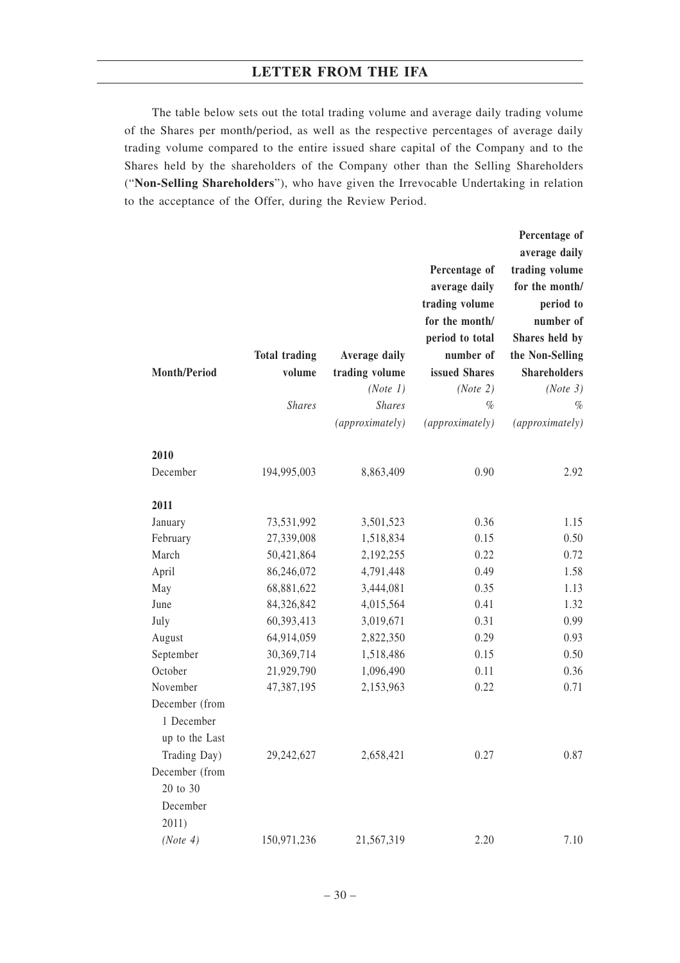The table below sets out the total trading volume and average daily trading volume of the Shares per month/period, as well as the respective percentages of average daily trading volume compared to the entire issued share capital of the Company and to the Shares held by the shareholders of the Company other than the Selling Shareholders ("**Non-Selling Shareholders**"), who have given the Irrevocable Undertaking in relation to the acceptance of the Offer, during the Review Period.

|                     |                      |                 |                 | Percentage of       |
|---------------------|----------------------|-----------------|-----------------|---------------------|
|                     |                      |                 |                 | average daily       |
|                     |                      |                 | Percentage of   | trading volume      |
|                     |                      |                 | average daily   | for the month/      |
|                     |                      |                 | trading volume  | period to           |
|                     |                      |                 | for the month/  | number of           |
|                     |                      |                 | period to total | Shares held by      |
|                     | <b>Total trading</b> | Average daily   | number of       | the Non-Selling     |
| <b>Month/Period</b> | volume               | trading volume  | issued Shares   | <b>Shareholders</b> |
|                     |                      | (Note 1)        | (Note 2)        | (Note 3)            |
|                     | <b>Shares</b>        | <b>Shares</b>   | $\%$            | $\%$                |
|                     |                      | (approximately) | (approximately) | (approximately)     |
| 2010                |                      |                 |                 |                     |
| December            | 194,995,003          | 8,863,409       | 0.90            | 2.92                |
| 2011                |                      |                 |                 |                     |
| January             | 73,531,992           | 3,501,523       | 0.36            | 1.15                |
| February            | 27,339,008           | 1,518,834       | 0.15            | 0.50                |
| March               | 50,421,864           | 2,192,255       | 0.22            | 0.72                |
| April               | 86,246,072           | 4,791,448       | 0.49            | 1.58                |
| May                 | 68,881,622           | 3,444,081       | 0.35            | 1.13                |
| June                | 84,326,842           | 4,015,564       | 0.41            | 1.32                |
| July                | 60,393,413           | 3,019,671       | 0.31            | 0.99                |
| August              | 64,914,059           | 2,822,350       | 0.29            | 0.93                |
| September           | 30,369,714           | 1,518,486       | 0.15            | 0.50                |
| October             | 21,929,790           | 1,096,490       | 0.11            | 0.36                |
| November            | 47,387,195           | 2,153,963       | 0.22            | 0.71                |
| December (from      |                      |                 |                 |                     |
| 1 December          |                      |                 |                 |                     |
| up to the Last      |                      |                 |                 |                     |
| Trading Day)        | 29,242,627           | 2,658,421       | 0.27            | 0.87                |
| December (from      |                      |                 |                 |                     |
| 20 to 30            |                      |                 |                 |                     |
| December            |                      |                 |                 |                     |
| 2011)               |                      |                 |                 |                     |
| (Note 4)            | 150,971,236          | 21,567,319      | 2.20            | 7.10                |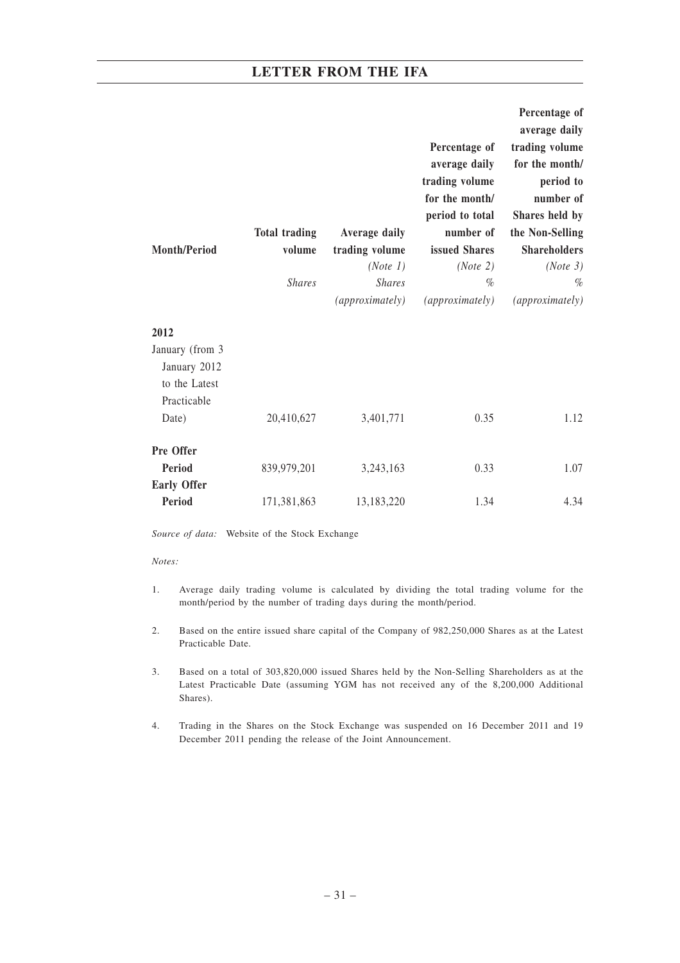|                     |                      |                           |                  | Percentage of<br>average daily |
|---------------------|----------------------|---------------------------|------------------|--------------------------------|
|                     |                      |                           | Percentage of    | trading volume                 |
|                     |                      |                           | average daily    | for the month/                 |
|                     |                      |                           | trading volume   | period to                      |
|                     |                      |                           | for the month/   | number of                      |
|                     |                      |                           | period to total  | Shares held by                 |
|                     | <b>Total trading</b> | <b>Average daily</b>      | number of        | the Non-Selling                |
| <b>Month/Period</b> | volume               | trading volume            | issued Shares    | <b>Shareholders</b>            |
|                     | <b>Shares</b>        | (Note 1)<br><b>Shares</b> | (Note 2)<br>$\%$ | (Note 3)<br>$\%$               |
|                     |                      |                           |                  |                                |
|                     |                      | (approximately)           | (approximately)  | (approximately)                |
| 2012                |                      |                           |                  |                                |
| January (from 3     |                      |                           |                  |                                |
| January 2012        |                      |                           |                  |                                |
| to the Latest       |                      |                           |                  |                                |
| Practicable         |                      |                           |                  |                                |
| Date)               | 20,410,627           | 3,401,771                 | 0.35             | 1.12                           |
| Pre Offer           |                      |                           |                  |                                |
| <b>Period</b>       | 839,979,201          | 3,243,163                 | 0.33             | 1.07                           |
| <b>Early Offer</b>  |                      |                           |                  |                                |
| Period              | 171,381,863          | 13,183,220                | 1.34             | 4.34                           |

*Source of data:* Website of the Stock Exchange

#### *Notes:*

- 1. Average daily trading volume is calculated by dividing the total trading volume for the month/period by the number of trading days during the month/period.
- 2. Based on the entire issued share capital of the Company of 982,250,000 Shares as at the Latest Practicable Date.
- 3. Based on a total of 303,820,000 issued Shares held by the Non-Selling Shareholders as at the Latest Practicable Date (assuming YGM has not received any of the 8,200,000 Additional Shares).
- 4. Trading in the Shares on the Stock Exchange was suspended on 16 December 2011 and 19 December 2011 pending the release of the Joint Announcement.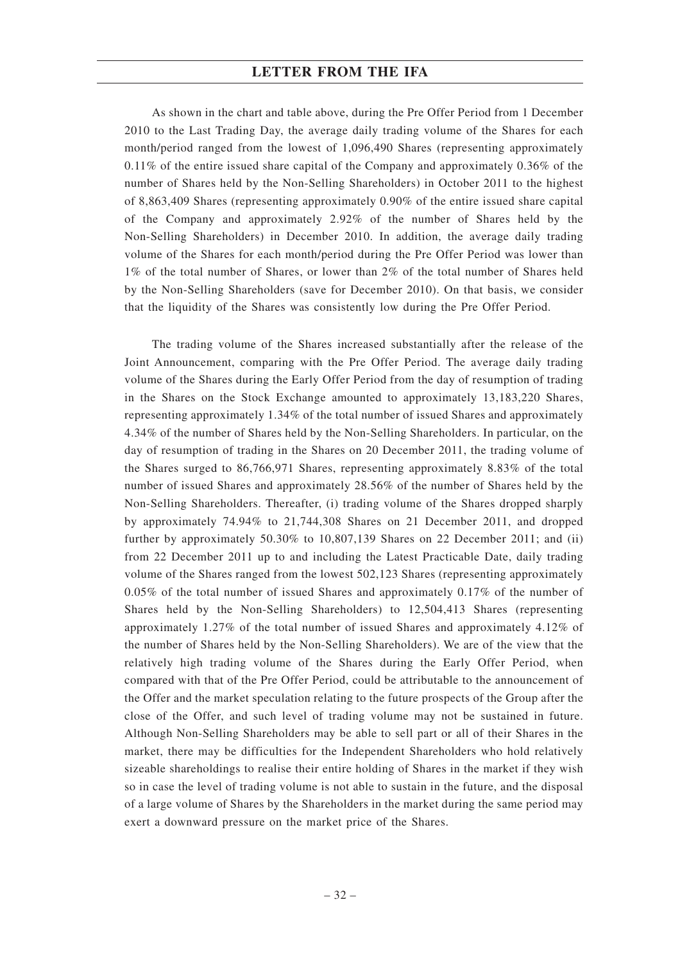As shown in the chart and table above, during the Pre Offer Period from 1 December 2010 to the Last Trading Day, the average daily trading volume of the Shares for each month/period ranged from the lowest of 1,096,490 Shares (representing approximately 0.11% of the entire issued share capital of the Company and approximately 0.36% of the number of Shares held by the Non-Selling Shareholders) in October 2011 to the highest of 8,863,409 Shares (representing approximately 0.90% of the entire issued share capital of the Company and approximately 2.92% of the number of Shares held by the Non-Selling Shareholders) in December 2010. In addition, the average daily trading volume of the Shares for each month/period during the Pre Offer Period was lower than 1% of the total number of Shares, or lower than 2% of the total number of Shares held by the Non-Selling Shareholders (save for December 2010). On that basis, we consider that the liquidity of the Shares was consistently low during the Pre Offer Period.

The trading volume of the Shares increased substantially after the release of the Joint Announcement, comparing with the Pre Offer Period. The average daily trading volume of the Shares during the Early Offer Period from the day of resumption of trading in the Shares on the Stock Exchange amounted to approximately 13,183,220 Shares, representing approximately 1.34% of the total number of issued Shares and approximately 4.34% of the number of Shares held by the Non-Selling Shareholders. In particular, on the day of resumption of trading in the Shares on 20 December 2011, the trading volume of the Shares surged to 86,766,971 Shares, representing approximately 8.83% of the total number of issued Shares and approximately 28.56% of the number of Shares held by the Non-Selling Shareholders. Thereafter, (i) trading volume of the Shares dropped sharply by approximately 74.94% to 21,744,308 Shares on 21 December 2011, and dropped further by approximately 50.30% to 10,807,139 Shares on 22 December 2011; and (ii) from 22 December 2011 up to and including the Latest Practicable Date, daily trading volume of the Shares ranged from the lowest 502,123 Shares (representing approximately 0.05% of the total number of issued Shares and approximately 0.17% of the number of Shares held by the Non-Selling Shareholders) to 12,504,413 Shares (representing approximately 1.27% of the total number of issued Shares and approximately 4.12% of the number of Shares held by the Non-Selling Shareholders). We are of the view that the relatively high trading volume of the Shares during the Early Offer Period, when compared with that of the Pre Offer Period, could be attributable to the announcement of the Offer and the market speculation relating to the future prospects of the Group after the close of the Offer, and such level of trading volume may not be sustained in future. Although Non-Selling Shareholders may be able to sell part or all of their Shares in the market, there may be difficulties for the Independent Shareholders who hold relatively sizeable shareholdings to realise their entire holding of Shares in the market if they wish so in case the level of trading volume is not able to sustain in the future, and the disposal of a large volume of Shares by the Shareholders in the market during the same period may exert a downward pressure on the market price of the Shares.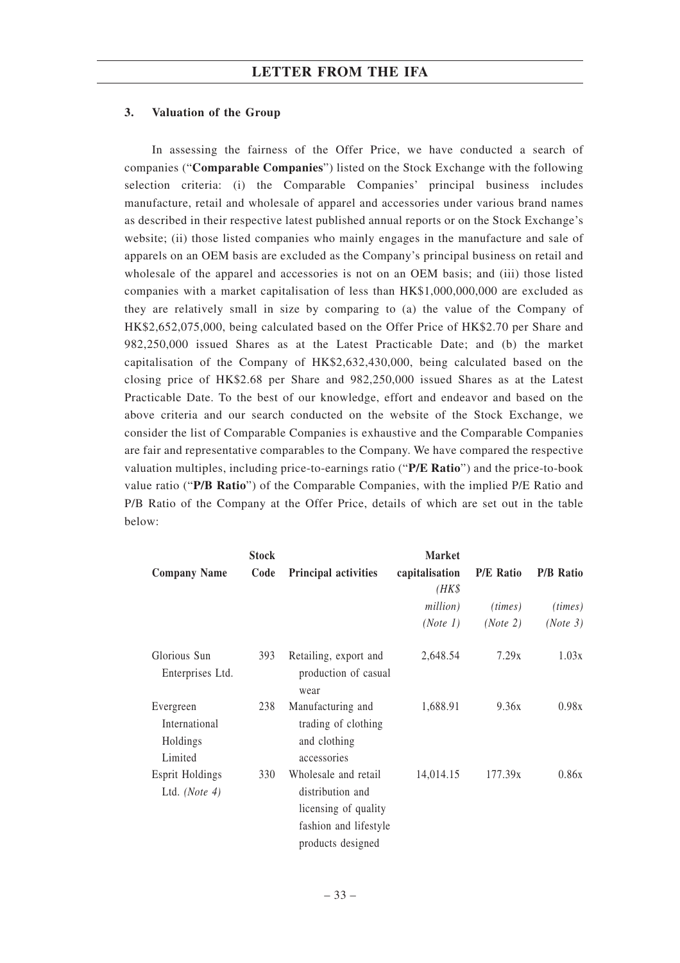### **3. Valuation of the Group**

In assessing the fairness of the Offer Price, we have conducted a search of companies ("**Comparable Companies**") listed on the Stock Exchange with the following selection criteria: (i) the Comparable Companies' principal business includes manufacture, retail and wholesale of apparel and accessories under various brand names as described in their respective latest published annual reports or on the Stock Exchange's website; (ii) those listed companies who mainly engages in the manufacture and sale of apparels on an OEM basis are excluded as the Company's principal business on retail and wholesale of the apparel and accessories is not on an OEM basis; and (iii) those listed companies with a market capitalisation of less than HK\$1,000,000,000 are excluded as they are relatively small in size by comparing to (a) the value of the Company of HK\$2,652,075,000, being calculated based on the Offer Price of HK\$2.70 per Share and 982,250,000 issued Shares as at the Latest Practicable Date; and (b) the market capitalisation of the Company of HK\$2,632,430,000, being calculated based on the closing price of HK\$2.68 per Share and 982,250,000 issued Shares as at the Latest Practicable Date. To the best of our knowledge, effort and endeavor and based on the above criteria and our search conducted on the website of the Stock Exchange, we consider the list of Comparable Companies is exhaustive and the Comparable Companies are fair and representative comparables to the Company. We have compared the respective valuation multiples, including price-to-earnings ratio ("**P/E Ratio**") and the price-to-book value ratio ("**P/B Ratio**") of the Comparable Companies, with the implied P/E Ratio and P/B Ratio of the Company at the Offer Price, details of which are set out in the table below:

|                                                   | <b>Stock</b> |                                                                                                                | <b>Market</b>           |                  |                  |
|---------------------------------------------------|--------------|----------------------------------------------------------------------------------------------------------------|-------------------------|------------------|------------------|
| <b>Company Name</b>                               | Code         | Principal activities                                                                                           | capitalisation<br>(HK\$ | <b>P/E Ratio</b> | <b>P/B Ratio</b> |
|                                                   |              |                                                                                                                | million)                | (times)          | (times)          |
|                                                   |              |                                                                                                                | (Note 1)                | (Note 2)         | (Note 3)         |
| Glorious Sun<br>Enterprises Ltd.                  | 393          | Retailing, export and<br>production of casual<br>wear                                                          | 2,648.54                | 7.29x            | 1.03x            |
| Evergreen<br>International<br>Holdings<br>Limited | 238          | Manufacturing and<br>trading of clothing<br>and clothing<br>accessories                                        | 1,688.91                | 9.36x            | 0.98x            |
| <b>Esprit Holdings</b><br>Ltd. (Note $4$ )        | 330          | Wholesale and retail<br>distribution and<br>licensing of quality<br>fashion and lifestyle<br>products designed | 14,014.15               | 177.39x          | 0.86x            |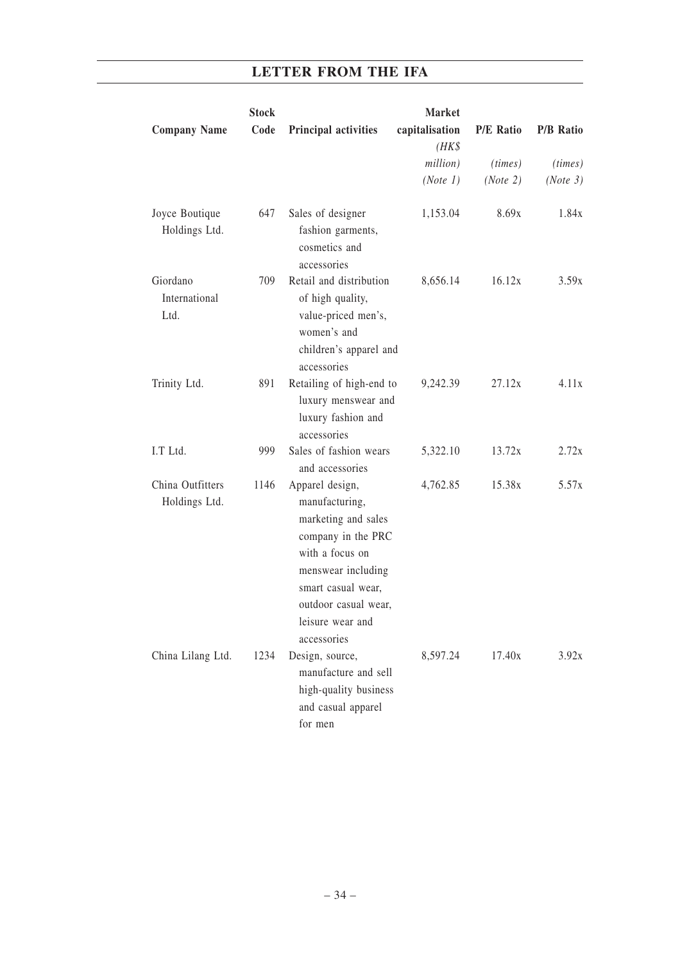|                                   | <b>Stock</b> |                                                                                                                                                                                                          | <b>Market</b>           |                  |                  |
|-----------------------------------|--------------|----------------------------------------------------------------------------------------------------------------------------------------------------------------------------------------------------------|-------------------------|------------------|------------------|
| <b>Company Name</b>               | Code         | Principal activities                                                                                                                                                                                     | capitalisation<br>(HK\$ | <b>P/E Ratio</b> | <b>P/B Ratio</b> |
|                                   |              |                                                                                                                                                                                                          | million)                | (times)          | (times)          |
|                                   |              |                                                                                                                                                                                                          | (Note 1)                | (Note 2)         | (Note 3)         |
| Joyce Boutique<br>Holdings Ltd.   | 647          | Sales of designer<br>fashion garments,<br>cosmetics and<br>accessories                                                                                                                                   | 1,153.04                | 8.69x            | 1.84x            |
| Giordano<br>International<br>Ltd. | 709          | Retail and distribution<br>of high quality,<br>value-priced men's,<br>women's and<br>children's apparel and<br>accessories                                                                               | 8,656.14                | 16.12x           | 3.59x            |
| Trinity Ltd.                      | 891          | Retailing of high-end to<br>luxury menswear and<br>luxury fashion and<br>accessories                                                                                                                     | 9,242.39                | 27.12x           | 4.11x            |
| I.T Ltd.                          | 999          | Sales of fashion wears<br>and accessories                                                                                                                                                                | 5,322.10                | 13.72x           | 2.72x            |
| China Outfitters<br>Holdings Ltd. | 1146         | Apparel design,<br>manufacturing,<br>marketing and sales<br>company in the PRC<br>with a focus on<br>menswear including<br>smart casual wear,<br>outdoor casual wear,<br>leisure wear and<br>accessories | 4,762.85                | 15.38x           | 5.57x            |
| China Lilang Ltd.                 | 1234         | Design, source,<br>manufacture and sell<br>high-quality business<br>and casual apparel<br>for men                                                                                                        | 8,597.24                | 17.40x           | 3.92x            |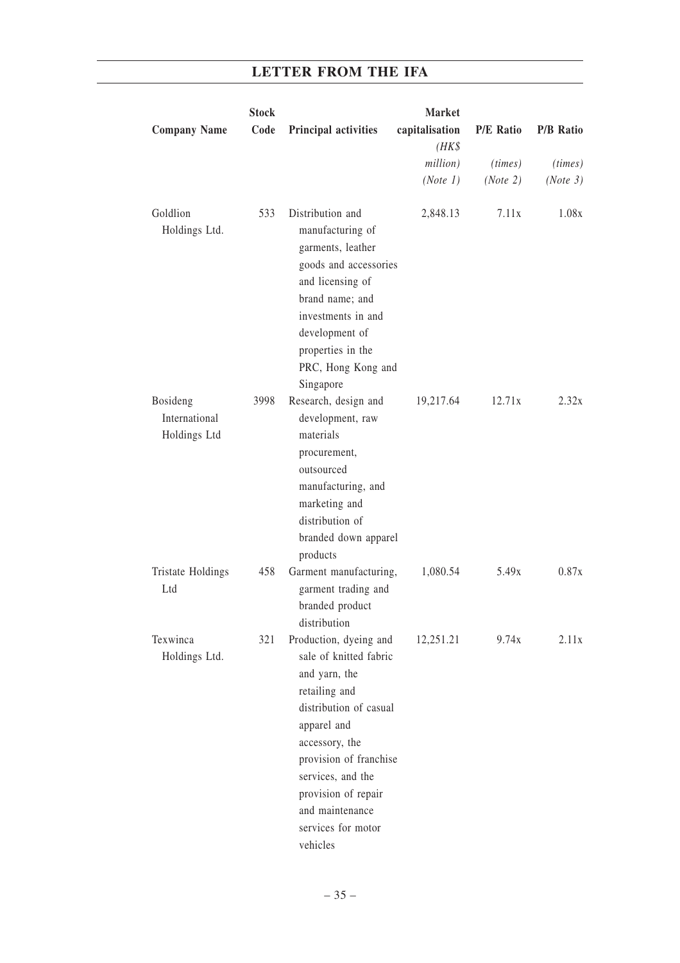|                                           | <b>Stock</b> |                                                                                                                                                                                                                                                                          | <b>Market</b>  |                  |                  |
|-------------------------------------------|--------------|--------------------------------------------------------------------------------------------------------------------------------------------------------------------------------------------------------------------------------------------------------------------------|----------------|------------------|------------------|
| <b>Company Name</b>                       | Code         | <b>Principal activities</b>                                                                                                                                                                                                                                              | capitalisation | <b>P/E Ratio</b> | <b>P/B Ratio</b> |
|                                           |              |                                                                                                                                                                                                                                                                          | (HK\$          |                  |                  |
|                                           |              |                                                                                                                                                                                                                                                                          | million)       | (times)          | (times)          |
|                                           |              |                                                                                                                                                                                                                                                                          | (Note 1)       | (Note 2)         | (Note 3)         |
| Goldlion<br>Holdings Ltd.                 | 533          | Distribution and<br>manufacturing of<br>garments, leather<br>goods and accessories<br>and licensing of<br>brand name; and<br>investments in and<br>development of<br>properties in the<br>PRC, Hong Kong and<br>Singapore                                                | 2,848.13       | 7.11x            | 1.08x            |
| Bosideng<br>International<br>Holdings Ltd | 3998         | Research, design and<br>development, raw<br>materials<br>procurement,<br>outsourced<br>manufacturing, and<br>marketing and<br>distribution of<br>branded down apparel<br>products                                                                                        | 19,217.64      | 12.71x           | 2.32x            |
| Tristate Holdings<br>Ltd                  | 458          | Garment manufacturing,<br>garment trading and<br>branded product<br>distribution                                                                                                                                                                                         | 1,080.54       | 5.49x            | 0.87x            |
| Texwinca<br>Holdings Ltd.                 | 321          | Production, dyeing and<br>sale of knitted fabric<br>and yarn, the<br>retailing and<br>distribution of casual<br>apparel and<br>accessory, the<br>provision of franchise<br>services, and the<br>provision of repair<br>and maintenance<br>services for motor<br>vehicles | 12,251.21      | 9.74x            | 2.11x            |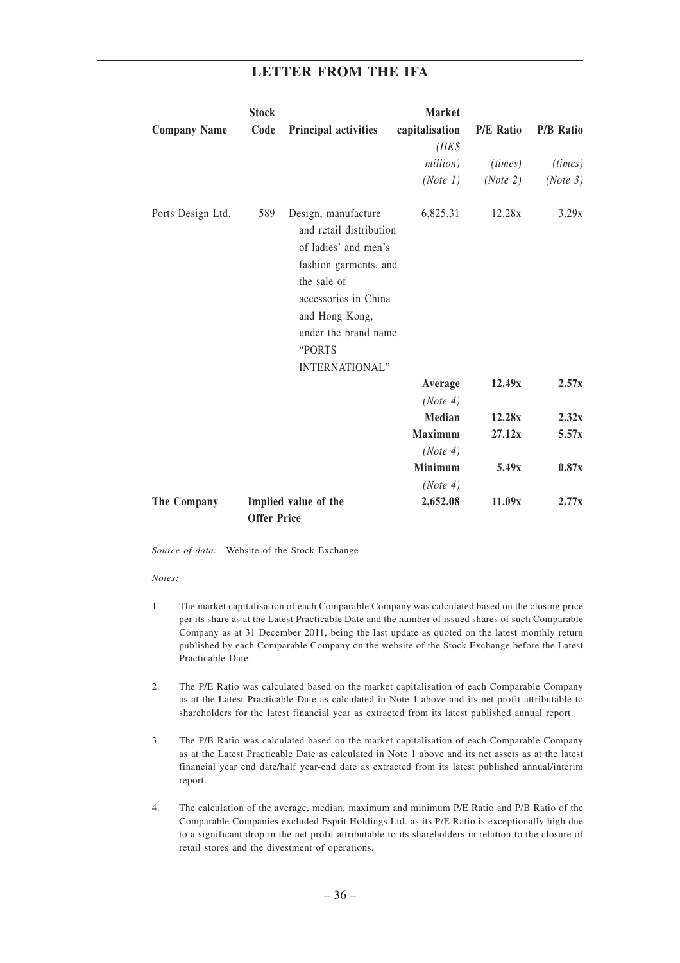|                     | <b>Stock</b>       |                                                                                                                                                                                                                     | <b>Market</b>           |                  |                  |
|---------------------|--------------------|---------------------------------------------------------------------------------------------------------------------------------------------------------------------------------------------------------------------|-------------------------|------------------|------------------|
| <b>Company Name</b> | Code               | Principal activities                                                                                                                                                                                                | capitalisation<br>(HK\$ | <b>P/E Ratio</b> | <b>P/B Ratio</b> |
|                     |                    |                                                                                                                                                                                                                     | million)                | (times)          | (times)          |
|                     |                    |                                                                                                                                                                                                                     | (Note 1)                | (Note 2)         | (Note 3)         |
| Ports Design Ltd.   | 589                | Design, manufacture<br>and retail distribution<br>of ladies' and men's<br>fashion garments, and<br>the sale of<br>accessories in China<br>and Hong Kong,<br>under the brand name<br>"PORTS<br><b>INTERNATIONAL"</b> | 6,825.31                | 12.28x           | 3.29x            |
|                     |                    |                                                                                                                                                                                                                     | Average                 | 12.49x           | 2.57x            |
|                     |                    |                                                                                                                                                                                                                     | (Note 4)                |                  |                  |
|                     |                    |                                                                                                                                                                                                                     | <b>Median</b>           | 12.28x           | 2.32x            |
|                     |                    |                                                                                                                                                                                                                     | <b>Maximum</b>          | 27.12x           | 5.57x            |
|                     |                    |                                                                                                                                                                                                                     | (Note 4)                |                  |                  |
|                     |                    |                                                                                                                                                                                                                     | <b>Minimum</b>          | 5.49x            | 0.87x            |
|                     |                    |                                                                                                                                                                                                                     | (Note 4)                |                  |                  |
| The Company         | <b>Offer Price</b> | Implied value of the                                                                                                                                                                                                | 2,652.08                | 11.09x           | 2.77x            |

*Source of data:* Website of the Stock Exchange

#### *Notes:*

- 1. The market capitalisation of each Comparable Company was calculated based on the closing price per its share as at the Latest Practicable Date and the number of issued shares of such Comparable Company as at 31 December 2011, being the last update as quoted on the latest monthly return published by each Comparable Company on the website of the Stock Exchange before the Latest Practicable Date.
- 2. The P/E Ratio was calculated based on the market capitalisation of each Comparable Company as at the Latest Practicable Date as calculated in Note 1 above and its net profit attributable to shareholders for the latest financial year as extracted from its latest published annual report.
- 3. The P/B Ratio was calculated based on the market capitalisation of each Comparable Company as at the Latest Practicable Date as calculated in Note 1 above and its net assets as at the latest financial year end date/half year-end date as extracted from its latest published annual/interim report.
- 4. The calculation of the average, median, maximum and minimum P/E Ratio and P/B Ratio of the Comparable Companies excluded Esprit Holdings Ltd. as its P/E Ratio is exceptionally high due to a significant drop in the net profit attributable to its shareholders in relation to the closure of retail stores and the divestment of operations.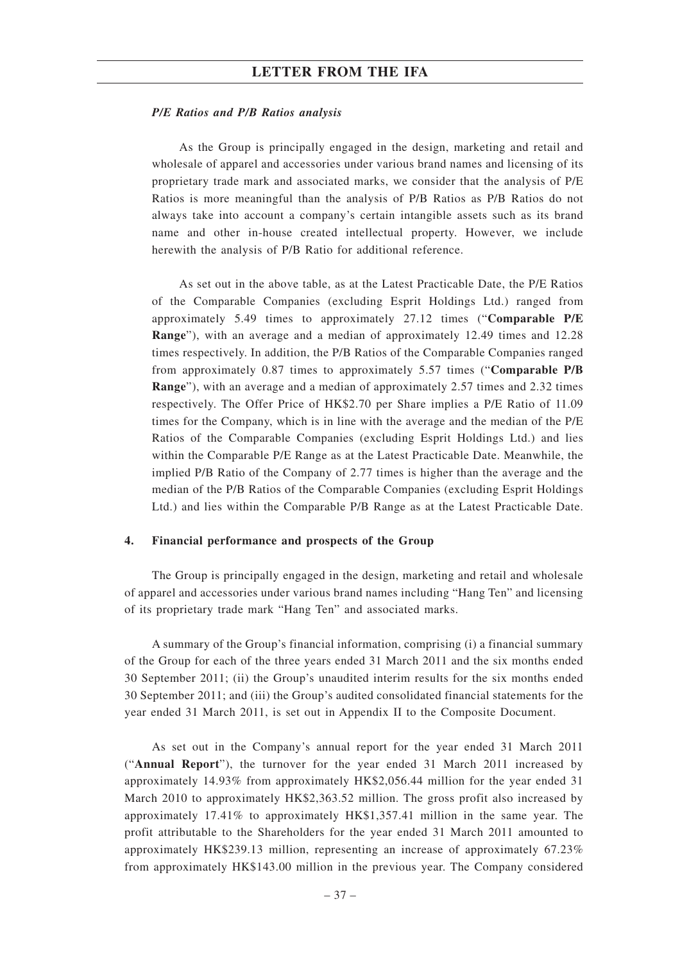### *P/E Ratios and P/B Ratios analysis*

As the Group is principally engaged in the design, marketing and retail and wholesale of apparel and accessories under various brand names and licensing of its proprietary trade mark and associated marks, we consider that the analysis of P/E Ratios is more meaningful than the analysis of P/B Ratios as P/B Ratios do not always take into account a company's certain intangible assets such as its brand name and other in-house created intellectual property. However, we include herewith the analysis of P/B Ratio for additional reference.

As set out in the above table, as at the Latest Practicable Date, the P/E Ratios of the Comparable Companies (excluding Esprit Holdings Ltd.) ranged from approximately 5.49 times to approximately 27.12 times ("**Comparable P/E Range**"), with an average and a median of approximately 12.49 times and 12.28 times respectively. In addition, the P/B Ratios of the Comparable Companies ranged from approximately 0.87 times to approximately 5.57 times ("**Comparable P/B Range**"), with an average and a median of approximately 2.57 times and 2.32 times respectively. The Offer Price of HK\$2.70 per Share implies a P/E Ratio of 11.09 times for the Company, which is in line with the average and the median of the P/E Ratios of the Comparable Companies (excluding Esprit Holdings Ltd.) and lies within the Comparable P/E Range as at the Latest Practicable Date. Meanwhile, the implied P/B Ratio of the Company of 2.77 times is higher than the average and the median of the P/B Ratios of the Comparable Companies (excluding Esprit Holdings Ltd.) and lies within the Comparable P/B Range as at the Latest Practicable Date.

### **4. Financial performance and prospects of the Group**

The Group is principally engaged in the design, marketing and retail and wholesale of apparel and accessories under various brand names including "Hang Ten" and licensing of its proprietary trade mark "Hang Ten" and associated marks.

A summary of the Group's financial information, comprising (i) a financial summary of the Group for each of the three years ended 31 March 2011 and the six months ended 30 September 2011; (ii) the Group's unaudited interim results for the six months ended 30 September 2011; and (iii) the Group's audited consolidated financial statements for the year ended 31 March 2011, is set out in Appendix II to the Composite Document.

As set out in the Company's annual report for the year ended 31 March 2011 ("**Annual Report**"), the turnover for the year ended 31 March 2011 increased by approximately 14.93% from approximately HK\$2,056.44 million for the year ended 31 March 2010 to approximately HK\$2,363.52 million. The gross profit also increased by approximately 17.41% to approximately HK\$1,357.41 million in the same year. The profit attributable to the Shareholders for the year ended 31 March 2011 amounted to approximately HK\$239.13 million, representing an increase of approximately 67.23% from approximately HK\$143.00 million in the previous year. The Company considered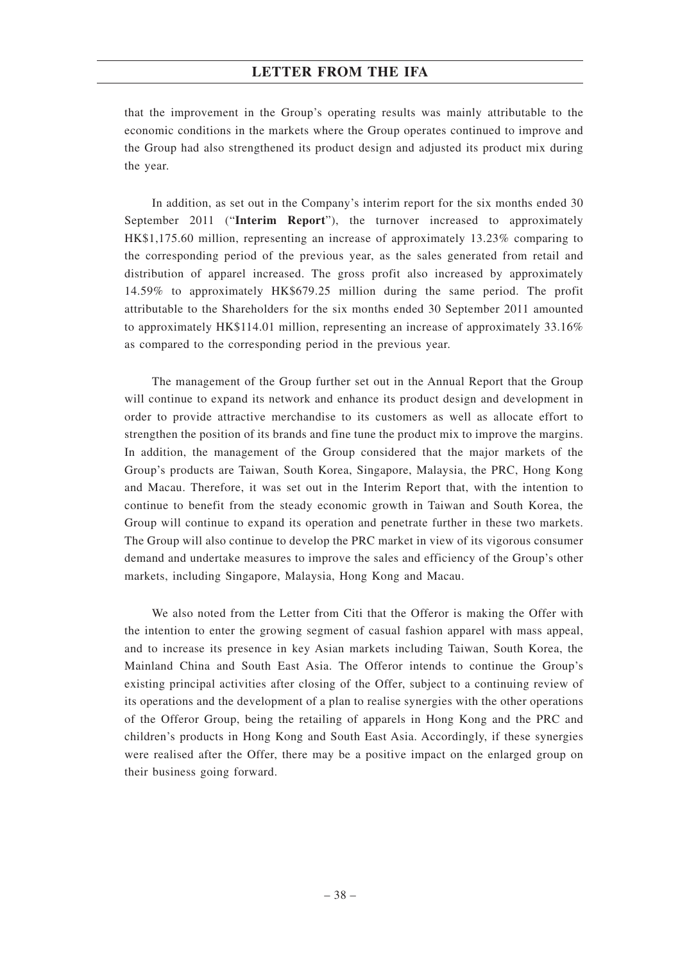that the improvement in the Group's operating results was mainly attributable to the economic conditions in the markets where the Group operates continued to improve and the Group had also strengthened its product design and adjusted its product mix during the year.

In addition, as set out in the Company's interim report for the six months ended 30 September 2011 ("**Interim Report**"), the turnover increased to approximately HK\$1,175.60 million, representing an increase of approximately 13.23% comparing to the corresponding period of the previous year, as the sales generated from retail and distribution of apparel increased. The gross profit also increased by approximately 14.59% to approximately HK\$679.25 million during the same period. The profit attributable to the Shareholders for the six months ended 30 September 2011 amounted to approximately HK\$114.01 million, representing an increase of approximately 33.16% as compared to the corresponding period in the previous year.

The management of the Group further set out in the Annual Report that the Group will continue to expand its network and enhance its product design and development in order to provide attractive merchandise to its customers as well as allocate effort to strengthen the position of its brands and fine tune the product mix to improve the margins. In addition, the management of the Group considered that the major markets of the Group's products are Taiwan, South Korea, Singapore, Malaysia, the PRC, Hong Kong and Macau. Therefore, it was set out in the Interim Report that, with the intention to continue to benefit from the steady economic growth in Taiwan and South Korea, the Group will continue to expand its operation and penetrate further in these two markets. The Group will also continue to develop the PRC market in view of its vigorous consumer demand and undertake measures to improve the sales and efficiency of the Group's other markets, including Singapore, Malaysia, Hong Kong and Macau.

We also noted from the Letter from Citi that the Offeror is making the Offer with the intention to enter the growing segment of casual fashion apparel with mass appeal, and to increase its presence in key Asian markets including Taiwan, South Korea, the Mainland China and South East Asia. The Offeror intends to continue the Group's existing principal activities after closing of the Offer, subject to a continuing review of its operations and the development of a plan to realise synergies with the other operations of the Offeror Group, being the retailing of apparels in Hong Kong and the PRC and children's products in Hong Kong and South East Asia. Accordingly, if these synergies were realised after the Offer, there may be a positive impact on the enlarged group on their business going forward.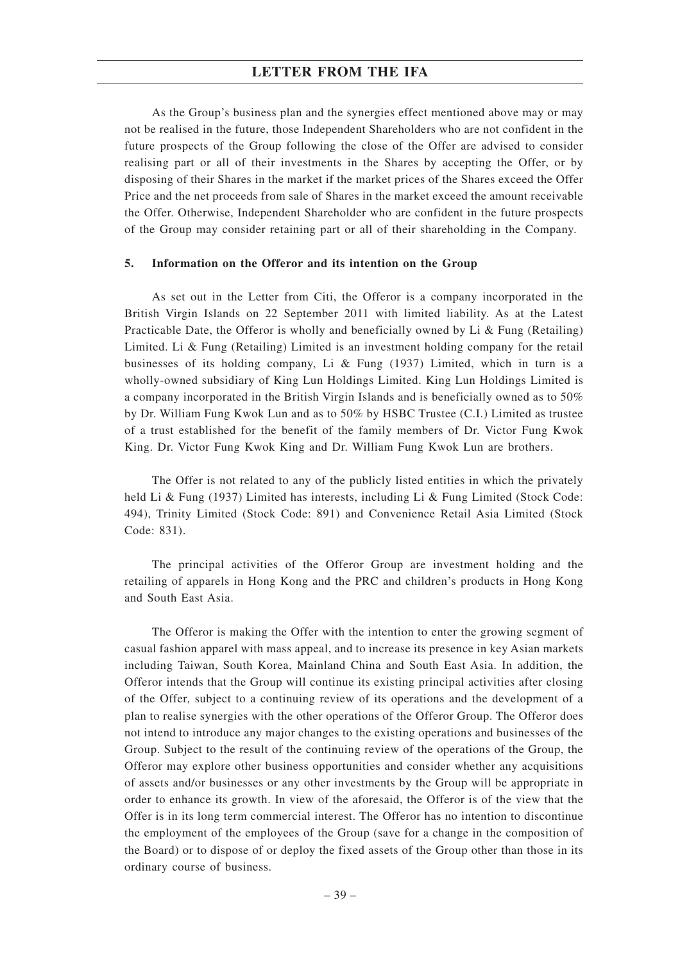As the Group's business plan and the synergies effect mentioned above may or may not be realised in the future, those Independent Shareholders who are not confident in the future prospects of the Group following the close of the Offer are advised to consider realising part or all of their investments in the Shares by accepting the Offer, or by disposing of their Shares in the market if the market prices of the Shares exceed the Offer Price and the net proceeds from sale of Shares in the market exceed the amount receivable the Offer. Otherwise, Independent Shareholder who are confident in the future prospects of the Group may consider retaining part or all of their shareholding in the Company.

### **5. Information on the Offeror and its intention on the Group**

As set out in the Letter from Citi, the Offeror is a company incorporated in the British Virgin Islands on 22 September 2011 with limited liability. As at the Latest Practicable Date, the Offeror is wholly and beneficially owned by Li & Fung (Retailing) Limited. Li & Fung (Retailing) Limited is an investment holding company for the retail businesses of its holding company, Li & Fung (1937) Limited, which in turn is a wholly-owned subsidiary of King Lun Holdings Limited. King Lun Holdings Limited is a company incorporated in the British Virgin Islands and is beneficially owned as to 50% by Dr. William Fung Kwok Lun and as to 50% by HSBC Trustee (C.I.) Limited as trustee of a trust established for the benefit of the family members of Dr. Victor Fung Kwok King. Dr. Victor Fung Kwok King and Dr. William Fung Kwok Lun are brothers.

The Offer is not related to any of the publicly listed entities in which the privately held Li & Fung (1937) Limited has interests, including Li & Fung Limited (Stock Code: 494), Trinity Limited (Stock Code: 891) and Convenience Retail Asia Limited (Stock Code: 831).

The principal activities of the Offeror Group are investment holding and the retailing of apparels in Hong Kong and the PRC and children's products in Hong Kong and South East Asia.

The Offeror is making the Offer with the intention to enter the growing segment of casual fashion apparel with mass appeal, and to increase its presence in key Asian markets including Taiwan, South Korea, Mainland China and South East Asia. In addition, the Offeror intends that the Group will continue its existing principal activities after closing of the Offer, subject to a continuing review of its operations and the development of a plan to realise synergies with the other operations of the Offeror Group. The Offeror does not intend to introduce any major changes to the existing operations and businesses of the Group. Subject to the result of the continuing review of the operations of the Group, the Offeror may explore other business opportunities and consider whether any acquisitions of assets and/or businesses or any other investments by the Group will be appropriate in order to enhance its growth. In view of the aforesaid, the Offeror is of the view that the Offer is in its long term commercial interest. The Offeror has no intention to discontinue the employment of the employees of the Group (save for a change in the composition of the Board) or to dispose of or deploy the fixed assets of the Group other than those in its ordinary course of business.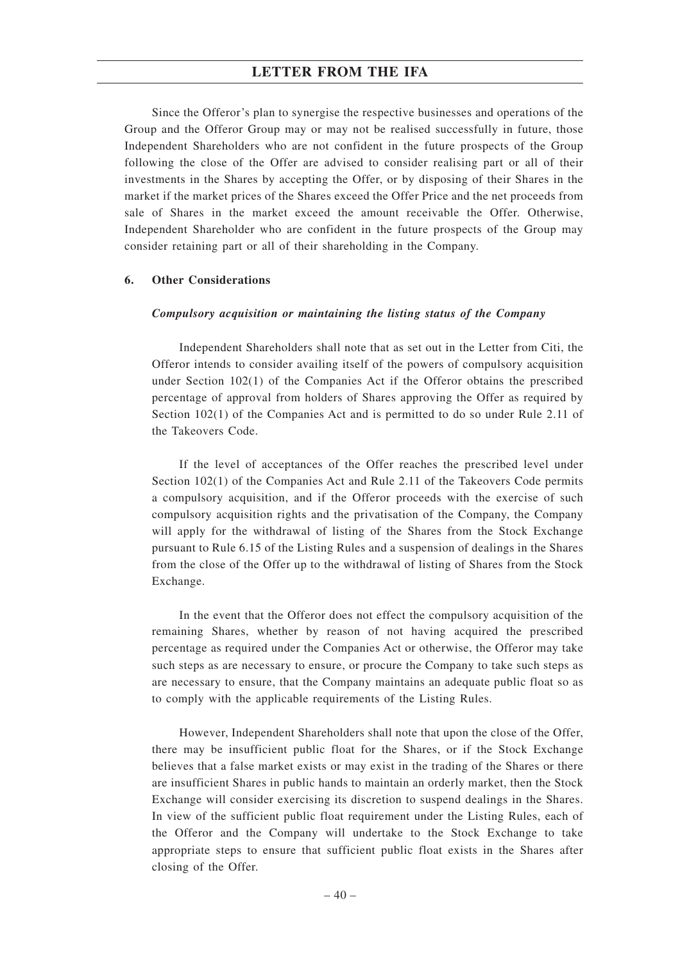Since the Offeror's plan to synergise the respective businesses and operations of the Group and the Offeror Group may or may not be realised successfully in future, those Independent Shareholders who are not confident in the future prospects of the Group following the close of the Offer are advised to consider realising part or all of their investments in the Shares by accepting the Offer, or by disposing of their Shares in the market if the market prices of the Shares exceed the Offer Price and the net proceeds from sale of Shares in the market exceed the amount receivable the Offer. Otherwise, Independent Shareholder who are confident in the future prospects of the Group may consider retaining part or all of their shareholding in the Company.

### **6. Other Considerations**

### *Compulsory acquisition or maintaining the listing status of the Company*

Independent Shareholders shall note that as set out in the Letter from Citi, the Offeror intends to consider availing itself of the powers of compulsory acquisition under Section 102(1) of the Companies Act if the Offeror obtains the prescribed percentage of approval from holders of Shares approving the Offer as required by Section 102(1) of the Companies Act and is permitted to do so under Rule 2.11 of the Takeovers Code.

If the level of acceptances of the Offer reaches the prescribed level under Section 102(1) of the Companies Act and Rule 2.11 of the Takeovers Code permits a compulsory acquisition, and if the Offeror proceeds with the exercise of such compulsory acquisition rights and the privatisation of the Company, the Company will apply for the withdrawal of listing of the Shares from the Stock Exchange pursuant to Rule 6.15 of the Listing Rules and a suspension of dealings in the Shares from the close of the Offer up to the withdrawal of listing of Shares from the Stock Exchange.

In the event that the Offeror does not effect the compulsory acquisition of the remaining Shares, whether by reason of not having acquired the prescribed percentage as required under the Companies Act or otherwise, the Offeror may take such steps as are necessary to ensure, or procure the Company to take such steps as are necessary to ensure, that the Company maintains an adequate public float so as to comply with the applicable requirements of the Listing Rules.

However, Independent Shareholders shall note that upon the close of the Offer, there may be insufficient public float for the Shares, or if the Stock Exchange believes that a false market exists or may exist in the trading of the Shares or there are insufficient Shares in public hands to maintain an orderly market, then the Stock Exchange will consider exercising its discretion to suspend dealings in the Shares. In view of the sufficient public float requirement under the Listing Rules, each of the Offeror and the Company will undertake to the Stock Exchange to take appropriate steps to ensure that sufficient public float exists in the Shares after closing of the Offer.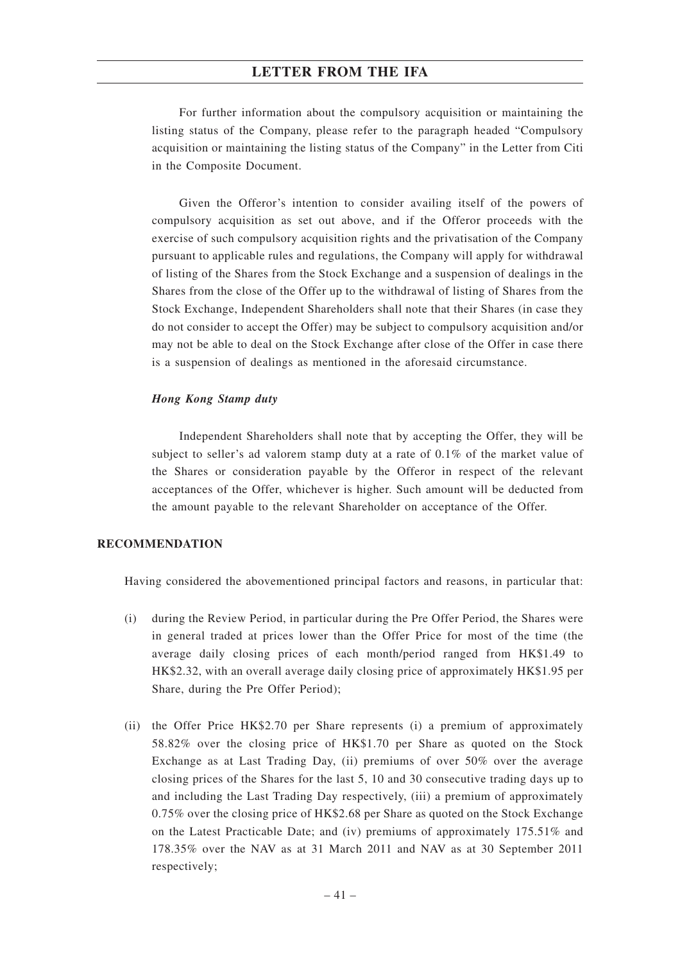For further information about the compulsory acquisition or maintaining the listing status of the Company, please refer to the paragraph headed "Compulsory acquisition or maintaining the listing status of the Company" in the Letter from Citi in the Composite Document.

Given the Offeror's intention to consider availing itself of the powers of compulsory acquisition as set out above, and if the Offeror proceeds with the exercise of such compulsory acquisition rights and the privatisation of the Company pursuant to applicable rules and regulations, the Company will apply for withdrawal of listing of the Shares from the Stock Exchange and a suspension of dealings in the Shares from the close of the Offer up to the withdrawal of listing of Shares from the Stock Exchange, Independent Shareholders shall note that their Shares (in case they do not consider to accept the Offer) may be subject to compulsory acquisition and/or may not be able to deal on the Stock Exchange after close of the Offer in case there is a suspension of dealings as mentioned in the aforesaid circumstance.

### *Hong Kong Stamp duty*

Independent Shareholders shall note that by accepting the Offer, they will be subject to seller's ad valorem stamp duty at a rate of 0.1% of the market value of the Shares or consideration payable by the Offeror in respect of the relevant acceptances of the Offer, whichever is higher. Such amount will be deducted from the amount payable to the relevant Shareholder on acceptance of the Offer.

### **RECOMMENDATION**

Having considered the abovementioned principal factors and reasons, in particular that:

- (i) during the Review Period, in particular during the Pre Offer Period, the Shares were in general traded at prices lower than the Offer Price for most of the time (the average daily closing prices of each month/period ranged from HK\$1.49 to HK\$2.32, with an overall average daily closing price of approximately HK\$1.95 per Share, during the Pre Offer Period);
- (ii) the Offer Price HK\$2.70 per Share represents (i) a premium of approximately 58.82% over the closing price of HK\$1.70 per Share as quoted on the Stock Exchange as at Last Trading Day, (ii) premiums of over 50% over the average closing prices of the Shares for the last 5, 10 and 30 consecutive trading days up to and including the Last Trading Day respectively, (iii) a premium of approximately 0.75% over the closing price of HK\$2.68 per Share as quoted on the Stock Exchange on the Latest Practicable Date; and (iv) premiums of approximately 175.51% and 178.35% over the NAV as at 31 March 2011 and NAV as at 30 September 2011 respectively;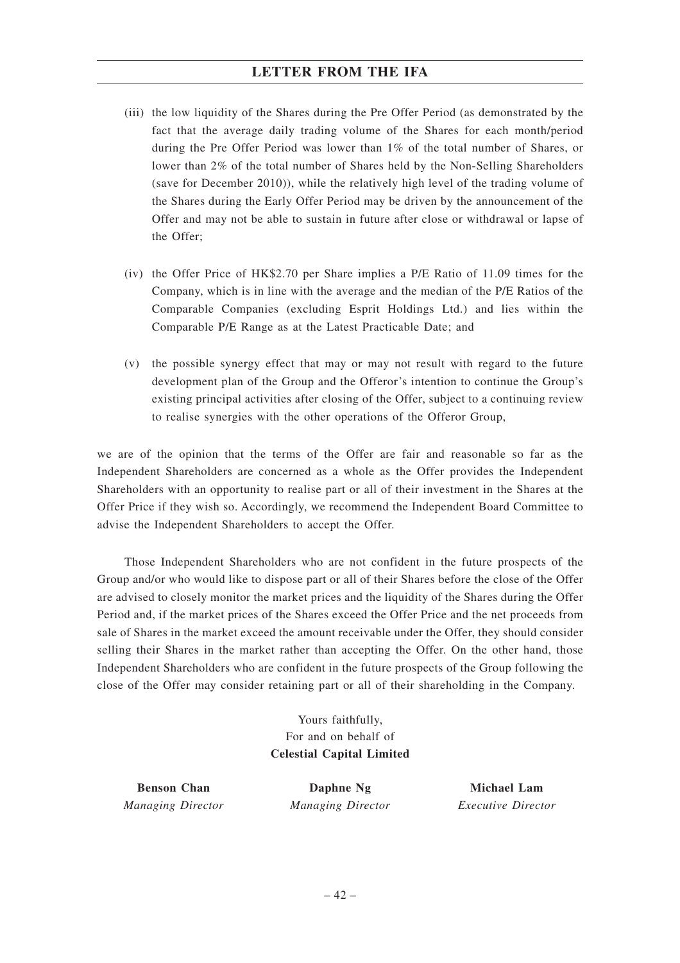- (iii) the low liquidity of the Shares during the Pre Offer Period (as demonstrated by the fact that the average daily trading volume of the Shares for each month/period during the Pre Offer Period was lower than 1% of the total number of Shares, or lower than 2% of the total number of Shares held by the Non-Selling Shareholders (save for December 2010)), while the relatively high level of the trading volume of the Shares during the Early Offer Period may be driven by the announcement of the Offer and may not be able to sustain in future after close or withdrawal or lapse of the Offer;
- (iv) the Offer Price of HK\$2.70 per Share implies a P/E Ratio of 11.09 times for the Company, which is in line with the average and the median of the P/E Ratios of the Comparable Companies (excluding Esprit Holdings Ltd.) and lies within the Comparable P/E Range as at the Latest Practicable Date; and
- (v) the possible synergy effect that may or may not result with regard to the future development plan of the Group and the Offeror's intention to continue the Group's existing principal activities after closing of the Offer, subject to a continuing review to realise synergies with the other operations of the Offeror Group,

we are of the opinion that the terms of the Offer are fair and reasonable so far as the Independent Shareholders are concerned as a whole as the Offer provides the Independent Shareholders with an opportunity to realise part or all of their investment in the Shares at the Offer Price if they wish so. Accordingly, we recommend the Independent Board Committee to advise the Independent Shareholders to accept the Offer.

Those Independent Shareholders who are not confident in the future prospects of the Group and/or who would like to dispose part or all of their Shares before the close of the Offer are advised to closely monitor the market prices and the liquidity of the Shares during the Offer Period and, if the market prices of the Shares exceed the Offer Price and the net proceeds from sale of Shares in the market exceed the amount receivable under the Offer, they should consider selling their Shares in the market rather than accepting the Offer. On the other hand, those Independent Shareholders who are confident in the future prospects of the Group following the close of the Offer may consider retaining part or all of their shareholding in the Company.

> Yours faithfully, For and on behalf of **Celestial Capital Limited**

**Benson Chan** *Managing Director*

**Daphne Ng** *Managing Director*

**Michael Lam** *Executive Director*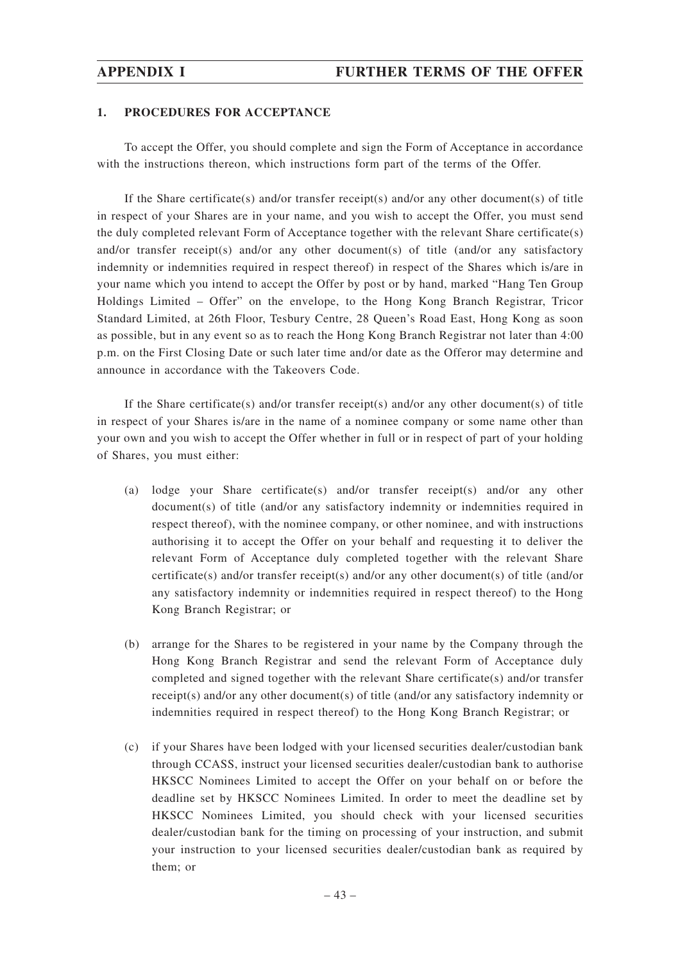### **1. PROCEDURES FOR ACCEPTANCE**

To accept the Offer, you should complete and sign the Form of Acceptance in accordance with the instructions thereon, which instructions form part of the terms of the Offer.

If the Share certificate(s) and/or transfer receipt(s) and/or any other document(s) of title in respect of your Shares are in your name, and you wish to accept the Offer, you must send the duly completed relevant Form of Acceptance together with the relevant Share certificate(s) and/or transfer receipt(s) and/or any other document(s) of title (and/or any satisfactory indemnity or indemnities required in respect thereof) in respect of the Shares which is/are in your name which you intend to accept the Offer by post or by hand, marked "Hang Ten Group Holdings Limited – Offer" on the envelope, to the Hong Kong Branch Registrar, Tricor Standard Limited, at 26th Floor, Tesbury Centre, 28 Queen's Road East, Hong Kong as soon as possible, but in any event so as to reach the Hong Kong Branch Registrar not later than 4:00 p.m. on the First Closing Date or such later time and/or date as the Offeror may determine and announce in accordance with the Takeovers Code.

If the Share certificate(s) and/or transfer receipt(s) and/or any other document(s) of title in respect of your Shares is/are in the name of a nominee company or some name other than your own and you wish to accept the Offer whether in full or in respect of part of your holding of Shares, you must either:

- (a) lodge your Share certificate(s) and/or transfer receipt(s) and/or any other document(s) of title (and/or any satisfactory indemnity or indemnities required in respect thereof), with the nominee company, or other nominee, and with instructions authorising it to accept the Offer on your behalf and requesting it to deliver the relevant Form of Acceptance duly completed together with the relevant Share certificate(s) and/or transfer receipt(s) and/or any other document(s) of title (and/or any satisfactory indemnity or indemnities required in respect thereof) to the Hong Kong Branch Registrar; or
- (b) arrange for the Shares to be registered in your name by the Company through the Hong Kong Branch Registrar and send the relevant Form of Acceptance duly completed and signed together with the relevant Share certificate(s) and/or transfer receipt(s) and/or any other document(s) of title (and/or any satisfactory indemnity or indemnities required in respect thereof) to the Hong Kong Branch Registrar; or
- (c) if your Shares have been lodged with your licensed securities dealer/custodian bank through CCASS, instruct your licensed securities dealer/custodian bank to authorise HKSCC Nominees Limited to accept the Offer on your behalf on or before the deadline set by HKSCC Nominees Limited. In order to meet the deadline set by HKSCC Nominees Limited, you should check with your licensed securities dealer/custodian bank for the timing on processing of your instruction, and submit your instruction to your licensed securities dealer/custodian bank as required by them; or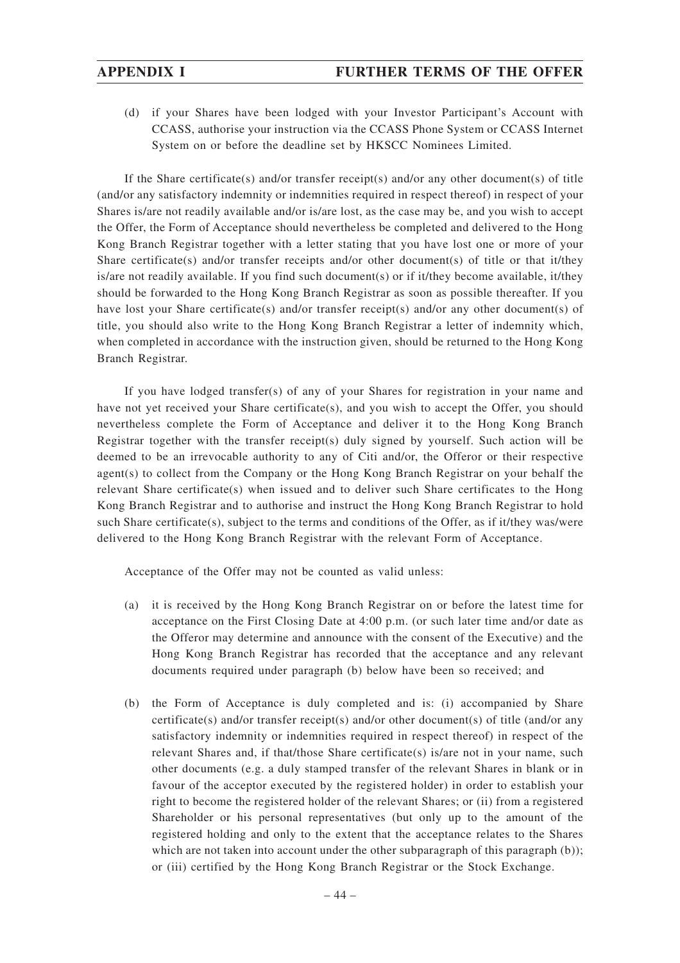(d) if your Shares have been lodged with your Investor Participant's Account with CCASS, authorise your instruction via the CCASS Phone System or CCASS Internet System on or before the deadline set by HKSCC Nominees Limited.

If the Share certificate(s) and/or transfer receipt(s) and/or any other document(s) of title (and/or any satisfactory indemnity or indemnities required in respect thereof) in respect of your Shares is/are not readily available and/or is/are lost, as the case may be, and you wish to accept the Offer, the Form of Acceptance should nevertheless be completed and delivered to the Hong Kong Branch Registrar together with a letter stating that you have lost one or more of your Share certificate(s) and/or transfer receipts and/or other document(s) of title or that it/they is/are not readily available. If you find such document(s) or if it/they become available, it/they should be forwarded to the Hong Kong Branch Registrar as soon as possible thereafter. If you have lost your Share certificate(s) and/or transfer receipt(s) and/or any other document(s) of title, you should also write to the Hong Kong Branch Registrar a letter of indemnity which, when completed in accordance with the instruction given, should be returned to the Hong Kong Branch Registrar.

If you have lodged transfer(s) of any of your Shares for registration in your name and have not yet received your Share certificate(s), and you wish to accept the Offer, you should nevertheless complete the Form of Acceptance and deliver it to the Hong Kong Branch Registrar together with the transfer receipt(s) duly signed by yourself. Such action will be deemed to be an irrevocable authority to any of Citi and/or, the Offeror or their respective agent(s) to collect from the Company or the Hong Kong Branch Registrar on your behalf the relevant Share certificate(s) when issued and to deliver such Share certificates to the Hong Kong Branch Registrar and to authorise and instruct the Hong Kong Branch Registrar to hold such Share certificate(s), subject to the terms and conditions of the Offer, as if it/they was/were delivered to the Hong Kong Branch Registrar with the relevant Form of Acceptance.

Acceptance of the Offer may not be counted as valid unless:

- (a) it is received by the Hong Kong Branch Registrar on or before the latest time for acceptance on the First Closing Date at 4:00 p.m. (or such later time and/or date as the Offeror may determine and announce with the consent of the Executive) and the Hong Kong Branch Registrar has recorded that the acceptance and any relevant documents required under paragraph (b) below have been so received; and
- (b) the Form of Acceptance is duly completed and is: (i) accompanied by Share certificate(s) and/or transfer receipt(s) and/or other document(s) of title (and/or any satisfactory indemnity or indemnities required in respect thereof) in respect of the relevant Shares and, if that/those Share certificate(s) is/are not in your name, such other documents (e.g. a duly stamped transfer of the relevant Shares in blank or in favour of the acceptor executed by the registered holder) in order to establish your right to become the registered holder of the relevant Shares; or (ii) from a registered Shareholder or his personal representatives (but only up to the amount of the registered holding and only to the extent that the acceptance relates to the Shares which are not taken into account under the other subparagraph of this paragraph (b)); or (iii) certified by the Hong Kong Branch Registrar or the Stock Exchange.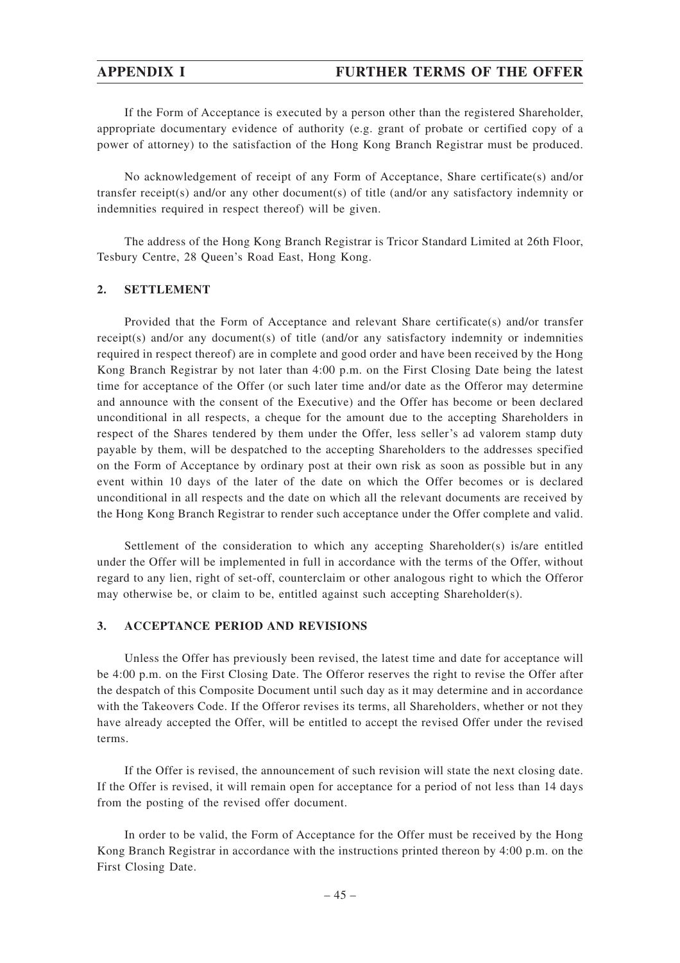If the Form of Acceptance is executed by a person other than the registered Shareholder, appropriate documentary evidence of authority (e.g. grant of probate or certified copy of a power of attorney) to the satisfaction of the Hong Kong Branch Registrar must be produced.

No acknowledgement of receipt of any Form of Acceptance, Share certificate(s) and/or transfer receipt(s) and/or any other document(s) of title (and/or any satisfactory indemnity or indemnities required in respect thereof) will be given.

The address of the Hong Kong Branch Registrar is Tricor Standard Limited at 26th Floor, Tesbury Centre, 28 Queen's Road East, Hong Kong.

### **2. SETTLEMENT**

Provided that the Form of Acceptance and relevant Share certificate(s) and/or transfer receipt(s) and/or any document(s) of title (and/or any satisfactory indemnity or indemnities required in respect thereof) are in complete and good order and have been received by the Hong Kong Branch Registrar by not later than 4:00 p.m. on the First Closing Date being the latest time for acceptance of the Offer (or such later time and/or date as the Offeror may determine and announce with the consent of the Executive) and the Offer has become or been declared unconditional in all respects, a cheque for the amount due to the accepting Shareholders in respect of the Shares tendered by them under the Offer, less seller's ad valorem stamp duty payable by them, will be despatched to the accepting Shareholders to the addresses specified on the Form of Acceptance by ordinary post at their own risk as soon as possible but in any event within 10 days of the later of the date on which the Offer becomes or is declared unconditional in all respects and the date on which all the relevant documents are received by the Hong Kong Branch Registrar to render such acceptance under the Offer complete and valid.

Settlement of the consideration to which any accepting Shareholder(s) is/are entitled under the Offer will be implemented in full in accordance with the terms of the Offer, without regard to any lien, right of set-off, counterclaim or other analogous right to which the Offeror may otherwise be, or claim to be, entitled against such accepting Shareholder(s).

### **3. ACCEPTANCE PERIOD AND REVISIONS**

Unless the Offer has previously been revised, the latest time and date for acceptance will be 4:00 p.m. on the First Closing Date. The Offeror reserves the right to revise the Offer after the despatch of this Composite Document until such day as it may determine and in accordance with the Takeovers Code. If the Offeror revises its terms, all Shareholders, whether or not they have already accepted the Offer, will be entitled to accept the revised Offer under the revised terms.

If the Offer is revised, the announcement of such revision will state the next closing date. If the Offer is revised, it will remain open for acceptance for a period of not less than 14 days from the posting of the revised offer document.

In order to be valid, the Form of Acceptance for the Offer must be received by the Hong Kong Branch Registrar in accordance with the instructions printed thereon by 4:00 p.m. on the First Closing Date.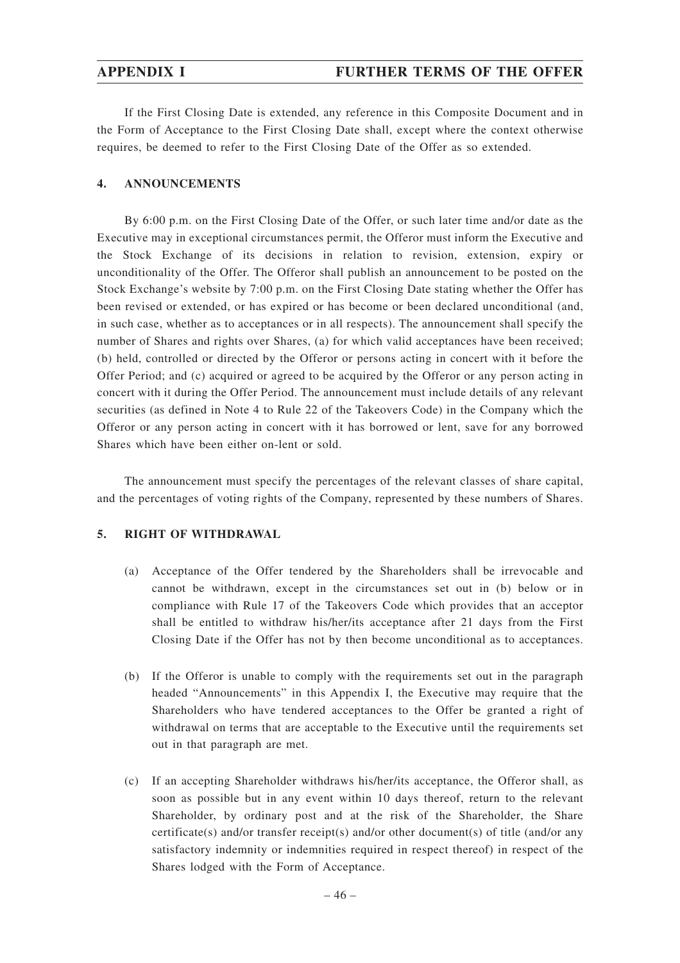If the First Closing Date is extended, any reference in this Composite Document and in the Form of Acceptance to the First Closing Date shall, except where the context otherwise requires, be deemed to refer to the First Closing Date of the Offer as so extended.

## **4. ANNOUNCEMENTS**

By 6:00 p.m. on the First Closing Date of the Offer, or such later time and/or date as the Executive may in exceptional circumstances permit, the Offeror must inform the Executive and the Stock Exchange of its decisions in relation to revision, extension, expiry or unconditionality of the Offer. The Offeror shall publish an announcement to be posted on the Stock Exchange's website by 7:00 p.m. on the First Closing Date stating whether the Offer has been revised or extended, or has expired or has become or been declared unconditional (and, in such case, whether as to acceptances or in all respects). The announcement shall specify the number of Shares and rights over Shares, (a) for which valid acceptances have been received; (b) held, controlled or directed by the Offeror or persons acting in concert with it before the Offer Period; and (c) acquired or agreed to be acquired by the Offeror or any person acting in concert with it during the Offer Period. The announcement must include details of any relevant securities (as defined in Note 4 to Rule 22 of the Takeovers Code) in the Company which the Offeror or any person acting in concert with it has borrowed or lent, save for any borrowed Shares which have been either on-lent or sold.

The announcement must specify the percentages of the relevant classes of share capital, and the percentages of voting rights of the Company, represented by these numbers of Shares.

## **5. RIGHT OF WITHDRAWAL**

- (a) Acceptance of the Offer tendered by the Shareholders shall be irrevocable and cannot be withdrawn, except in the circumstances set out in (b) below or in compliance with Rule 17 of the Takeovers Code which provides that an acceptor shall be entitled to withdraw his/her/its acceptance after 21 days from the First Closing Date if the Offer has not by then become unconditional as to acceptances.
- (b) If the Offeror is unable to comply with the requirements set out in the paragraph headed "Announcements" in this Appendix I, the Executive may require that the Shareholders who have tendered acceptances to the Offer be granted a right of withdrawal on terms that are acceptable to the Executive until the requirements set out in that paragraph are met.
- (c) If an accepting Shareholder withdraws his/her/its acceptance, the Offeror shall, as soon as possible but in any event within 10 days thereof, return to the relevant Shareholder, by ordinary post and at the risk of the Shareholder, the Share certificate(s) and/or transfer receipt(s) and/or other document(s) of title (and/or any satisfactory indemnity or indemnities required in respect thereof) in respect of the Shares lodged with the Form of Acceptance.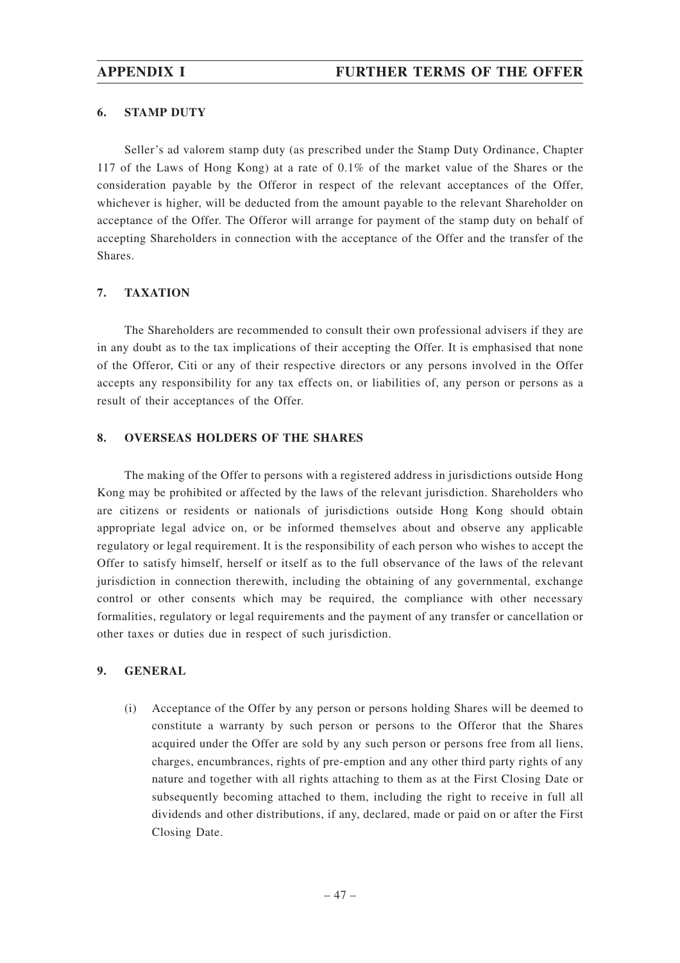### **6. STAMP DUTY**

Seller's ad valorem stamp duty (as prescribed under the Stamp Duty Ordinance, Chapter 117 of the Laws of Hong Kong) at a rate of 0.1% of the market value of the Shares or the consideration payable by the Offeror in respect of the relevant acceptances of the Offer, whichever is higher, will be deducted from the amount payable to the relevant Shareholder on acceptance of the Offer. The Offeror will arrange for payment of the stamp duty on behalf of accepting Shareholders in connection with the acceptance of the Offer and the transfer of the Shares.

## **7. TAXATION**

The Shareholders are recommended to consult their own professional advisers if they are in any doubt as to the tax implications of their accepting the Offer. It is emphasised that none of the Offeror, Citi or any of their respective directors or any persons involved in the Offer accepts any responsibility for any tax effects on, or liabilities of, any person or persons as a result of their acceptances of the Offer.

## **8. OVERSEAS HOLDERS OF THE SHARES**

The making of the Offer to persons with a registered address in jurisdictions outside Hong Kong may be prohibited or affected by the laws of the relevant jurisdiction. Shareholders who are citizens or residents or nationals of jurisdictions outside Hong Kong should obtain appropriate legal advice on, or be informed themselves about and observe any applicable regulatory or legal requirement. It is the responsibility of each person who wishes to accept the Offer to satisfy himself, herself or itself as to the full observance of the laws of the relevant jurisdiction in connection therewith, including the obtaining of any governmental, exchange control or other consents which may be required, the compliance with other necessary formalities, regulatory or legal requirements and the payment of any transfer or cancellation or other taxes or duties due in respect of such jurisdiction.

## **9. GENERAL**

(i) Acceptance of the Offer by any person or persons holding Shares will be deemed to constitute a warranty by such person or persons to the Offeror that the Shares acquired under the Offer are sold by any such person or persons free from all liens, charges, encumbrances, rights of pre-emption and any other third party rights of any nature and together with all rights attaching to them as at the First Closing Date or subsequently becoming attached to them, including the right to receive in full all dividends and other distributions, if any, declared, made or paid on or after the First Closing Date.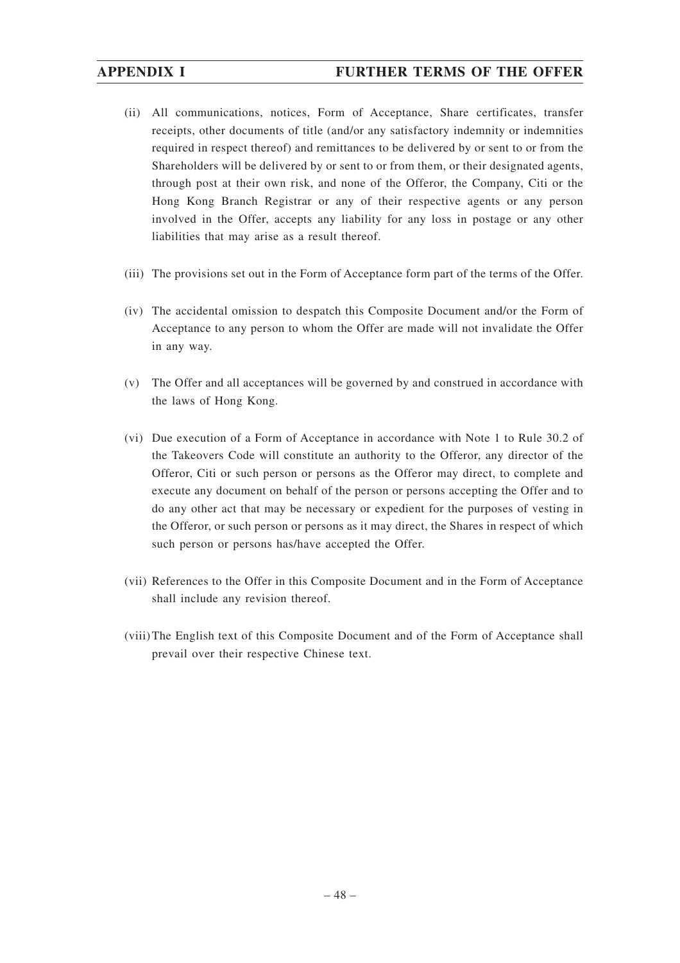# **APPENDIX I FURTHER TERMS OF THE OFFER**

- (ii) All communications, notices, Form of Acceptance, Share certificates, transfer receipts, other documents of title (and/or any satisfactory indemnity or indemnities required in respect thereof) and remittances to be delivered by or sent to or from the Shareholders will be delivered by or sent to or from them, or their designated agents, through post at their own risk, and none of the Offeror, the Company, Citi or the Hong Kong Branch Registrar or any of their respective agents or any person involved in the Offer, accepts any liability for any loss in postage or any other liabilities that may arise as a result thereof.
- (iii) The provisions set out in the Form of Acceptance form part of the terms of the Offer.
- (iv) The accidental omission to despatch this Composite Document and/or the Form of Acceptance to any person to whom the Offer are made will not invalidate the Offer in any way.
- (v) The Offer and all acceptances will be governed by and construed in accordance with the laws of Hong Kong.
- (vi) Due execution of a Form of Acceptance in accordance with Note 1 to Rule 30.2 of the Takeovers Code will constitute an authority to the Offeror, any director of the Offeror, Citi or such person or persons as the Offeror may direct, to complete and execute any document on behalf of the person or persons accepting the Offer and to do any other act that may be necessary or expedient for the purposes of vesting in the Offeror, or such person or persons as it may direct, the Shares in respect of which such person or persons has/have accepted the Offer.
- (vii) References to the Offer in this Composite Document and in the Form of Acceptance shall include any revision thereof.
- (viii) The English text of this Composite Document and of the Form of Acceptance shall prevail over their respective Chinese text.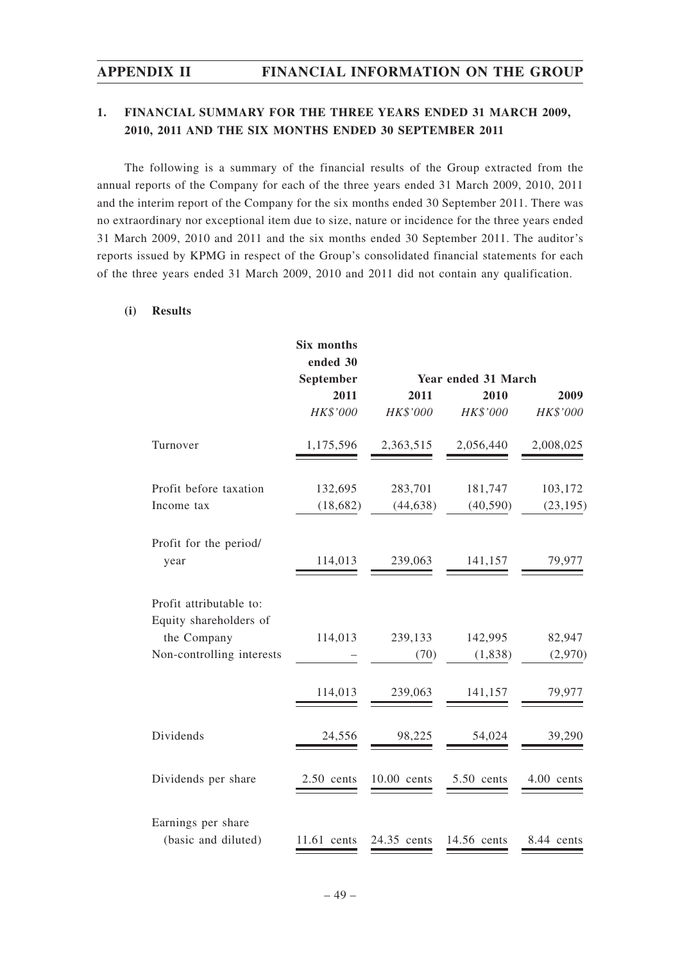# **1. FINANCIAL SUMMARY FOR THE THREE YEARS ENDED 31 MARCH 2009, 2010, 2011 AND THE SIX MONTHS ENDED 30 SEPTEMBER 2011**

The following is a summary of the financial results of the Group extracted from the annual reports of the Company for each of the three years ended 31 March 2009, 2010, 2011 and the interim report of the Company for the six months ended 30 September 2011. There was no extraordinary nor exceptional item due to size, nature or incidence for the three years ended 31 March 2009, 2010 and 2011 and the six months ended 30 September 2011. The auditor's reports issued by KPMG in respect of the Group's consolidated financial statements for each of the three years ended 31 March 2009, 2010 and 2011 did not contain any qualification.

## **(i) Results**

|                                                   | Six months<br>ended 30 |             |                     |            |
|---------------------------------------------------|------------------------|-------------|---------------------|------------|
|                                                   | September              |             | Year ended 31 March |            |
|                                                   | 2011                   | 2011        | 2010                | 2009       |
|                                                   | HK\$'000               | HK\$'000    | HK\$'000            | HK\$'000   |
| Turnover                                          | 1,175,596              | 2,363,515   | 2,056,440           | 2,008,025  |
| Profit before taxation                            | 132,695                | 283,701     | 181,747             | 103,172    |
| Income tax                                        | (18,682)               | (44, 638)   | (40, 590)           | (23, 195)  |
| Profit for the period/<br>year                    | 114,013                | 239,063     | 141,157             | 79,977     |
| Profit attributable to:<br>Equity shareholders of |                        |             |                     |            |
| the Company                                       | 114,013                | 239,133     | 142,995             | 82,947     |
| Non-controlling interests                         |                        | (70)        | (1,838)             | (2,970)    |
|                                                   | 114,013                | 239,063     | 141,157             | 79,977     |
| Dividends                                         | 24,556                 | 98,225      | 54,024              | 39,290     |
| Dividends per share                               | $2.50$ cents           | 10.00 cents | 5.50 cents          | 4.00 cents |
| Earnings per share<br>(basic and diluted)         | $11.61$ cents          | 24.35 cents | 14.56 cents         | 8.44 cents |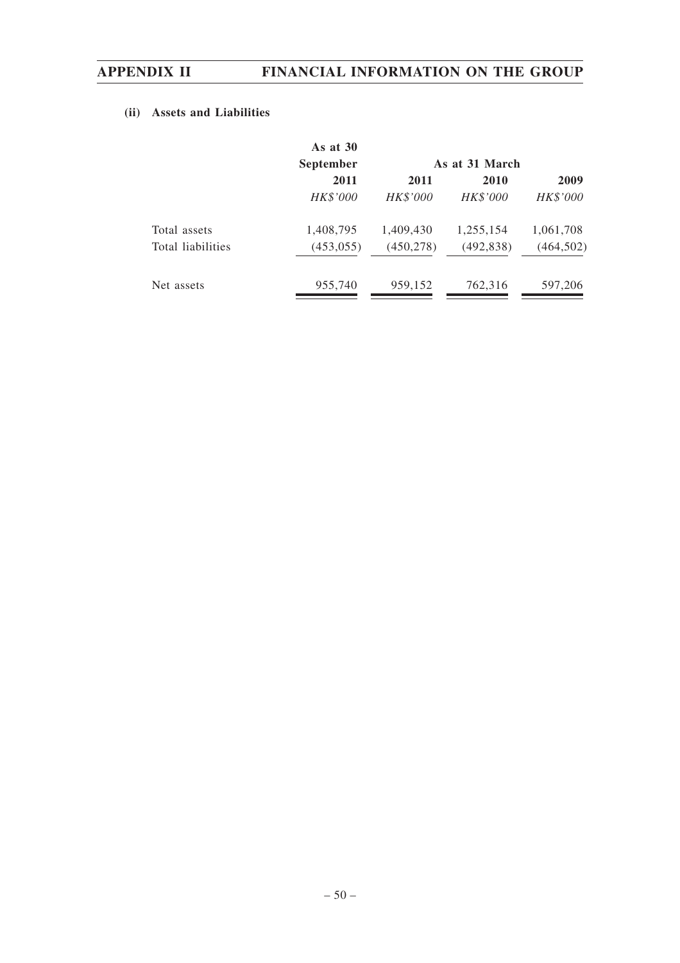# **(ii) Assets and Liabilities**

| <b>September</b> |            | As at 31 March |            |  |  |  |
|------------------|------------|----------------|------------|--|--|--|
| 2011             | 2011       | 2010           | 2009       |  |  |  |
| HK\$'000         | HK\$'000   | HK\$'000       | HK\$'000   |  |  |  |
| 1,408,795        | 1,409,430  | 1,255,154      | 1,061,708  |  |  |  |
| (453, 055)       | (450, 278) | (492, 838)     | (464, 502) |  |  |  |
| 955,740          | 959,152    | 762,316        | 597,206    |  |  |  |
|                  | As at $30$ |                |            |  |  |  |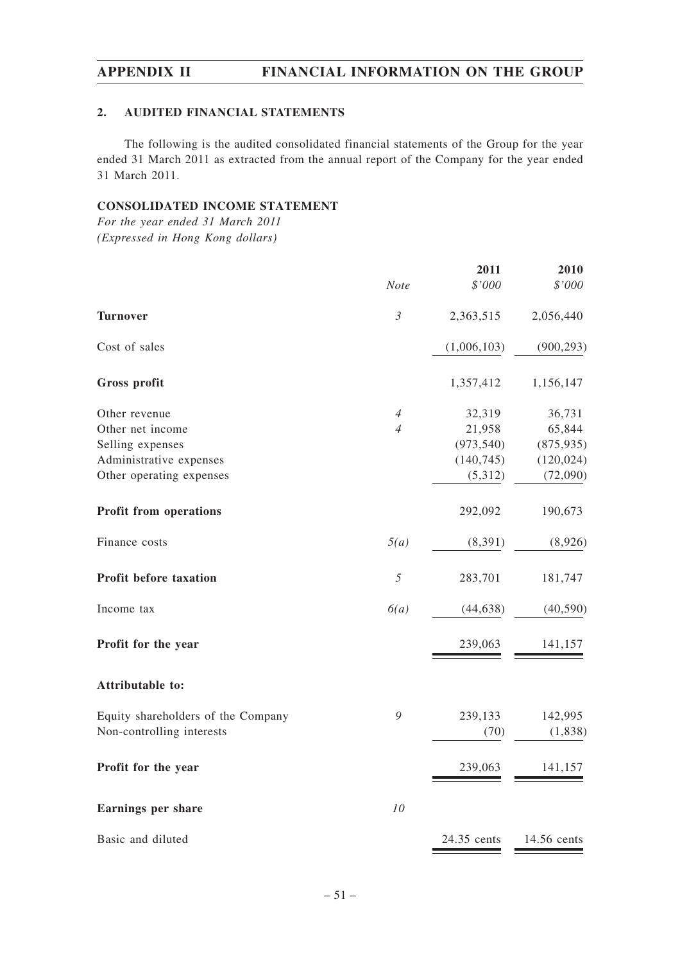## **2. AUDITED FINANCIAL STATEMENTS**

The following is the audited consolidated financial statements of the Group for the year ended 31 March 2011 as extracted from the annual report of the Company for the year ended 31 March 2011.

### **CONSOLIDATED INCOME STATEMENT**

*For the year ended 31 March 2011 (Expressed in Hong Kong dollars)*

|                                    |                | 2011        | 2010        |
|------------------------------------|----------------|-------------|-------------|
|                                    | Note           | \$'000      | \$'000      |
| <b>Turnover</b>                    | $\mathfrak{Z}$ | 2,363,515   | 2,056,440   |
| Cost of sales                      |                | (1,006,103) | (900, 293)  |
| Gross profit                       |                | 1,357,412   | 1,156,147   |
| Other revenue                      | $\overline{4}$ | 32,319      | 36,731      |
| Other net income                   | $\overline{4}$ | 21,958      | 65,844      |
| Selling expenses                   |                | (973, 540)  | (875, 935)  |
| Administrative expenses            |                | (140, 745)  | (120, 024)  |
| Other operating expenses           |                | (5,312)     | (72,090)    |
| <b>Profit from operations</b>      |                | 292,092     | 190,673     |
| Finance costs                      | 5(a)           | (8, 391)    | (8,926)     |
| Profit before taxation             | 5              | 283,701     | 181,747     |
| Income tax                         | 6(a)           | (44, 638)   | (40, 590)   |
| Profit for the year                |                | 239,063     | 141,157     |
| Attributable to:                   |                |             |             |
| Equity shareholders of the Company | 9              | 239,133     | 142,995     |
| Non-controlling interests          |                | (70)        | (1, 838)    |
| Profit for the year                |                | 239,063     | 141,157     |
| <b>Earnings per share</b>          | 10             |             |             |
| Basic and diluted                  |                | 24.35 cents | 14.56 cents |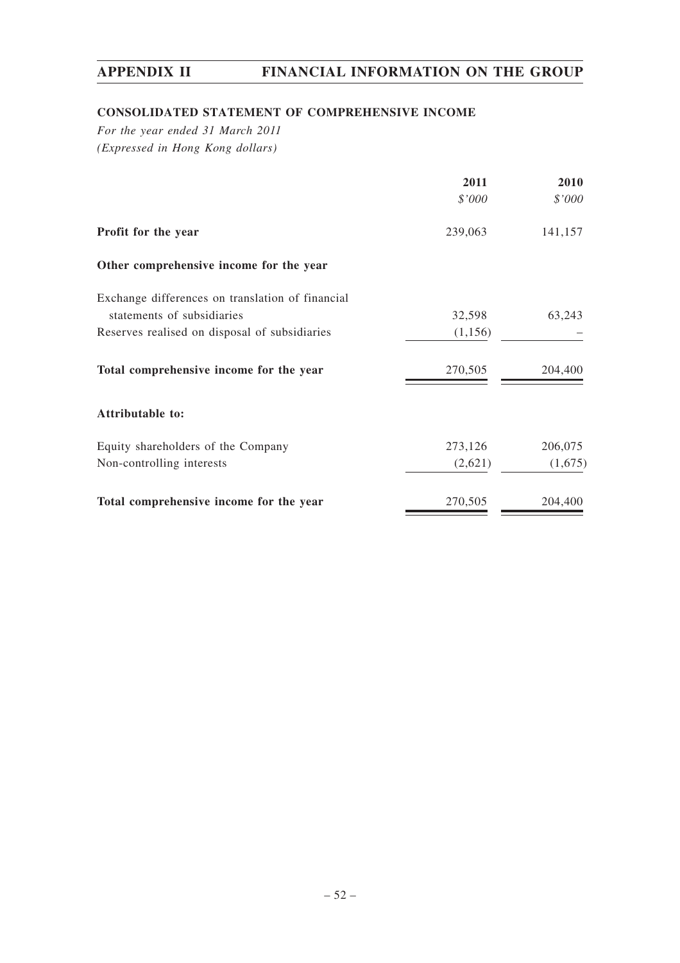# **CONSOLIDATED STATEMENT OF COMPREHENSIVE INCOME**

*For the year ended 31 March 2011 (Expressed in Hong Kong dollars)*

|                                                  | 2011     | 2010    |
|--------------------------------------------------|----------|---------|
|                                                  | \$'000   | \$'000  |
| Profit for the year                              | 239,063  | 141,157 |
| Other comprehensive income for the year          |          |         |
| Exchange differences on translation of financial |          |         |
| statements of subsidiaries                       | 32,598   | 63,243  |
| Reserves realised on disposal of subsidiaries    | (1, 156) |         |
| Total comprehensive income for the year          | 270,505  | 204,400 |
| Attributable to:                                 |          |         |
| Equity shareholders of the Company               | 273,126  | 206,075 |
| Non-controlling interests                        | (2,621)  | (1,675) |
| Total comprehensive income for the year          | 270,505  | 204,400 |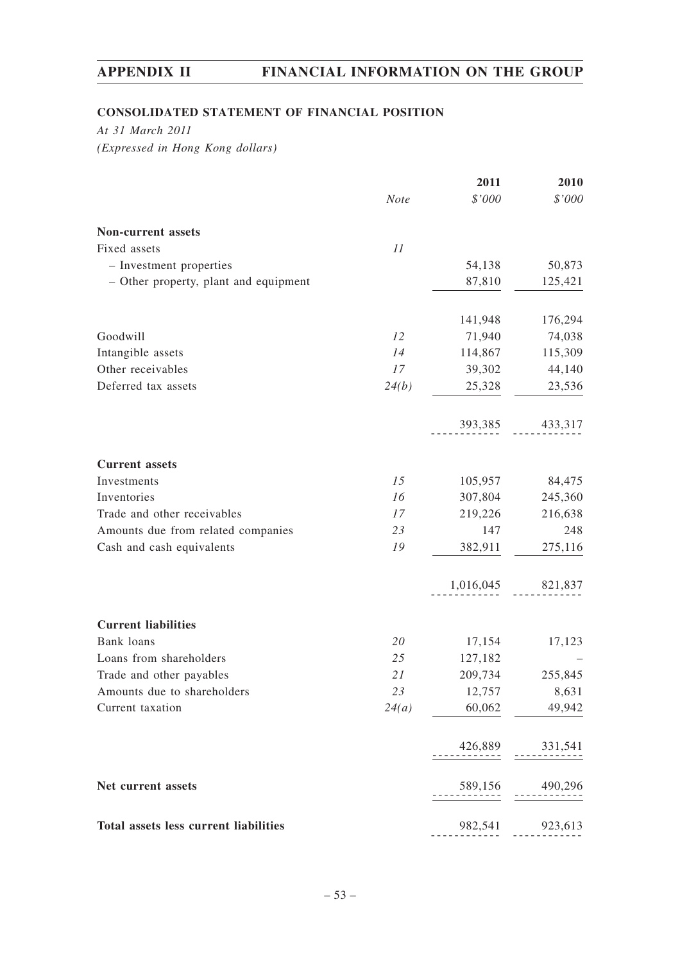# **CONSOLIDATED STATEMENT OF FINANCIAL POSITION**

*At 31 March 2011 (Expressed in Hong Kong dollars)*

|                                       |       | 2011                | 2010                |
|---------------------------------------|-------|---------------------|---------------------|
|                                       | Note  | \$'000              | \$'000              |
| Non-current assets                    |       |                     |                     |
| Fixed assets                          | 11    |                     |                     |
| - Investment properties               |       | 54,138              | 50,873              |
| - Other property, plant and equipment |       | 87,810              | 125,421             |
|                                       |       | 141,948             | 176,294             |
| Goodwill                              | 12    | 71,940              | 74,038              |
| Intangible assets                     | 14    | 114,867             | 115,309             |
| Other receivables                     | 17    | 39,302              | 44,140              |
| Deferred tax assets                   | 24(b) | 25,328              | 23,536              |
|                                       |       |                     | 393,385 433,317     |
| <b>Current assets</b>                 |       |                     |                     |
| Investments                           | 15    | 105,957             | 84,475              |
| Inventories                           | 16    | 307,804             | 245,360             |
| Trade and other receivables           | 17    | 219,226             | 216,638             |
| Amounts due from related companies    | 23    | 147                 | 248                 |
| Cash and cash equivalents             | 19    | 382,911             | 275,116             |
|                                       |       | 1,016,045           | 821,837             |
| <b>Current liabilities</b>            |       |                     |                     |
| Bank loans                            | 20    | 17,154              | 17,123              |
| Loans from shareholders               | 25    | 127,182             |                     |
| Trade and other payables              | 21    | 209,734             | 255,845             |
| Amounts due to shareholders           | 23    | 12,757              | 8,631               |
| Current taxation                      |       | $24(a)$ 60,062      | 49,942              |
|                                       |       |                     | $426,889$ $331,541$ |
| Net current assets                    |       | $589,156$ $490,296$ |                     |
| Total assets less current liabilities |       |                     | 982,541 923,613     |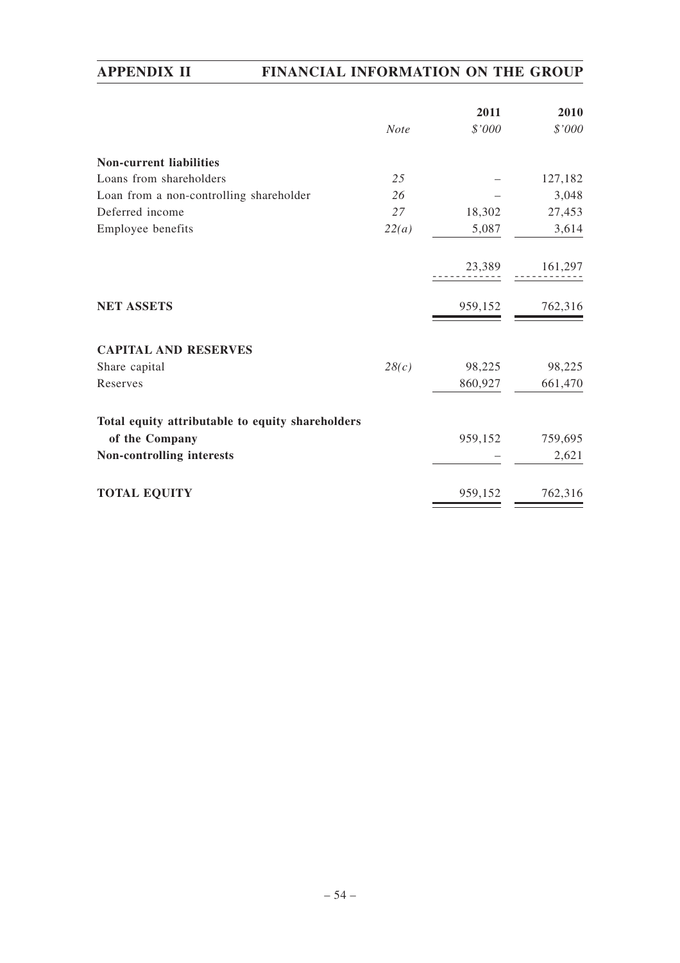|                                                  |             | 2011    | 2010    |
|--------------------------------------------------|-------------|---------|---------|
|                                                  | <b>Note</b> | \$'000  | \$'000  |
| <b>Non-current liabilities</b>                   |             |         |         |
| Loans from shareholders                          | 25          |         | 127,182 |
| Loan from a non-controlling shareholder          | 26          |         | 3,048   |
| Deferred income                                  | 27          | 18,302  | 27,453  |
| Employee benefits                                | 22(a)       | 5,087   | 3,614   |
|                                                  |             | 23,389  | 161,297 |
| <b>NET ASSETS</b>                                |             | 959,152 | 762,316 |
| <b>CAPITAL AND RESERVES</b>                      |             |         |         |
| Share capital                                    | 28(c)       | 98,225  | 98,225  |
| Reserves                                         |             | 860,927 | 661,470 |
| Total equity attributable to equity shareholders |             |         |         |
| of the Company                                   |             | 959,152 | 759,695 |
| Non-controlling interests                        |             |         | 2,621   |
| <b>TOTAL EQUITY</b>                              |             | 959,152 | 762,316 |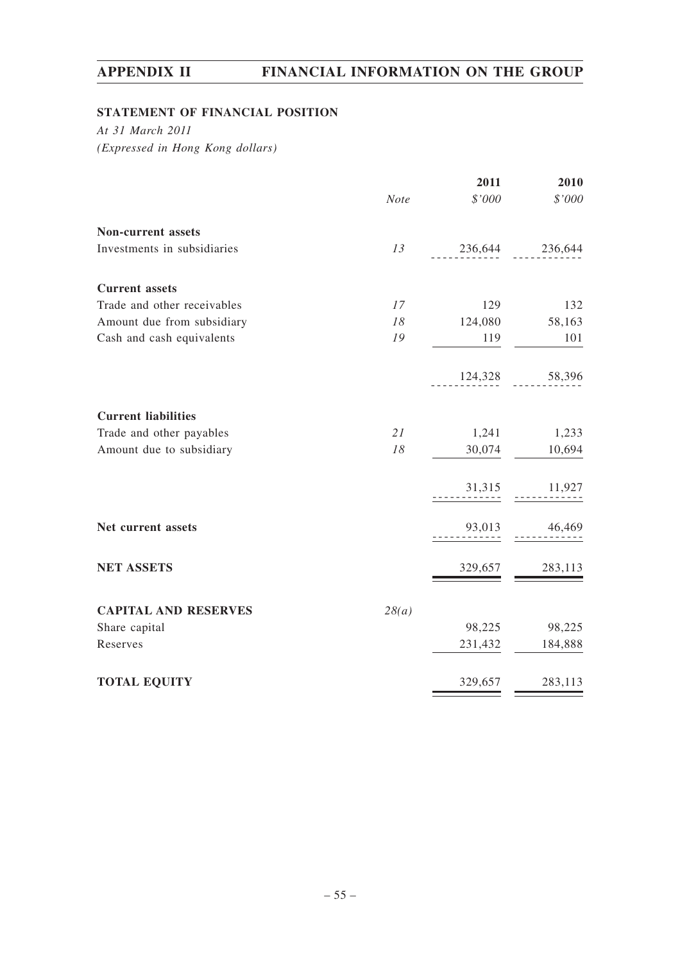# **STATEMENT OF FINANCIAL POSITION**

*At 31 March 2011 (Expressed in Hong Kong dollars)*

|                             |       | 2011                | 2010              |
|-----------------------------|-------|---------------------|-------------------|
|                             | Note  | \$'000              | $\$'000$          |
| Non-current assets          |       |                     |                   |
| Investments in subsidiaries | 13    | $236,644$ $236,644$ |                   |
| <b>Current</b> assets       |       |                     |                   |
| Trade and other receivables | 17    | 129                 | 132               |
| Amount due from subsidiary  | 18    | 124,080             | 58,163            |
| Cash and cash equivalents   | 19    | 119                 | 101               |
|                             |       |                     | 124,328 58,396    |
| <b>Current liabilities</b>  |       |                     |                   |
| Trade and other payables    | 21    | 1,241               | 1,233             |
| Amount due to subsidiary    | 18    | 30,074              | 10,694            |
|                             |       |                     | $31,315$ $11,927$ |
| Net current assets          |       | 93,013              | 46,469            |
| <b>NET ASSETS</b>           |       | 329,657             | 283,113           |
| <b>CAPITAL AND RESERVES</b> | 28(a) |                     |                   |
| Share capital               |       | 98,225              | 98,225            |
| Reserves                    |       | 231,432             | 184,888           |
| <b>TOTAL EQUITY</b>         |       | 329,657             | 283,113           |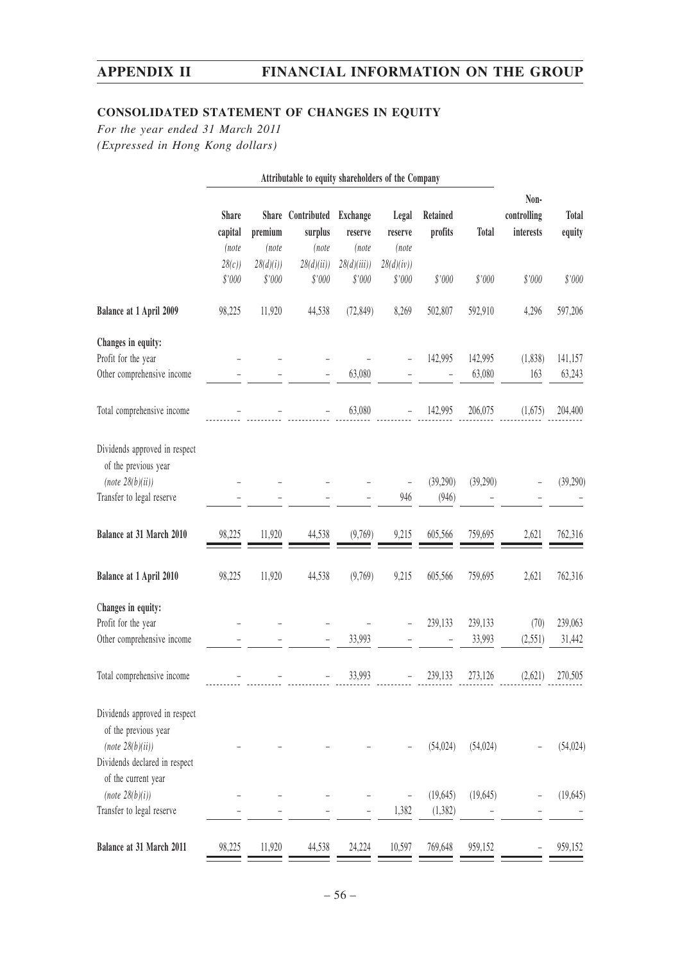# **CONSOLIDATED STATEMENT OF CHANGES IN EQUITY**

*For the year ended 31 March 2011 (Expressed in Hong Kong dollars)*

|                                                                          | Attributable to equity shareholders of the Company |                    |                                       |                              |                           |                     |                   |                                  |                        |
|--------------------------------------------------------------------------|----------------------------------------------------|--------------------|---------------------------------------|------------------------------|---------------------------|---------------------|-------------------|----------------------------------|------------------------|
|                                                                          | <b>Share</b><br>capital<br>(note                   | premium<br>(note   | Share Contributed<br>surplus<br>(note | Exchange<br>reserve<br>(note | Legal<br>reserve<br>(note | Retained<br>profits | <b>Total</b>      | Non-<br>controlling<br>interests | <b>Total</b><br>equity |
|                                                                          | 28(c)<br>\$'000                                    | 28(d)(i)<br>\$'000 | 28(d)(ii)<br>\$'000                   | 28(d)(iii)<br>\$'000         | 28(d)(iv))<br>\$'000      | \$'000              | \$'000            | \$'000                           | \$'000                 |
| Balance at 1 April 2009                                                  | 98,225                                             | 11,920             | 44,538                                | (72, 849)                    | 8,269                     | 502,807             | 592,910           | 4,296                            | 597,206                |
| Changes in equity:                                                       |                                                    |                    |                                       |                              |                           |                     |                   |                                  |                        |
| Profit for the year<br>Other comprehensive income                        |                                                    |                    |                                       | 63,080                       |                           | 142,995             | 142,995<br>63,080 | (1, 838)<br>163                  | 141,157<br>63,243      |
| Total comprehensive income                                               |                                                    |                    |                                       | 63,080                       |                           | 142,995             | 206,075           | (1,675)                          | 204,400                |
| Dividends approved in respect<br>of the previous year                    |                                                    |                    |                                       |                              |                           |                     |                   |                                  |                        |
| (note 28(b)(ii))                                                         |                                                    |                    |                                       |                              |                           | (39,290)            | (39,290)          |                                  | (39,290)               |
| Transfer to legal reserve                                                |                                                    |                    |                                       |                              | 946                       | (946)               |                   |                                  |                        |
| Balance at 31 March 2010                                                 | 98,225                                             | 11,920             | 44,538                                | (9,769)                      | 9,215                     | 605,566             | 759,695           | 2,621                            | 762,316                |
| Balance at 1 April 2010                                                  | 98,225                                             | 11,920             | 44,538                                | (9,769)                      | 9,215                     | 605,566             | 759,695           | 2,621                            | 762,316                |
| Changes in equity:<br>Profit for the year                                |                                                    |                    |                                       |                              |                           | 239,133             | 239,133           | (70)                             | 239,063                |
| Other comprehensive income                                               |                                                    |                    |                                       | 33,993                       |                           |                     | 33,993            | (2,551)                          | 31,442                 |
| Total comprehensive income                                               |                                                    |                    |                                       | 33,993                       |                           | 239,133             | 273,126           | (2,621)                          | 270,505                |
| Dividends approved in respect<br>of the previous year                    |                                                    |                    |                                       |                              |                           |                     |                   |                                  |                        |
| (note 28(b)(ii))<br>Dividends declared in respect<br>of the current year |                                                    |                    |                                       |                              |                           | (54, 024)           | (54, 024)         |                                  | (54, 024)              |
| (note 28(b)(i))                                                          |                                                    |                    |                                       |                              |                           | (19, 645)           | (19,645)          |                                  | (19, 645)              |
| Transfer to legal reserve                                                |                                                    |                    |                                       |                              | 1,382                     | (1, 382)            |                   |                                  |                        |
| Balance at 31 March 2011                                                 | 98,225                                             | 11,920             | 44,538                                | 24,224                       | 10,597                    | 769,648             | 959,152           |                                  | 959,152                |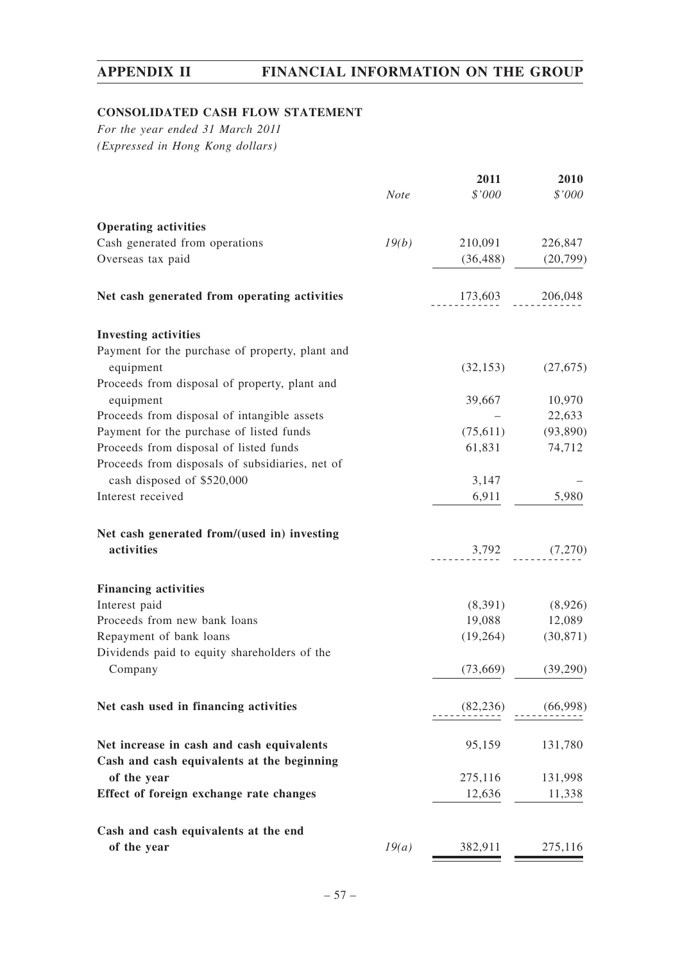# **CONSOLIDATED CASH FLOW STATEMENT**

*For the year ended 31 March 2011 (Expressed in Hong Kong dollars)*

|                                                 |             | 2011      | 2010              |
|-------------------------------------------------|-------------|-----------|-------------------|
|                                                 | <b>Note</b> | \$'000    | \$'000            |
| <b>Operating activities</b>                     |             |           |                   |
| Cash generated from operations                  | 19(b)       | 210,091   | 226,847           |
| Overseas tax paid                               |             | (36, 488) | (20,799)          |
| Net cash generated from operating activities    |             |           | 173,603 206,048   |
| <b>Investing activities</b>                     |             |           |                   |
| Payment for the purchase of property, plant and |             |           |                   |
| equipment                                       |             | (32, 153) | (27, 675)         |
| Proceeds from disposal of property, plant and   |             |           |                   |
| equipment                                       |             | 39,667    | 10,970            |
| Proceeds from disposal of intangible assets     |             |           | 22,633            |
| Payment for the purchase of listed funds        |             | (75,611)  | (93,890)          |
| Proceeds from disposal of listed funds          |             | 61,831    | 74,712            |
| Proceeds from disposals of subsidiaries, net of |             |           |                   |
| cash disposed of \$520,000                      |             | 3,147     |                   |
| Interest received                               |             | 6,911     | 5,980             |
| Net cash generated from/(used in) investing     |             |           |                   |
| activities                                      |             |           | $3,792$ $(7,270)$ |
| <b>Financing activities</b>                     |             |           |                   |
| Interest paid                                   |             | (8,391)   | (8,926)           |
| Proceeds from new bank loans                    |             | 19,088    | 12,089            |
| Repayment of bank loans                         |             | (19,264)  | (30, 871)         |
| Dividends paid to equity shareholders of the    |             |           |                   |
| Company                                         |             | (73,669)  | (39,290)          |
| Net cash used in financing activities           |             | (82, 236) | (66,998)          |
|                                                 |             |           |                   |
| Net increase in cash and cash equivalents       |             | 95,159    | 131,780           |
| Cash and cash equivalents at the beginning      |             |           |                   |
| of the year                                     |             | 275,116   | 131,998           |
| Effect of foreign exchange rate changes         |             | 12,636    | 11,338            |
| Cash and cash equivalents at the end            |             |           |                   |
| of the year                                     | 19(a)       | 382,911   | 275,116           |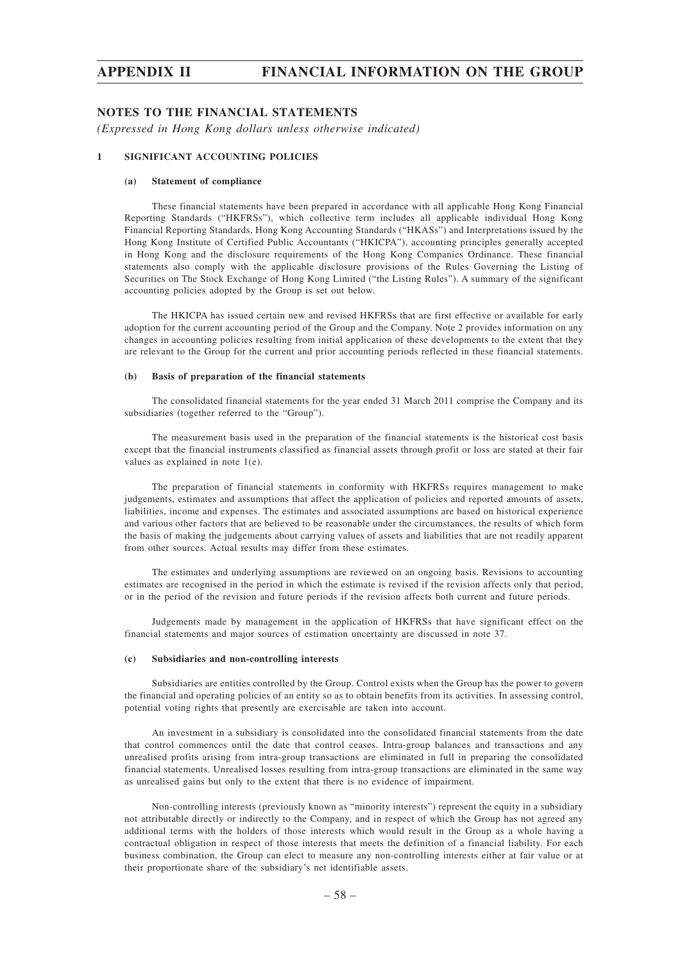### **NOTES TO THE FINANCIAL STATEMENTS**

*(Expressed in Hong Kong dollars unless otherwise indicated)*

### **1 SIGNIFICANT ACCOUNTING POLICIES**

#### **(a) Statement of compliance**

These financial statements have been prepared in accordance with all applicable Hong Kong Financial Reporting Standards ("HKFRSs"), which collective term includes all applicable individual Hong Kong Financial Reporting Standards, Hong Kong Accounting Standards ("HKASs") and Interpretations issued by the Hong Kong Institute of Certified Public Accountants ("HKICPA"), accounting principles generally accepted in Hong Kong and the disclosure requirements of the Hong Kong Companies Ordinance. These financial statements also comply with the applicable disclosure provisions of the Rules Governing the Listing of Securities on The Stock Exchange of Hong Kong Limited ("the Listing Rules"). A summary of the significant accounting policies adopted by the Group is set out below.

The HKICPA has issued certain new and revised HKFRSs that are first effective or available for early adoption for the current accounting period of the Group and the Company. Note 2 provides information on any changes in accounting policies resulting from initial application of these developments to the extent that they are relevant to the Group for the current and prior accounting periods reflected in these financial statements.

#### **(b) Basis of preparation of the financial statements**

The consolidated financial statements for the year ended 31 March 2011 comprise the Company and its subsidiaries (together referred to the "Group").

The measurement basis used in the preparation of the financial statements is the historical cost basis except that the financial instruments classified as financial assets through profit or loss are stated at their fair values as explained in note 1(e).

The preparation of financial statements in conformity with HKFRSs requires management to make judgements, estimates and assumptions that affect the application of policies and reported amounts of assets, liabilities, income and expenses. The estimates and associated assumptions are based on historical experience and various other factors that are believed to be reasonable under the circumstances, the results of which form the basis of making the judgements about carrying values of assets and liabilities that are not readily apparent from other sources. Actual results may differ from these estimates.

The estimates and underlying assumptions are reviewed on an ongoing basis. Revisions to accounting estimates are recognised in the period in which the estimate is revised if the revision affects only that period, or in the period of the revision and future periods if the revision affects both current and future periods.

Judgements made by management in the application of HKFRSs that have significant effect on the financial statements and major sources of estimation uncertainty are discussed in note 37.

#### **(c) Subsidiaries and non-controlling interests**

Subsidiaries are entities controlled by the Group. Control exists when the Group has the power to govern the financial and operating policies of an entity so as to obtain benefits from its activities. In assessing control, potential voting rights that presently are exercisable are taken into account.

An investment in a subsidiary is consolidated into the consolidated financial statements from the date that control commences until the date that control ceases. Intra-group balances and transactions and any unrealised profits arising from intra-group transactions are eliminated in full in preparing the consolidated financial statements. Unrealised losses resulting from intra-group transactions are eliminated in the same way as unrealised gains but only to the extent that there is no evidence of impairment.

Non-controlling interests (previously known as "minority interests") represent the equity in a subsidiary not attributable directly or indirectly to the Company, and in respect of which the Group has not agreed any additional terms with the holders of those interests which would result in the Group as a whole having a contractual obligation in respect of those interests that meets the definition of a financial liability. For each business combination, the Group can elect to measure any non-controlling interests either at fair value or at their proportionate share of the subsidiary's net identifiable assets.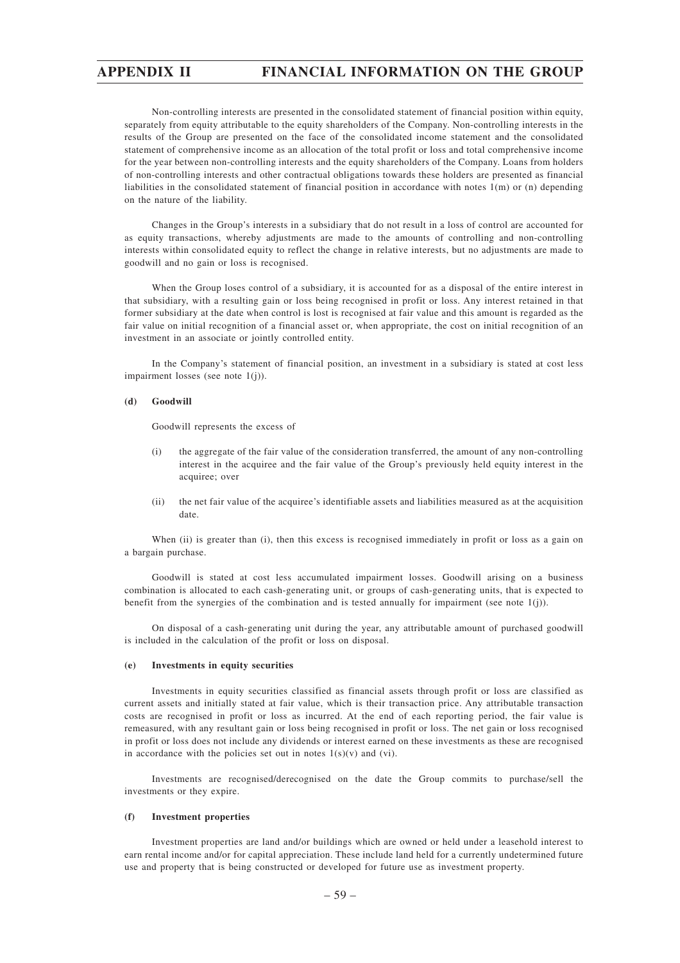Non-controlling interests are presented in the consolidated statement of financial position within equity, separately from equity attributable to the equity shareholders of the Company. Non-controlling interests in the results of the Group are presented on the face of the consolidated income statement and the consolidated statement of comprehensive income as an allocation of the total profit or loss and total comprehensive income for the year between non-controlling interests and the equity shareholders of the Company. Loans from holders of non-controlling interests and other contractual obligations towards these holders are presented as financial liabilities in the consolidated statement of financial position in accordance with notes 1(m) or (n) depending on the nature of the liability.

Changes in the Group's interests in a subsidiary that do not result in a loss of control are accounted for as equity transactions, whereby adjustments are made to the amounts of controlling and non-controlling interests within consolidated equity to reflect the change in relative interests, but no adjustments are made to goodwill and no gain or loss is recognised.

When the Group loses control of a subsidiary, it is accounted for as a disposal of the entire interest in that subsidiary, with a resulting gain or loss being recognised in profit or loss. Any interest retained in that former subsidiary at the date when control is lost is recognised at fair value and this amount is regarded as the fair value on initial recognition of a financial asset or, when appropriate, the cost on initial recognition of an investment in an associate or jointly controlled entity.

In the Company's statement of financial position, an investment in a subsidiary is stated at cost less impairment losses (see note 1(j)).

#### **(d) Goodwill**

Goodwill represents the excess of

- (i) the aggregate of the fair value of the consideration transferred, the amount of any non-controlling interest in the acquiree and the fair value of the Group's previously held equity interest in the acquiree; over
- (ii) the net fair value of the acquiree's identifiable assets and liabilities measured as at the acquisition date.

When (ii) is greater than (i), then this excess is recognised immediately in profit or loss as a gain on a bargain purchase.

Goodwill is stated at cost less accumulated impairment losses. Goodwill arising on a business combination is allocated to each cash-generating unit, or groups of cash-generating units, that is expected to benefit from the synergies of the combination and is tested annually for impairment (see note  $1(j)$ ).

On disposal of a cash-generating unit during the year, any attributable amount of purchased goodwill is included in the calculation of the profit or loss on disposal.

#### **(e) Investments in equity securities**

Investments in equity securities classified as financial assets through profit or loss are classified as current assets and initially stated at fair value, which is their transaction price. Any attributable transaction costs are recognised in profit or loss as incurred. At the end of each reporting period, the fair value is remeasured, with any resultant gain or loss being recognised in profit or loss. The net gain or loss recognised in profit or loss does not include any dividends or interest earned on these investments as these are recognised in accordance with the policies set out in notes  $1(s)(v)$  and (vi).

Investments are recognised/derecognised on the date the Group commits to purchase/sell the investments or they expire.

#### **(f) Investment properties**

Investment properties are land and/or buildings which are owned or held under a leasehold interest to earn rental income and/or for capital appreciation. These include land held for a currently undetermined future use and property that is being constructed or developed for future use as investment property.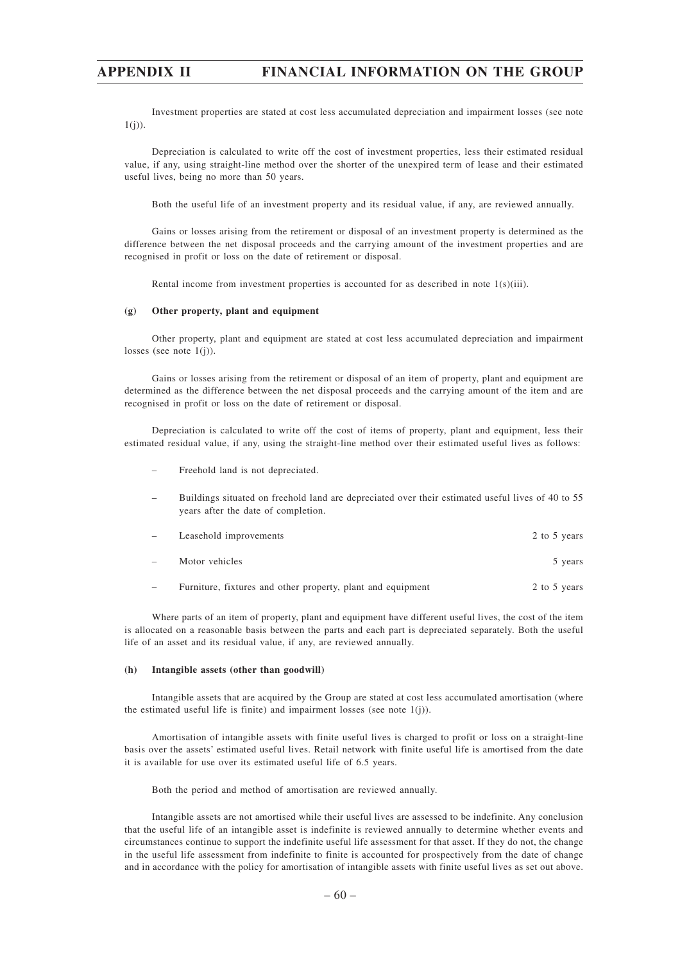Investment properties are stated at cost less accumulated depreciation and impairment losses (see note  $1(i)$ ).

Depreciation is calculated to write off the cost of investment properties, less their estimated residual value, if any, using straight-line method over the shorter of the unexpired term of lease and their estimated useful lives, being no more than 50 years.

Both the useful life of an investment property and its residual value, if any, are reviewed annually.

Gains or losses arising from the retirement or disposal of an investment property is determined as the difference between the net disposal proceeds and the carrying amount of the investment properties and are recognised in profit or loss on the date of retirement or disposal.

Rental income from investment properties is accounted for as described in note 1(s)(iii).

#### **(g) Other property, plant and equipment**

Other property, plant and equipment are stated at cost less accumulated depreciation and impairment losses (see note  $1(j)$ ).

Gains or losses arising from the retirement or disposal of an item of property, plant and equipment are determined as the difference between the net disposal proceeds and the carrying amount of the item and are recognised in profit or loss on the date of retirement or disposal.

Depreciation is calculated to write off the cost of items of property, plant and equipment, less their estimated residual value, if any, using the straight-line method over their estimated useful lives as follows:

- Freehold land is not depreciated.
- Buildings situated on freehold land are depreciated over their estimated useful lives of 40 to 55 years after the date of completion.

| $\overline{\phantom{0}}$ | Leasehold improvements                                      | 2 to 5 years |
|--------------------------|-------------------------------------------------------------|--------------|
|                          | Motor vehicles                                              | 5 years      |
|                          | Furniture, fixtures and other property, plant and equipment | 2 to 5 years |

Where parts of an item of property, plant and equipment have different useful lives, the cost of the item is allocated on a reasonable basis between the parts and each part is depreciated separately. Both the useful life of an asset and its residual value, if any, are reviewed annually.

#### **(h) Intangible assets (other than goodwill)**

Intangible assets that are acquired by the Group are stated at cost less accumulated amortisation (where the estimated useful life is finite) and impairment losses (see note  $1(j)$ ).

Amortisation of intangible assets with finite useful lives is charged to profit or loss on a straight-line basis over the assets' estimated useful lives. Retail network with finite useful life is amortised from the date it is available for use over its estimated useful life of 6.5 years.

Both the period and method of amortisation are reviewed annually.

Intangible assets are not amortised while their useful lives are assessed to be indefinite. Any conclusion that the useful life of an intangible asset is indefinite is reviewed annually to determine whether events and circumstances continue to support the indefinite useful life assessment for that asset. If they do not, the change in the useful life assessment from indefinite to finite is accounted for prospectively from the date of change and in accordance with the policy for amortisation of intangible assets with finite useful lives as set out above.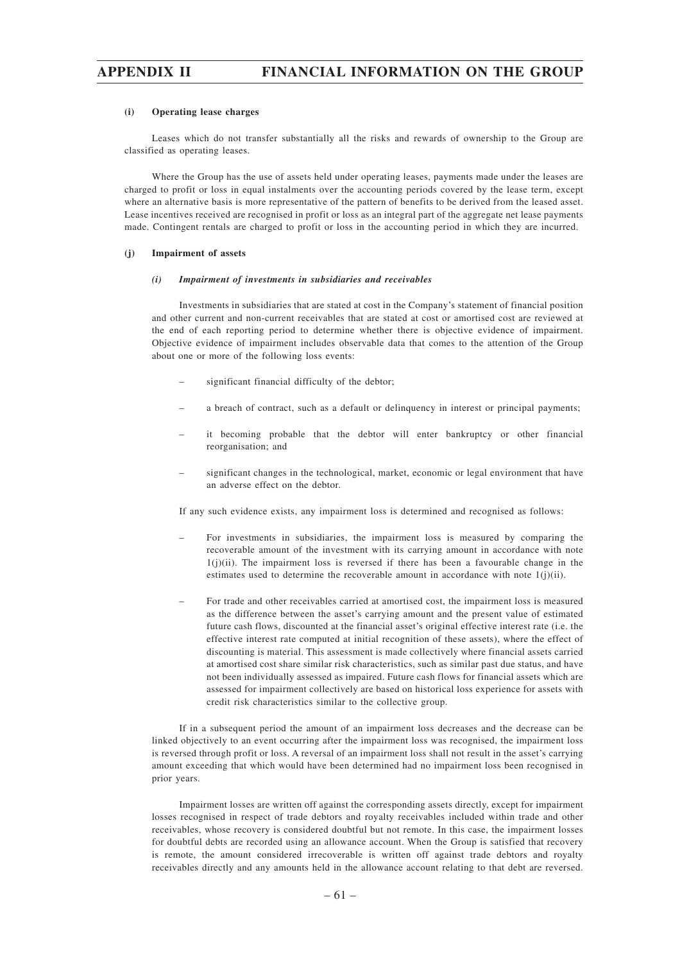#### **(i) Operating lease charges**

Leases which do not transfer substantially all the risks and rewards of ownership to the Group are classified as operating leases.

Where the Group has the use of assets held under operating leases, payments made under the leases are charged to profit or loss in equal instalments over the accounting periods covered by the lease term, except where an alternative basis is more representative of the pattern of benefits to be derived from the leased asset. Lease incentives received are recognised in profit or loss as an integral part of the aggregate net lease payments made. Contingent rentals are charged to profit or loss in the accounting period in which they are incurred.

#### **(j) Impairment of assets**

#### *(i) Impairment of investments in subsidiaries and receivables*

Investments in subsidiaries that are stated at cost in the Company's statement of financial position and other current and non-current receivables that are stated at cost or amortised cost are reviewed at the end of each reporting period to determine whether there is objective evidence of impairment. Objective evidence of impairment includes observable data that comes to the attention of the Group about one or more of the following loss events:

- significant financial difficulty of the debtor;
- a breach of contract, such as a default or delinquency in interest or principal payments;
- it becoming probable that the debtor will enter bankruptcy or other financial reorganisation; and
- significant changes in the technological, market, economic or legal environment that have an adverse effect on the debtor.

If any such evidence exists, any impairment loss is determined and recognised as follows:

- For investments in subsidiaries, the impairment loss is measured by comparing the recoverable amount of the investment with its carrying amount in accordance with note  $1(j)(ii)$ . The impairment loss is reversed if there has been a favourable change in the estimates used to determine the recoverable amount in accordance with note  $1(j)(ii)$ .
- For trade and other receivables carried at amortised cost, the impairment loss is measured as the difference between the asset's carrying amount and the present value of estimated future cash flows, discounted at the financial asset's original effective interest rate (i.e. the effective interest rate computed at initial recognition of these assets), where the effect of discounting is material. This assessment is made collectively where financial assets carried at amortised cost share similar risk characteristics, such as similar past due status, and have not been individually assessed as impaired. Future cash flows for financial assets which are assessed for impairment collectively are based on historical loss experience for assets with credit risk characteristics similar to the collective group.

If in a subsequent period the amount of an impairment loss decreases and the decrease can be linked objectively to an event occurring after the impairment loss was recognised, the impairment loss is reversed through profit or loss. A reversal of an impairment loss shall not result in the asset's carrying amount exceeding that which would have been determined had no impairment loss been recognised in prior years.

Impairment losses are written off against the corresponding assets directly, except for impairment losses recognised in respect of trade debtors and royalty receivables included within trade and other receivables, whose recovery is considered doubtful but not remote. In this case, the impairment losses for doubtful debts are recorded using an allowance account. When the Group is satisfied that recovery is remote, the amount considered irrecoverable is written off against trade debtors and royalty receivables directly and any amounts held in the allowance account relating to that debt are reversed.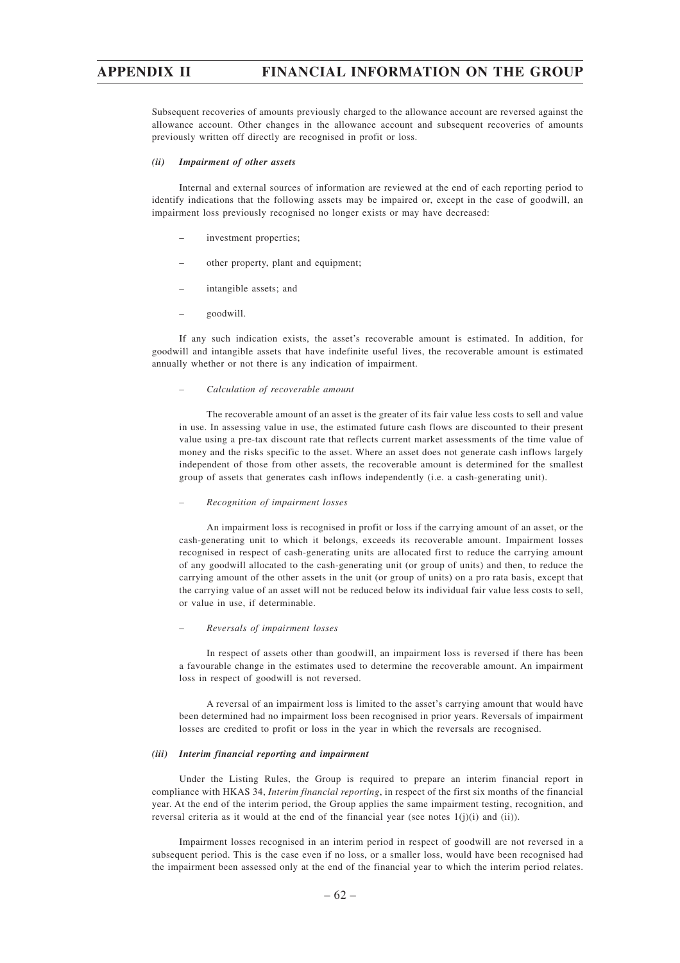Subsequent recoveries of amounts previously charged to the allowance account are reversed against the allowance account. Other changes in the allowance account and subsequent recoveries of amounts previously written off directly are recognised in profit or loss.

#### *(ii) Impairment of other assets*

Internal and external sources of information are reviewed at the end of each reporting period to identify indications that the following assets may be impaired or, except in the case of goodwill, an impairment loss previously recognised no longer exists or may have decreased:

- investment properties;
- other property, plant and equipment;
- intangible assets; and
- goodwill.

If any such indication exists, the asset's recoverable amount is estimated. In addition, for goodwill and intangible assets that have indefinite useful lives, the recoverable amount is estimated annually whether or not there is any indication of impairment.

#### *– Calculation of recoverable amount*

The recoverable amount of an asset is the greater of its fair value less costs to sell and value in use. In assessing value in use, the estimated future cash flows are discounted to their present value using a pre-tax discount rate that reflects current market assessments of the time value of money and the risks specific to the asset. Where an asset does not generate cash inflows largely independent of those from other assets, the recoverable amount is determined for the smallest group of assets that generates cash inflows independently (i.e. a cash-generating unit).

#### *– Recognition of impairment losses*

An impairment loss is recognised in profit or loss if the carrying amount of an asset, or the cash-generating unit to which it belongs, exceeds its recoverable amount. Impairment losses recognised in respect of cash-generating units are allocated first to reduce the carrying amount of any goodwill allocated to the cash-generating unit (or group of units) and then, to reduce the carrying amount of the other assets in the unit (or group of units) on a pro rata basis, except that the carrying value of an asset will not be reduced below its individual fair value less costs to sell, or value in use, if determinable.

#### *– Reversals of impairment losses*

In respect of assets other than goodwill, an impairment loss is reversed if there has been a favourable change in the estimates used to determine the recoverable amount. An impairment loss in respect of goodwill is not reversed.

A reversal of an impairment loss is limited to the asset's carrying amount that would have been determined had no impairment loss been recognised in prior years. Reversals of impairment losses are credited to profit or loss in the year in which the reversals are recognised.

#### *(iii) Interim financial reporting and impairment*

Under the Listing Rules, the Group is required to prepare an interim financial report in compliance with HKAS 34, *Interim financial reporting*, in respect of the first six months of the financial year. At the end of the interim period, the Group applies the same impairment testing, recognition, and reversal criteria as it would at the end of the financial year (see notes  $1(j)(i)$  and (ii)).

Impairment losses recognised in an interim period in respect of goodwill are not reversed in a subsequent period. This is the case even if no loss, or a smaller loss, would have been recognised had the impairment been assessed only at the end of the financial year to which the interim period relates.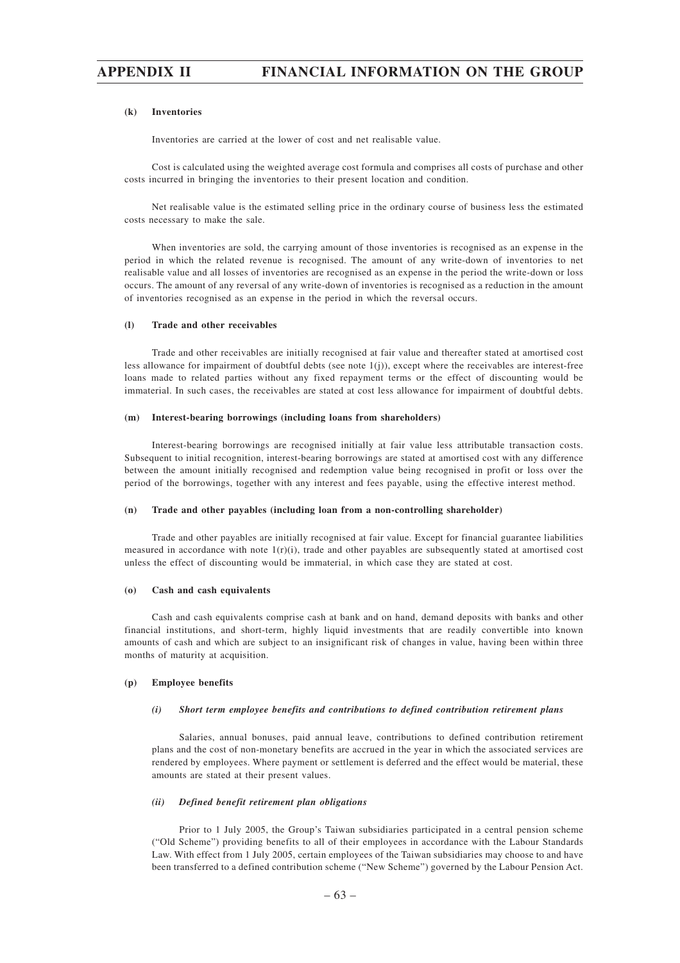#### **(k) Inventories**

Inventories are carried at the lower of cost and net realisable value.

Cost is calculated using the weighted average cost formula and comprises all costs of purchase and other costs incurred in bringing the inventories to their present location and condition.

Net realisable value is the estimated selling price in the ordinary course of business less the estimated costs necessary to make the sale.

When inventories are sold, the carrying amount of those inventories is recognised as an expense in the period in which the related revenue is recognised. The amount of any write-down of inventories to net realisable value and all losses of inventories are recognised as an expense in the period the write-down or loss occurs. The amount of any reversal of any write-down of inventories is recognised as a reduction in the amount of inventories recognised as an expense in the period in which the reversal occurs.

### **(l) Trade and other receivables**

Trade and other receivables are initially recognised at fair value and thereafter stated at amortised cost less allowance for impairment of doubtful debts (see note 1(j)), except where the receivables are interest-free loans made to related parties without any fixed repayment terms or the effect of discounting would be immaterial. In such cases, the receivables are stated at cost less allowance for impairment of doubtful debts.

#### **(m) Interest-bearing borrowings (including loans from shareholders)**

Interest-bearing borrowings are recognised initially at fair value less attributable transaction costs. Subsequent to initial recognition, interest-bearing borrowings are stated at amortised cost with any difference between the amount initially recognised and redemption value being recognised in profit or loss over the period of the borrowings, together with any interest and fees payable, using the effective interest method.

#### **(n) Trade and other payables (including loan from a non-controlling shareholder)**

Trade and other payables are initially recognised at fair value. Except for financial guarantee liabilities measured in accordance with note  $1(r)(i)$ , trade and other payables are subsequently stated at amortised cost unless the effect of discounting would be immaterial, in which case they are stated at cost.

#### **(o) Cash and cash equivalents**

Cash and cash equivalents comprise cash at bank and on hand, demand deposits with banks and other financial institutions, and short-term, highly liquid investments that are readily convertible into known amounts of cash and which are subject to an insignificant risk of changes in value, having been within three months of maturity at acquisition.

#### **(p) Employee benefits**

#### *(i) Short term employee benefits and contributions to defined contribution retirement plans*

Salaries, annual bonuses, paid annual leave, contributions to defined contribution retirement plans and the cost of non-monetary benefits are accrued in the year in which the associated services are rendered by employees. Where payment or settlement is deferred and the effect would be material, these amounts are stated at their present values.

#### *(ii) Defined benefit retirement plan obligations*

Prior to 1 July 2005, the Group's Taiwan subsidiaries participated in a central pension scheme ("Old Scheme") providing benefits to all of their employees in accordance with the Labour Standards Law. With effect from 1 July 2005, certain employees of the Taiwan subsidiaries may choose to and have been transferred to a defined contribution scheme ("New Scheme") governed by the Labour Pension Act.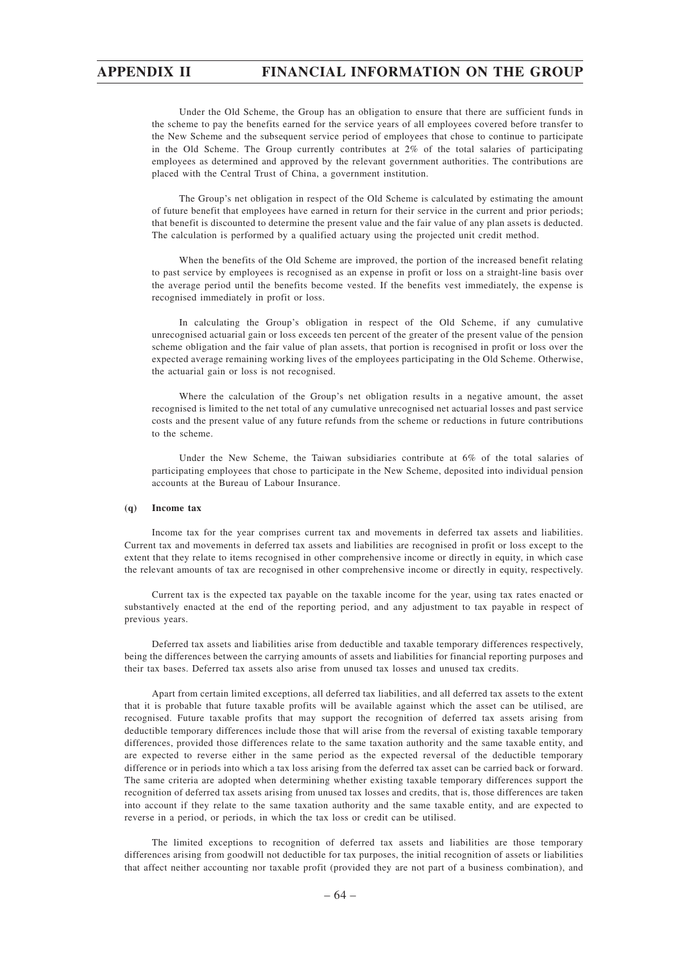Under the Old Scheme, the Group has an obligation to ensure that there are sufficient funds in the scheme to pay the benefits earned for the service years of all employees covered before transfer to the New Scheme and the subsequent service period of employees that chose to continue to participate in the Old Scheme. The Group currently contributes at 2% of the total salaries of participating employees as determined and approved by the relevant government authorities. The contributions are placed with the Central Trust of China, a government institution.

The Group's net obligation in respect of the Old Scheme is calculated by estimating the amount of future benefit that employees have earned in return for their service in the current and prior periods; that benefit is discounted to determine the present value and the fair value of any plan assets is deducted. The calculation is performed by a qualified actuary using the projected unit credit method.

When the benefits of the Old Scheme are improved, the portion of the increased benefit relating to past service by employees is recognised as an expense in profit or loss on a straight-line basis over the average period until the benefits become vested. If the benefits vest immediately, the expense is recognised immediately in profit or loss.

In calculating the Group's obligation in respect of the Old Scheme, if any cumulative unrecognised actuarial gain or loss exceeds ten percent of the greater of the present value of the pension scheme obligation and the fair value of plan assets, that portion is recognised in profit or loss over the expected average remaining working lives of the employees participating in the Old Scheme. Otherwise, the actuarial gain or loss is not recognised.

Where the calculation of the Group's net obligation results in a negative amount, the asset recognised is limited to the net total of any cumulative unrecognised net actuarial losses and past service costs and the present value of any future refunds from the scheme or reductions in future contributions to the scheme.

Under the New Scheme, the Taiwan subsidiaries contribute at 6% of the total salaries of participating employees that chose to participate in the New Scheme, deposited into individual pension accounts at the Bureau of Labour Insurance.

### **(q) Income tax**

Income tax for the year comprises current tax and movements in deferred tax assets and liabilities. Current tax and movements in deferred tax assets and liabilities are recognised in profit or loss except to the extent that they relate to items recognised in other comprehensive income or directly in equity, in which case the relevant amounts of tax are recognised in other comprehensive income or directly in equity, respectively.

Current tax is the expected tax payable on the taxable income for the year, using tax rates enacted or substantively enacted at the end of the reporting period, and any adjustment to tax payable in respect of previous years.

Deferred tax assets and liabilities arise from deductible and taxable temporary differences respectively, being the differences between the carrying amounts of assets and liabilities for financial reporting purposes and their tax bases. Deferred tax assets also arise from unused tax losses and unused tax credits.

Apart from certain limited exceptions, all deferred tax liabilities, and all deferred tax assets to the extent that it is probable that future taxable profits will be available against which the asset can be utilised, are recognised. Future taxable profits that may support the recognition of deferred tax assets arising from deductible temporary differences include those that will arise from the reversal of existing taxable temporary differences, provided those differences relate to the same taxation authority and the same taxable entity, and are expected to reverse either in the same period as the expected reversal of the deductible temporary difference or in periods into which a tax loss arising from the deferred tax asset can be carried back or forward. The same criteria are adopted when determining whether existing taxable temporary differences support the recognition of deferred tax assets arising from unused tax losses and credits, that is, those differences are taken into account if they relate to the same taxation authority and the same taxable entity, and are expected to reverse in a period, or periods, in which the tax loss or credit can be utilised.

The limited exceptions to recognition of deferred tax assets and liabilities are those temporary differences arising from goodwill not deductible for tax purposes, the initial recognition of assets or liabilities that affect neither accounting nor taxable profit (provided they are not part of a business combination), and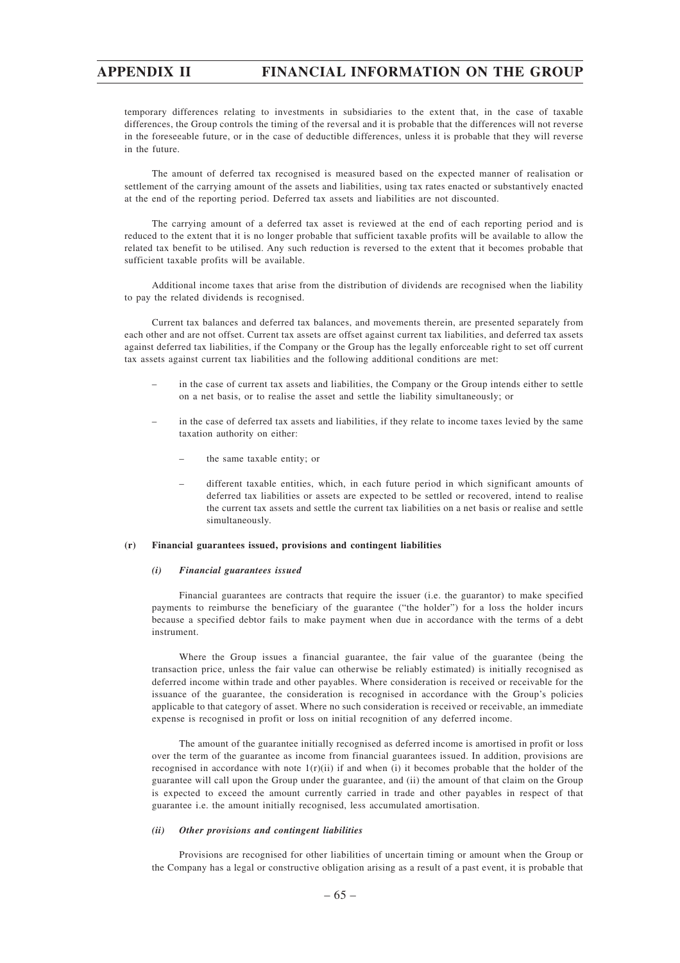temporary differences relating to investments in subsidiaries to the extent that, in the case of taxable differences, the Group controls the timing of the reversal and it is probable that the differences will not reverse in the foreseeable future, or in the case of deductible differences, unless it is probable that they will reverse in the future.

The amount of deferred tax recognised is measured based on the expected manner of realisation or settlement of the carrying amount of the assets and liabilities, using tax rates enacted or substantively enacted at the end of the reporting period. Deferred tax assets and liabilities are not discounted.

The carrying amount of a deferred tax asset is reviewed at the end of each reporting period and is reduced to the extent that it is no longer probable that sufficient taxable profits will be available to allow the related tax benefit to be utilised. Any such reduction is reversed to the extent that it becomes probable that sufficient taxable profits will be available.

Additional income taxes that arise from the distribution of dividends are recognised when the liability to pay the related dividends is recognised.

Current tax balances and deferred tax balances, and movements therein, are presented separately from each other and are not offset. Current tax assets are offset against current tax liabilities, and deferred tax assets against deferred tax liabilities, if the Company or the Group has the legally enforceable right to set off current tax assets against current tax liabilities and the following additional conditions are met:

- in the case of current tax assets and liabilities, the Company or the Group intends either to settle on a net basis, or to realise the asset and settle the liability simultaneously; or
- in the case of deferred tax assets and liabilities, if they relate to income taxes levied by the same taxation authority on either:
	- the same taxable entity; or
	- different taxable entities, which, in each future period in which significant amounts of deferred tax liabilities or assets are expected to be settled or recovered, intend to realise the current tax assets and settle the current tax liabilities on a net basis or realise and settle simultaneously.

#### **(r) Financial guarantees issued, provisions and contingent liabilities**

### *(i) Financial guarantees issued*

Financial guarantees are contracts that require the issuer (i.e. the guarantor) to make specified payments to reimburse the beneficiary of the guarantee ("the holder") for a loss the holder incurs because a specified debtor fails to make payment when due in accordance with the terms of a debt instrument.

Where the Group issues a financial guarantee, the fair value of the guarantee (being the transaction price, unless the fair value can otherwise be reliably estimated) is initially recognised as deferred income within trade and other payables. Where consideration is received or receivable for the issuance of the guarantee, the consideration is recognised in accordance with the Group's policies applicable to that category of asset. Where no such consideration is received or receivable, an immediate expense is recognised in profit or loss on initial recognition of any deferred income.

The amount of the guarantee initially recognised as deferred income is amortised in profit or loss over the term of the guarantee as income from financial guarantees issued. In addition, provisions are recognised in accordance with note  $1(r)(ii)$  if and when (i) it becomes probable that the holder of the guarantee will call upon the Group under the guarantee, and (ii) the amount of that claim on the Group is expected to exceed the amount currently carried in trade and other payables in respect of that guarantee i.e. the amount initially recognised, less accumulated amortisation.

#### *(ii) Other provisions and contingent liabilities*

Provisions are recognised for other liabilities of uncertain timing or amount when the Group or the Company has a legal or constructive obligation arising as a result of a past event, it is probable that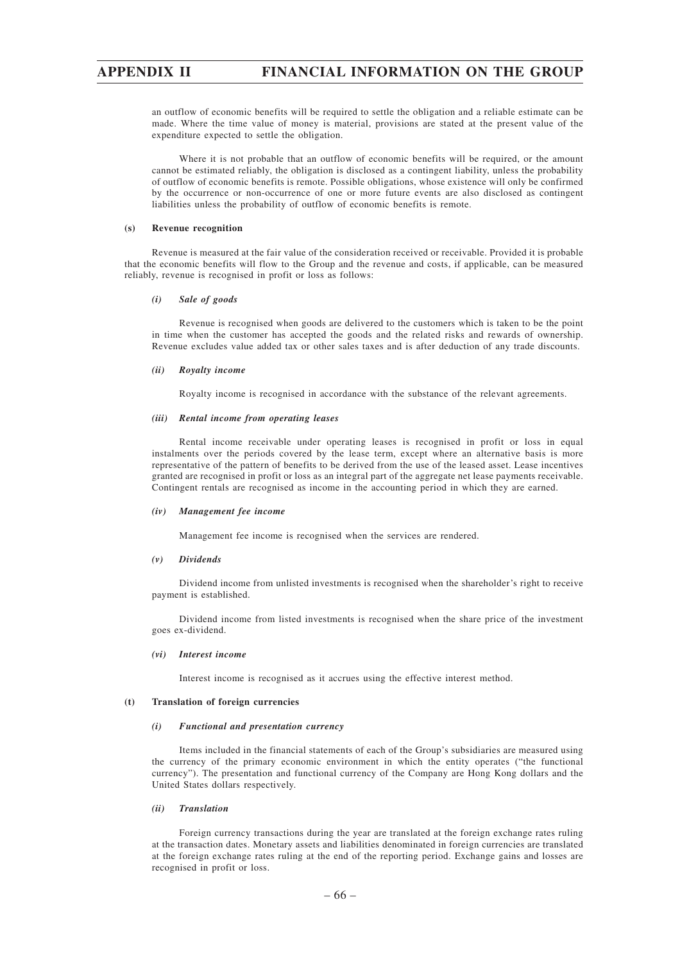an outflow of economic benefits will be required to settle the obligation and a reliable estimate can be made. Where the time value of money is material, provisions are stated at the present value of the expenditure expected to settle the obligation.

Where it is not probable that an outflow of economic benefits will be required, or the amount cannot be estimated reliably, the obligation is disclosed as a contingent liability, unless the probability of outflow of economic benefits is remote. Possible obligations, whose existence will only be confirmed by the occurrence or non-occurrence of one or more future events are also disclosed as contingent liabilities unless the probability of outflow of economic benefits is remote.

#### **(s) Revenue recognition**

Revenue is measured at the fair value of the consideration received or receivable. Provided it is probable that the economic benefits will flow to the Group and the revenue and costs, if applicable, can be measured reliably, revenue is recognised in profit or loss as follows:

#### *(i) Sale of goods*

Revenue is recognised when goods are delivered to the customers which is taken to be the point in time when the customer has accepted the goods and the related risks and rewards of ownership. Revenue excludes value added tax or other sales taxes and is after deduction of any trade discounts.

#### *(ii) Royalty income*

Royalty income is recognised in accordance with the substance of the relevant agreements.

#### *(iii) Rental income from operating leases*

Rental income receivable under operating leases is recognised in profit or loss in equal instalments over the periods covered by the lease term, except where an alternative basis is more representative of the pattern of benefits to be derived from the use of the leased asset. Lease incentives granted are recognised in profit or loss as an integral part of the aggregate net lease payments receivable. Contingent rentals are recognised as income in the accounting period in which they are earned.

#### *(iv) Management fee income*

Management fee income is recognised when the services are rendered.

#### *(v) Dividends*

Dividend income from unlisted investments is recognised when the shareholder's right to receive payment is established.

Dividend income from listed investments is recognised when the share price of the investment goes ex-dividend.

#### *(vi) Interest income*

Interest income is recognised as it accrues using the effective interest method.

### **(t) Translation of foreign currencies**

#### *(i) Functional and presentation currency*

Items included in the financial statements of each of the Group's subsidiaries are measured using the currency of the primary economic environment in which the entity operates ("the functional currency"). The presentation and functional currency of the Company are Hong Kong dollars and the United States dollars respectively.

### *(ii) Translation*

Foreign currency transactions during the year are translated at the foreign exchange rates ruling at the transaction dates. Monetary assets and liabilities denominated in foreign currencies are translated at the foreign exchange rates ruling at the end of the reporting period. Exchange gains and losses are recognised in profit or loss.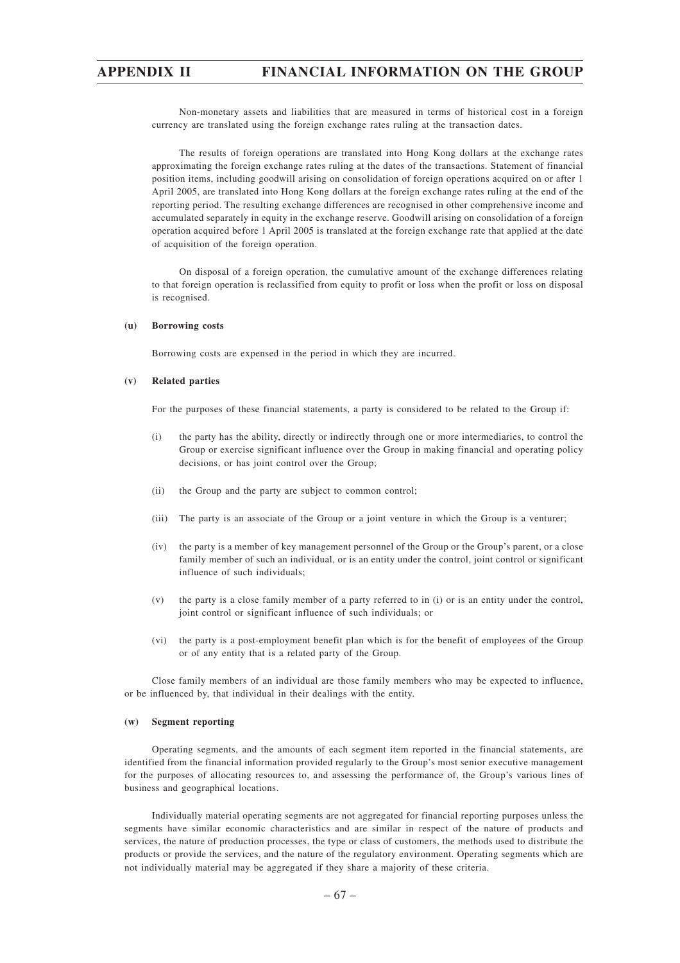Non-monetary assets and liabilities that are measured in terms of historical cost in a foreign currency are translated using the foreign exchange rates ruling at the transaction dates.

The results of foreign operations are translated into Hong Kong dollars at the exchange rates approximating the foreign exchange rates ruling at the dates of the transactions. Statement of financial position items, including goodwill arising on consolidation of foreign operations acquired on or after 1 April 2005, are translated into Hong Kong dollars at the foreign exchange rates ruling at the end of the reporting period. The resulting exchange differences are recognised in other comprehensive income and accumulated separately in equity in the exchange reserve. Goodwill arising on consolidation of a foreign operation acquired before 1 April 2005 is translated at the foreign exchange rate that applied at the date of acquisition of the foreign operation.

On disposal of a foreign operation, the cumulative amount of the exchange differences relating to that foreign operation is reclassified from equity to profit or loss when the profit or loss on disposal is recognised.

#### **(u) Borrowing costs**

Borrowing costs are expensed in the period in which they are incurred.

#### **(v) Related parties**

For the purposes of these financial statements, a party is considered to be related to the Group if:

- (i) the party has the ability, directly or indirectly through one or more intermediaries, to control the Group or exercise significant influence over the Group in making financial and operating policy decisions, or has joint control over the Group;
- (ii) the Group and the party are subject to common control;
- (iii) The party is an associate of the Group or a joint venture in which the Group is a venturer;
- (iv) the party is a member of key management personnel of the Group or the Group's parent, or a close family member of such an individual, or is an entity under the control, joint control or significant influence of such individuals;
- (v) the party is a close family member of a party referred to in (i) or is an entity under the control, joint control or significant influence of such individuals; or
- (vi) the party is a post-employment benefit plan which is for the benefit of employees of the Group or of any entity that is a related party of the Group.

Close family members of an individual are those family members who may be expected to influence, or be influenced by, that individual in their dealings with the entity.

### **(w) Segment reporting**

Operating segments, and the amounts of each segment item reported in the financial statements, are identified from the financial information provided regularly to the Group's most senior executive management for the purposes of allocating resources to, and assessing the performance of, the Group's various lines of business and geographical locations.

Individually material operating segments are not aggregated for financial reporting purposes unless the segments have similar economic characteristics and are similar in respect of the nature of products and services, the nature of production processes, the type or class of customers, the methods used to distribute the products or provide the services, and the nature of the regulatory environment. Operating segments which are not individually material may be aggregated if they share a majority of these criteria.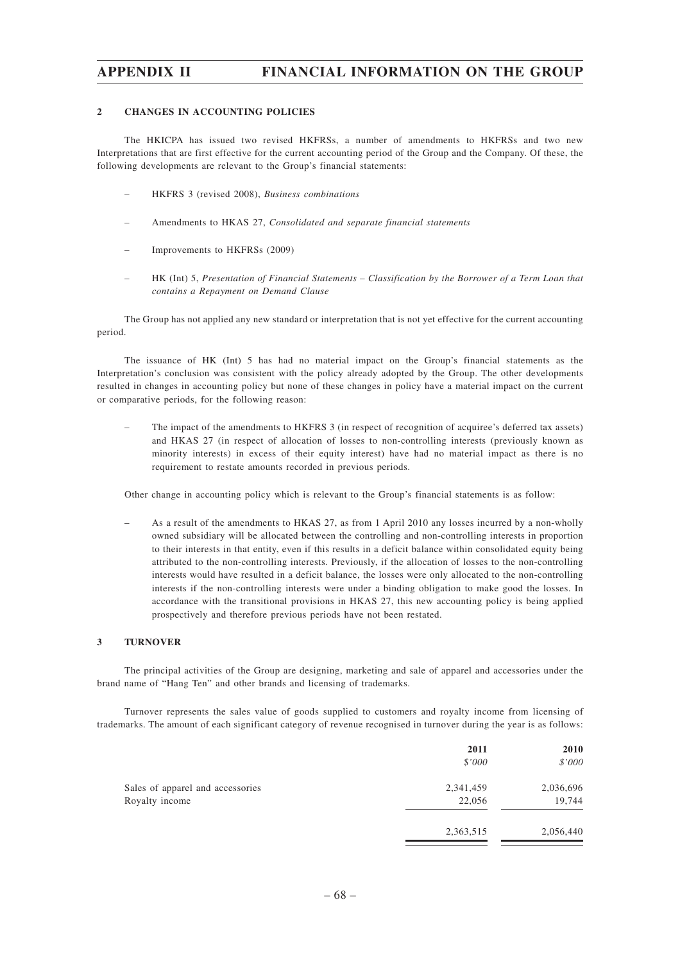### **2 CHANGES IN ACCOUNTING POLICIES**

The HKICPA has issued two revised HKFRSs, a number of amendments to HKFRSs and two new Interpretations that are first effective for the current accounting period of the Group and the Company. Of these, the following developments are relevant to the Group's financial statements:

- HKFRS 3 (revised 2008), *Business combinations*
- Amendments to HKAS 27, *Consolidated and separate financial statements*
- Improvements to HKFRSs (2009)
- HK (Int) 5, *Presentation of Financial Statements Classification by the Borrower of a Term Loan that contains a Repayment on Demand Clause*

The Group has not applied any new standard or interpretation that is not yet effective for the current accounting period.

The issuance of HK (Int) 5 has had no material impact on the Group's financial statements as the Interpretation's conclusion was consistent with the policy already adopted by the Group. The other developments resulted in changes in accounting policy but none of these changes in policy have a material impact on the current or comparative periods, for the following reason:

– The impact of the amendments to HKFRS 3 (in respect of recognition of acquiree's deferred tax assets) and HKAS 27 (in respect of allocation of losses to non-controlling interests (previously known as minority interests) in excess of their equity interest) have had no material impact as there is no requirement to restate amounts recorded in previous periods.

Other change in accounting policy which is relevant to the Group's financial statements is as follow:

– As a result of the amendments to HKAS 27, as from 1 April 2010 any losses incurred by a non-wholly owned subsidiary will be allocated between the controlling and non-controlling interests in proportion to their interests in that entity, even if this results in a deficit balance within consolidated equity being attributed to the non-controlling interests. Previously, if the allocation of losses to the non-controlling interests would have resulted in a deficit balance, the losses were only allocated to the non-controlling interests if the non-controlling interests were under a binding obligation to make good the losses. In accordance with the transitional provisions in HKAS 27, this new accounting policy is being applied prospectively and therefore previous periods have not been restated.

### **3 TURNOVER**

The principal activities of the Group are designing, marketing and sale of apparel and accessories under the brand name of "Hang Ten" and other brands and licensing of trademarks.

Turnover represents the sales value of goods supplied to customers and royalty income from licensing of trademarks. The amount of each significant category of revenue recognised in turnover during the year is as follows:

|                                  | 2011      | 2010      |
|----------------------------------|-----------|-----------|
|                                  | \$'000    | \$'000    |
| Sales of apparel and accessories | 2,341,459 | 2,036,696 |
| Royalty income                   | 22,056    | 19,744    |
|                                  | 2,363,515 | 2,056,440 |
|                                  |           |           |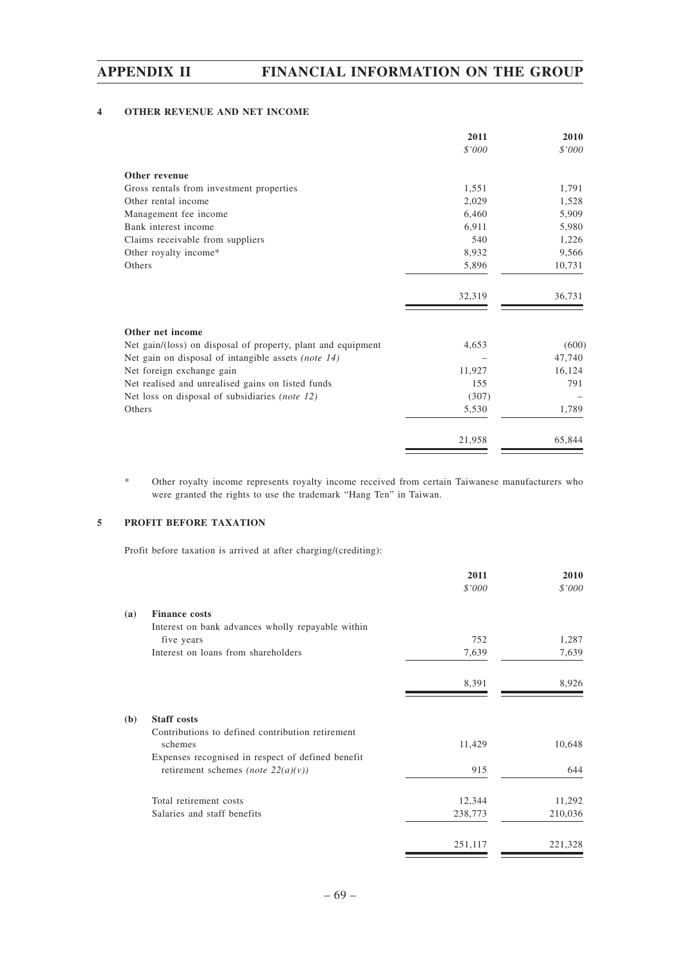## **4 OTHER REVENUE AND NET INCOME**

|                                                              | 2011   | 2010   |
|--------------------------------------------------------------|--------|--------|
|                                                              | \$'000 | \$'000 |
| Other revenue                                                |        |        |
| Gross rentals from investment properties                     | 1,551  | 1,791  |
| Other rental income                                          | 2,029  | 1,528  |
| Management fee income                                        | 6,460  | 5,909  |
| Bank interest income                                         | 6,911  | 5,980  |
| Claims receivable from suppliers                             | 540    | 1,226  |
| Other royalty income*                                        | 8,932  | 9,566  |
| Others                                                       | 5,896  | 10,731 |
|                                                              | 32,319 | 36,731 |
| Other net income                                             |        |        |
| Net gain/(loss) on disposal of property, plant and equipment | 4,653  | (600)  |
| Net gain on disposal of intangible assets (note 14)          |        | 47,740 |
| Net foreign exchange gain                                    | 11,927 | 16,124 |
| Net realised and unrealised gains on listed funds            | 155    | 791    |
| Net loss on disposal of subsidiaries (note 12)               | (307)  |        |
| Others                                                       | 5,530  | 1,789  |
|                                                              | 21,958 | 65,844 |

\* Other royalty income represents royalty income received from certain Taiwanese manufacturers who were granted the rights to use the trademark "Hang Ten" in Taiwan.

## **5 PROFIT BEFORE TAXATION**

Profit before taxation is arrived at after charging/(crediting):

|     |                                                   | 2011    | 2010    |
|-----|---------------------------------------------------|---------|---------|
|     |                                                   | \$'000  | \$'000  |
| (a) | <b>Finance costs</b>                              |         |         |
|     | Interest on bank advances wholly repayable within |         |         |
|     | five years                                        | 752     | 1,287   |
|     | Interest on loans from shareholders               | 7,639   | 7,639   |
|     |                                                   | 8,391   | 8,926   |
| (b) | <b>Staff</b> costs                                |         |         |
|     | Contributions to defined contribution retirement  |         |         |
|     | schemes                                           | 11,429  | 10,648  |
|     | Expenses recognised in respect of defined benefit |         |         |
|     | retirement schemes (note $22(a)(v)$ )             | 915     | 644     |
|     | Total retirement costs                            | 12,344  | 11,292  |
|     | Salaries and staff benefits                       | 238,773 | 210,036 |
|     |                                                   | 251,117 | 221,328 |

 $\equiv$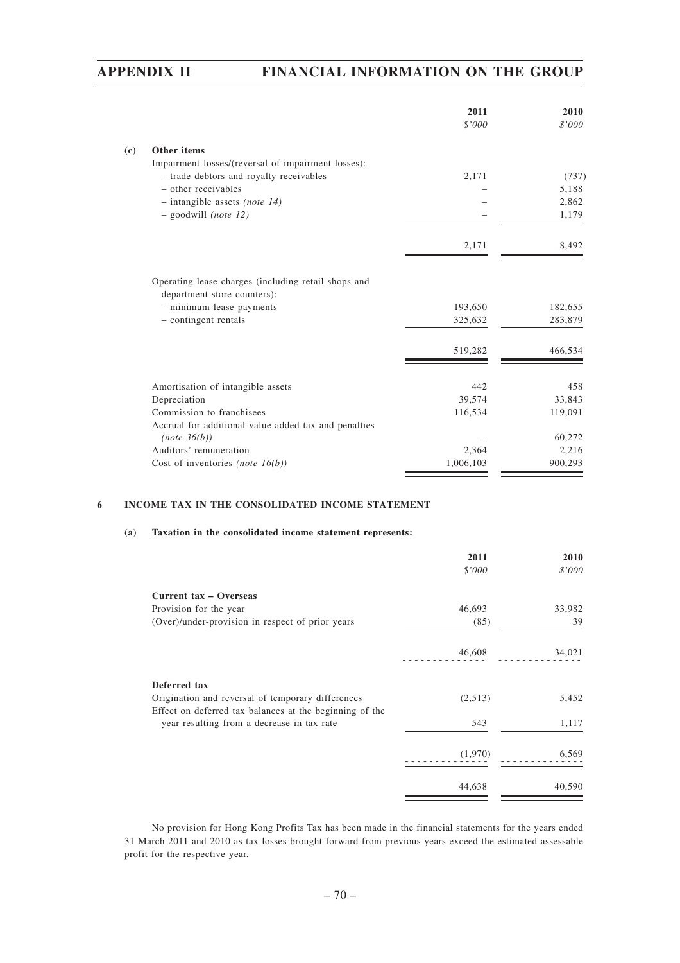|                             |                                                      | 2011<br>\$'000 | 2010<br>\$'000 |
|-----------------------------|------------------------------------------------------|----------------|----------------|
| $\left( \mathbf{c} \right)$ | Other items                                          |                |                |
|                             | Impairment losses/(reversal of impairment losses):   |                |                |
|                             | - trade debtors and royalty receivables              | 2,171          | (737)          |
|                             | - other receivables                                  |                | 5,188          |
|                             | $-$ intangible assets <i>(note 14)</i>               |                | 2,862          |
|                             | $-$ goodwill (note 12)                               |                | 1,179          |
|                             |                                                      | 2,171          | 8,492          |
|                             | Operating lease charges (including retail shops and  |                |                |
|                             | department store counters):                          |                |                |
|                             | - minimum lease payments                             | 193,650        | 182,655        |
|                             | - contingent rentals                                 | 325,632        | 283,879        |
|                             |                                                      | 519,282        | 466,534        |
|                             |                                                      | 442            | 458            |
|                             | Amortisation of intangible assets<br>Depreciation    | 39,574         | 33,843         |
|                             | Commission to franchisees                            | 116,534        | 119,091        |
|                             | Accrual for additional value added tax and penalties |                |                |
|                             | (note 36(b))                                         |                | 60,272         |
|                             | Auditors' remuneration                               | 2,364          | 2,216          |
|                             | Cost of inventories (note $16(b)$ )                  | 1,006,103      | 900,293        |

## **6 INCOME TAX IN THE CONSOLIDATED INCOME STATEMENT**

#### **(a) Taxation in the consolidated income statement represents:**

|                                                                                                              | 2011    | 2010   |
|--------------------------------------------------------------------------------------------------------------|---------|--------|
|                                                                                                              | \$'000  | \$'000 |
| Current tax - Overseas                                                                                       |         |        |
| Provision for the year                                                                                       | 46,693  | 33,982 |
| (Over)/under-provision in respect of prior years                                                             | (85)    | 39     |
|                                                                                                              | 46,608  | 34,021 |
| Deferred tax                                                                                                 |         |        |
| Origination and reversal of temporary differences<br>Effect on deferred tax balances at the beginning of the | (2,513) | 5,452  |
| year resulting from a decrease in tax rate                                                                   | 543     | 1,117  |
|                                                                                                              | (1,970) | 6,569  |
|                                                                                                              | 44,638  | 40,590 |

No provision for Hong Kong Profits Tax has been made in the financial statements for the years ended 31 March 2011 and 2010 as tax losses brought forward from previous years exceed the estimated assessable profit for the respective year.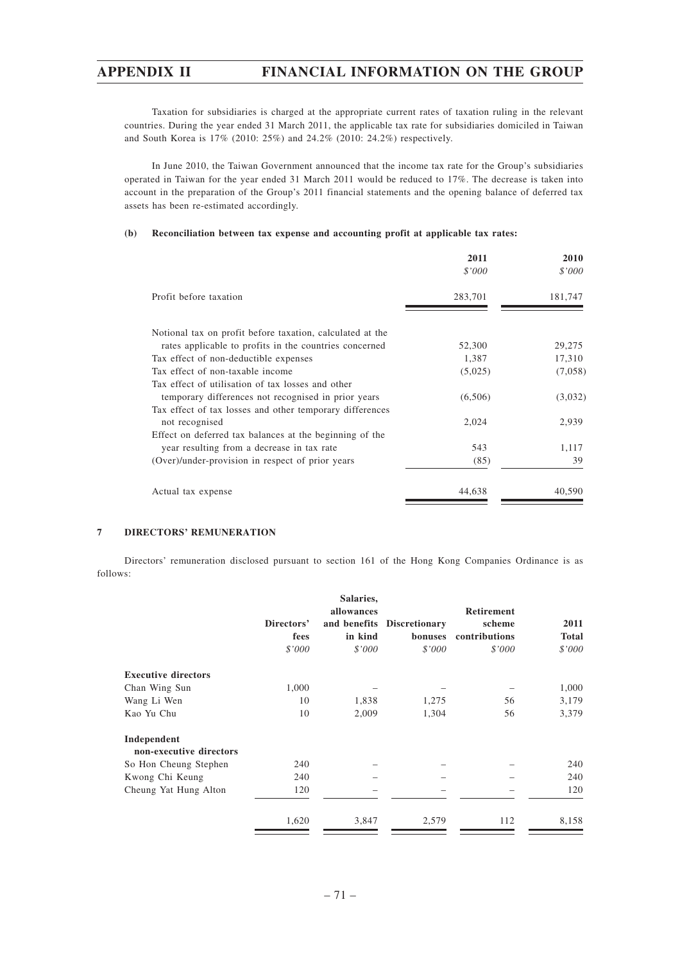Taxation for subsidiaries is charged at the appropriate current rates of taxation ruling in the relevant countries. During the year ended 31 March 2011, the applicable tax rate for subsidiaries domiciled in Taiwan and South Korea is 17% (2010: 25%) and 24.2% (2010: 24.2%) respectively.

In June 2010, the Taiwan Government announced that the income tax rate for the Group's subsidiaries operated in Taiwan for the year ended 31 March 2011 would be reduced to 17%. The decrease is taken into account in the preparation of the Group's 2011 financial statements and the opening balance of deferred tax assets has been re-estimated accordingly.

#### **(b) Reconciliation between tax expense and accounting profit at applicable tax rates:**

|                                                           | 2011<br>\$'000 | 2010<br>\$'000 |
|-----------------------------------------------------------|----------------|----------------|
| Profit before taxation                                    | 283,701        | 181,747        |
| Notional tax on profit before taxation, calculated at the |                |                |
| rates applicable to profits in the countries concerned    | 52,300         | 29,275         |
| Tax effect of non-deductible expenses                     | 1,387          | 17,310         |
| Tax effect of non-taxable income                          | (5,025)        | (7,058)        |
| Tax effect of utilisation of tax losses and other         |                |                |
| temporary differences not recognised in prior years       | (6,506)        | (3,032)        |
| Tax effect of tax losses and other temporary differences  |                |                |
| not recognised                                            | 2,024          | 2,939          |
| Effect on deferred tax balances at the beginning of the   |                |                |
| year resulting from a decrease in tax rate                | 543            | 1,117          |
| (Over)/under-provision in respect of prior years          | (85)           | 39             |
| Actual tax expense                                        | 44,638         | 40,590         |

## **7 DIRECTORS' REMUNERATION**

Directors' remuneration disclosed pursuant to section 161 of the Hong Kong Companies Ordinance is as follows:

|                            |                    | Salaries,<br>allowances |                                       | Retirement              |                      |
|----------------------------|--------------------|-------------------------|---------------------------------------|-------------------------|----------------------|
|                            | Directors'<br>fees | in kind                 | and benefits Discretionary<br>bonuses | scheme<br>contributions | 2011<br><b>Total</b> |
|                            | \$'000             | \$'000                  | \$'000                                | \$'000                  | \$'000               |
| <b>Executive directors</b> |                    |                         |                                       |                         |                      |
| Chan Wing Sun              | 1,000              |                         |                                       |                         | 1,000                |
| Wang Li Wen                | 10                 | 1,838                   | 1,275                                 | 56                      | 3,179                |
| Kao Yu Chu                 | 10                 | 2,009                   | 1,304                                 | 56                      | 3,379                |
| Independent                |                    |                         |                                       |                         |                      |
| non-executive directors    |                    |                         |                                       |                         |                      |
| So Hon Cheung Stephen      | 240                |                         |                                       |                         | 240                  |
| Kwong Chi Keung            | 240                |                         |                                       |                         | 240                  |
| Cheung Yat Hung Alton      | 120                |                         |                                       |                         | 120                  |
|                            | 1,620              | 3,847                   | 2,579                                 | 112                     | 8,158                |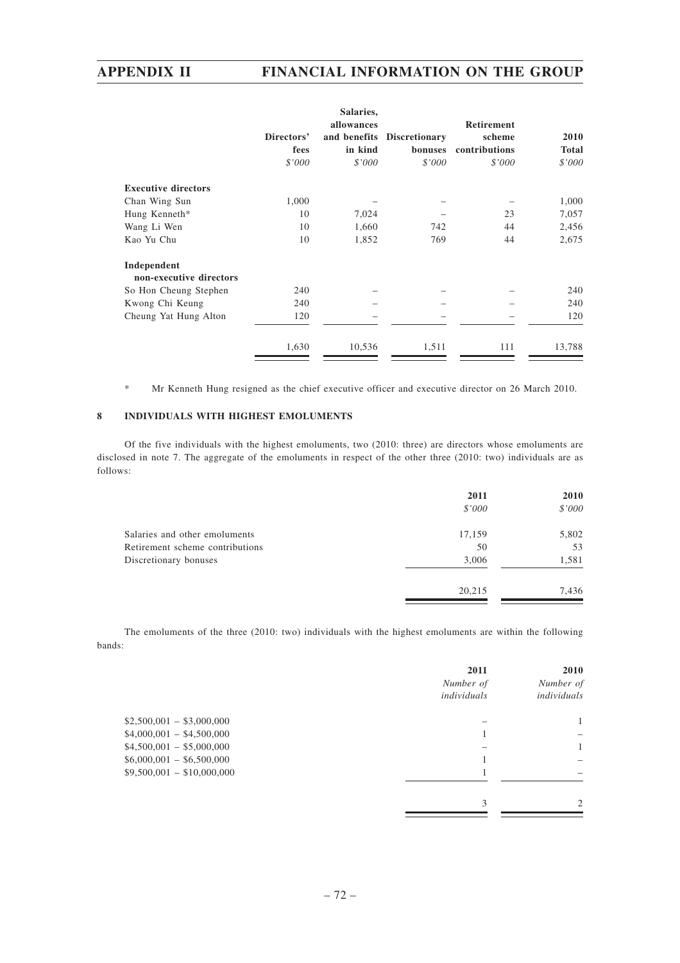|                                        |                    | Salaries,             |                                       |                                              |                             |
|----------------------------------------|--------------------|-----------------------|---------------------------------------|----------------------------------------------|-----------------------------|
|                                        | Directors'<br>fees | allowances<br>in kind | and benefits Discretionary<br>bonuses | <b>Retirement</b><br>scheme<br>contributions | <b>2010</b><br><b>Total</b> |
|                                        | \$'000             | \$'000                | \$'000                                | \$'000                                       | \$'000                      |
| <b>Executive directors</b>             |                    |                       |                                       |                                              |                             |
| Chan Wing Sun                          | 1,000              |                       |                                       |                                              | 1,000                       |
| Hung Kenneth*                          | 10                 | 7,024                 |                                       | 23                                           | 7,057                       |
| Wang Li Wen                            | 10                 | 1,660                 | 742                                   | 44                                           | 2,456                       |
| Kao Yu Chu                             | 10                 | 1,852                 | 769                                   | 44                                           | 2,675                       |
| Independent<br>non-executive directors |                    |                       |                                       |                                              |                             |
| So Hon Cheung Stephen                  | 240                |                       |                                       |                                              | 240                         |
| Kwong Chi Keung                        | 240                |                       |                                       |                                              | 240                         |
| Cheung Yat Hung Alton                  | 120                |                       |                                       |                                              | 120                         |
|                                        | 1,630              | 10,536                | 1,511                                 | 111                                          | 13,788                      |

\* Mr Kenneth Hung resigned as the chief executive officer and executive director on 26 March 2010.

## **8 INDIVIDUALS WITH HIGHEST EMOLUMENTS**

Of the five individuals with the highest emoluments, two (2010: three) are directors whose emoluments are disclosed in note 7. The aggregate of the emoluments in respect of the other three (2010: two) individuals are as follows:

| 2011   | 2010   |
|--------|--------|
| \$'000 | \$'000 |
| 17,159 | 5,802  |
| 50     | 53     |
| 3,006  | 1,581  |
| 20,215 | 7,436  |
|        |        |

The emoluments of the three (2010: two) individuals with the highest emoluments are within the following bands:

|                            | 2011        | 2010           |
|----------------------------|-------------|----------------|
|                            | Number of   | Number of      |
|                            | individuals | individuals    |
| $$2,500,001 - $3,000,000$  |             | $\mathbf{1}$   |
| $$4,000,001 - $4,500,000$  |             |                |
| $$4,500,001 - $5,000,000$  |             | $\mathbf{1}$   |
| $$6,000,001 - $6,500,000$  |             |                |
| $$9,500,001 - $10,000,000$ |             |                |
|                            |             |                |
|                            | 3           | $\mathfrak{D}$ |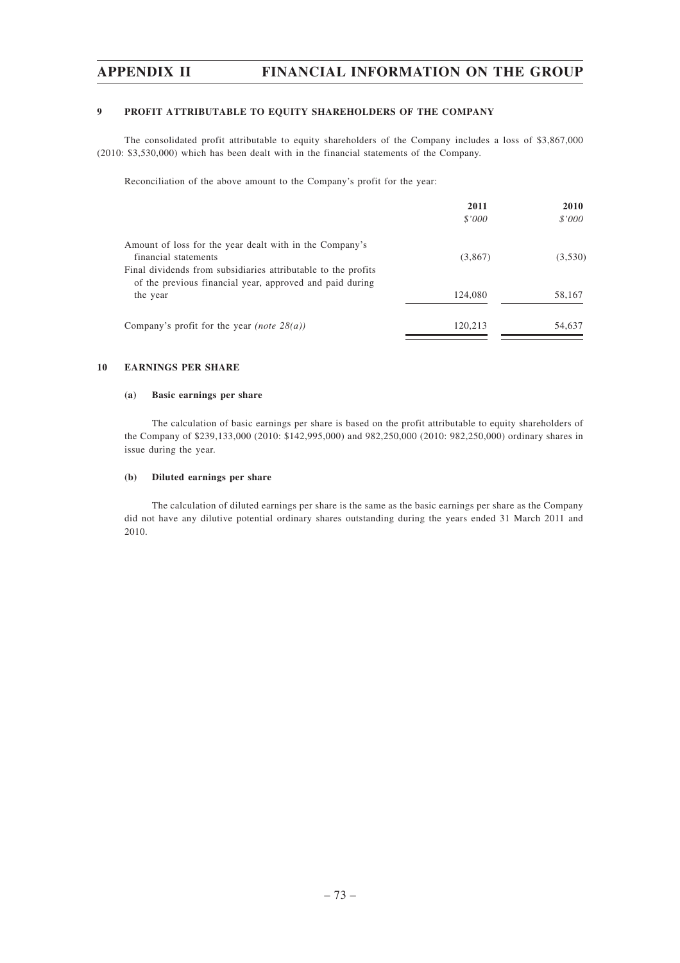### **9 PROFIT ATTRIBUTABLE TO EQUITY SHAREHOLDERS OF THE COMPANY**

The consolidated profit attributable to equity shareholders of the Company includes a loss of \$3,867,000 (2010: \$3,530,000) which has been dealt with in the financial statements of the Company.

Reconciliation of the above amount to the Company's profit for the year:

|                                                               | 2011    | <b>2010</b> |
|---------------------------------------------------------------|---------|-------------|
|                                                               | \$'000  | \$'000      |
| Amount of loss for the year dealt with in the Company's       |         |             |
| financial statements                                          | (3,867) | (3,530)     |
| Final dividends from subsidiaries attributable to the profits |         |             |
| of the previous financial year, approved and paid during      |         |             |
| the year                                                      | 124,080 | 58,167      |
| Company's profit for the year <i>(note</i> $28(a)$ )          | 120.213 | 54,637      |
|                                                               |         |             |

#### **10 EARNINGS PER SHARE**

#### **(a) Basic earnings per share**

The calculation of basic earnings per share is based on the profit attributable to equity shareholders of the Company of \$239,133,000 (2010: \$142,995,000) and 982,250,000 (2010: 982,250,000) ordinary shares in issue during the year.

### **(b) Diluted earnings per share**

The calculation of diluted earnings per share is the same as the basic earnings per share as the Company did not have any dilutive potential ordinary shares outstanding during the years ended 31 March 2011 and 2010.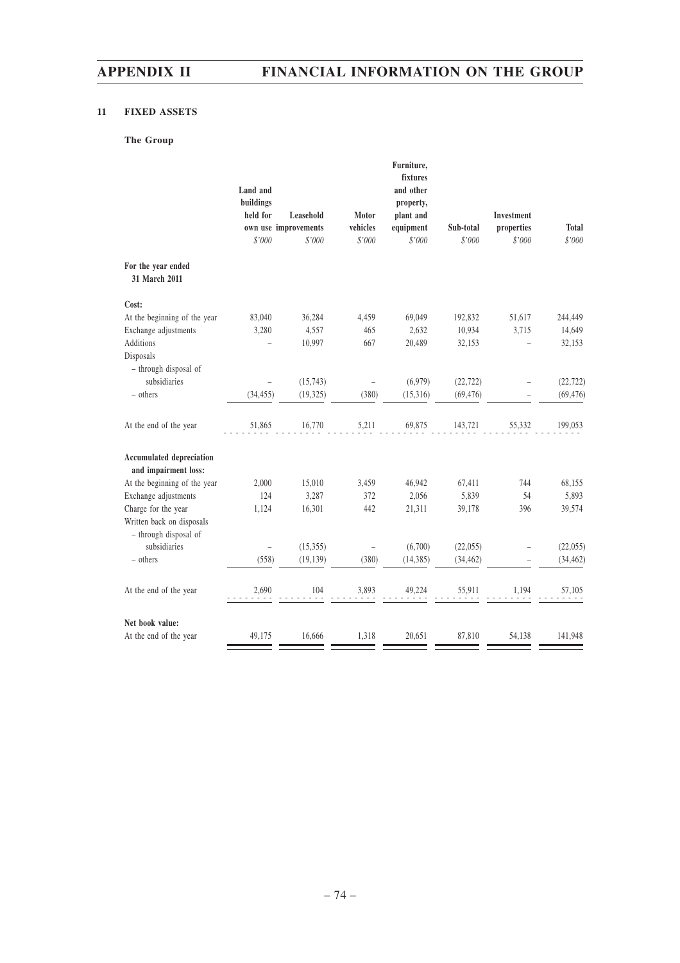## **11 FIXED ASSETS**

# **The Group**

|                                                         | Land and<br>buildings<br>held for<br>\$'000 | Leasehold<br>own use improvements<br>\$'000 | Motor<br>vehicles<br>\$'000 | Furniture,<br>fixtures<br>and other<br>property,<br>plant and<br>equipment<br>\$'000 | Sub-total<br>\$'000 | Investment<br>properties<br>\$'000 | <b>Total</b><br>\$'000 |
|---------------------------------------------------------|---------------------------------------------|---------------------------------------------|-----------------------------|--------------------------------------------------------------------------------------|---------------------|------------------------------------|------------------------|
| For the year ended<br>31 March 2011                     |                                             |                                             |                             |                                                                                      |                     |                                    |                        |
| Cost:                                                   |                                             |                                             |                             |                                                                                      |                     |                                    |                        |
| At the beginning of the year                            | 83,040                                      | 36,284                                      | 4,459                       | 69,049                                                                               | 192,832             | 51,617                             | 244,449                |
| Exchange adjustments                                    | 3,280                                       | 4,557                                       | 465                         | 2,632                                                                                | 10,934              | 3,715                              | 14,649                 |
| <b>Additions</b>                                        |                                             | 10,997                                      | 667                         | 20,489                                                                               | 32,153              |                                    | 32,153                 |
| Disposals                                               |                                             |                                             |                             |                                                                                      |                     |                                    |                        |
| - through disposal of                                   |                                             |                                             |                             |                                                                                      |                     |                                    |                        |
| subsidiaries                                            |                                             | (15, 743)                                   | $\overline{a}$              | (6,979)                                                                              | (22, 722)           |                                    | (22, 722)              |
| - others                                                | (34, 455)                                   | (19, 325)                                   | (380)                       | (15,316)                                                                             | (69, 476)           |                                    | (69, 476)              |
| At the end of the year                                  | 51,865                                      | 16,770                                      | 5,211                       | 69,875                                                                               | 143,721             | 55,332                             | 199,053                |
| <b>Accumulated depreciation</b><br>and impairment loss: |                                             |                                             |                             |                                                                                      |                     |                                    |                        |
| At the beginning of the year                            | 2,000                                       | 15,010                                      | 3,459                       | 46,942                                                                               | 67,411              | 744                                | 68,155                 |
| Exchange adjustments                                    | 124                                         | 3,287                                       | 372                         | 2,056                                                                                | 5,839               | 54                                 | 5,893                  |
| Charge for the year                                     | 1,124                                       | 16,301                                      | 442                         | 21,311                                                                               | 39,178              | 396                                | 39,574                 |
| Written back on disposals                               |                                             |                                             |                             |                                                                                      |                     |                                    |                        |
| - through disposal of                                   |                                             |                                             |                             |                                                                                      |                     |                                    |                        |
| subsidiaries                                            |                                             | (15, 355)                                   |                             | (6,700)                                                                              | (22,055)            |                                    | (22,055)               |
| - others                                                | (558)                                       | (19, 139)                                   | (380)                       | (14, 385)                                                                            | (34, 462)           |                                    | (34, 462)              |
| At the end of the year                                  | 2,690                                       | 104                                         | 3,893                       | 49,224                                                                               | 55,911              | 1,194                              | 57,105                 |
| Net book value:                                         |                                             |                                             |                             |                                                                                      |                     |                                    |                        |
| At the end of the year                                  | 49,175                                      | 16,666                                      | 1,318                       | 20,651                                                                               | 87,810              | 54,138                             | 141,948                |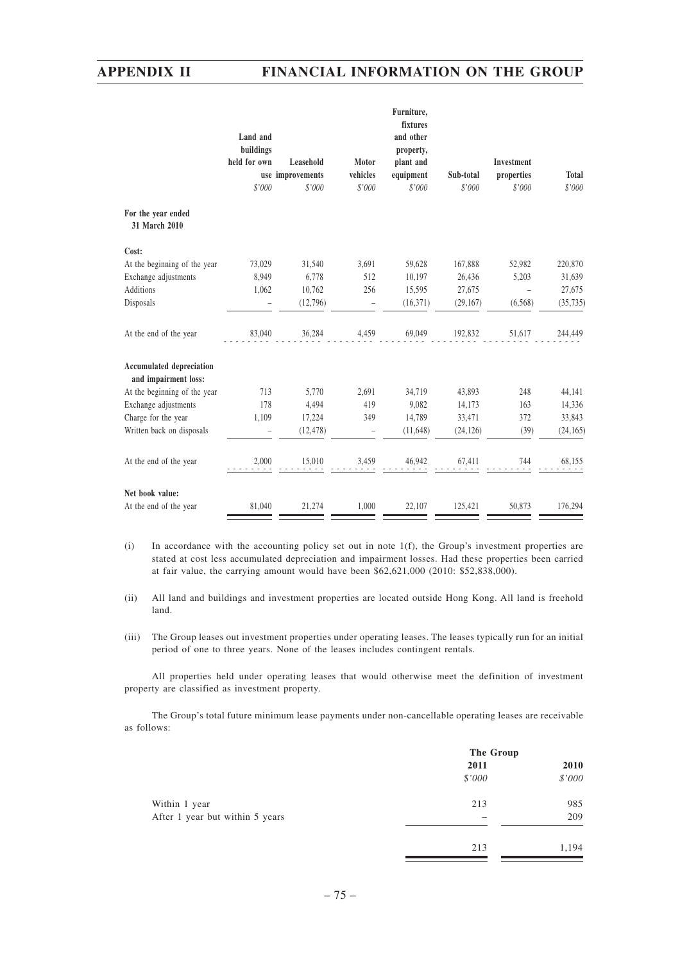|                                                         | Land and<br>buildings |                  |                          | Furniture,<br>fixtures<br>and other<br>property, |           |            |              |
|---------------------------------------------------------|-----------------------|------------------|--------------------------|--------------------------------------------------|-----------|------------|--------------|
|                                                         | held for own          | Leasehold        | Motor                    | plant and                                        |           | Investment |              |
|                                                         |                       | use improvements | vehicles                 | equipment                                        | Sub-total | properties | <b>Total</b> |
|                                                         | \$'000                | \$'000           | \$'000                   | \$'000                                           | \$'000    | \$'000     | \$'000       |
| For the year ended<br>31 March 2010                     |                       |                  |                          |                                                  |           |            |              |
| Cost:                                                   |                       |                  |                          |                                                  |           |            |              |
| At the beginning of the year                            | 73,029                | 31,540           | 3,691                    | 59,628                                           | 167,888   | 52,982     | 220,870      |
| Exchange adjustments                                    | 8,949                 | 6,778            | 512                      | 10,197                                           | 26,436    | 5,203      | 31,639       |
| <b>Additions</b>                                        | 1,062                 | 10,762           | 256                      | 15,595                                           | 27,675    |            | 27,675       |
| Disposals                                               |                       | (12,796)         | $\overline{\phantom{0}}$ | (16,371)                                         | (29, 167) | (6, 568)   | (35, 735)    |
| At the end of the year                                  | 83,040                | 36,284           | 4,459                    | 69,049                                           | 192,832   | 51,617     | 244,449      |
| <b>Accumulated depreciation</b><br>and impairment loss: |                       |                  |                          |                                                  |           |            |              |
| At the beginning of the year                            | 713                   | 5,770            | 2,691                    | 34,719                                           | 43,893    | 248        | 44,141       |
| Exchange adjustments                                    | 178                   | 4,494            | 419                      | 9,082                                            | 14,173    | 163        | 14,336       |
| Charge for the year                                     | 1,109                 | 17,224           | 349                      | 14,789                                           | 33,471    | 372        | 33,843       |
| Written back on disposals                               |                       | (12, 478)        |                          | (11, 648)                                        | (24, 126) | (39)       | (24, 165)    |
| At the end of the year                                  | 2,000                 | 15,010           | 3,459                    | 46,942                                           | 67,411    | 744        | 68,155       |
| Net book value:                                         |                       |                  |                          |                                                  |           |            |              |
| At the end of the year                                  | 81,040                | 21,274           | 1,000                    | 22,107                                           | 125,421   | 50,873     | 176,294      |

- (i) In accordance with the accounting policy set out in note 1(f), the Group's investment properties are stated at cost less accumulated depreciation and impairment losses. Had these properties been carried at fair value, the carrying amount would have been \$62,621,000 (2010: \$52,838,000).
- (ii) All land and buildings and investment properties are located outside Hong Kong. All land is freehold land.
- (iii) The Group leases out investment properties under operating leases. The leases typically run for an initial period of one to three years. None of the leases includes contingent rentals.

All properties held under operating leases that would otherwise meet the definition of investment property are classified as investment property.

The Group's total future minimum lease payments under non-cancellable operating leases are receivable as follows:

|                                 | The Group |        |  |
|---------------------------------|-----------|--------|--|
|                                 | 2011      | 2010   |  |
|                                 | \$'000    | \$'000 |  |
| Within 1 year                   | 213       | 985    |  |
| After 1 year but within 5 years | -         | 209    |  |
|                                 | 213       | 1,194  |  |
|                                 |           |        |  |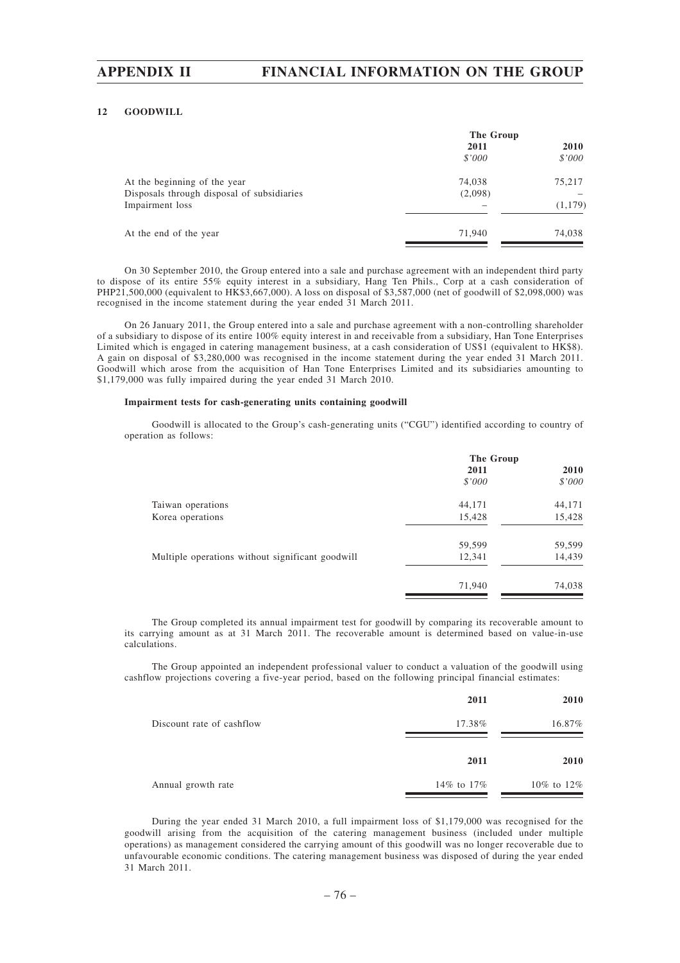### **12 GOODWILL**

|                                            | The Group |             |  |
|--------------------------------------------|-----------|-------------|--|
|                                            | 2011      | <b>2010</b> |  |
|                                            | \$'000    | \$'000      |  |
| At the beginning of the year               | 74,038    | 75,217      |  |
| Disposals through disposal of subsidiaries | (2,098)   |             |  |
| Impairment loss                            |           | (1, 179)    |  |
| At the end of the year                     | 71,940    | 74,038      |  |
|                                            |           |             |  |

On 30 September 2010, the Group entered into a sale and purchase agreement with an independent third party to dispose of its entire 55% equity interest in a subsidiary, Hang Ten Phils., Corp at a cash consideration of PHP21,500,000 (equivalent to HK\$3,667,000). A loss on disposal of \$3,587,000 (net of goodwill of \$2,098,000) was recognised in the income statement during the year ended 31 March 2011.

On 26 January 2011, the Group entered into a sale and purchase agreement with a non-controlling shareholder of a subsidiary to dispose of its entire 100% equity interest in and receivable from a subsidiary, Han Tone Enterprises Limited which is engaged in catering management business, at a cash consideration of US\$1 (equivalent to HK\$8). A gain on disposal of \$3,280,000 was recognised in the income statement during the year ended 31 March 2011. Goodwill which arose from the acquisition of Han Tone Enterprises Limited and its subsidiaries amounting to \$1,179,000 was fully impaired during the year ended 31 March 2010.

#### **Impairment tests for cash-generating units containing goodwill**

Goodwill is allocated to the Group's cash-generating units ("CGU") identified according to country of operation as follows:

|                                                  | The Group |             |  |
|--------------------------------------------------|-----------|-------------|--|
|                                                  | 2011      | <b>2010</b> |  |
|                                                  | \$'000    | \$'000      |  |
| Taiwan operations                                | 44,171    | 44,171      |  |
| Korea operations                                 | 15,428    | 15,428      |  |
|                                                  | 59,599    | 59,599      |  |
| Multiple operations without significant goodwill | 12,341    | 14,439      |  |
|                                                  | 71,940    | 74,038      |  |

The Group completed its annual impairment test for goodwill by comparing its recoverable amount to its carrying amount as at 31 March 2011. The recoverable amount is determined based on value-in-use calculations.

The Group appointed an independent professional valuer to conduct a valuation of the goodwill using cashflow projections covering a five-year period, based on the following principal financial estimates:

|                           | 2011         | 2010         |
|---------------------------|--------------|--------------|
| Discount rate of cashflow | 17.38%       | 16.87%       |
|                           | 2011         | 2010         |
| Annual growth rate        | 14\% to 17\% | 10\% to 12\% |

During the year ended 31 March 2010, a full impairment loss of \$1,179,000 was recognised for the goodwill arising from the acquisition of the catering management business (included under multiple operations) as management considered the carrying amount of this goodwill was no longer recoverable due to unfavourable economic conditions. The catering management business was disposed of during the year ended 31 March 2011.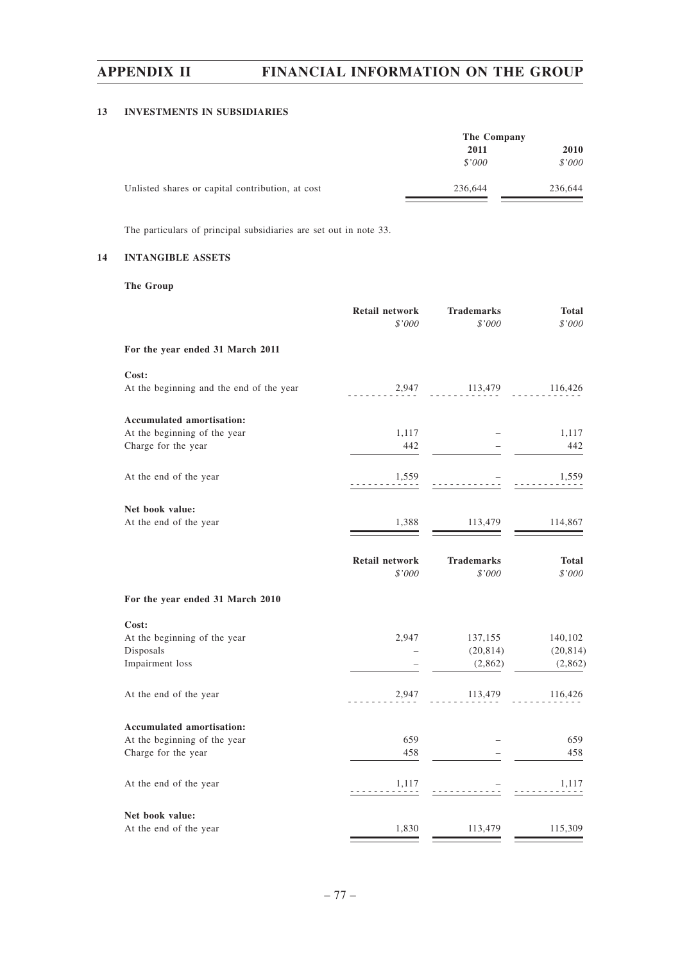## **13 INVESTMENTS IN SUBSIDIARIES**

|                                                  | The Company |         |  |
|--------------------------------------------------|-------------|---------|--|
|                                                  | 2011        |         |  |
|                                                  | \$'000      | \$'000  |  |
| Unlisted shares or capital contribution, at cost | 236,644     | 236,644 |  |

The particulars of principal subsidiaries are set out in note 33.

## **14 INTANGIBLE ASSETS**

**The Group**

|                                          | <b>Retail network</b><br>\$'000 | <b>Trademarks</b><br>\$'000 | <b>Total</b><br>\$'000 |
|------------------------------------------|---------------------------------|-----------------------------|------------------------|
| For the year ended 31 March 2011         |                                 |                             |                        |
| Cost:                                    |                                 |                             |                        |
| At the beginning and the end of the year | 2,947                           | 113,479                     | 116,426                |
| <b>Accumulated amortisation:</b>         |                                 |                             |                        |
| At the beginning of the year             | 1,117                           |                             | 1,117                  |
| Charge for the year                      | 442                             |                             | 442                    |
| At the end of the year                   | 1,559                           |                             | 1,559                  |
| Net book value:                          |                                 |                             |                        |
| At the end of the year                   | 1,388                           | 113,479                     | 114,867                |
|                                          |                                 |                             |                        |
|                                          | <b>Retail network</b>           | <b>Trademarks</b>           | <b>Total</b>           |
|                                          | \$'000                          | \$'000                      | \$'000                 |
| For the year ended 31 March 2010         |                                 |                             |                        |
| Cost:                                    |                                 |                             |                        |
| At the beginning of the year             | 2,947                           | 137,155                     | 140,102                |
| Disposals                                |                                 | (20, 814)                   | (20, 814)              |
| Impairment loss                          |                                 | (2,862)                     | (2,862)                |
| At the end of the year                   | 2,947                           | 113,479                     | 116,426                |
| Accumulated amortisation:                |                                 |                             |                        |
| At the beginning of the year             | 659                             |                             | 659                    |
| Charge for the year                      | 458                             |                             | 458                    |
| At the end of the year                   | 1,117                           |                             | 1,117                  |
| Net book value:                          |                                 |                             |                        |
| At the end of the year                   | 1,830                           | 113,479                     | 115,309                |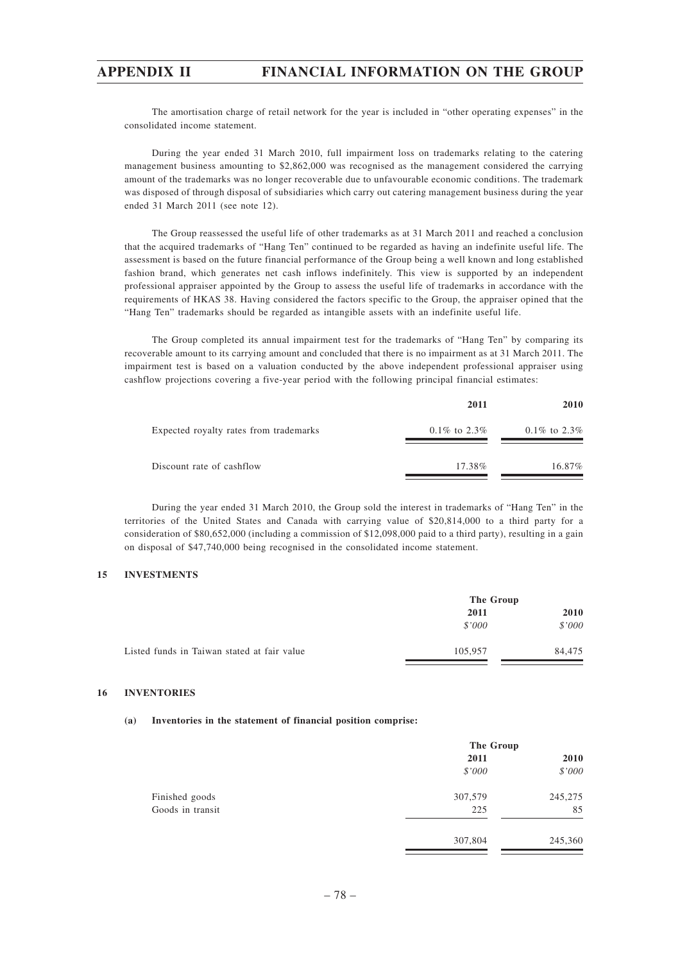The amortisation charge of retail network for the year is included in "other operating expenses" in the consolidated income statement.

During the year ended 31 March 2010, full impairment loss on trademarks relating to the catering management business amounting to \$2,862,000 was recognised as the management considered the carrying amount of the trademarks was no longer recoverable due to unfavourable economic conditions. The trademark was disposed of through disposal of subsidiaries which carry out catering management business during the year ended 31 March 2011 (see note 12).

The Group reassessed the useful life of other trademarks as at 31 March 2011 and reached a conclusion that the acquired trademarks of "Hang Ten" continued to be regarded as having an indefinite useful life. The assessment is based on the future financial performance of the Group being a well known and long established fashion brand, which generates net cash inflows indefinitely. This view is supported by an independent professional appraiser appointed by the Group to assess the useful life of trademarks in accordance with the requirements of HKAS 38. Having considered the factors specific to the Group, the appraiser opined that the "Hang Ten" trademarks should be regarded as intangible assets with an indefinite useful life.

The Group completed its annual impairment test for the trademarks of "Hang Ten" by comparing its recoverable amount to its carrying amount and concluded that there is no impairment as at 31 March 2011. The impairment test is based on a valuation conducted by the above independent professional appraiser using cashflow projections covering a five-year period with the following principal financial estimates:

|                                        | 2011             | <b>2010</b>      |
|----------------------------------------|------------------|------------------|
| Expected royalty rates from trademarks | $0.1\%$ to 2.3\% | $0.1\%$ to 2.3\% |
| Discount rate of cashflow              | 17.38%           | 16.87%           |

During the year ended 31 March 2010, the Group sold the interest in trademarks of "Hang Ten" in the territories of the United States and Canada with carrying value of \$20,814,000 to a third party for a consideration of \$80,652,000 (including a commission of \$12,098,000 paid to a third party), resulting in a gain on disposal of \$47,740,000 being recognised in the consolidated income statement.

## **15 INVESTMENTS**

|                                             | The Group |        |      |  |
|---------------------------------------------|-----------|--------|------|--|
|                                             | 2011      |        | 2010 |  |
|                                             | \$'000    | \$'000 |      |  |
| Listed funds in Taiwan stated at fair value | 105,957   | 84,475 |      |  |

#### **16 INVENTORIES**

#### **(a) Inventories in the statement of financial position comprise:**

|                  | The Group |         |
|------------------|-----------|---------|
|                  | 2011      | 2010    |
|                  | \$'000    | \$'000  |
| Finished goods   | 307,579   | 245,275 |
| Goods in transit | 225       | 85      |
|                  | 307,804   | 245,360 |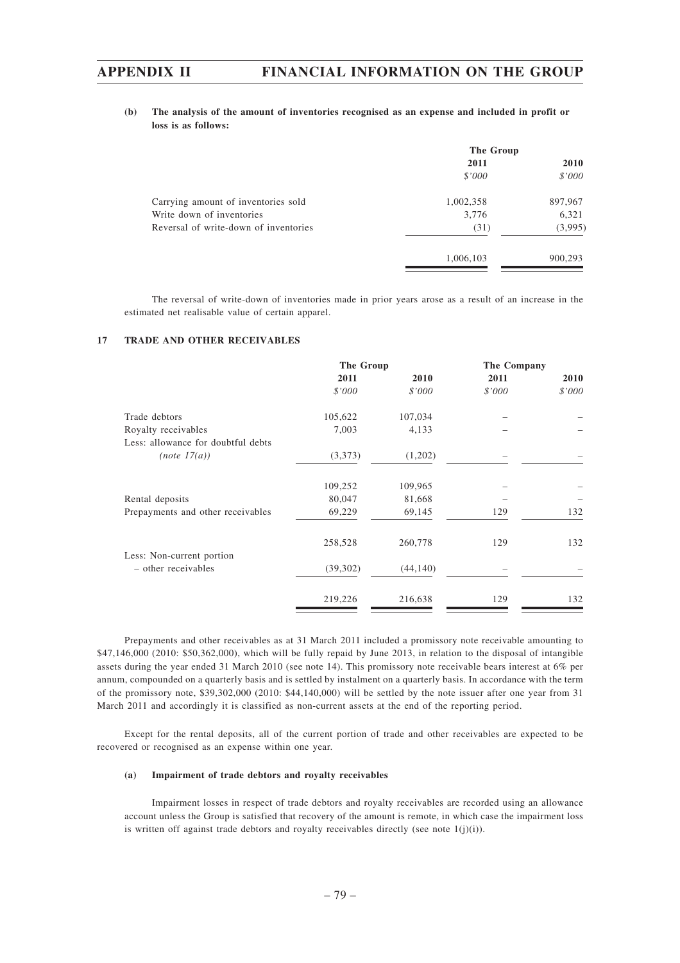### **(b) The analysis of the amount of inventories recognised as an expense and included in profit or loss is as follows:**

|                                       | The Group |         |
|---------------------------------------|-----------|---------|
|                                       | 2011      | 2010    |
|                                       | \$'000    | \$'000  |
| Carrying amount of inventories sold   | 1,002,358 | 897,967 |
| Write down of inventories             | 3,776     | 6,321   |
| Reversal of write-down of inventories | (31)      | (3,995) |
|                                       | 1,006,103 | 900,293 |
|                                       |           |         |

The reversal of write-down of inventories made in prior years arose as a result of an increase in the estimated net realisable value of certain apparel.

#### **17 TRADE AND OTHER RECEIVABLES**

|                                                  | The Group |           | The Company |        |
|--------------------------------------------------|-----------|-----------|-------------|--------|
|                                                  | 2011      | 2010      | 2011        | 2010   |
|                                                  | \$'000    | \$'000    | \$'000      | \$'000 |
| Trade debtors                                    | 105,622   | 107,034   |             |        |
| Royalty receivables                              | 7,003     | 4,133     |             |        |
| Less: allowance for doubtful debts               |           |           |             |        |
| (note 17(a))                                     | (3,373)   | (1,202)   |             |        |
|                                                  | 109,252   | 109,965   |             |        |
| Rental deposits                                  | 80,047    | 81,668    |             |        |
| Prepayments and other receivables                | 69,229    | 69,145    | 129         | 132    |
|                                                  | 258,528   | 260,778   | 129         | 132    |
| Less: Non-current portion<br>- other receivables | (39,302)  | (44, 140) |             |        |
|                                                  | 219,226   | 216,638   | 129         | 132    |

Prepayments and other receivables as at 31 March 2011 included a promissory note receivable amounting to \$47,146,000 (2010: \$50,362,000), which will be fully repaid by June 2013, in relation to the disposal of intangible assets during the year ended 31 March 2010 (see note 14). This promissory note receivable bears interest at 6% per annum, compounded on a quarterly basis and is settled by instalment on a quarterly basis. In accordance with the term of the promissory note, \$39,302,000 (2010: \$44,140,000) will be settled by the note issuer after one year from 31 March 2011 and accordingly it is classified as non-current assets at the end of the reporting period.

Except for the rental deposits, all of the current portion of trade and other receivables are expected to be recovered or recognised as an expense within one year.

#### **(a) Impairment of trade debtors and royalty receivables**

Impairment losses in respect of trade debtors and royalty receivables are recorded using an allowance account unless the Group is satisfied that recovery of the amount is remote, in which case the impairment loss is written off against trade debtors and royalty receivables directly (see note  $1(j)(i)$ ).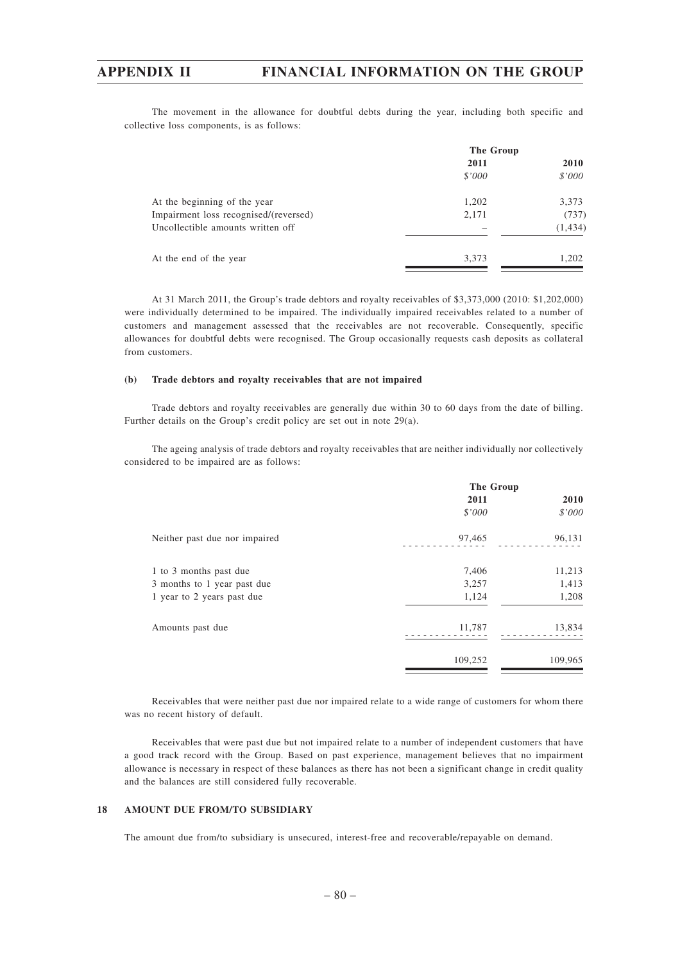The movement in the allowance for doubtful debts during the year, including both specific and collective loss components, is as follows:

|                                       | The Group |          |  |
|---------------------------------------|-----------|----------|--|
|                                       | 2011      | 2010     |  |
|                                       | \$'000    | \$'000   |  |
| At the beginning of the year          | 1,202     | 3,373    |  |
| Impairment loss recognised/(reversed) | 2,171     | (737)    |  |
| Uncollectible amounts written off     |           | (1, 434) |  |
| At the end of the year                | 3,373     | 1,202    |  |

At 31 March 2011, the Group's trade debtors and royalty receivables of \$3,373,000 (2010: \$1,202,000) were individually determined to be impaired. The individually impaired receivables related to a number of customers and management assessed that the receivables are not recoverable. Consequently, specific allowances for doubtful debts were recognised. The Group occasionally requests cash deposits as collateral from customers.

#### **(b) Trade debtors and royalty receivables that are not impaired**

Trade debtors and royalty receivables are generally due within 30 to 60 days from the date of billing. Further details on the Group's credit policy are set out in note 29(a).

The ageing analysis of trade debtors and royalty receivables that are neither individually nor collectively considered to be impaired are as follows:

|                               | The Group |         |
|-------------------------------|-----------|---------|
|                               | 2011      | 2010    |
|                               | \$'000    | \$'000  |
| Neither past due nor impaired | 97,465    | 96,131  |
| 1 to 3 months past due        | 7,406     | 11,213  |
| 3 months to 1 year past due   | 3,257     | 1,413   |
| 1 year to 2 years past due    | 1,124     | 1,208   |
| Amounts past due              | 11,787    | 13,834  |
|                               | 109,252   | 109,965 |

Receivables that were neither past due nor impaired relate to a wide range of customers for whom there was no recent history of default.

Receivables that were past due but not impaired relate to a number of independent customers that have a good track record with the Group. Based on past experience, management believes that no impairment allowance is necessary in respect of these balances as there has not been a significant change in credit quality and the balances are still considered fully recoverable.

#### **18 AMOUNT DUE FROM/TO SUBSIDIARY**

The amount due from/to subsidiary is unsecured, interest-free and recoverable/repayable on demand.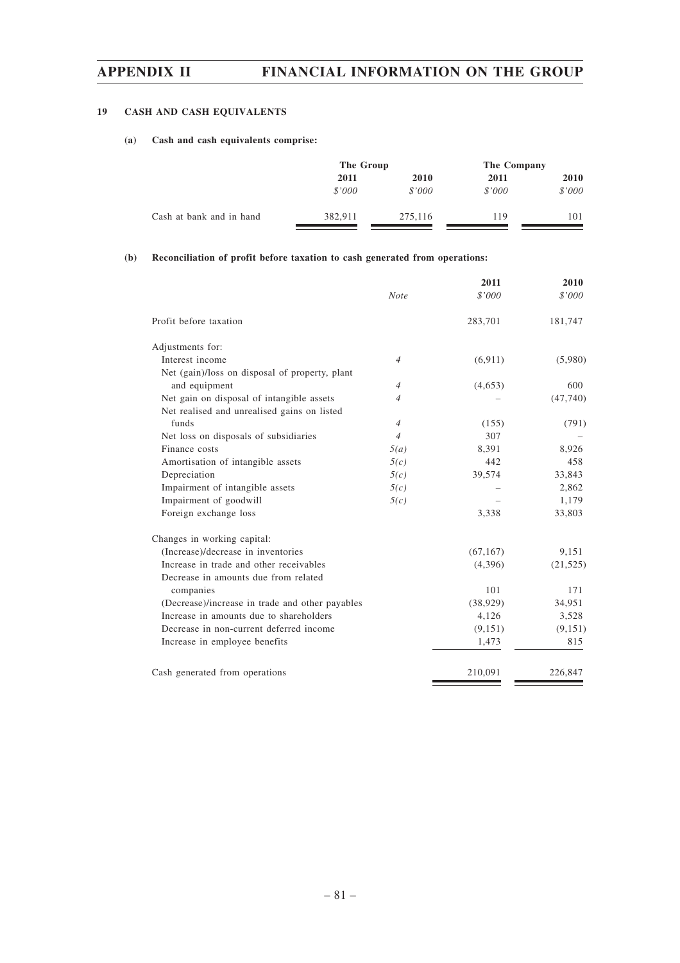## **19 CASH AND CASH EQUIVALENTS**

## **(a) Cash and cash equivalents comprise:**

|                          |         | The Group |        | The Company |
|--------------------------|---------|-----------|--------|-------------|
|                          | 2011    | 2010      | 2011   | <b>2010</b> |
|                          | \$'000  | \$'000    | \$'000 | \$'000      |
| Cash at bank and in hand | 382.911 | 275,116   | 119    | 101         |

### **(b) Reconciliation of profit before taxation to cash generated from operations:**

|                                                 |                | 2011      | 2010      |
|-------------------------------------------------|----------------|-----------|-----------|
|                                                 | <b>Note</b>    | \$'000    | \$'000    |
| Profit before taxation                          |                | 283,701   | 181,747   |
| Adjustments for:                                |                |           |           |
| Interest income                                 | $\overline{4}$ | (6,911)   | (5,980)   |
| Net (gain)/loss on disposal of property, plant  |                |           |           |
| and equipment                                   | $\overline{4}$ | (4,653)   | 600       |
| Net gain on disposal of intangible assets       | $\overline{4}$ |           | (47,740)  |
| Net realised and unrealised gains on listed     |                |           |           |
| funds                                           | $\overline{4}$ | (155)     | (791)     |
| Net loss on disposals of subsidiaries           | $\overline{4}$ | 307       |           |
| Finance costs                                   | 5(a)           | 8,391     | 8,926     |
| Amortisation of intangible assets               | 5(c)           | 442       | 458       |
| Depreciation                                    | 5(c)           | 39,574    | 33,843    |
| Impairment of intangible assets                 | 5(c)           |           | 2,862     |
| Impairment of goodwill                          | 5(c)           |           | 1,179     |
| Foreign exchange loss                           |                | 3,338     | 33,803    |
| Changes in working capital:                     |                |           |           |
| (Increase)/decrease in inventories              |                | (67, 167) | 9,151     |
| Increase in trade and other receivables         |                | (4,396)   | (21, 525) |
| Decrease in amounts due from related            |                |           |           |
| companies                                       |                | 101       | 171       |
| (Decrease)/increase in trade and other payables |                | (38, 929) | 34,951    |
| Increase in amounts due to shareholders         |                | 4,126     | 3,528     |
| Decrease in non-current deferred income         |                | (9,151)   | (9,151)   |
| Increase in employee benefits                   |                | 1,473     | 815       |
| Cash generated from operations                  |                | 210,091   | 226,847   |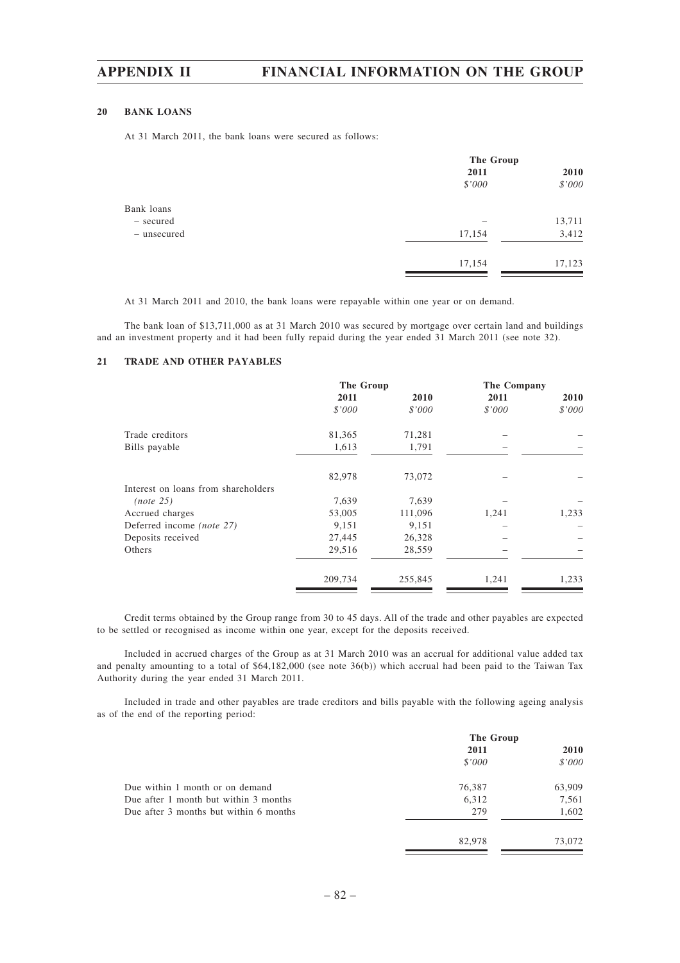#### **20 BANK LOANS**

At 31 March 2011, the bank loans were secured as follows:

|             | The Group |        |
|-------------|-----------|--------|
|             | 2011      | 2010   |
|             | \$'000    | \$'000 |
| Bank loans  |           |        |
| - secured   |           | 13,711 |
| - unsecured | 17,154    | 3,412  |
|             | 17,154    | 17,123 |
|             |           |        |

At 31 March 2011 and 2010, the bank loans were repayable within one year or on demand.

The bank loan of \$13,711,000 as at 31 March 2010 was secured by mortgage over certain land and buildings and an investment property and it had been fully repaid during the year ended 31 March 2011 (see note 32).

#### **21 TRADE AND OTHER PAYABLES**

| 2011    |         |        |        |
|---------|---------|--------|--------|
|         | 2010    | 2011   | 2010   |
| \$'000  | \$'000  | \$'000 | \$'000 |
| 81,365  | 71,281  |        |        |
| 1,613   | 1,791   |        |        |
| 82,978  | 73,072  |        |        |
|         |         |        |        |
| 7,639   | 7,639   |        |        |
| 53,005  | 111,096 | 1,241  | 1,233  |
| 9,151   | 9,151   |        |        |
| 27,445  | 26,328  |        |        |
| 29,516  | 28,559  |        |        |
| 209,734 | 255,845 | 1,241  | 1,233  |
|         |         |        |        |

Credit terms obtained by the Group range from 30 to 45 days. All of the trade and other payables are expected to be settled or recognised as income within one year, except for the deposits received.

Included in accrued charges of the Group as at 31 March 2010 was an accrual for additional value added tax and penalty amounting to a total of \$64,182,000 (see note 36(b)) which accrual had been paid to the Taiwan Tax Authority during the year ended 31 March 2011.

Included in trade and other payables are trade creditors and bills payable with the following ageing analysis as of the end of the reporting period:

|                                        | The Group |        |
|----------------------------------------|-----------|--------|
|                                        | 2011      | 2010   |
|                                        | \$'000    | \$'000 |
| Due within 1 month or on demand        | 76,387    | 63,909 |
| Due after 1 month but within 3 months  | 6,312     | 7,561  |
| Due after 3 months but within 6 months | 279       | 1,602  |
|                                        | 82,978    | 73,072 |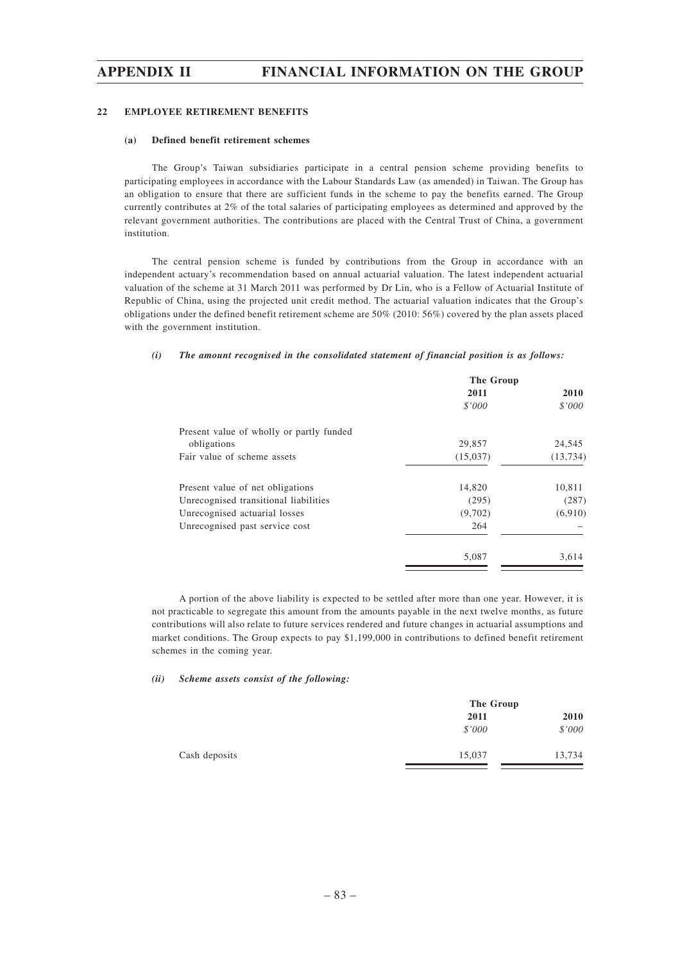#### **22 EMPLOYEE RETIREMENT BENEFITS**

#### **(a) Defined benefit retirement schemes**

The Group's Taiwan subsidiaries participate in a central pension scheme providing benefits to participating employees in accordance with the Labour Standards Law (as amended) in Taiwan. The Group has an obligation to ensure that there are sufficient funds in the scheme to pay the benefits earned. The Group currently contributes at 2% of the total salaries of participating employees as determined and approved by the relevant government authorities. The contributions are placed with the Central Trust of China, a government institution.

The central pension scheme is funded by contributions from the Group in accordance with an independent actuary's recommendation based on annual actuarial valuation. The latest independent actuarial valuation of the scheme at 31 March 2011 was performed by Dr Lin, who is a Fellow of Actuarial Institute of Republic of China, using the projected unit credit method. The actuarial valuation indicates that the Group's obligations under the defined benefit retirement scheme are 50% (2010: 56%) covered by the plan assets placed with the government institution.

#### *(i) The amount recognised in the consolidated statement of financial position is as follows:*

| The Group |           |
|-----------|-----------|
| 2011      | 2010      |
| \$'000    | \$'000    |
|           |           |
| 29,857    | 24,545    |
| (15,037)  | (13, 734) |
| 14,820    | 10,811    |
| (295)     | (287)     |
| (9,702)   | (6,910)   |
| 264       |           |
| 5,087     | 3,614     |
|           |           |

A portion of the above liability is expected to be settled after more than one year. However, it is not practicable to segregate this amount from the amounts payable in the next twelve months, as future contributions will also relate to future services rendered and future changes in actuarial assumptions and market conditions. The Group expects to pay \$1,199,000 in contributions to defined benefit retirement schemes in the coming year.

#### *(ii) Scheme assets consist of the following:*

|               | The Group |        |
|---------------|-----------|--------|
|               | 2011      | 2010   |
|               | \$'000    | \$'000 |
| Cash deposits | 15,037    | 13,734 |
|               |           |        |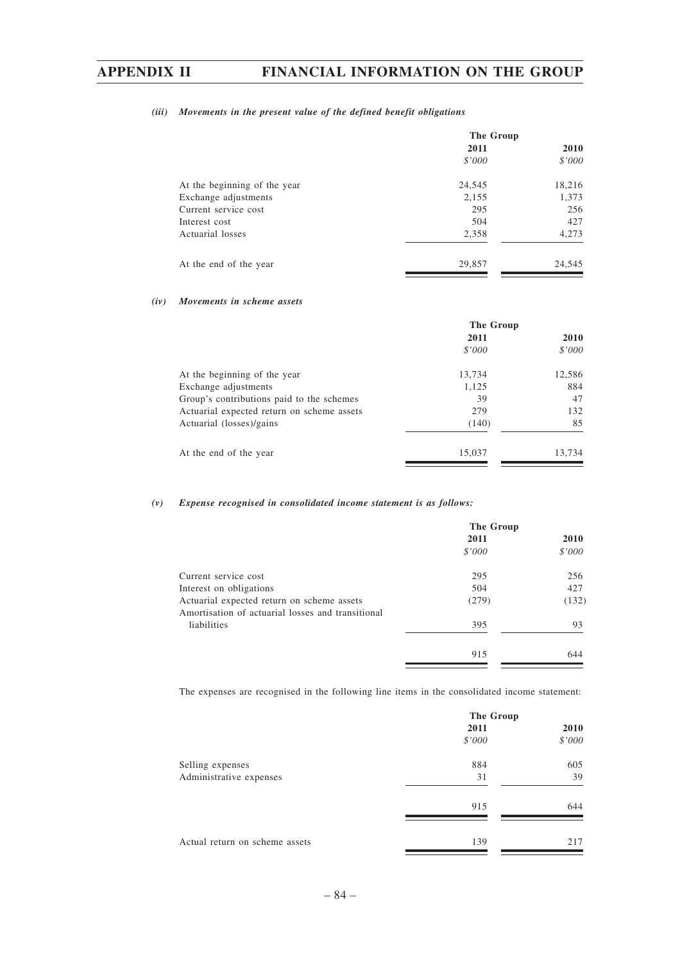### *(iii) Movements in the present value of the defined benefit obligations*

|                              | The Group |        |
|------------------------------|-----------|--------|
|                              | 2011      | 2010   |
|                              | \$'000    | \$'000 |
| At the beginning of the year | 24,545    | 18,216 |
| Exchange adjustments         | 2,155     | 1,373  |
| Current service cost         | 295       | 256    |
| Interest cost                | 504       | 427    |
| Actuarial losses             | 2,358     | 4,273  |
| At the end of the year       | 29,857    | 24,545 |

#### *(iv) Movements in scheme assets*

|                                            | The Group |        |
|--------------------------------------------|-----------|--------|
|                                            | 2011      | 2010   |
|                                            | \$'000    | \$'000 |
| At the beginning of the year               | 13,734    | 12,586 |
| Exchange adjustments                       | 1,125     | 884    |
| Group's contributions paid to the schemes  | 39        | 47     |
| Actuarial expected return on scheme assets | 279       | 132    |
| Actuarial (losses)/gains                   | (140)     | 85     |
| At the end of the year                     | 15,037    | 13,734 |

### *(v) Expense recognised in consolidated income statement is as follows:*

|                                                                                                 | The Group |             |
|-------------------------------------------------------------------------------------------------|-----------|-------------|
|                                                                                                 | 2011      | <b>2010</b> |
|                                                                                                 | \$'000    | \$'000      |
| Current service cost                                                                            | 295       | 256         |
| Interest on obligations                                                                         | 504       | 427         |
| Actuarial expected return on scheme assets<br>Amortisation of actuarial losses and transitional | (279)     | (132)       |
| liabilities                                                                                     | 395       | 93          |
|                                                                                                 | 915       | 644         |

The expenses are recognised in the following line items in the consolidated income statement:

|                                | The Group |        |
|--------------------------------|-----------|--------|
|                                | 2011      | 2010   |
|                                | \$'000    | \$'000 |
| Selling expenses               | 884       | 605    |
| Administrative expenses        | 31        | 39     |
|                                | 915       | 644    |
| Actual return on scheme assets | 139       | 217    |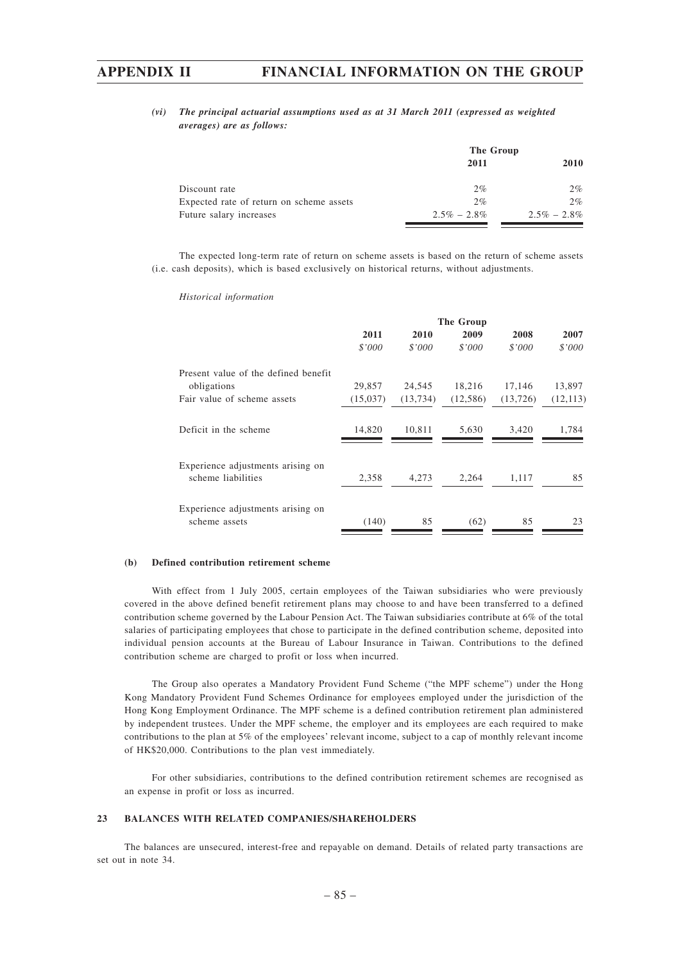### *(vi) The principal actuarial assumptions used as at 31 March 2011 (expressed as weighted averages) are as follows:*

|                                          |                 | The Group       |  |  |
|------------------------------------------|-----------------|-----------------|--|--|
|                                          | 2011            | 2010            |  |  |
| Discount rate                            | $2\%$           | $2\%$           |  |  |
| Expected rate of return on scheme assets | 2%              | $2\%$           |  |  |
| Future salary increases                  | $2.5\% - 2.8\%$ | $2.5\% - 2.8\%$ |  |  |

The expected long-term rate of return on scheme assets is based on the return of scheme assets (i.e. cash deposits), which is based exclusively on historical returns, without adjustments.

|                                                         |          |           | The Group |           |           |
|---------------------------------------------------------|----------|-----------|-----------|-----------|-----------|
|                                                         | 2011     | 2010      | 2009      | 2008      | 2007      |
|                                                         | \$'000   | \$'000    | \$'000    | \$'000    | \$'000    |
| Present value of the defined benefit                    |          |           |           |           |           |
| obligations                                             | 29,857   | 24,545    | 18,216    | 17,146    | 13,897    |
| Fair value of scheme assets                             | (15,037) | (13, 734) | (12, 586) | (13, 726) | (12, 113) |
| Deficit in the scheme                                   | 14,820   | 10,811    | 5,630     | 3,420     | 1,784     |
| Experience adjustments arising on<br>scheme liabilities | 2,358    | 4,273     | 2,264     | 1,117     | 85        |
| Experience adjustments arising on<br>scheme assets      | (140)    | 85        | (62)      | 85        | 23        |

#### *Historical information*

#### **(b) Defined contribution retirement scheme**

With effect from 1 July 2005, certain employees of the Taiwan subsidiaries who were previously covered in the above defined benefit retirement plans may choose to and have been transferred to a defined contribution scheme governed by the Labour Pension Act. The Taiwan subsidiaries contribute at 6% of the total salaries of participating employees that chose to participate in the defined contribution scheme, deposited into individual pension accounts at the Bureau of Labour Insurance in Taiwan. Contributions to the defined contribution scheme are charged to profit or loss when incurred.

The Group also operates a Mandatory Provident Fund Scheme ("the MPF scheme") under the Hong Kong Mandatory Provident Fund Schemes Ordinance for employees employed under the jurisdiction of the Hong Kong Employment Ordinance. The MPF scheme is a defined contribution retirement plan administered by independent trustees. Under the MPF scheme, the employer and its employees are each required to make contributions to the plan at 5% of the employees' relevant income, subject to a cap of monthly relevant income of HK\$20,000. Contributions to the plan vest immediately.

For other subsidiaries, contributions to the defined contribution retirement schemes are recognised as an expense in profit or loss as incurred.

#### **23 BALANCES WITH RELATED COMPANIES/SHAREHOLDERS**

The balances are unsecured, interest-free and repayable on demand. Details of related party transactions are set out in note 34.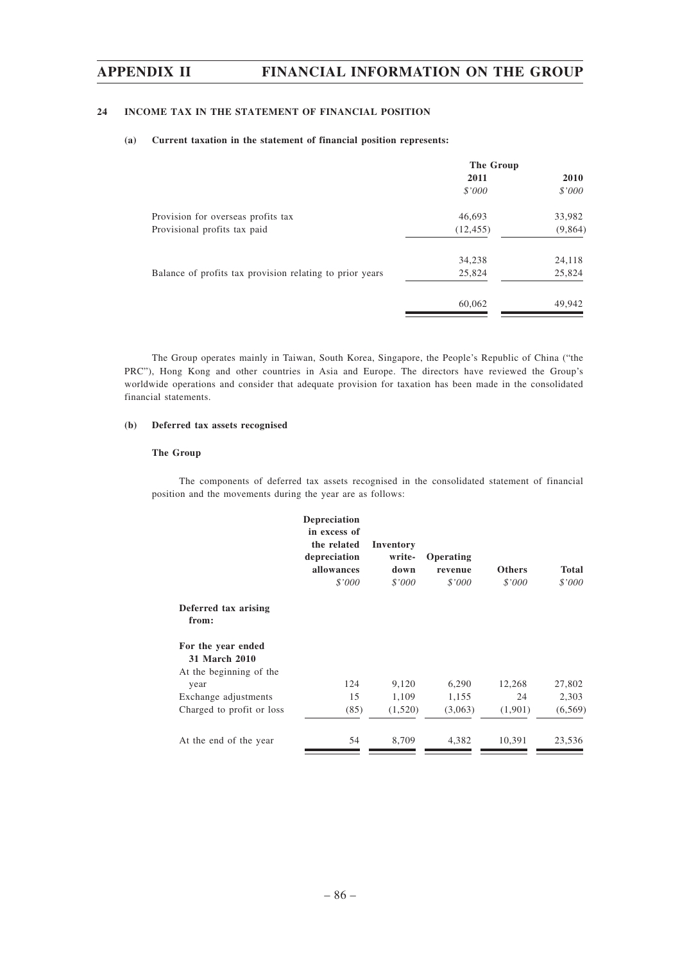## **24 INCOME TAX IN THE STATEMENT OF FINANCIAL POSITION**

#### **(a) Current taxation in the statement of financial position represents:**

|                                                          | The Group |             |  |
|----------------------------------------------------------|-----------|-------------|--|
|                                                          | 2011      | <b>2010</b> |  |
|                                                          | \$'000    | \$'000      |  |
| Provision for overseas profits tax                       | 46,693    | 33,982      |  |
| Provisional profits tax paid                             | (12, 455) | (9,864)     |  |
|                                                          | 34,238    | 24,118      |  |
| Balance of profits tax provision relating to prior years | 25,824    | 25,824      |  |
|                                                          | 60,062    | 49,942      |  |
|                                                          |           |             |  |

The Group operates mainly in Taiwan, South Korea, Singapore, the People's Republic of China ("the PRC"), Hong Kong and other countries in Asia and Europe. The directors have reviewed the Group's worldwide operations and consider that adequate provision for taxation has been made in the consolidated financial statements.

### **(b) Deferred tax assets recognised**

### **The Group**

The components of deferred tax assets recognised in the consolidated statement of financial position and the movements during the year are as follows:

|                                                                | <b>Depreciation</b><br>in excess of<br>the related<br>depreciation<br>allowances<br>\$'000 | Inventory<br>write-<br>down<br>\$'000 | Operating<br>revenue<br>\$'000 | <b>Others</b><br>\$'000 | <b>Total</b><br>\$'000 |
|----------------------------------------------------------------|--------------------------------------------------------------------------------------------|---------------------------------------|--------------------------------|-------------------------|------------------------|
| Deferred tax arising<br>from:                                  |                                                                                            |                                       |                                |                         |                        |
| For the year ended<br>31 March 2010<br>At the beginning of the |                                                                                            |                                       |                                |                         |                        |
| year                                                           | 124                                                                                        | 9,120                                 | 6,290                          | 12,268                  | 27,802                 |
| Exchange adjustments                                           | 15                                                                                         | 1,109                                 | 1,155                          | 24                      | 2,303                  |
| Charged to profit or loss                                      | (85)                                                                                       | (1,520)                               | (3,063)                        | (1,901)                 | (6, 569)               |
| At the end of the year                                         | 54                                                                                         | 8,709                                 | 4,382                          | 10,391                  | 23,536                 |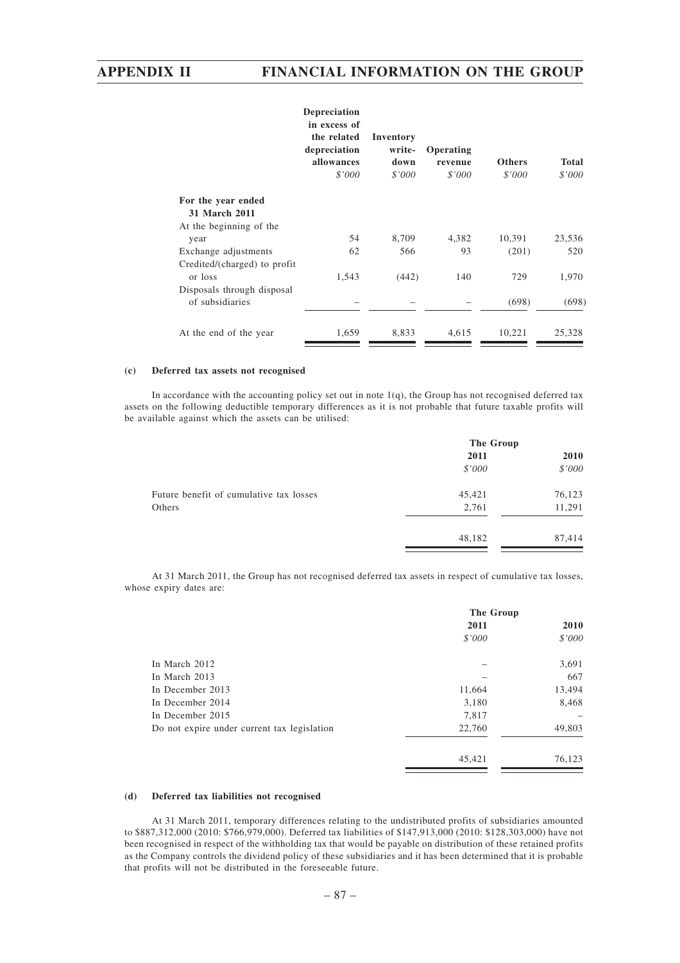|                              | <b>Depreciation</b><br>in excess of<br>the related<br>depreciation<br>allowances<br>\$'000 | Inventory<br>write-<br>down<br>\$'000 | Operating<br>revenue<br>\$'000 | <b>Others</b><br>\$'000 | <b>Total</b><br>\$'000 |
|------------------------------|--------------------------------------------------------------------------------------------|---------------------------------------|--------------------------------|-------------------------|------------------------|
| For the year ended           |                                                                                            |                                       |                                |                         |                        |
| 31 March 2011                |                                                                                            |                                       |                                |                         |                        |
| At the beginning of the      |                                                                                            |                                       |                                |                         |                        |
| year                         | 54                                                                                         | 8,709                                 | 4,382                          | 10,391                  | 23,536                 |
| Exchange adjustments         | 62                                                                                         | 566                                   | 93                             | (201)                   | 520                    |
| Credited/(charged) to profit |                                                                                            |                                       |                                |                         |                        |
| or loss                      | 1,543                                                                                      | (442)                                 | 140                            | 729                     | 1,970                  |
| Disposals through disposal   |                                                                                            |                                       |                                |                         |                        |
| of subsidiaries              |                                                                                            |                                       |                                | (698)                   | (698)                  |
| At the end of the year       | 1,659                                                                                      | 8.833                                 | 4.615                          | 10.221                  | 25.328                 |

#### **(c) Deferred tax assets not recognised**

In accordance with the accounting policy set out in note 1(q), the Group has not recognised deferred tax assets on the following deductible temporary differences as it is not probable that future taxable profits will be available against which the assets can be utilised:

|                                         | The Group |        |  |
|-----------------------------------------|-----------|--------|--|
|                                         | 2011      | 2010   |  |
|                                         | \$'000    | \$'000 |  |
| Future benefit of cumulative tax losses | 45,421    | 76,123 |  |
| Others                                  | 2,761     | 11,291 |  |
|                                         | 48,182    | 87,414 |  |
|                                         |           |        |  |

At 31 March 2011, the Group has not recognised deferred tax assets in respect of cumulative tax losses, whose expiry dates are:

|                                             | The Group |        |  |
|---------------------------------------------|-----------|--------|--|
|                                             | 2011      | 2010   |  |
|                                             | \$'000    | \$'000 |  |
| In March 2012                               |           | 3,691  |  |
| In March 2013                               |           | 667    |  |
| In December 2013                            | 11,664    | 13,494 |  |
| In December 2014                            | 3,180     | 8,468  |  |
| In December 2015                            | 7,817     |        |  |
| Do not expire under current tax legislation | 22,760    | 49,803 |  |
|                                             | 45,421    | 76,123 |  |

### **(d) Deferred tax liabilities not recognised**

At 31 March 2011, temporary differences relating to the undistributed profits of subsidiaries amounted to \$887,312,000 (2010: \$766,979,000). Deferred tax liabilities of \$147,913,000 (2010: \$128,303,000) have not been recognised in respect of the withholding tax that would be payable on distribution of these retained profits as the Company controls the dividend policy of these subsidiaries and it has been determined that it is probable that profits will not be distributed in the foreseeable future.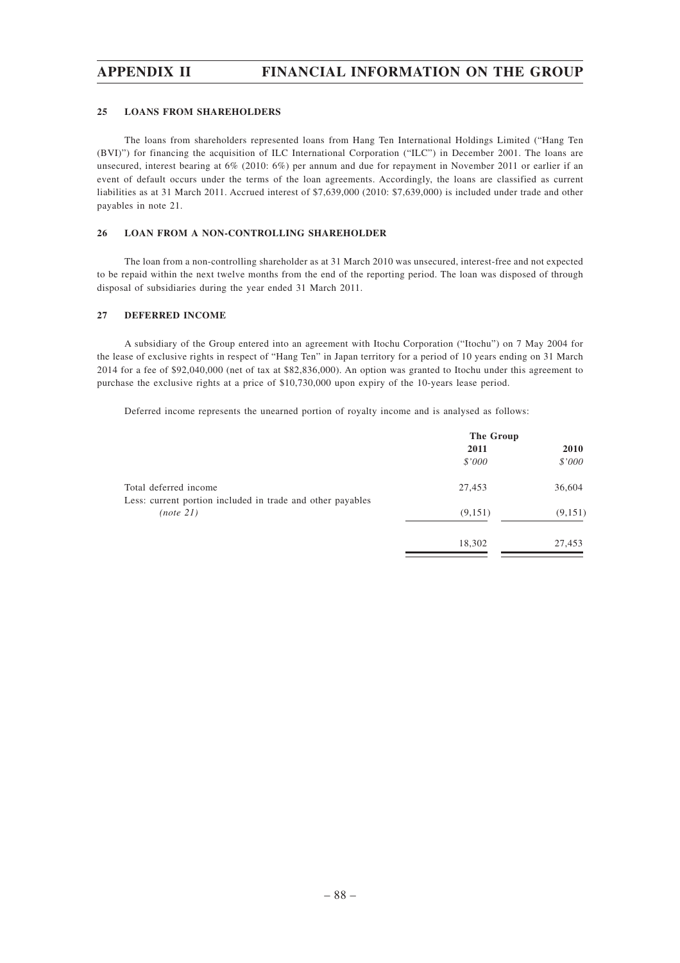#### **25 LOANS FROM SHAREHOLDERS**

The loans from shareholders represented loans from Hang Ten International Holdings Limited ("Hang Ten (BVI)") for financing the acquisition of ILC International Corporation ("ILC") in December 2001. The loans are unsecured, interest bearing at 6% (2010: 6%) per annum and due for repayment in November 2011 or earlier if an event of default occurs under the terms of the loan agreements. Accordingly, the loans are classified as current liabilities as at 31 March 2011. Accrued interest of \$7,639,000 (2010: \$7,639,000) is included under trade and other payables in note 21.

#### **26 LOAN FROM A NON-CONTROLLING SHAREHOLDER**

The loan from a non-controlling shareholder as at 31 March 2010 was unsecured, interest-free and not expected to be repaid within the next twelve months from the end of the reporting period. The loan was disposed of through disposal of subsidiaries during the year ended 31 March 2011.

#### **27 DEFERRED INCOME**

A subsidiary of the Group entered into an agreement with Itochu Corporation ("Itochu") on 7 May 2004 for the lease of exclusive rights in respect of "Hang Ten" in Japan territory for a period of 10 years ending on 31 March 2014 for a fee of \$92,040,000 (net of tax at \$82,836,000). An option was granted to Itochu under this agreement to purchase the exclusive rights at a price of \$10,730,000 upon expiry of the 10-years lease period.

Deferred income represents the unearned portion of royalty income and is analysed as follows:

|                                                                         | The Group |             |
|-------------------------------------------------------------------------|-----------|-------------|
|                                                                         | 2011      | <b>2010</b> |
|                                                                         | \$'000    | \$'000      |
| Total deferred income                                                   | 27,453    | 36,604      |
| Less: current portion included in trade and other payables<br>(note 21) | (9,151)   | (9, 151)    |
|                                                                         | 18,302    | 27,453      |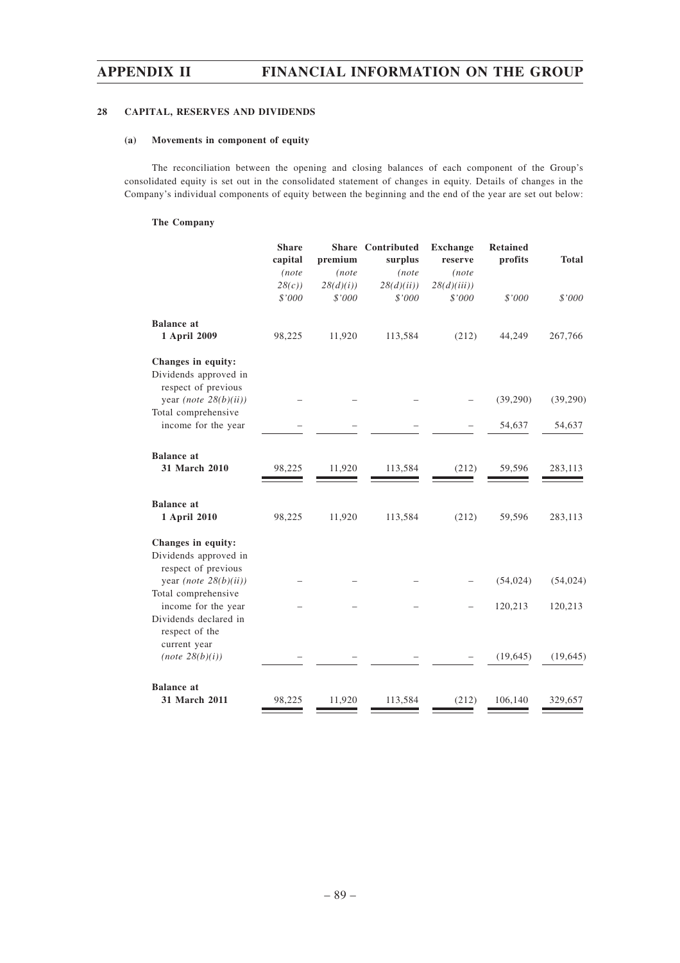### **28 CAPITAL, RESERVES AND DIVIDENDS**

### **(a) Movements in component of equity**

The reconciliation between the opening and closing balances of each component of the Group's consolidated equity is set out in the consolidated statement of changes in equity. Details of changes in the Company's individual components of equity between the beginning and the end of the year are set out below:

### **The Company**

|                                                                    | <b>Share</b><br>capital | premium  | <b>Share</b> Contributed<br>surplus | <b>Exchange</b><br>reserve | <b>Retained</b><br>profits | <b>Total</b> |
|--------------------------------------------------------------------|-------------------------|----------|-------------------------------------|----------------------------|----------------------------|--------------|
|                                                                    | (note                   | (note    | (note                               | (note                      |                            |              |
|                                                                    | 28(c)                   | 28(d)(i) | 28(d)(ii)                           | 28(d)(iii)                 |                            |              |
|                                                                    | \$'000                  | \$'000   | \$'000                              | \$'000                     | \$'000                     | \$'000       |
| <b>Balance</b> at                                                  |                         |          |                                     |                            |                            |              |
| 1 April 2009                                                       | 98,225                  | 11,920   | 113,584                             | (212)                      | 44,249                     | 267,766      |
| Changes in equity:<br>Dividends approved in<br>respect of previous |                         |          |                                     |                            |                            |              |
| year (note $28(b)(ii)$ )<br>Total comprehensive                    |                         |          |                                     |                            | (39,290)                   | (39,290)     |
| income for the year                                                |                         |          |                                     |                            | 54,637                     | 54,637       |
| <b>Balance</b> at<br>31 March 2010                                 | 98,225                  | 11,920   | 113,584                             | (212)                      | 59,596                     | 283,113      |
| <b>Balance</b> at<br>1 April 2010                                  | 98,225                  | 11,920   | 113,584                             | (212)                      | 59,596                     | 283,113      |
| Changes in equity:<br>Dividends approved in<br>respect of previous |                         |          |                                     |                            |                            |              |
| year (note $28(b)(ii)$ )                                           |                         |          |                                     |                            | (54, 024)                  | (54, 024)    |
| Total comprehensive<br>income for the year                         |                         |          |                                     |                            | 120,213                    | 120,213      |
| Dividends declared in<br>respect of the<br>current year            |                         |          |                                     |                            |                            |              |
| (note 28(b)(i))                                                    |                         |          |                                     |                            | (19, 645)                  | (19, 645)    |
| <b>Balance</b> at                                                  |                         |          |                                     |                            |                            |              |
| 31 March 2011                                                      | 98,225                  | 11,920   | 113,584                             | (212)                      | 106,140                    | 329,657      |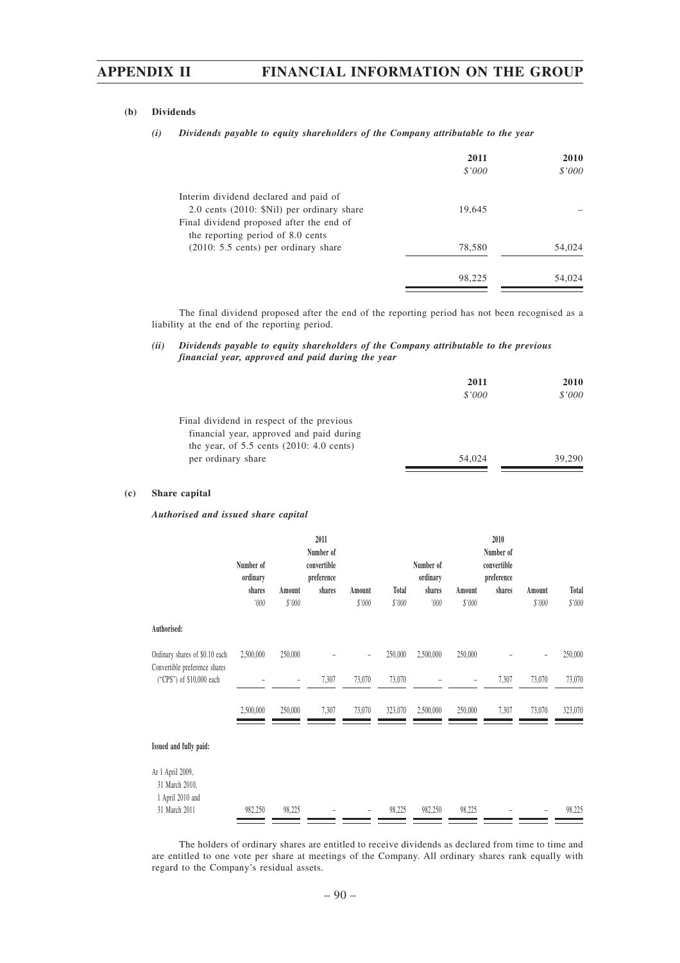#### **(b) Dividends**

| (i) Dividends payable to equity shareholders of the Company attributable to the year |  |  |  |  |  |  |
|--------------------------------------------------------------------------------------|--|--|--|--|--|--|
|--------------------------------------------------------------------------------------|--|--|--|--|--|--|

|                                                                                     | 2011<br>\$'000 | 2010<br>\$'000 |
|-------------------------------------------------------------------------------------|----------------|----------------|
| Interim dividend declared and paid of<br>2.0 cents (2010: \$Nil) per ordinary share | 19,645         |                |
| Final dividend proposed after the end of<br>the reporting period of 8.0 cents       |                |                |
| $(2010: 5.5 \text{ cents})$ per ordinary share                                      | 78,580         | 54,024         |
|                                                                                     | 98,225         | 54,024         |

The final dividend proposed after the end of the reporting period has not been recognised as a liability at the end of the reporting period.

#### *(ii) Dividends payable to equity shareholders of the Company attributable to the previous financial year, approved and paid during the year*

|                                                                                                                                                             | 2011<br>\$'000 | <b>2010</b><br>\$'000 |
|-------------------------------------------------------------------------------------------------------------------------------------------------------------|----------------|-----------------------|
| Final dividend in respect of the previous<br>financial year, approved and paid during<br>the year, of $5.5$ cents $(2010: 4.0$ cents)<br>per ordinary share | 54,024         | 39,290                |

#### **(c) Share capital**

#### *Authorised and issued share capital*

|                                                           | Number of<br>ordinary<br>shares<br>'000 | Amount<br>\$'000         | 2011<br>Number of<br>convertible<br>preference<br>shares | Amount<br>\$'000 | Total<br>\$'000 | Number of<br>ordinary<br>shares<br>000' | Amount<br>\$'000 | 2010<br>Number of<br>convertible<br>preference<br>shares | Amount<br>\$'000 | Total<br>\$'000 |
|-----------------------------------------------------------|-----------------------------------------|--------------------------|----------------------------------------------------------|------------------|-----------------|-----------------------------------------|------------------|----------------------------------------------------------|------------------|-----------------|
| Authorised:                                               |                                         |                          |                                                          |                  |                 |                                         |                  |                                                          |                  |                 |
| Ordinary shares of \$0.10 each                            | 2,500,000                               | 250,000                  |                                                          |                  | 250,000         | 2,500,000                               | 250,000          |                                                          |                  | 250,000         |
| Convertible preference shares<br>("CPS") of \$10,000 each |                                         | $\overline{\phantom{a}}$ | 7,307                                                    | 73,070           | 73,070          |                                         | -                | 7,307                                                    | 73,070           | 73,070          |
|                                                           | 2,500,000                               | 250,000                  | 7,307                                                    | 73,070           | 323,070         | 2,500,000                               | 250,000          | 7,307                                                    | 73,070           | 323,070         |
| Issued and fully paid:                                    |                                         |                          |                                                          |                  |                 |                                         |                  |                                                          |                  |                 |
| At 1 April 2009,<br>31 March 2010,<br>1 April 2010 and    |                                         |                          |                                                          |                  |                 |                                         |                  |                                                          |                  |                 |
| 31 March 2011                                             | 982,250                                 | 98,225                   |                                                          |                  | 98,225          | 982,250                                 | 98,225           |                                                          |                  | 98,225          |

The holders of ordinary shares are entitled to receive dividends as declared from time to time and are entitled to one vote per share at meetings of the Company. All ordinary shares rank equally with regard to the Company's residual assets.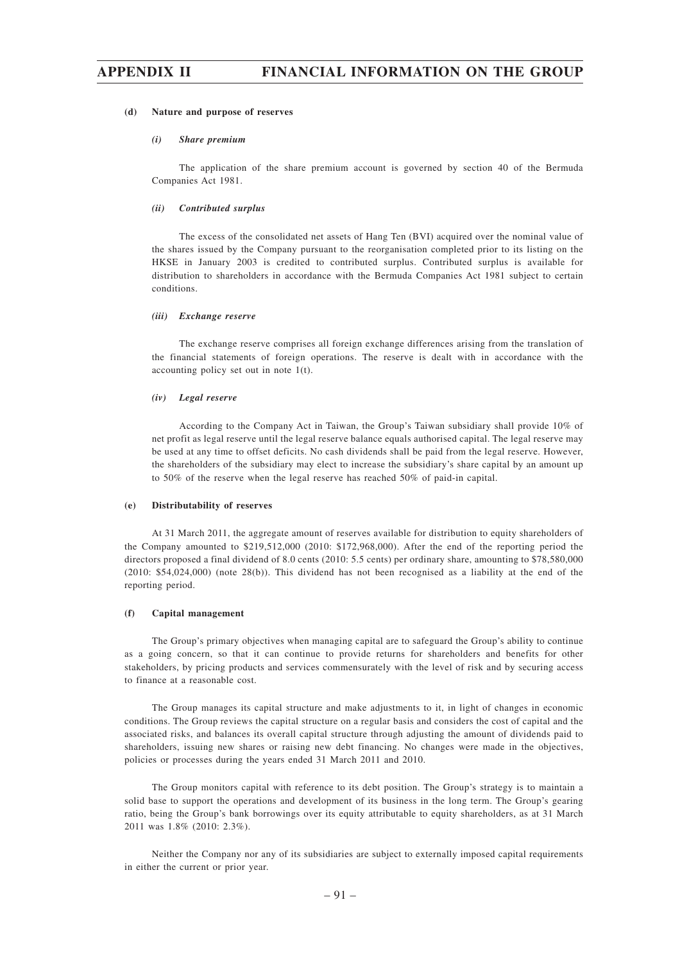#### **(d) Nature and purpose of reserves**

#### *(i) Share premium*

The application of the share premium account is governed by section 40 of the Bermuda Companies Act 1981.

#### *(ii) Contributed surplus*

The excess of the consolidated net assets of Hang Ten (BVI) acquired over the nominal value of the shares issued by the Company pursuant to the reorganisation completed prior to its listing on the HKSE in January 2003 is credited to contributed surplus. Contributed surplus is available for distribution to shareholders in accordance with the Bermuda Companies Act 1981 subject to certain conditions.

#### *(iii) Exchange reserve*

The exchange reserve comprises all foreign exchange differences arising from the translation of the financial statements of foreign operations. The reserve is dealt with in accordance with the accounting policy set out in note 1(t).

#### *(iv) Legal reserve*

According to the Company Act in Taiwan, the Group's Taiwan subsidiary shall provide 10% of net profit as legal reserve until the legal reserve balance equals authorised capital. The legal reserve may be used at any time to offset deficits. No cash dividends shall be paid from the legal reserve. However, the shareholders of the subsidiary may elect to increase the subsidiary's share capital by an amount up to 50% of the reserve when the legal reserve has reached 50% of paid-in capital.

#### **(e) Distributability of reserves**

At 31 March 2011, the aggregate amount of reserves available for distribution to equity shareholders of the Company amounted to \$219,512,000 (2010: \$172,968,000). After the end of the reporting period the directors proposed a final dividend of 8.0 cents (2010: 5.5 cents) per ordinary share, amounting to \$78,580,000 (2010: \$54,024,000) (note 28(b)). This dividend has not been recognised as a liability at the end of the reporting period.

#### **(f) Capital management**

The Group's primary objectives when managing capital are to safeguard the Group's ability to continue as a going concern, so that it can continue to provide returns for shareholders and benefits for other stakeholders, by pricing products and services commensurately with the level of risk and by securing access to finance at a reasonable cost.

The Group manages its capital structure and make adjustments to it, in light of changes in economic conditions. The Group reviews the capital structure on a regular basis and considers the cost of capital and the associated risks, and balances its overall capital structure through adjusting the amount of dividends paid to shareholders, issuing new shares or raising new debt financing. No changes were made in the objectives, policies or processes during the years ended 31 March 2011 and 2010.

The Group monitors capital with reference to its debt position. The Group's strategy is to maintain a solid base to support the operations and development of its business in the long term. The Group's gearing ratio, being the Group's bank borrowings over its equity attributable to equity shareholders, as at 31 March 2011 was 1.8% (2010: 2.3%).

Neither the Company nor any of its subsidiaries are subject to externally imposed capital requirements in either the current or prior year.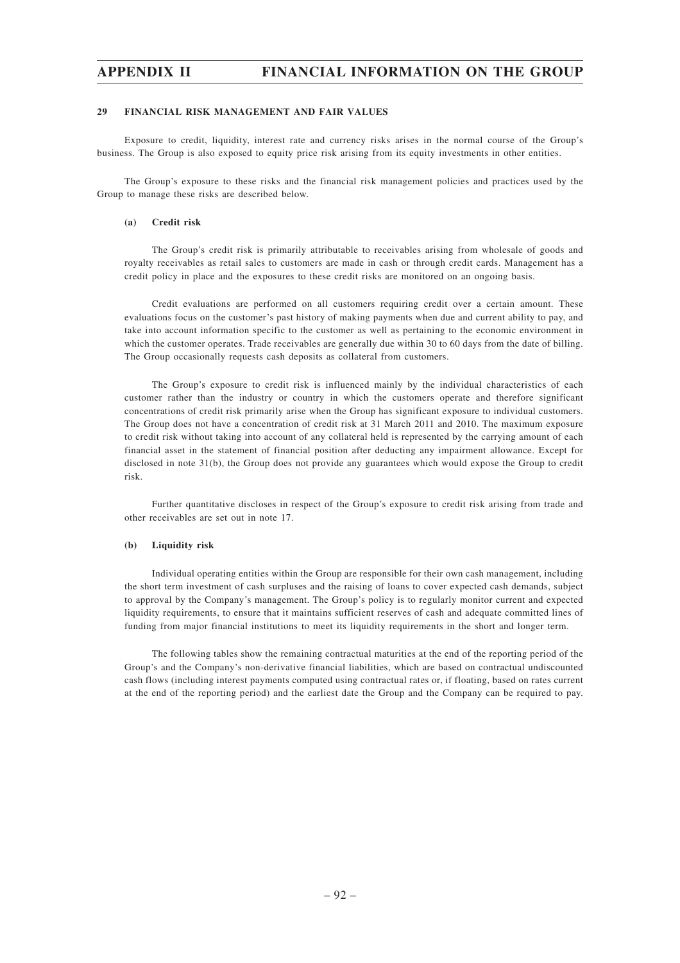#### **29 FINANCIAL RISK MANAGEMENT AND FAIR VALUES**

Exposure to credit, liquidity, interest rate and currency risks arises in the normal course of the Group's business. The Group is also exposed to equity price risk arising from its equity investments in other entities.

The Group's exposure to these risks and the financial risk management policies and practices used by the Group to manage these risks are described below.

#### **(a) Credit risk**

The Group's credit risk is primarily attributable to receivables arising from wholesale of goods and royalty receivables as retail sales to customers are made in cash or through credit cards. Management has a credit policy in place and the exposures to these credit risks are monitored on an ongoing basis.

Credit evaluations are performed on all customers requiring credit over a certain amount. These evaluations focus on the customer's past history of making payments when due and current ability to pay, and take into account information specific to the customer as well as pertaining to the economic environment in which the customer operates. Trade receivables are generally due within 30 to 60 days from the date of billing. The Group occasionally requests cash deposits as collateral from customers.

The Group's exposure to credit risk is influenced mainly by the individual characteristics of each customer rather than the industry or country in which the customers operate and therefore significant concentrations of credit risk primarily arise when the Group has significant exposure to individual customers. The Group does not have a concentration of credit risk at 31 March 2011 and 2010. The maximum exposure to credit risk without taking into account of any collateral held is represented by the carrying amount of each financial asset in the statement of financial position after deducting any impairment allowance. Except for disclosed in note 31(b), the Group does not provide any guarantees which would expose the Group to credit risk.

Further quantitative discloses in respect of the Group's exposure to credit risk arising from trade and other receivables are set out in note 17.

#### **(b) Liquidity risk**

Individual operating entities within the Group are responsible for their own cash management, including the short term investment of cash surpluses and the raising of loans to cover expected cash demands, subject to approval by the Company's management. The Group's policy is to regularly monitor current and expected liquidity requirements, to ensure that it maintains sufficient reserves of cash and adequate committed lines of funding from major financial institutions to meet its liquidity requirements in the short and longer term.

The following tables show the remaining contractual maturities at the end of the reporting period of the Group's and the Company's non-derivative financial liabilities, which are based on contractual undiscounted cash flows (including interest payments computed using contractual rates or, if floating, based on rates current at the end of the reporting period) and the earliest date the Group and the Company can be required to pay.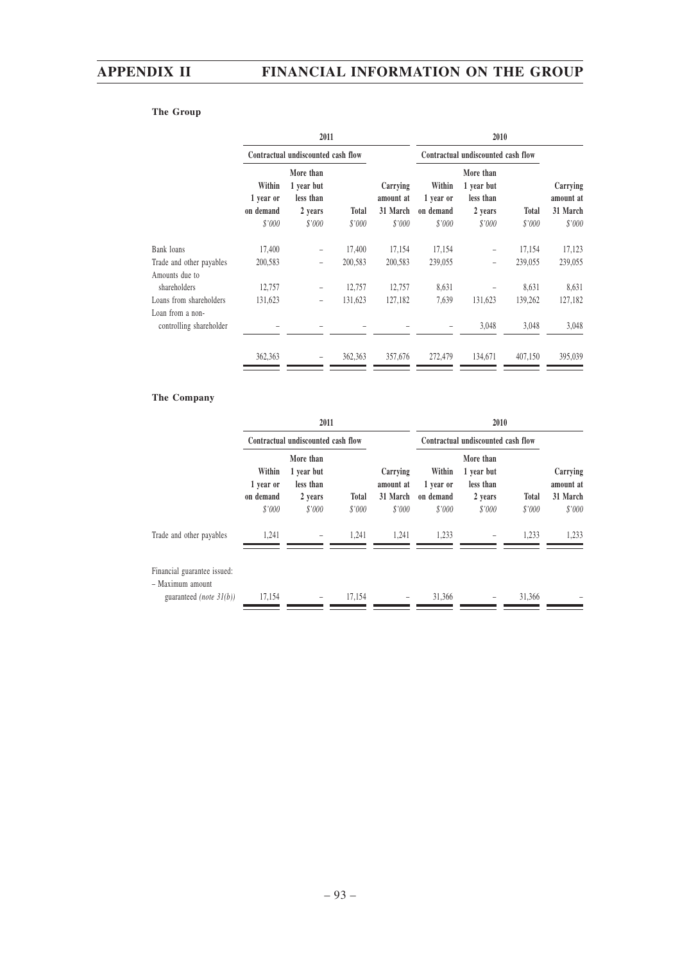## **The Group**

|                                             |                                            | 2011                                                      |                        |                                             |                                            | 2010                                                      |                        |                                             |  |
|---------------------------------------------|--------------------------------------------|-----------------------------------------------------------|------------------------|---------------------------------------------|--------------------------------------------|-----------------------------------------------------------|------------------------|---------------------------------------------|--|
|                                             |                                            | Contractual undiscounted cash flow                        |                        |                                             | Contractual undiscounted cash flow         |                                                           |                        |                                             |  |
|                                             | Within<br>1 year or<br>on demand<br>\$'000 | More than<br>1 year but<br>less than<br>2 years<br>\$'000 | <b>Total</b><br>\$'000 | Carrying<br>amount at<br>31 March<br>\$'000 | Within<br>1 year or<br>on demand<br>\$'000 | More than<br>1 year but<br>less than<br>2 years<br>\$'000 | <b>Total</b><br>\$'000 | Carrying<br>amount at<br>31 March<br>\$'000 |  |
| Bank loans                                  | 17,400                                     | $\overline{\phantom{0}}$                                  | 17,400                 | 17,154                                      | 17,154                                     | $\qquad \qquad -$                                         | 17,154                 | 17,123                                      |  |
| Trade and other payables<br>Amounts due to  | 200,583                                    | $\overline{\phantom{0}}$                                  | 200,583                | 200,583                                     | 239,055                                    | -                                                         | 239,055                | 239,055                                     |  |
| shareholders                                | 12,757                                     |                                                           | 12,757                 | 12,757                                      | 8,631                                      |                                                           | 8,631                  | 8,631                                       |  |
| Loans from shareholders<br>Loan from a non- | 131,623                                    |                                                           | 131,623                | 127,182                                     | 7,639                                      | 131,623                                                   | 139,262                | 127,182                                     |  |
| controlling shareholder                     |                                            |                                                           |                        |                                             |                                            | 3,048                                                     | 3,048                  | 3,048                                       |  |
|                                             | 362,363                                    |                                                           | 362,363                | 357,676                                     | 272,479                                    | 134,671                                                   | 407,150                | 395,039                                     |  |

## **The Company**

|                                                                                   | 2011                                       |                                                           |                        |                                             | 2010                                       |                                                           |                 |                                             |
|-----------------------------------------------------------------------------------|--------------------------------------------|-----------------------------------------------------------|------------------------|---------------------------------------------|--------------------------------------------|-----------------------------------------------------------|-----------------|---------------------------------------------|
|                                                                                   |                                            | Contractual undiscounted cash flow                        |                        |                                             | Contractual undiscounted cash flow         |                                                           |                 |                                             |
|                                                                                   | Within<br>1 year or<br>on demand<br>\$'000 | More than<br>1 year but<br>less than<br>2 years<br>\$'000 | <b>Total</b><br>\$'000 | Carrying<br>amount at<br>31 March<br>\$'000 | Within<br>1 year or<br>on demand<br>\$'000 | More than<br>1 year but<br>less than<br>2 years<br>\$'000 | Total<br>\$'000 | Carrying<br>amount at<br>31 March<br>\$'000 |
| Trade and other payables                                                          | 1,241                                      | $\overline{\phantom{a}}$                                  | 1.241                  | 1,241                                       | 1,233                                      |                                                           | 1,233           | 1,233                                       |
| Financial guarantee issued:<br>- Maximum amount<br>guaranteed <i>(note 31(b))</i> | 17,154                                     |                                                           | 17.154                 |                                             | 31.366                                     |                                                           | 31,366          |                                             |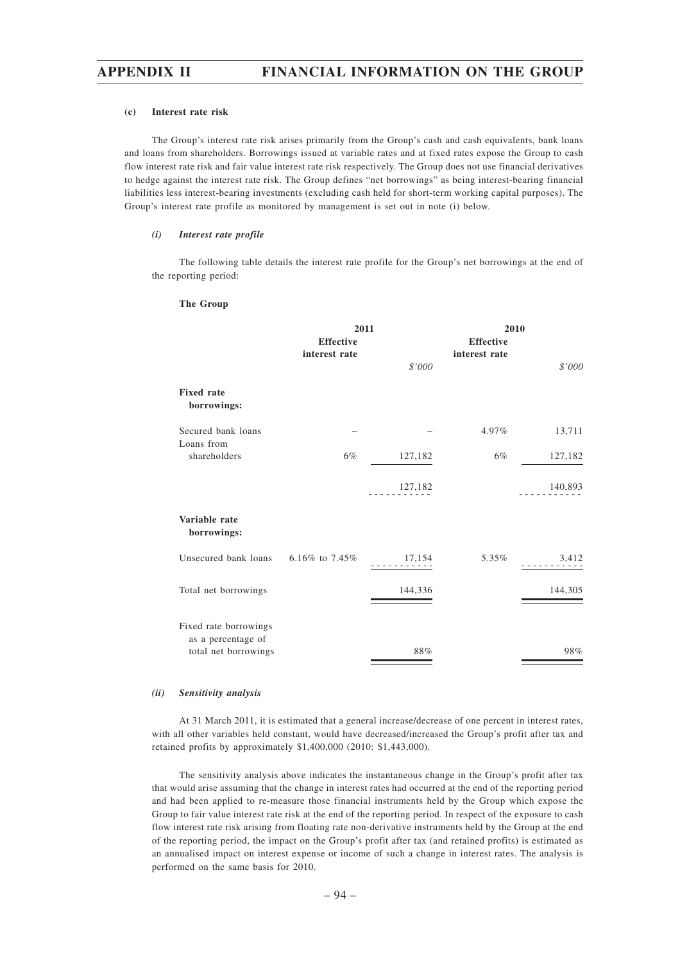#### **(c) Interest rate risk**

The Group's interest rate risk arises primarily from the Group's cash and cash equivalents, bank loans and loans from shareholders. Borrowings issued at variable rates and at fixed rates expose the Group to cash flow interest rate risk and fair value interest rate risk respectively. The Group does not use financial derivatives to hedge against the interest rate risk. The Group defines "net borrowings" as being interest-bearing financial liabilities less interest-bearing investments (excluding cash held for short-term working capital purposes). The Group's interest rate profile as monitored by management is set out in note (i) below.

### *(i) Interest rate profile*

The following table details the interest rate profile for the Group's net borrowings at the end of the reporting period:

#### **The Group**

|                                                                     | 2011             |         | 2010             |         |  |
|---------------------------------------------------------------------|------------------|---------|------------------|---------|--|
|                                                                     | <b>Effective</b> |         | <b>Effective</b> |         |  |
|                                                                     | interest rate    |         | interest rate    |         |  |
|                                                                     |                  | \$'000  |                  | \$'000  |  |
| <b>Fixed rate</b><br>borrowings:                                    |                  |         |                  |         |  |
| Secured bank loans                                                  |                  |         | 4.97%            | 13,711  |  |
| Loans from                                                          |                  |         |                  |         |  |
| shareholders                                                        | 6%               | 127,182 | 6%               | 127,182 |  |
|                                                                     |                  | 127,182 |                  | 140,893 |  |
| Variable rate<br>borrowings:                                        |                  |         |                  |         |  |
| Unsecured bank loans                                                | 6.16% to $7.45%$ | 17,154  | 5.35%            | 3,412   |  |
| Total net borrowings                                                |                  | 144,336 |                  | 144,305 |  |
| Fixed rate borrowings<br>as a percentage of<br>total net borrowings |                  | 88%     |                  | 98%     |  |

#### *(ii) Sensitivity analysis*

At 31 March 2011, it is estimated that a general increase/decrease of one percent in interest rates, with all other variables held constant, would have decreased/increased the Group's profit after tax and retained profits by approximately \$1,400,000 (2010: \$1,443,000).

The sensitivity analysis above indicates the instantaneous change in the Group's profit after tax that would arise assuming that the change in interest rates had occurred at the end of the reporting period and had been applied to re-measure those financial instruments held by the Group which expose the Group to fair value interest rate risk at the end of the reporting period. In respect of the exposure to cash flow interest rate risk arising from floating rate non-derivative instruments held by the Group at the end of the reporting period, the impact on the Group's profit after tax (and retained profits) is estimated as an annualised impact on interest expense or income of such a change in interest rates. The analysis is performed on the same basis for 2010.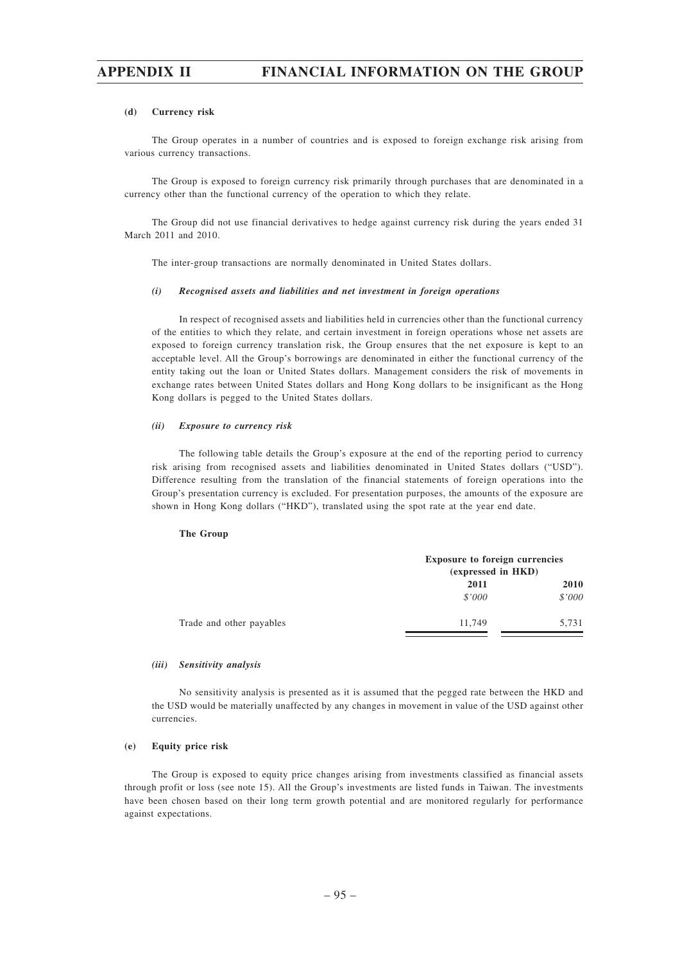#### **(d) Currency risk**

The Group operates in a number of countries and is exposed to foreign exchange risk arising from various currency transactions.

The Group is exposed to foreign currency risk primarily through purchases that are denominated in a currency other than the functional currency of the operation to which they relate.

The Group did not use financial derivatives to hedge against currency risk during the years ended 31 March 2011 and 2010.

The inter-group transactions are normally denominated in United States dollars.

#### *(i) Recognised assets and liabilities and net investment in foreign operations*

In respect of recognised assets and liabilities held in currencies other than the functional currency of the entities to which they relate, and certain investment in foreign operations whose net assets are exposed to foreign currency translation risk, the Group ensures that the net exposure is kept to an acceptable level. All the Group's borrowings are denominated in either the functional currency of the entity taking out the loan or United States dollars. Management considers the risk of movements in exchange rates between United States dollars and Hong Kong dollars to be insignificant as the Hong Kong dollars is pegged to the United States dollars.

#### *(ii) Exposure to currency risk*

The following table details the Group's exposure at the end of the reporting period to currency risk arising from recognised assets and liabilities denominated in United States dollars ("USD"). Difference resulting from the translation of the financial statements of foreign operations into the Group's presentation currency is excluded. For presentation purposes, the amounts of the exposure are shown in Hong Kong dollars ("HKD"), translated using the spot rate at the year end date.

#### **The Group**

|                          |        | <b>Exposure to foreign currencies</b><br>(expressed in HKD) |  |  |
|--------------------------|--------|-------------------------------------------------------------|--|--|
|                          | 2011   | 2010                                                        |  |  |
|                          | \$'000 | \$'000                                                      |  |  |
| Trade and other payables | 11,749 | 5,731                                                       |  |  |

#### *(iii) Sensitivity analysis*

No sensitivity analysis is presented as it is assumed that the pegged rate between the HKD and the USD would be materially unaffected by any changes in movement in value of the USD against other currencies.

### **(e) Equity price risk**

The Group is exposed to equity price changes arising from investments classified as financial assets through profit or loss (see note 15). All the Group's investments are listed funds in Taiwan. The investments have been chosen based on their long term growth potential and are monitored regularly for performance against expectations.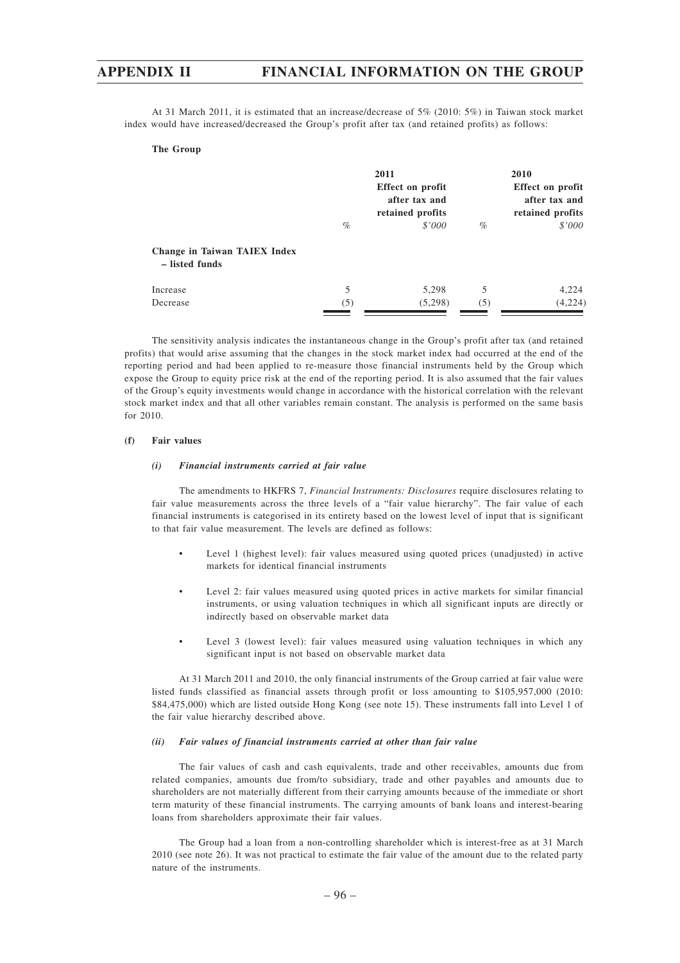At 31 March 2011, it is estimated that an increase/decrease of 5% (2010: 5%) in Taiwan stock market index would have increased/decreased the Group's profit after tax (and retained profits) as follows:

#### **The Group**

|                                                |      | 2011<br>Effect on profit<br>after tax and<br>retained profits | 2010<br>Effect on profit<br>after tax and<br>retained profits |         |  |
|------------------------------------------------|------|---------------------------------------------------------------|---------------------------------------------------------------|---------|--|
|                                                | $\%$ | \$'000                                                        | $\%$                                                          | \$'000  |  |
| Change in Taiwan TAIEX Index<br>– listed funds |      |                                                               |                                                               |         |  |
| Increase                                       | 5    | 5,298                                                         | 5                                                             | 4,224   |  |
| Decrease                                       | (5)  | (5,298)                                                       | (5)                                                           | (4,224) |  |

The sensitivity analysis indicates the instantaneous change in the Group's profit after tax (and retained profits) that would arise assuming that the changes in the stock market index had occurred at the end of the reporting period and had been applied to re-measure those financial instruments held by the Group which expose the Group to equity price risk at the end of the reporting period. It is also assumed that the fair values of the Group's equity investments would change in accordance with the historical correlation with the relevant stock market index and that all other variables remain constant. The analysis is performed on the same basis for 2010.

#### **(f) Fair values**

#### *(i) Financial instruments carried at fair value*

The amendments to HKFRS 7, *Financial Instruments: Disclosures* require disclosures relating to fair value measurements across the three levels of a "fair value hierarchy". The fair value of each financial instruments is categorised in its entirety based on the lowest level of input that is significant to that fair value measurement. The levels are defined as follows:

- Level 1 (highest level): fair values measured using quoted prices (unadjusted) in active markets for identical financial instruments
- Level 2: fair values measured using quoted prices in active markets for similar financial instruments, or using valuation techniques in which all significant inputs are directly or indirectly based on observable market data
- Level 3 (lowest level): fair values measured using valuation techniques in which any significant input is not based on observable market data

At 31 March 2011 and 2010, the only financial instruments of the Group carried at fair value were listed funds classified as financial assets through profit or loss amounting to \$105,957,000 (2010: \$84,475,000) which are listed outside Hong Kong (see note 15). These instruments fall into Level 1 of the fair value hierarchy described above.

#### *(ii) Fair values of financial instruments carried at other than fair value*

The fair values of cash and cash equivalents, trade and other receivables, amounts due from related companies, amounts due from/to subsidiary, trade and other payables and amounts due to shareholders are not materially different from their carrying amounts because of the immediate or short term maturity of these financial instruments. The carrying amounts of bank loans and interest-bearing loans from shareholders approximate their fair values.

The Group had a loan from a non-controlling shareholder which is interest-free as at 31 March 2010 (see note 26). It was not practical to estimate the fair value of the amount due to the related party nature of the instruments.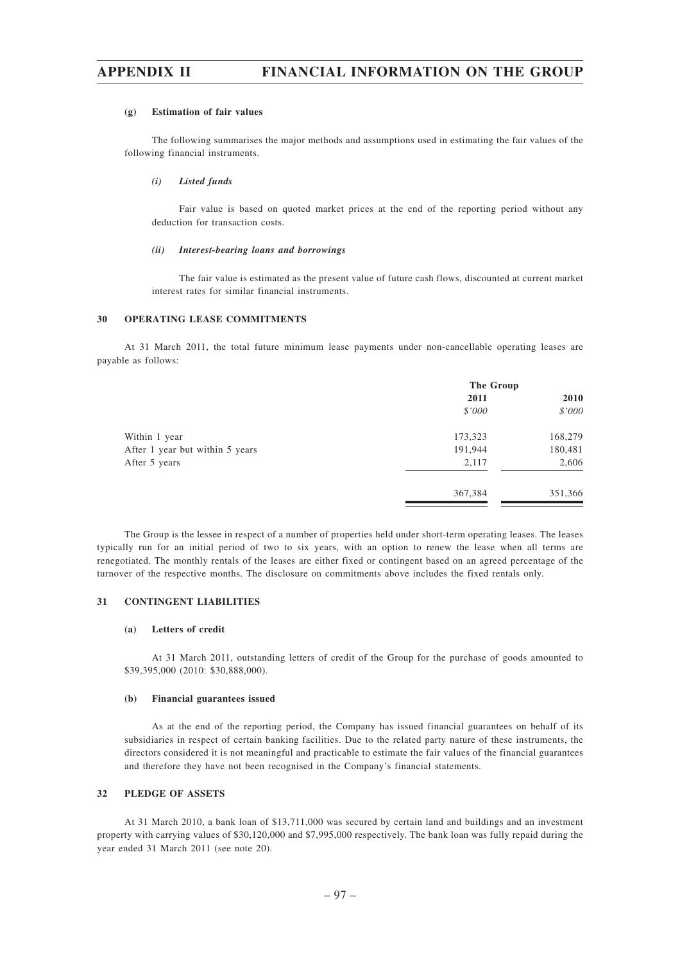#### **(g) Estimation of fair values**

The following summarises the major methods and assumptions used in estimating the fair values of the following financial instruments.

#### *(i) Listed funds*

Fair value is based on quoted market prices at the end of the reporting period without any deduction for transaction costs.

#### *(ii) Interest-bearing loans and borrowings*

The fair value is estimated as the present value of future cash flows, discounted at current market interest rates for similar financial instruments.

#### **30 OPERATING LEASE COMMITMENTS**

At 31 March 2011, the total future minimum lease payments under non-cancellable operating leases are payable as follows:

|                                 | The Group |         |  |
|---------------------------------|-----------|---------|--|
|                                 | 2011      | 2010    |  |
|                                 | \$'000    | \$'000  |  |
| Within 1 year                   | 173,323   | 168,279 |  |
| After 1 year but within 5 years | 191,944   | 180,481 |  |
| After 5 years                   | 2,117     | 2,606   |  |
|                                 | 367,384   | 351,366 |  |

The Group is the lessee in respect of a number of properties held under short-term operating leases. The leases typically run for an initial period of two to six years, with an option to renew the lease when all terms are renegotiated. The monthly rentals of the leases are either fixed or contingent based on an agreed percentage of the turnover of the respective months. The disclosure on commitments above includes the fixed rentals only.

#### **31 CONTINGENT LIABILITIES**

#### **(a) Letters of credit**

At 31 March 2011, outstanding letters of credit of the Group for the purchase of goods amounted to \$39,395,000 (2010: \$30,888,000).

#### **(b) Financial guarantees issued**

As at the end of the reporting period, the Company has issued financial guarantees on behalf of its subsidiaries in respect of certain banking facilities. Due to the related party nature of these instruments, the directors considered it is not meaningful and practicable to estimate the fair values of the financial guarantees and therefore they have not been recognised in the Company's financial statements.

#### **32 PLEDGE OF ASSETS**

At 31 March 2010, a bank loan of \$13,711,000 was secured by certain land and buildings and an investment property with carrying values of \$30,120,000 and \$7,995,000 respectively. The bank loan was fully repaid during the year ended 31 March 2011 (see note 20).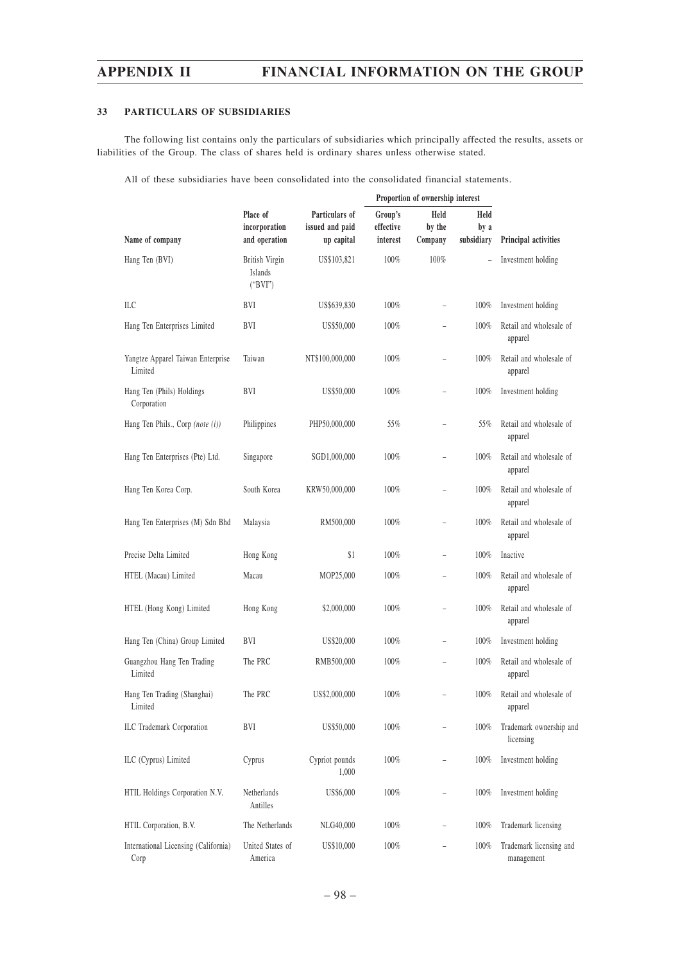## **33 PARTICULARS OF SUBSIDIARIES**

The following list contains only the particulars of subsidiaries which principally affected the results, assets or liabilities of the Group. The class of shares held is ordinary shares unless otherwise stated.

All of these subsidiaries have been consolidated into the consolidated financial statements.

|                                              |                                            |                                                 | Proportion of ownership interest |                           |                            |                                       |
|----------------------------------------------|--------------------------------------------|-------------------------------------------------|----------------------------------|---------------------------|----------------------------|---------------------------------------|
| Name of company                              | Place of<br>incorporation<br>and operation | Particulars of<br>issued and paid<br>up capital | Group's<br>effective<br>interest | Held<br>by the<br>Company | Held<br>by a<br>subsidiary | Principal activities                  |
| Hang Ten (BVI)                               | British Virgin<br>Islands<br>("BVI")       | US\$103,821                                     | 100%                             | 100%                      | $\overline{\phantom{a}}$   | Investment holding                    |
| ILC                                          | BVI                                        | US\$639,830                                     | 100%                             | $\overline{\phantom{0}}$  | 100%                       | Investment holding                    |
| Hang Ten Enterprises Limited                 | BVI                                        | US\$50,000                                      | 100%                             | L.                        | 100%                       | Retail and wholesale of<br>apparel    |
| Yangtze Apparel Taiwan Enterprise<br>Limited | Taiwan                                     | NT\$100,000,000                                 | 100%                             |                           | 100%                       | Retail and wholesale of<br>apparel    |
| Hang Ten (Phils) Holdings<br>Corporation     | BVI                                        | US\$50,000                                      | 100%                             | $\overline{\phantom{0}}$  | 100%                       | Investment holding                    |
| Hang Ten Phils., Corp (note (i))             | Philippines                                | PHP50,000,000                                   | 55%                              |                           | 55%                        | Retail and wholesale of<br>apparel    |
| Hang Ten Enterprises (Pte) Ltd.              | Singapore                                  | SGD1,000,000                                    | 100%                             |                           | 100%                       | Retail and wholesale of<br>apparel    |
| Hang Ten Korea Corp.                         | South Korea                                | KRW50,000,000                                   | 100%                             | ÷,                        | 100%                       | Retail and wholesale of<br>apparel    |
| Hang Ten Enterprises (M) Sdn Bhd             | Malaysia                                   | RM500,000                                       | 100%                             |                           | 100%                       | Retail and wholesale of<br>apparel    |
| Precise Delta Limited                        | Hong Kong                                  | \$1                                             | 100%                             | $\overline{\phantom{0}}$  | 100%                       | Inactive                              |
| HTEL (Macau) Limited                         | Macau                                      | MOP25,000                                       | 100%                             | $\overline{\phantom{0}}$  | 100%                       | Retail and wholesale of<br>apparel    |
| HTEL (Hong Kong) Limited                     | Hong Kong                                  | \$2,000,000                                     | 100%                             | $\overline{\phantom{0}}$  | 100%                       | Retail and wholesale of<br>apparel    |
| Hang Ten (China) Group Limited               | BVI                                        | US\$20,000                                      | 100%                             | -                         | 100%                       | Investment holding                    |
| Guangzhou Hang Ten Trading<br>Limited        | The PRC                                    | RMB500,000                                      | 100%                             |                           | 100%                       | Retail and wholesale of<br>apparel    |
| Hang Ten Trading (Shanghai)<br>Limited       | The PRC                                    | US\$2,000,000                                   | 100%                             |                           | 100%                       | Retail and wholesale of<br>apparel    |
| ILC Trademark Corporation                    | BVI                                        | US\$50,000                                      | 100%                             |                           | 100%                       | Trademark ownership and<br>licensing  |
| ILC (Cyprus) Limited                         | Cyprus                                     | Cypriot pounds<br>1,000                         | 100%                             |                           | 100%                       | Investment holding                    |
| HTIL Holdings Corporation N.V.               | Netherlands<br>Antilles                    | US\$6,000                                       | $100\%$                          |                           | 100%                       | Investment holding                    |
| HTIL Corporation, B.V.                       | The Netherlands                            | NLG40,000                                       | 100%                             |                           | 100%                       | Trademark licensing                   |
| International Licensing (California)<br>Corp | United States of<br>America                | US\$10,000                                      | 100%                             |                           | 100%                       | Trademark licensing and<br>management |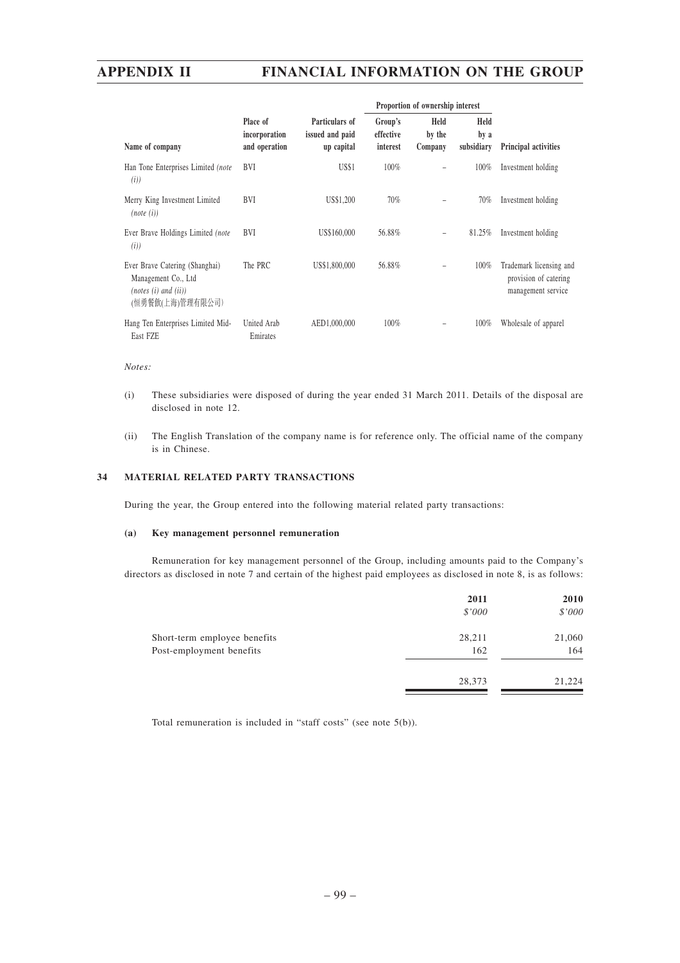|                                                                                                   |                                            |                                                 |                                  | Proportion of ownership interest                        |         |                                                                        |  |
|---------------------------------------------------------------------------------------------------|--------------------------------------------|-------------------------------------------------|----------------------------------|---------------------------------------------------------|---------|------------------------------------------------------------------------|--|
| Name of company                                                                                   | Place of<br>incorporation<br>and operation | Particulars of<br>issued and paid<br>up capital | Group's<br>effective<br>interest | Held<br>Held<br>by the<br>by a<br>subsidiary<br>Company |         | <b>Principal activities</b>                                            |  |
| Han Tone Enterprises Limited (note<br>(i)                                                         | <b>BVI</b>                                 | US\$1                                           | 100%                             |                                                         | $100\%$ | Investment holding                                                     |  |
| Merry King Investment Limited<br>(note (i))                                                       | <b>BVI</b>                                 | US\$1,200                                       | 70%                              | $\overline{\phantom{0}}$                                | 70%     | Investment holding                                                     |  |
| Ever Brave Holdings Limited (note<br>(i)                                                          | <b>BVI</b>                                 | US\$160,000                                     | 56.88%                           | $\overline{\phantom{0}}$                                | 81.25%  | Investment holding                                                     |  |
| Ever Brave Catering (Shanghai)<br>Management Co., Ltd<br>(notes (i) and (ii))<br>(恒勇餐飲(上海)管理有限公司) | The PRC                                    | US\$1,800,000                                   | 56.88%                           |                                                         | 100%    | Trademark licensing and<br>provision of catering<br>management service |  |
| Hang Ten Enterprises Limited Mid-<br>East FZE                                                     | United Arab<br>Emirates                    | AED1.000.000                                    | 100%                             |                                                         | 100%    | Wholesale of apparel                                                   |  |

### *Notes:*

- (i) These subsidiaries were disposed of during the year ended 31 March 2011. Details of the disposal are disclosed in note 12.
- (ii) The English Translation of the company name is for reference only. The official name of the company is in Chinese.

## **34 MATERIAL RELATED PARTY TRANSACTIONS**

During the year, the Group entered into the following material related party transactions:

#### **(a) Key management personnel remuneration**

Remuneration for key management personnel of the Group, including amounts paid to the Company's directors as disclosed in note 7 and certain of the highest paid employees as disclosed in note 8, is as follows:

|                              | 2011   | 2010   |
|------------------------------|--------|--------|
|                              | \$'000 | \$'000 |
| Short-term employee benefits | 28,211 | 21,060 |
| Post-employment benefits     | 162    | 164    |
|                              | 28,373 | 21,224 |
|                              |        |        |

Total remuneration is included in "staff costs" (see note 5(b)).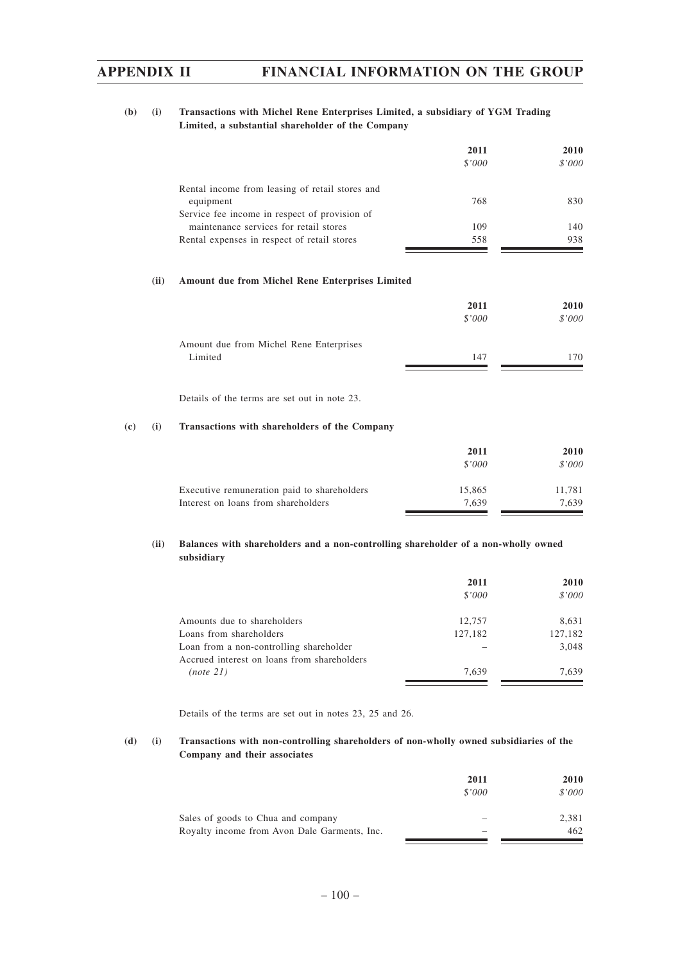## **(b) (i) Transactions with Michel Rene Enterprises Limited, a subsidiary of YGM Trading Limited, a substantial shareholder of the Company**

|                                                 | 2011   | 2010   |
|-------------------------------------------------|--------|--------|
|                                                 | \$'000 | \$'000 |
| Rental income from leasing of retail stores and |        |        |
| equipment                                       | 768    | 830    |
| Service fee income in respect of provision of   |        |        |
| maintenance services for retail stores          | 109    | 140    |
| Rental expenses in respect of retail stores     | 558    | 938    |

#### **(ii) Amount due from Michel Rene Enterprises Limited**

|                                         | 2011   | 2010   |
|-----------------------------------------|--------|--------|
|                                         | \$'000 | \$'000 |
| Amount due from Michel Rene Enterprises |        |        |
| Limited                                 | 147    | 170    |
|                                         |        |        |

Details of the terms are set out in note 23.

### **(c) (i) Transactions with shareholders of the Company**

|                                             | 2011<br>\$'000 | <b>2010</b><br>\$'000 |
|---------------------------------------------|----------------|-----------------------|
| Executive remuneration paid to shareholders | 15.865         | 11.781                |
| Interest on loans from shareholders         | 7.639          | 7.639                 |

## **(ii) Balances with shareholders and a non-controlling shareholder of a non-wholly owned subsidiary**

|                                                                                        | 2011<br>\$'000 | 2010<br>\$'000 |
|----------------------------------------------------------------------------------------|----------------|----------------|
|                                                                                        |                |                |
| Amounts due to shareholders                                                            | 12,757         | 8,631          |
| Loans from shareholders                                                                | 127,182        | 127,182        |
| Loan from a non-controlling shareholder<br>Accrued interest on loans from shareholders |                | 3.048          |
| (note 21)                                                                              | 7.639          | 7.639          |

Details of the terms are set out in notes 23, 25 and 26.

## **(d) (i) Transactions with non-controlling shareholders of non-wholly owned subsidiaries of the Company and their associates**

| \$'000 |
|--------|
| 2.381  |
| 462    |
|        |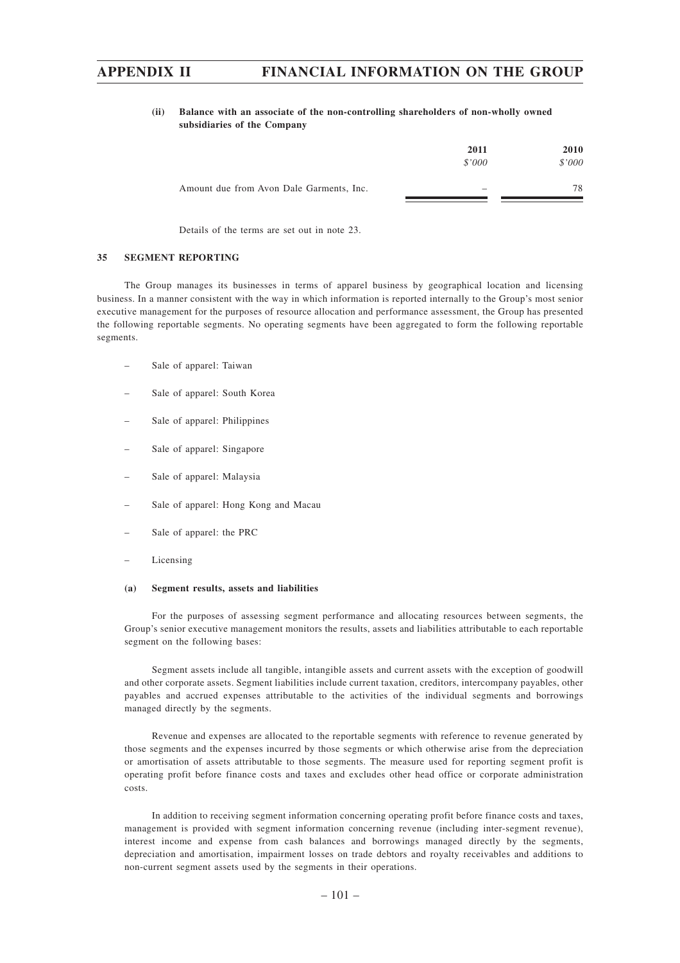### **(ii) Balance with an associate of the non-controlling shareholders of non-wholly owned subsidiaries of the Company**

|                                          | 2011<br>\$'000 | 2010<br>\$'000 |
|------------------------------------------|----------------|----------------|
| Amount due from Avon Dale Garments, Inc. | -              | 78             |

Details of the terms are set out in note 23.

#### **35 SEGMENT REPORTING**

The Group manages its businesses in terms of apparel business by geographical location and licensing business. In a manner consistent with the way in which information is reported internally to the Group's most senior executive management for the purposes of resource allocation and performance assessment, the Group has presented the following reportable segments. No operating segments have been aggregated to form the following reportable segments.

- Sale of apparel: Taiwan
- Sale of apparel: South Korea
- Sale of apparel: Philippines
- Sale of apparel: Singapore
- Sale of apparel: Malaysia
- Sale of apparel: Hong Kong and Macau
- Sale of apparel: the PRC
- Licensing

#### **(a) Segment results, assets and liabilities**

For the purposes of assessing segment performance and allocating resources between segments, the Group's senior executive management monitors the results, assets and liabilities attributable to each reportable segment on the following bases:

Segment assets include all tangible, intangible assets and current assets with the exception of goodwill and other corporate assets. Segment liabilities include current taxation, creditors, intercompany payables, other payables and accrued expenses attributable to the activities of the individual segments and borrowings managed directly by the segments.

Revenue and expenses are allocated to the reportable segments with reference to revenue generated by those segments and the expenses incurred by those segments or which otherwise arise from the depreciation or amortisation of assets attributable to those segments. The measure used for reporting segment profit is operating profit before finance costs and taxes and excludes other head office or corporate administration costs.

In addition to receiving segment information concerning operating profit before finance costs and taxes, management is provided with segment information concerning revenue (including inter-segment revenue), interest income and expense from cash balances and borrowings managed directly by the segments, depreciation and amortisation, impairment losses on trade debtors and royalty receivables and additions to non-current segment assets used by the segments in their operations.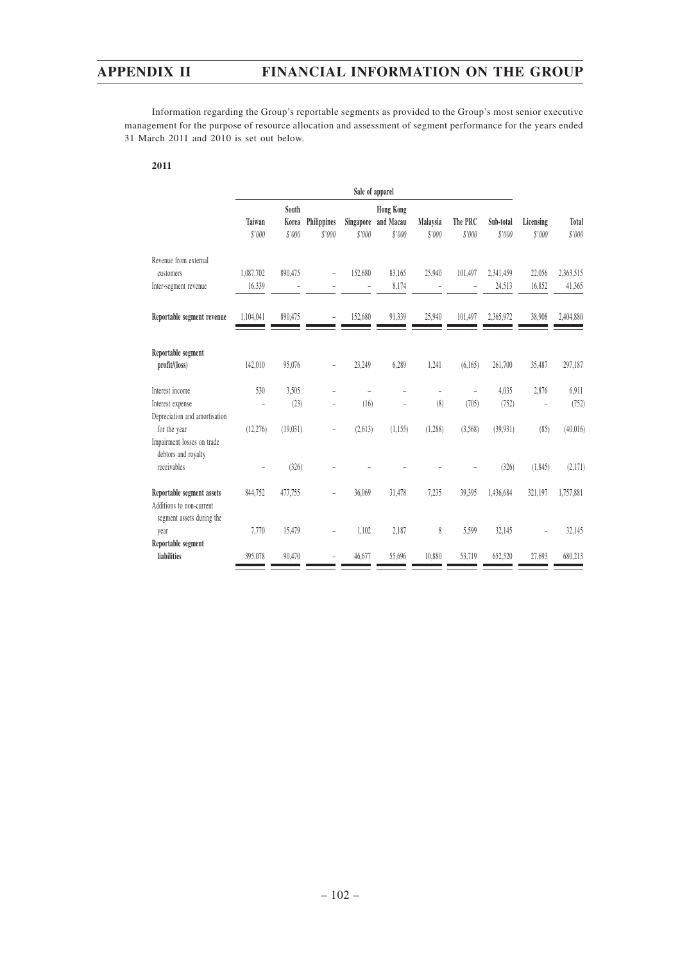Information regarding the Group's reportable segments as provided to the Group's most senior executive management for the purpose of resource allocation and assessment of segment performance for the years ended 31 March 2011 and 2010 is set out below.

**2011**

|                                                                                    | Sale of apparel          |                          |                       |                     |                                         |                    |                   |                     |                          |                        |
|------------------------------------------------------------------------------------|--------------------------|--------------------------|-----------------------|---------------------|-----------------------------------------|--------------------|-------------------|---------------------|--------------------------|------------------------|
|                                                                                    | Taiwan<br>\$'000         | South<br>Korea<br>\$'000 | Philippines<br>\$'000 | Singapore<br>\$'000 | <b>Hong Kong</b><br>and Macau<br>\$'000 | Malaysia<br>\$'000 | The PRC<br>\$'000 | Sub-total<br>\$'000 | Licensing<br>\$'000      | <b>Total</b><br>\$'000 |
| Revenue from external                                                              |                          |                          |                       |                     |                                         |                    |                   |                     |                          |                        |
| customers                                                                          | 1,087,702                | 890,475                  | ÷,                    | 152,680             | 83,165                                  | 25,940             | 101,497           | 2,341,459           | 22,056                   | 2,363,515              |
| Inter-segment revenue                                                              | 16,339                   |                          |                       |                     | 8,174                                   |                    |                   | 24,513              | 16,852                   | 41,365                 |
| Reportable segment revenue                                                         | 1,104,041                | 890,475                  | ÷,                    | 152,680             | 91,339                                  | 25,940             | 101,497           | 2,365,972           | 38,908                   | 2,404,880              |
| Reportable segment<br>profit/(loss)                                                | 142,010                  | 95,076                   | ÷                     | 23,249              | 6,289                                   | 1,241              | (6,165)           | 261,700             | 35,487                   | 297,187                |
| Interest income                                                                    | 530                      | 3,505                    |                       |                     |                                         |                    |                   | 4,035               | 2,876                    | 6,911                  |
| Interest expense<br>Depreciation and amortisation                                  | $\overline{\phantom{0}}$ | (23)                     |                       | (16)                |                                         | (8)                | (705)             | (752)               |                          | (752)                  |
| for the year<br>Impairment losses on trade<br>debtors and royalty                  | (12, 276)                | (19,031)                 | $\overline{a}$        | (2,613)             | (1, 155)                                | (1,288)            | (3,568)           | (39, 931)           | (85)                     | (40,016)               |
| receivables                                                                        |                          | (326)                    |                       |                     |                                         |                    |                   | (326)               | (1, 845)                 | (2,171)                |
| Reportable segment assets<br>Additions to non-current<br>segment assets during the | 844,752                  | 477,755                  |                       | 36,069              | 31,478                                  | 7,235              | 39,395            | 1,436,684           | 321,197                  | 1,757,881              |
| year                                                                               | 7,770                    | 15,479                   | $\overline{a}$        | 1,102               | 2,187                                   | 8                  | 5,599             | 32,145              | $\overline{\phantom{0}}$ | 32,145                 |
| Reportable segment<br>liabilities                                                  | 395,078                  | 90,470                   |                       | 46,677              | 55,696                                  | 10,880             | 53,719            | 652,520             | 27,693                   | 680,213                |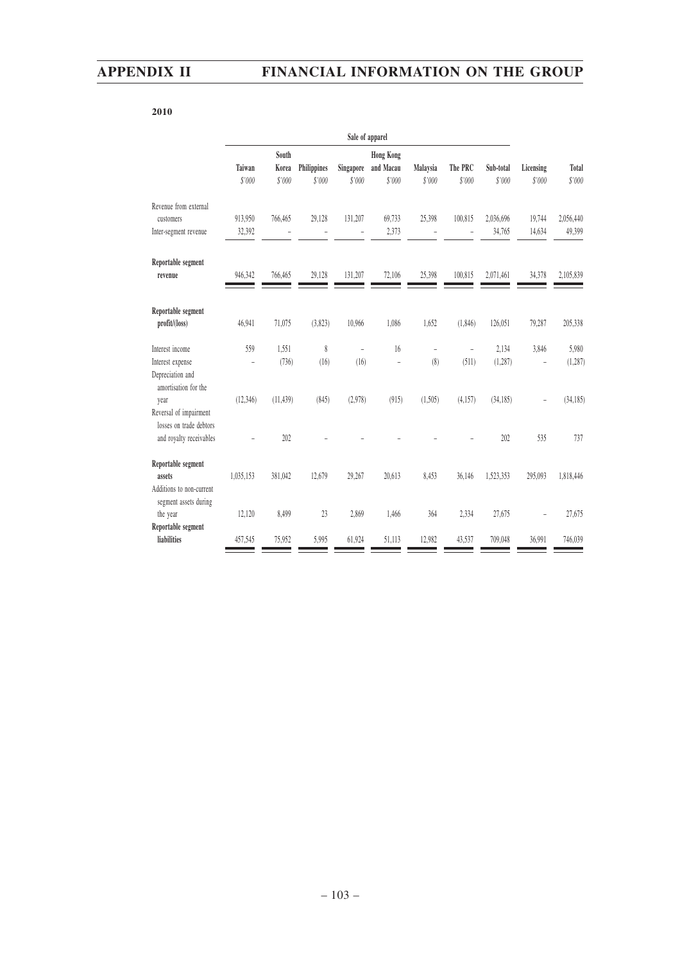## **2010**

|                                                           | Sale of apparel          |                          |                       |                     |                                         |                    |                          |                     |                     |                 |
|-----------------------------------------------------------|--------------------------|--------------------------|-----------------------|---------------------|-----------------------------------------|--------------------|--------------------------|---------------------|---------------------|-----------------|
|                                                           | Taiwan<br>\$'000         | South<br>Korea<br>\$'000 | Philippines<br>\$'000 | Singapore<br>\$'000 | <b>Hong Kong</b><br>and Macau<br>\$'000 | Malaysia<br>\$'000 | The PRC<br>\$'000        | Sub-total<br>\$'000 | Licensing<br>\$'000 | Total<br>\$'000 |
| Revenue from external                                     |                          |                          |                       |                     |                                         |                    |                          |                     |                     |                 |
| customers                                                 | 913,950                  | 766,465                  | 29,128                | 131,207             | 69,733                                  | 25,398             | 100,815                  | 2,036,696           | 19,744              | 2,056,440       |
| Inter-segment revenue                                     | 32,392                   |                          |                       |                     | 2,373                                   |                    |                          | 34,765              | 14,634              | 49,399          |
| Reportable segment<br>revenue                             | 946,342                  | 766,465                  | 29,128                | 131,207             | 72,106                                  | 25,398             | 100,815                  | 2,071,461           | 34,378              | 2,105,839       |
| Reportable segment<br>profit/(loss)                       | 46,941                   | 71,075                   | (3,823)               | 10,966              | 1,086                                   | 1,652              | (1,846)                  | 126,051             | 79,287              | 205,338         |
| Interest income                                           | 559                      | 1,551                    | 8                     | $\overline{a}$      | 16                                      | ÷,                 | $\overline{\phantom{0}}$ | 2,134               | 3,846               | 5,980           |
| Interest expense                                          | ÷,                       | (736)                    | (16)                  | (16)                |                                         | (8)                | (511)                    | (1, 287)            |                     | (1, 287)        |
| Depreciation and<br>amortisation for the                  |                          |                          |                       |                     |                                         |                    |                          |                     |                     |                 |
| year<br>Reversal of impairment<br>losses on trade debtors | (12, 346)                | (11, 439)                | (845)                 | (2,978)             | (915)                                   | (1,505)            | (4,157)                  | (34, 185)           |                     | (34, 185)       |
| and royalty receivables                                   | $\overline{\phantom{0}}$ | 202                      |                       |                     |                                         |                    |                          | 202                 | 535                 | 737             |
| Reportable segment                                        |                          |                          |                       |                     |                                         |                    |                          |                     |                     |                 |
| assets                                                    | 1,035,153                | 381,042                  | 12,679                | 29,267              | 20,613                                  | 8,453              | 36,146                   | 1,523,353           | 295,093             | 1,818,446       |
| Additions to non-current<br>segment assets during         |                          |                          |                       |                     |                                         |                    |                          |                     |                     |                 |
| the year                                                  | 12,120                   | 8,499                    | 23                    | 2,869               | 1,466                                   | 364                | 2,334                    | 27,675              |                     | 27,675          |
| Reportable segment<br>liabilities                         | 457,545                  | 75,952                   | 5,995                 | 61,924              | 51,113                                  | 12,982             | 43,537                   | 709,048             | 36.991              | 746,039         |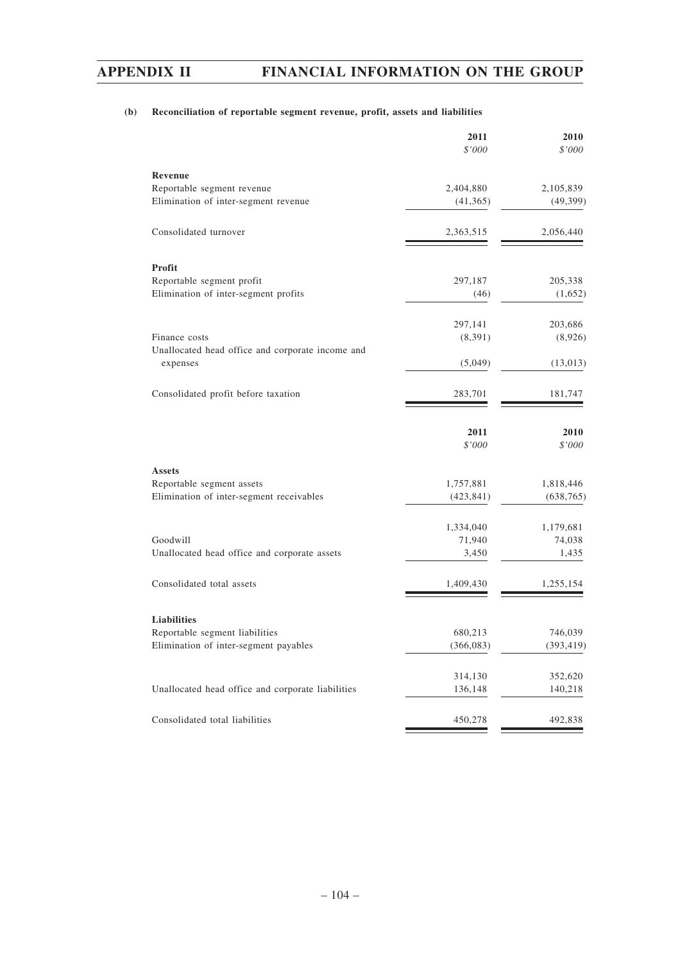## **(b) Reconciliation of reportable segment revenue, profit, assets and liabilities**

|                                                                       | 2011<br>\$'000          | 2010<br>\$'000          |
|-----------------------------------------------------------------------|-------------------------|-------------------------|
| Revenue                                                               |                         |                         |
| Reportable segment revenue                                            | 2,404,880               | 2,105,839               |
| Elimination of inter-segment revenue                                  | (41,365)                | (49, 399)               |
| Consolidated turnover                                                 | 2,363,515               | 2,056,440               |
| <b>Profit</b>                                                         |                         |                         |
| Reportable segment profit                                             | 297,187                 | 205,338                 |
| Elimination of inter-segment profits                                  | (46)                    | (1,652)                 |
|                                                                       | 297,141                 | 203,686                 |
| Finance costs                                                         | (8,391)                 | (8,926)                 |
| Unallocated head office and corporate income and<br>expenses          | (5,049)                 | (13,013)                |
| Consolidated profit before taxation                                   | 283,701                 | 181,747                 |
|                                                                       | 2011                    | 2010                    |
|                                                                       | \$'000                  | \$'000                  |
| <b>Assets</b>                                                         |                         |                         |
| Reportable segment assets<br>Elimination of inter-segment receivables | 1,757,881<br>(423, 841) | 1,818,446<br>(638, 765) |
|                                                                       | 1,334,040               | 1,179,681               |
| Goodwill                                                              | 71,940                  | 74,038                  |
| Unallocated head office and corporate assets                          | 3,450                   | 1,435                   |
| Consolidated total assets                                             | 1,409,430               | 1,255,154               |
| <b>Liabilities</b>                                                    |                         |                         |
| Reportable segment liabilities                                        | 680,213                 | 746,039                 |
| Elimination of inter-segment payables                                 | (366, 083)              | (393, 419)              |
|                                                                       | 314,130                 | 352,620                 |
| Unallocated head office and corporate liabilities                     | 136,148                 | 140,218                 |
| Consolidated total liabilities                                        | 450,278                 | 492,838                 |
|                                                                       |                         |                         |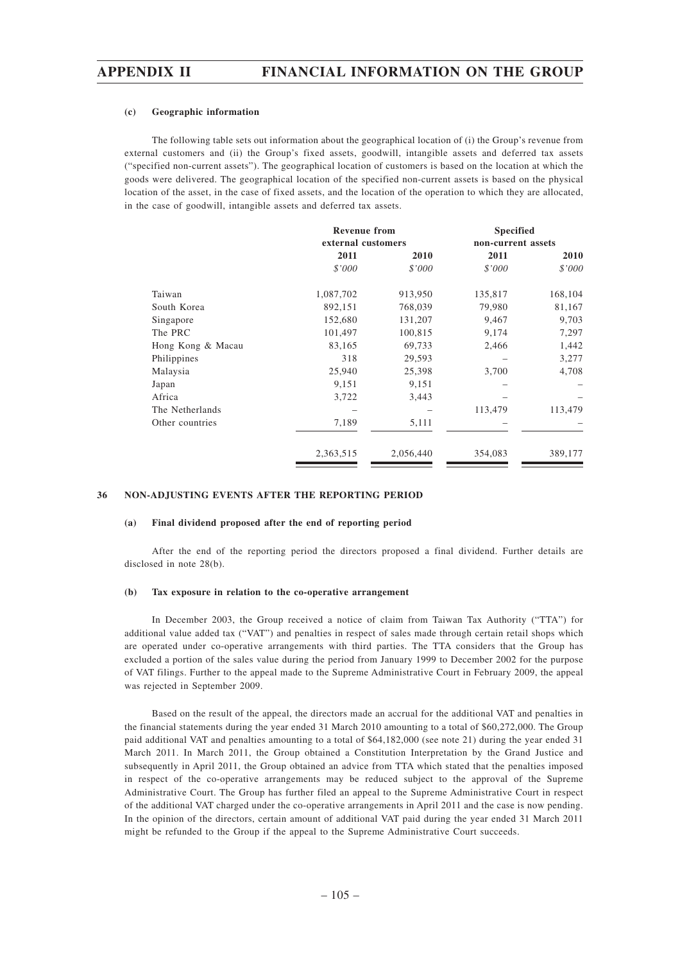#### **(c) Geographic information**

The following table sets out information about the geographical location of (i) the Group's revenue from external customers and (ii) the Group's fixed assets, goodwill, intangible assets and deferred tax assets ("specified non-current assets"). The geographical location of customers is based on the location at which the goods were delivered. The geographical location of the specified non-current assets is based on the physical location of the asset, in the case of fixed assets, and the location of the operation to which they are allocated, in the case of goodwill, intangible assets and deferred tax assets.

|                   | <b>Revenue from</b><br>external customers |           | <b>Specified</b><br>non-current assets |         |  |
|-------------------|-------------------------------------------|-----------|----------------------------------------|---------|--|
|                   | 2011                                      | 2010      | 2011                                   | 2010    |  |
|                   | \$'000                                    | \$'000    | \$'000                                 | \$'000  |  |
| Taiwan            | 1,087,702                                 | 913,950   | 135,817                                | 168,104 |  |
| South Korea       | 892,151                                   | 768,039   | 79,980                                 | 81,167  |  |
| Singapore         | 152,680                                   | 131,207   | 9,467                                  | 9,703   |  |
| The PRC           | 101,497                                   | 100,815   | 9,174                                  | 7,297   |  |
| Hong Kong & Macau | 83,165                                    | 69,733    | 2,466                                  | 1,442   |  |
| Philippines       | 318                                       | 29,593    |                                        | 3,277   |  |
| Malaysia          | 25,940                                    | 25,398    | 3,700                                  | 4,708   |  |
| Japan             | 9,151                                     | 9,151     |                                        |         |  |
| Africa            | 3,722                                     | 3,443     |                                        |         |  |
| The Netherlands   |                                           |           | 113,479                                | 113,479 |  |
| Other countries   | 7,189                                     | 5,111     |                                        |         |  |
|                   | 2,363,515                                 | 2,056,440 | 354,083                                | 389,177 |  |

### **36 NON-ADJUSTING EVENTS AFTER THE REPORTING PERIOD**

#### **(a) Final dividend proposed after the end of reporting period**

After the end of the reporting period the directors proposed a final dividend. Further details are disclosed in note 28(b).

#### **(b) Tax exposure in relation to the co-operative arrangement**

In December 2003, the Group received a notice of claim from Taiwan Tax Authority ("TTA") for additional value added tax ("VAT") and penalties in respect of sales made through certain retail shops which are operated under co-operative arrangements with third parties. The TTA considers that the Group has excluded a portion of the sales value during the period from January 1999 to December 2002 for the purpose of VAT filings. Further to the appeal made to the Supreme Administrative Court in February 2009, the appeal was rejected in September 2009.

Based on the result of the appeal, the directors made an accrual for the additional VAT and penalties in the financial statements during the year ended 31 March 2010 amounting to a total of \$60,272,000. The Group paid additional VAT and penalties amounting to a total of \$64,182,000 (see note 21) during the year ended 31 March 2011. In March 2011, the Group obtained a Constitution Interpretation by the Grand Justice and subsequently in April 2011, the Group obtained an advice from TTA which stated that the penalties imposed in respect of the co-operative arrangements may be reduced subject to the approval of the Supreme Administrative Court. The Group has further filed an appeal to the Supreme Administrative Court in respect of the additional VAT charged under the co-operative arrangements in April 2011 and the case is now pending. In the opinion of the directors, certain amount of additional VAT paid during the year ended 31 March 2011 might be refunded to the Group if the appeal to the Supreme Administrative Court succeeds.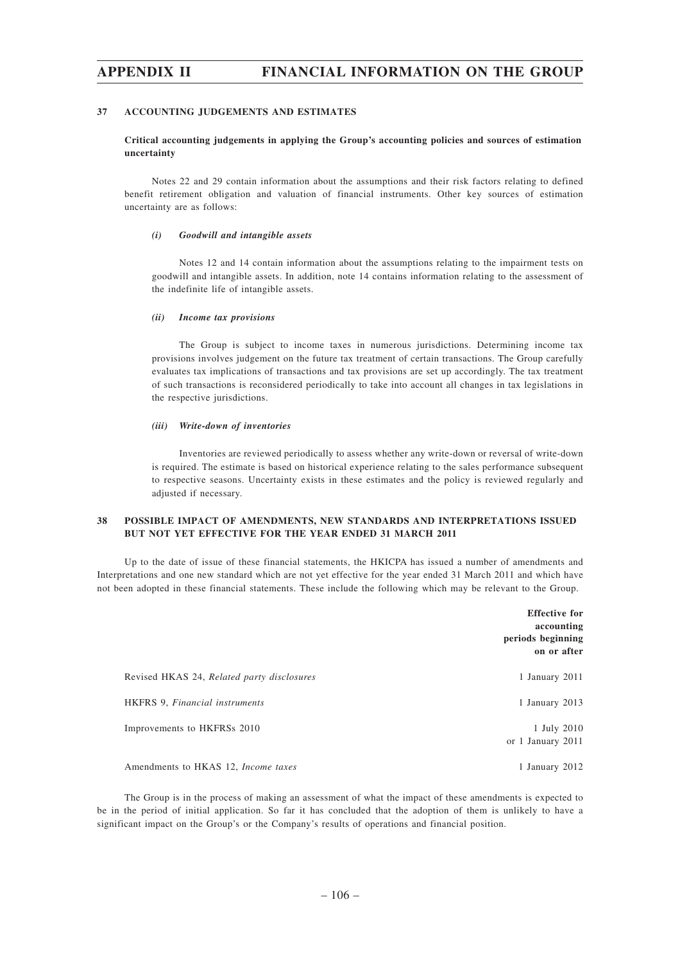#### **37 ACCOUNTING JUDGEMENTS AND ESTIMATES**

### **Critical accounting judgements in applying the Group's accounting policies and sources of estimation uncertainty**

Notes 22 and 29 contain information about the assumptions and their risk factors relating to defined benefit retirement obligation and valuation of financial instruments. Other key sources of estimation uncertainty are as follows:

#### *(i) Goodwill and intangible assets*

Notes 12 and 14 contain information about the assumptions relating to the impairment tests on goodwill and intangible assets. In addition, note 14 contains information relating to the assessment of the indefinite life of intangible assets.

#### *(ii) Income tax provisions*

The Group is subject to income taxes in numerous jurisdictions. Determining income tax provisions involves judgement on the future tax treatment of certain transactions. The Group carefully evaluates tax implications of transactions and tax provisions are set up accordingly. The tax treatment of such transactions is reconsidered periodically to take into account all changes in tax legislations in the respective jurisdictions.

#### *(iii) Write-down of inventories*

Inventories are reviewed periodically to assess whether any write-down or reversal of write-down is required. The estimate is based on historical experience relating to the sales performance subsequent to respective seasons. Uncertainty exists in these estimates and the policy is reviewed regularly and adjusted if necessary.

## **38 POSSIBLE IMPACT OF AMENDMENTS, NEW STANDARDS AND INTERPRETATIONS ISSUED BUT NOT YET EFFECTIVE FOR THE YEAR ENDED 31 MARCH 2011**

Up to the date of issue of these financial statements, the HKICPA has issued a number of amendments and Interpretations and one new standard which are not yet effective for the year ended 31 March 2011 and which have not been adopted in these financial statements. These include the following which may be relevant to the Group.

|                                            | <b>Effective for</b><br>accounting<br>periods beginning<br>on or after |
|--------------------------------------------|------------------------------------------------------------------------|
| Revised HKAS 24, Related party disclosures | 1 January 2011                                                         |
| HKFRS 9, Financial instruments             | 1 January 2013                                                         |
| Improvements to HKFRSs 2010                | 1 July 2010<br>or 1 January 2011                                       |
| Amendments to HKAS 12, <i>Income taxes</i> | 1 January 2012                                                         |

The Group is in the process of making an assessment of what the impact of these amendments is expected to be in the period of initial application. So far it has concluded that the adoption of them is unlikely to have a significant impact on the Group's or the Company's results of operations and financial position.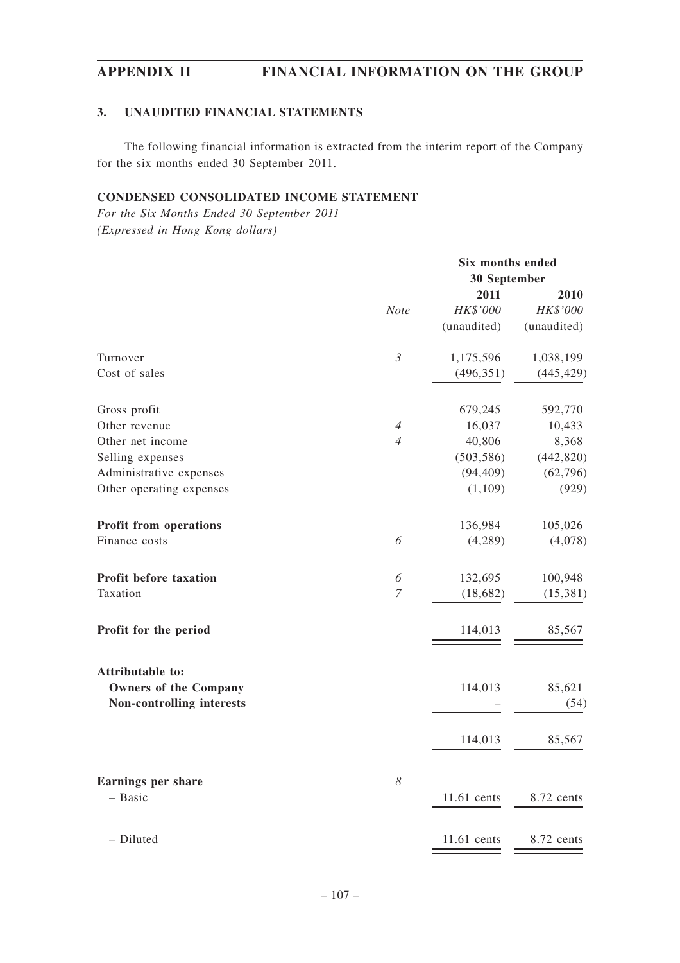# **3. UNAUDITED FINANCIAL STATEMENTS**

The following financial information is extracted from the interim report of the Company for the six months ended 30 September 2011.

# **CONDENSED CONSOLIDATED INCOME STATEMENT**

*For the Six Months Ended 30 September 2011 (Expressed in Hong Kong dollars)*

|                                      |                       | Six months ended |             |  |
|--------------------------------------|-----------------------|------------------|-------------|--|
|                                      |                       | 30 September     |             |  |
|                                      |                       | 2011             | 2010        |  |
|                                      | <b>Note</b>           | HK\$'000         | HK\$'000    |  |
|                                      |                       | (unaudited)      | (unaudited) |  |
| Turnover                             | $\mathfrak{Z}$        | 1,175,596        | 1,038,199   |  |
| Cost of sales                        |                       | (496, 351)       | (445, 429)  |  |
| Gross profit                         |                       | 679,245          | 592,770     |  |
| Other revenue                        | $\overline{4}$        | 16,037           | 10,433      |  |
| Other net income                     | $\overline{4}$        | 40,806           | 8,368       |  |
| Selling expenses                     |                       | (503, 586)       | (442, 820)  |  |
| Administrative expenses              |                       | (94, 409)        | (62, 796)   |  |
| Other operating expenses             |                       | (1,109)          | (929)       |  |
| <b>Profit from operations</b>        |                       | 136,984          | 105,026     |  |
| Finance costs                        | 6                     | (4,289)          | (4,078)     |  |
| Profit before taxation               | 6                     | 132,695          | 100,948     |  |
| Taxation                             | $\overline{7}$        | (18, 682)        | (15, 381)   |  |
| Profit for the period                |                       | 114,013          | 85,567      |  |
| Attributable to:                     |                       |                  |             |  |
| <b>Owners of the Company</b>         |                       | 114,013          | 85,621      |  |
| Non-controlling interests            |                       |                  | (54)        |  |
|                                      |                       | 114,013          | 85,567      |  |
|                                      |                       |                  |             |  |
| <b>Earnings per share</b><br>- Basic | $\boldsymbol{\delta}$ | 11.61 cents      | 8.72 cents  |  |
| - Diluted                            |                       | 11.61 cents      | 8.72 cents  |  |
|                                      |                       |                  |             |  |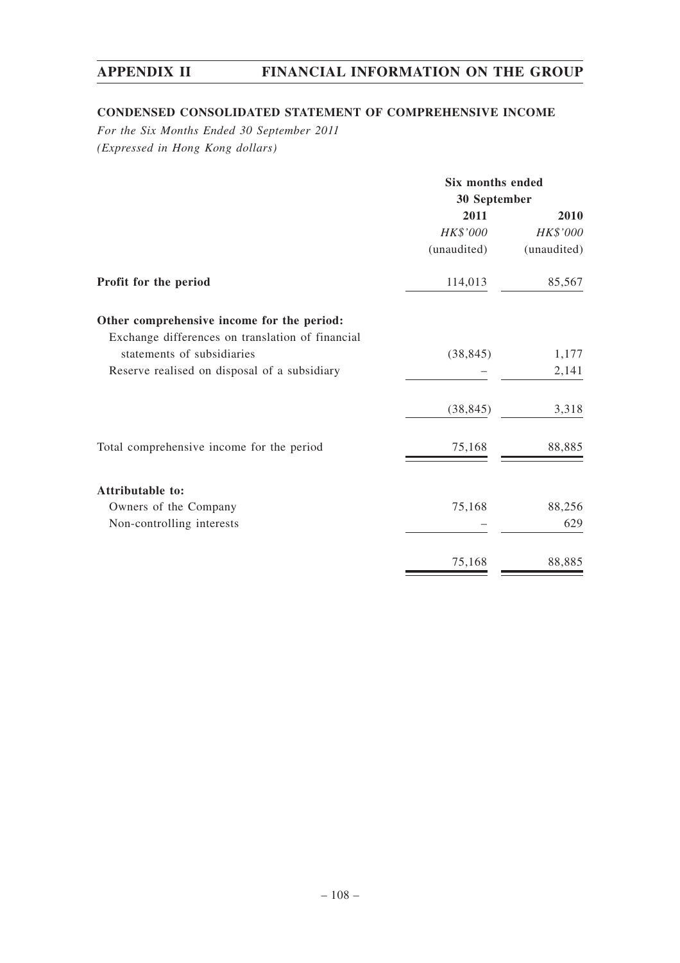# **CONDENSED CONSOLIDATED STATEMENT OF COMPREHENSIVE INCOME**

*For the Six Months Ended 30 September 2011 (Expressed in Hong Kong dollars)*

|                                                  | Six months ended<br>30 September |             |  |
|--------------------------------------------------|----------------------------------|-------------|--|
|                                                  |                                  |             |  |
|                                                  | 2011                             | 2010        |  |
|                                                  | HK\$'000                         | HK\$'000    |  |
|                                                  | (unaudited)                      | (unaudited) |  |
| Profit for the period                            | 114,013                          | 85,567      |  |
| Other comprehensive income for the period:       |                                  |             |  |
| Exchange differences on translation of financial |                                  |             |  |
| statements of subsidiaries                       | (38, 845)                        | 1,177       |  |
| Reserve realised on disposal of a subsidiary     |                                  | 2,141       |  |
|                                                  | (38, 845)                        | 3,318       |  |
| Total comprehensive income for the period        | 75,168                           | 88,885      |  |
| Attributable to:                                 |                                  |             |  |
| Owners of the Company                            | 75,168                           | 88,256      |  |
| Non-controlling interests                        |                                  | 629         |  |
|                                                  | 75,168                           | 88,885      |  |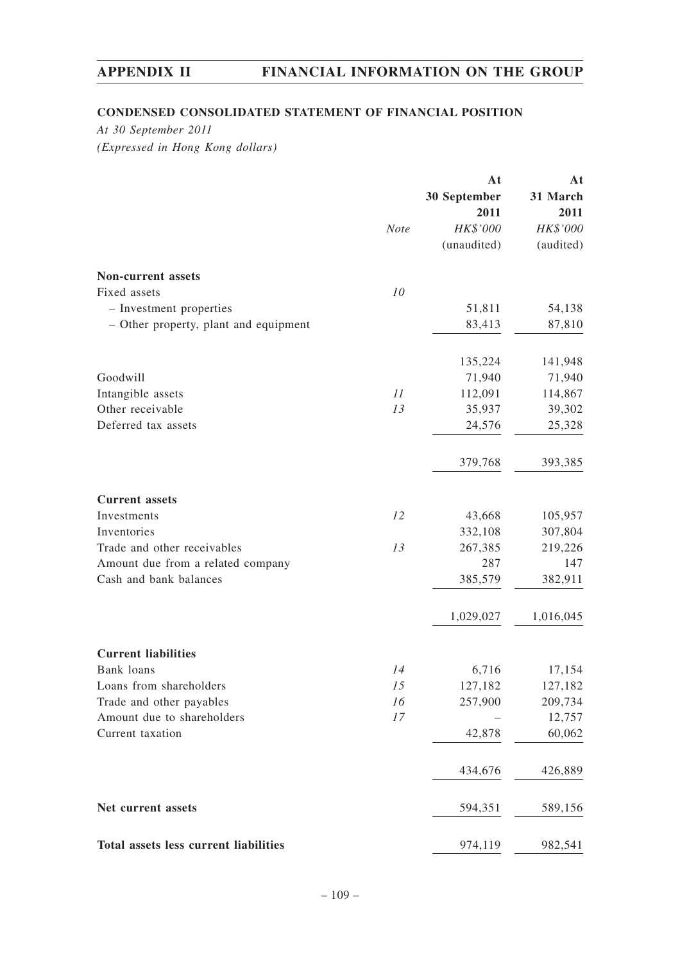# **CONDENSED CONSOLIDATED STATEMENT OF FINANCIAL POSITION**

*At 30 September 2011 (Expressed in Hong Kong dollars)*

|                                       |      | At           | At        |
|---------------------------------------|------|--------------|-----------|
|                                       |      | 30 September | 31 March  |
|                                       |      | 2011         | 2011      |
|                                       | Note | HK\$'000     | HK\$'000  |
|                                       |      | (unaudited)  | (audited) |
| Non-current assets                    |      |              |           |
| Fixed assets                          | 10   |              |           |
| - Investment properties               |      | 51,811       | 54,138    |
| - Other property, plant and equipment |      | 83,413       | 87,810    |
|                                       |      | 135,224      | 141,948   |
| Goodwill                              |      | 71,940       | 71,940    |
| Intangible assets                     | 11   | 112,091      | 114,867   |
| Other receivable                      | 13   | 35,937       | 39,302    |
| Deferred tax assets                   |      | 24,576       | 25,328    |
|                                       |      |              |           |
|                                       |      | 379,768      | 393,385   |
| <b>Current</b> assets                 |      |              |           |
| Investments                           | 12   | 43,668       | 105,957   |
| Inventories                           |      | 332,108      | 307,804   |
| Trade and other receivables           | 13   | 267,385      | 219,226   |
| Amount due from a related company     |      | 287          | 147       |
| Cash and bank balances                |      | 385,579      | 382,911   |
|                                       |      | 1,029,027    | 1,016,045 |
| <b>Current liabilities</b>            |      |              |           |
| Bank loans                            | 14   | 6,716        | 17,154    |
| Loans from shareholders               | 15   | 127,182      | 127,182   |
| Trade and other payables              | 16   | 257,900      | 209,734   |
| Amount due to shareholders            | 17   |              | 12,757    |
| Current taxation                      |      | 42,878       | 60,062    |
|                                       |      |              |           |
|                                       |      | 434,676      | 426,889   |
| Net current assets                    |      | 594,351      | 589,156   |
| Total assets less current liabilities |      | 974,119      | 982,541   |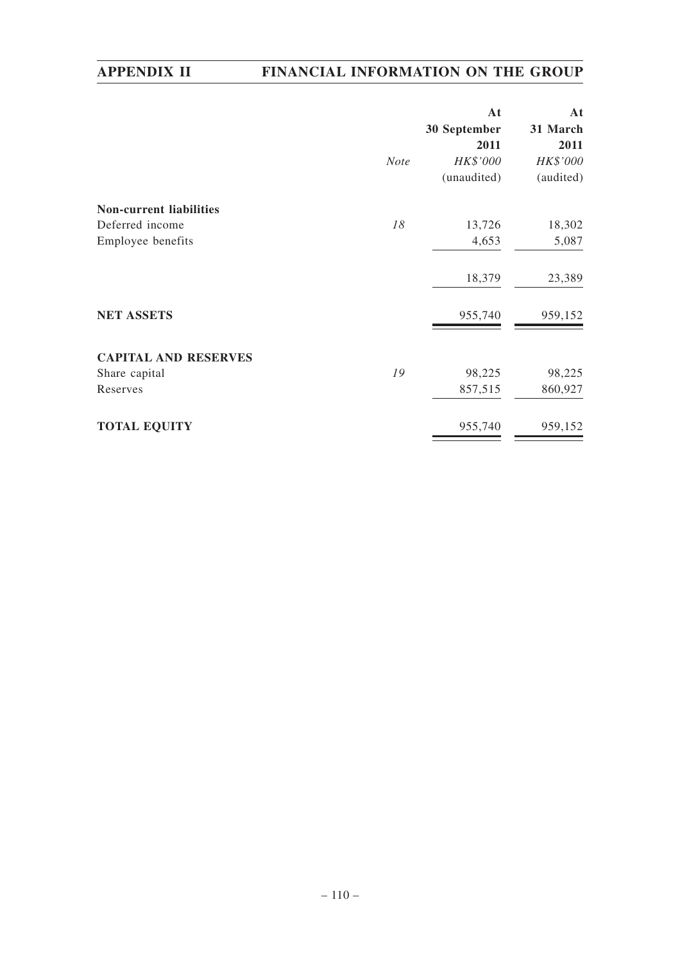|                                | <b>Note</b> | At<br>30 September<br>2011<br>HK\$'000<br>(unaudited) | At<br>31 March<br>2011<br>HK\$'000<br>(audited) |
|--------------------------------|-------------|-------------------------------------------------------|-------------------------------------------------|
| <b>Non-current liabilities</b> |             |                                                       |                                                 |
| Deferred income                | 18          | 13,726                                                | 18,302                                          |
| Employee benefits              |             | 4,653                                                 | 5,087                                           |
|                                |             | 18,379                                                | 23,389                                          |
| <b>NET ASSETS</b>              |             | 955,740                                               | 959,152                                         |
| <b>CAPITAL AND RESERVES</b>    |             |                                                       |                                                 |
| Share capital                  | 19          | 98,225                                                | 98,225                                          |
| Reserves                       |             | 857,515                                               | 860,927                                         |
| <b>TOTAL EQUITY</b>            |             | 955,740                                               | 959,152                                         |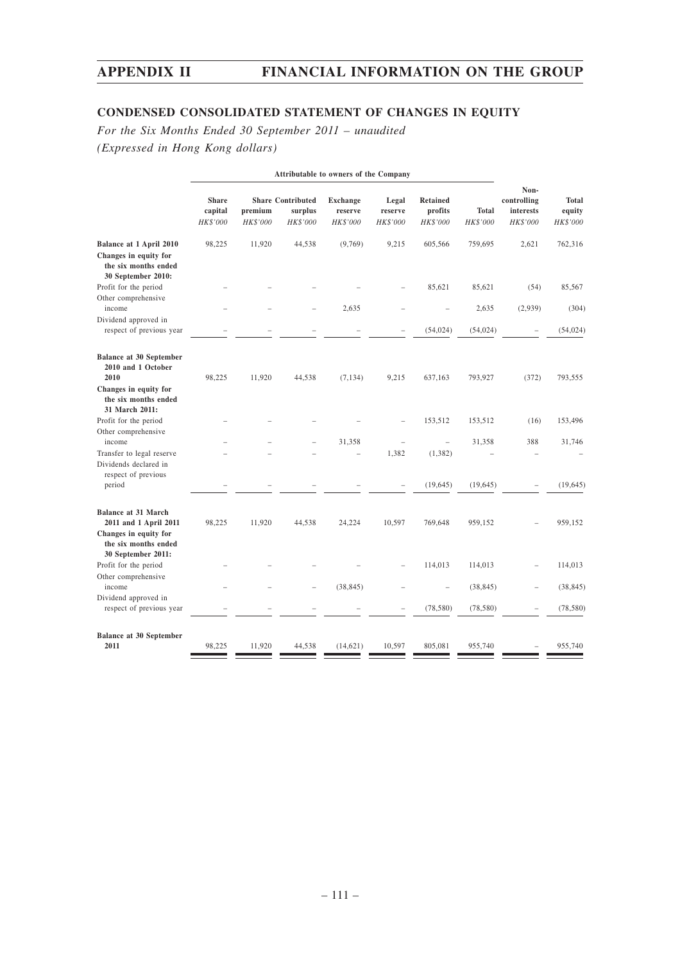# **CONDENSED CONSOLIDATED STATEMENT OF CHANGES IN EQUITY**

*For the Six Months Ended 30 September 2011 – unaudited (Expressed in Hong Kong dollars)*

| <b>Attributable to owners of the Company</b>                                                                  |                                     |                     |                                                 |                                        |                              |                                        |                          |                                              |                                    |
|---------------------------------------------------------------------------------------------------------------|-------------------------------------|---------------------|-------------------------------------------------|----------------------------------------|------------------------------|----------------------------------------|--------------------------|----------------------------------------------|------------------------------------|
|                                                                                                               | <b>Share</b><br>capital<br>HK\$'000 | premium<br>HK\$'000 | <b>Share Contributed</b><br>surplus<br>HK\$'000 | <b>Exchange</b><br>reserve<br>HK\$'000 | Legal<br>reserve<br>HK\$'000 | <b>Retained</b><br>profits<br>HK\$'000 | <b>Total</b><br>HK\$'000 | Non-<br>controlling<br>interests<br>HK\$'000 | <b>Total</b><br>equity<br>HK\$'000 |
| Balance at 1 April 2010<br>Changes in equity for<br>the six months ended<br>30 September 2010:                | 98,225                              | 11,920              | 44,538                                          | (9,769)                                | 9,215                        | 605,566                                | 759,695                  | 2,621                                        | 762,316                            |
| Profit for the period                                                                                         |                                     |                     |                                                 |                                        |                              | 85,621                                 | 85,621                   | (54)                                         | 85,567                             |
| Other comprehensive<br>income<br>Dividend approved in                                                         |                                     |                     |                                                 | 2,635                                  |                              |                                        | 2,635                    | (2,939)                                      | (304)                              |
| respect of previous year                                                                                      |                                     |                     |                                                 |                                        |                              | (54, 024)                              | (54, 024)                |                                              | (54, 024)                          |
| <b>Balance at 30 September</b><br>2010 and 1 October<br>2010<br>Changes in equity for<br>the six months ended | 98,225                              | 11,920              | 44,538                                          | (7, 134)                               | 9,215                        | 637,163                                | 793,927                  | (372)                                        | 793,555                            |
| 31 March 2011:<br>Profit for the period                                                                       |                                     |                     |                                                 |                                        |                              | 153,512                                | 153,512                  | (16)                                         | 153,496                            |
| Other comprehensive<br>income<br>Transfer to legal reserve<br>Dividends declared in                           |                                     |                     |                                                 | 31,358                                 | 1,382                        | $\equiv$<br>(1, 382)                   | 31,358                   | 388                                          | 31,746                             |
| respect of previous<br>period                                                                                 |                                     |                     |                                                 |                                        |                              | (19, 645)                              | (19, 645)                |                                              | (19, 645)                          |
| <b>Balance at 31 March</b><br>2011 and 1 April 2011<br>Changes in equity for<br>the six months ended          | 98,225                              | 11,920              | 44,538                                          | 24,224                                 | 10,597                       | 769,648                                | 959,152                  |                                              | 959,152                            |
| 30 September 2011:<br>Profit for the period<br>Other comprehensive                                            |                                     |                     |                                                 |                                        |                              | 114,013                                | 114,013                  |                                              | 114,013                            |
| income                                                                                                        |                                     |                     |                                                 | (38, 845)                              |                              |                                        | (38, 845)                |                                              | (38, 845)                          |
| Dividend approved in<br>respect of previous year                                                              |                                     |                     |                                                 |                                        |                              | (78, 580)                              | (78, 580)                |                                              | (78, 580)                          |
| <b>Balance at 30 September</b><br>2011                                                                        | 98,225                              | 11,920              | 44,538                                          | (14, 621)                              | 10.597                       | 805.081                                | 955,740                  |                                              | 955,740                            |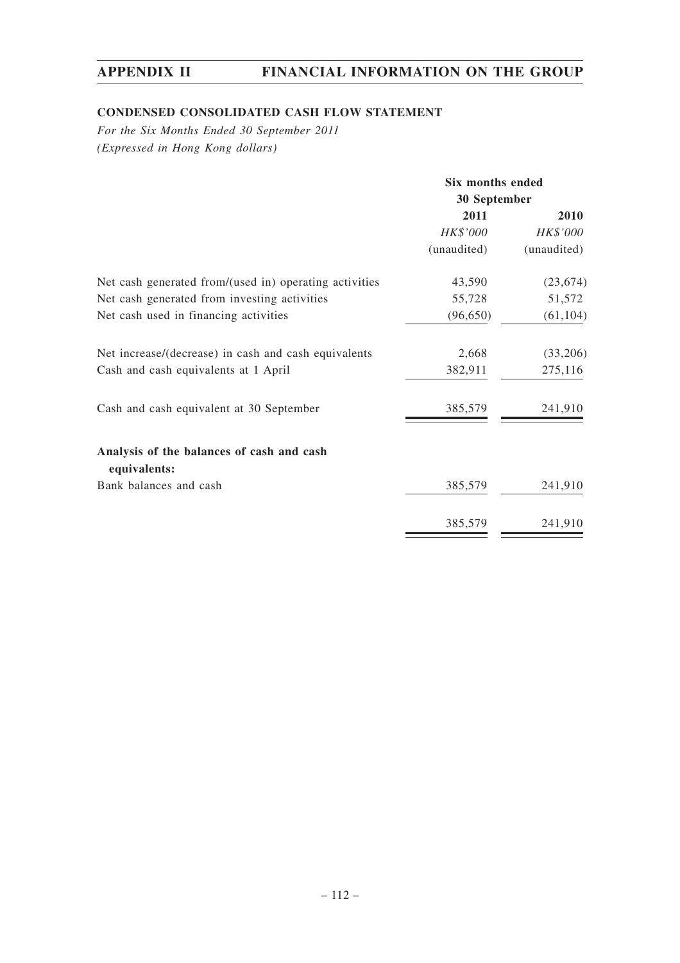# **CONDENSED CONSOLIDATED CASH FLOW STATEMENT**

*For the Six Months Ended 30 September 2011 (Expressed in Hong Kong dollars)*

|                                                           | Six months ended<br>30 September |             |  |
|-----------------------------------------------------------|----------------------------------|-------------|--|
|                                                           |                                  |             |  |
|                                                           | 2011                             | 2010        |  |
|                                                           | HK\$'000                         | HK\$'000    |  |
|                                                           | (unaudited)                      | (unaudited) |  |
| Net cash generated from/(used in) operating activities    | 43,590                           | (23, 674)   |  |
| Net cash generated from investing activities              | 55,728                           | 51,572      |  |
| Net cash used in financing activities                     | (96, 650)                        | (61, 104)   |  |
| Net increase/(decrease) in cash and cash equivalents      | 2,668                            | (33,206)    |  |
| Cash and cash equivalents at 1 April                      | 382,911                          | 275,116     |  |
| Cash and cash equivalent at 30 September                  | 385,579                          | 241,910     |  |
| Analysis of the balances of cash and cash<br>equivalents: |                                  |             |  |
| Bank balances and cash                                    | 385,579                          | 241,910     |  |
|                                                           | 385,579                          | 241,910     |  |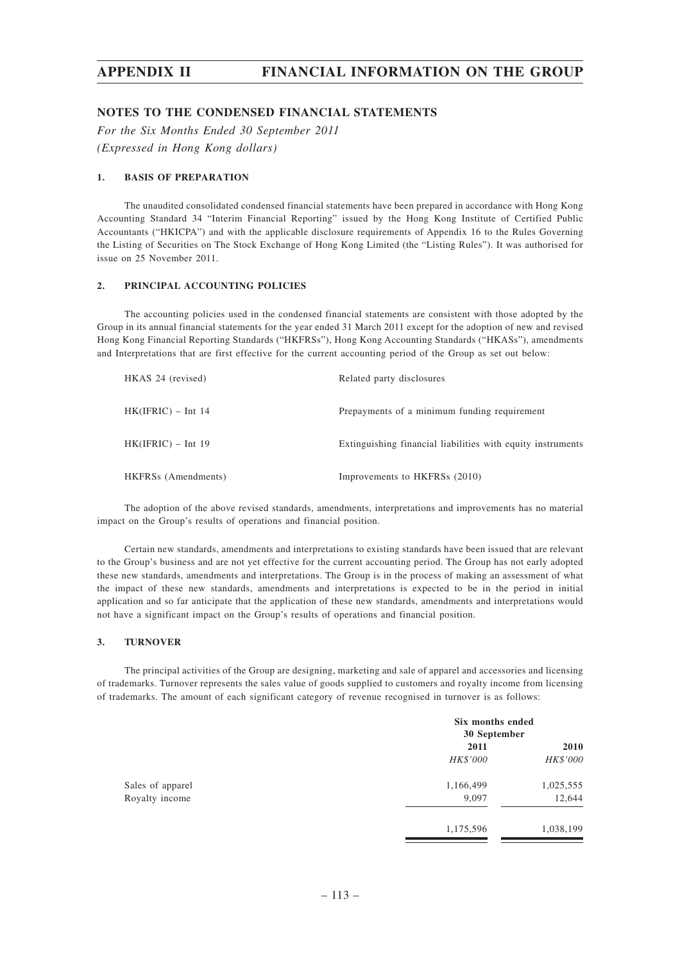## **NOTES TO THE CONDENSED FINANCIAL STATEMENTS**

*For the Six Months Ended 30 September 2011 (Expressed in Hong Kong dollars)*

## **1. BASIS OF PREPARATION**

The unaudited consolidated condensed financial statements have been prepared in accordance with Hong Kong Accounting Standard 34 "Interim Financial Reporting" issued by the Hong Kong Institute of Certified Public Accountants ("HKICPA") and with the applicable disclosure requirements of Appendix 16 to the Rules Governing the Listing of Securities on The Stock Exchange of Hong Kong Limited (the "Listing Rules"). It was authorised for issue on 25 November 2011.

## **2. PRINCIPAL ACCOUNTING POLICIES**

The accounting policies used in the condensed financial statements are consistent with those adopted by the Group in its annual financial statements for the year ended 31 March 2011 except for the adoption of new and revised Hong Kong Financial Reporting Standards ("HKFRSs"), Hong Kong Accounting Standards ("HKASs"), amendments and Interpretations that are first effective for the current accounting period of the Group as set out below:

| HKAS 24 (revised)    | Related party disclosures                                   |
|----------------------|-------------------------------------------------------------|
| $HK(IFRIC) - Int 14$ | Prepayments of a minimum funding requirement                |
| $HK(IFRIC) - Int 19$ | Extinguishing financial liabilities with equity instruments |
| HKFRSs (Amendments)  | Improvements to HKFRSs (2010)                               |

The adoption of the above revised standards, amendments, interpretations and improvements has no material impact on the Group's results of operations and financial position.

Certain new standards, amendments and interpretations to existing standards have been issued that are relevant to the Group's business and are not yet effective for the current accounting period. The Group has not early adopted these new standards, amendments and interpretations. The Group is in the process of making an assessment of what the impact of these new standards, amendments and interpretations is expected to be in the period in initial application and so far anticipate that the application of these new standards, amendments and interpretations would not have a significant impact on the Group's results of operations and financial position.

### **3. TURNOVER**

The principal activities of the Group are designing, marketing and sale of apparel and accessories and licensing of trademarks. Turnover represents the sales value of goods supplied to customers and royalty income from licensing of trademarks. The amount of each significant category of revenue recognised in turnover is as follows:

|                  | Six months ended |           |
|------------------|------------------|-----------|
|                  | 30 September     |           |
|                  | 2011             | 2010      |
|                  | HK\$'000         | HK\$'000  |
| Sales of apparel | 1,166,499        | 1,025,555 |
| Royalty income   | 9,097            | 12,644    |
|                  | 1,175,596        | 1,038,199 |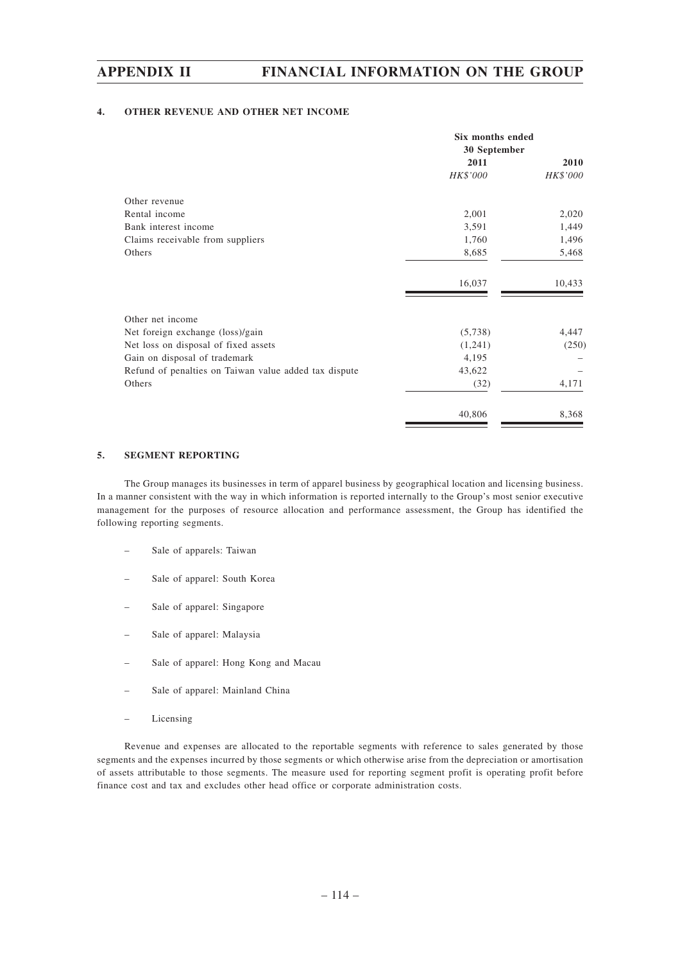## **4. OTHER REVENUE AND OTHER NET INCOME**

|                                                       | <b>Six months ended</b><br>30 September |          |  |
|-------------------------------------------------------|-----------------------------------------|----------|--|
|                                                       | 2011                                    | 2010     |  |
|                                                       | HK\$'000                                | HK\$'000 |  |
| Other revenue                                         |                                         |          |  |
| Rental income                                         | 2,001                                   | 2,020    |  |
| Bank interest income                                  | 3,591                                   | 1,449    |  |
| Claims receivable from suppliers                      | 1,760                                   | 1,496    |  |
| Others                                                | 8,685                                   | 5,468    |  |
|                                                       | 16,037                                  | 10,433   |  |
| Other net income                                      |                                         |          |  |
| Net foreign exchange (loss)/gain                      | (5,738)                                 | 4,447    |  |
| Net loss on disposal of fixed assets                  | (1,241)                                 | (250)    |  |
| Gain on disposal of trademark                         | 4,195                                   |          |  |
| Refund of penalties on Taiwan value added tax dispute | 43,622                                  |          |  |
| Others                                                | (32)                                    | 4,171    |  |
|                                                       | 40,806                                  | 8,368    |  |

## **5. SEGMENT REPORTING**

The Group manages its businesses in term of apparel business by geographical location and licensing business. In a manner consistent with the way in which information is reported internally to the Group's most senior executive management for the purposes of resource allocation and performance assessment, the Group has identified the following reporting segments.

- Sale of apparels: Taiwan
- Sale of apparel: South Korea
- Sale of apparel: Singapore
- Sale of apparel: Malaysia
- Sale of apparel: Hong Kong and Macau
- Sale of apparel: Mainland China
- Licensing

Revenue and expenses are allocated to the reportable segments with reference to sales generated by those segments and the expenses incurred by those segments or which otherwise arise from the depreciation or amortisation of assets attributable to those segments. The measure used for reporting segment profit is operating profit before finance cost and tax and excludes other head office or corporate administration costs.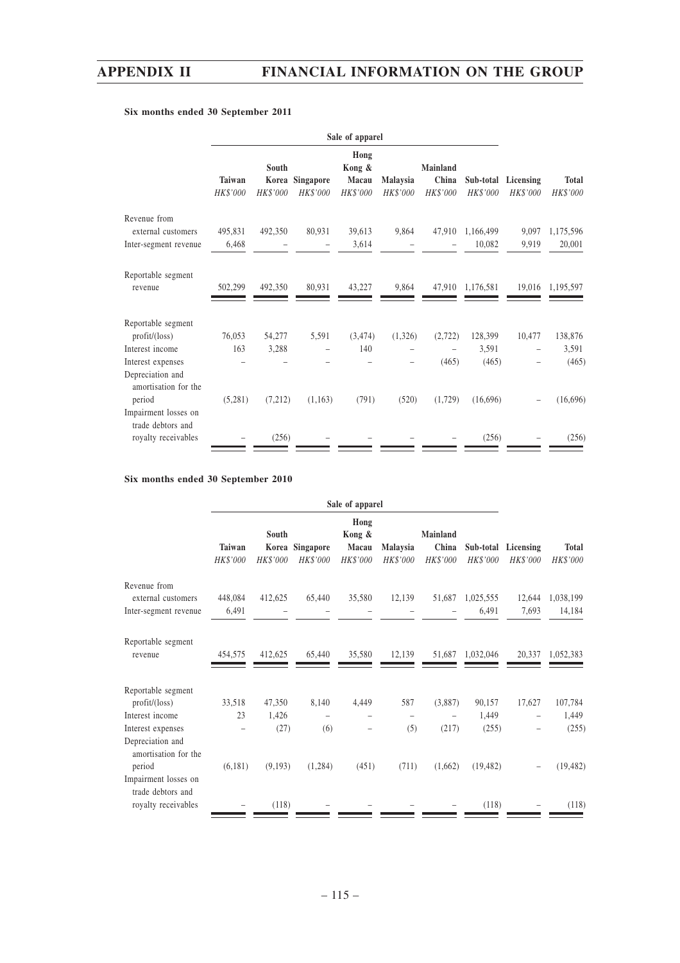### **Sale of apparel Hong South Kong & Mainland Taiwan Korea Singapore Macau Malaysia China Sub-total Licensing Total** *HK\$'000 HK\$'000 HK\$'000 HK\$'000 HK\$'000 HK\$'000 HK\$'000 HK\$'000 HK\$'000* Revenue from external customers 495,831 492,350 80,931 39,613 9,864 47,910 1,166,499 9,097 1,175,596 Inter-segment revenue 6,468 – – 3,614 – – 10,082 9,919 20,001 Reportable segment revenue 502,299 492,350 80,931 43,227 9,864 47,910 1,176,581 19,016 1,195,597 Reportable segment profit/(loss) 76,053 54,277 5,591 (3,474) (1,326) (2,722) 128,399 10,477 138,876 Interest income 163 3,288 – 140 – – 3,591 – 3,591 Interest expenses – – – – – – (465) (465) – (465) Depreciation and amortisation for the period (5,281) (7,212) (1,163) (791) (520) (1,729) (16,696) – (16,696) Impairment losses on trade debtors and royalty receivables  $-$  (256) –  $-$  –  $-$  (256) – (256) ۰ ۰

## **Six months ended 30 September 2011**

## **Six months ended 30 September 2010**

| Hong<br>Kong &<br><b>Mainland</b><br>South                                                       |           |           |              |
|--------------------------------------------------------------------------------------------------|-----------|-----------|--------------|
| Korea Singapore<br>China<br>Taiwan<br>Macau<br>Malaysia                                          | Sub-total | Licensing | <b>Total</b> |
| <b>HK\$'000</b><br>HK\$'000<br>HK\$'000<br>HK\$'000<br>HK\$'000<br>HK\$'000                      | HK\$'000  | HK\$'000  | HK\$'000     |
| Revenue from<br>412,625<br>35,580<br>51,687<br>external customers<br>448,084<br>65,440<br>12,139 | 1,025,555 | 12,644    | 1,038,199    |
| 6,491<br>Inter-segment revenue                                                                   | 6,491     | 7,693     | 14,184       |
| Reportable segment                                                                               |           |           |              |
| 412,625<br>65,440<br>35,580<br>12,139<br>51,687<br>454,575<br>revenue                            | 1,032,046 | 20,337    | 1,052,383    |
| Reportable segment                                                                               |           |           |              |
| 587<br>profit/loss)<br>33,518<br>47,350<br>8,140<br>4,449<br>(3,887)                             | 90,157    | 17,627    | 107,784      |
| 23<br>1,426<br>Interest income<br>$\overline{\phantom{0}}$                                       | 1,449     |           | 1,449        |
| (217)<br>(27)<br>(5)<br>(6)<br>Interest expenses                                                 | (255)     |           | (255)        |
| Depreciation and<br>amortisation for the                                                         |           |           |              |
| (6,181)<br>(9,193)<br>(1, 284)<br>(451)<br>(711)<br>(1,662)<br>period                            | (19, 482) |           | (19, 482)    |
| Impairment losses on<br>trade debtors and                                                        |           |           |              |
| (118)<br>royalty receivables                                                                     | (118)     |           | (118)        |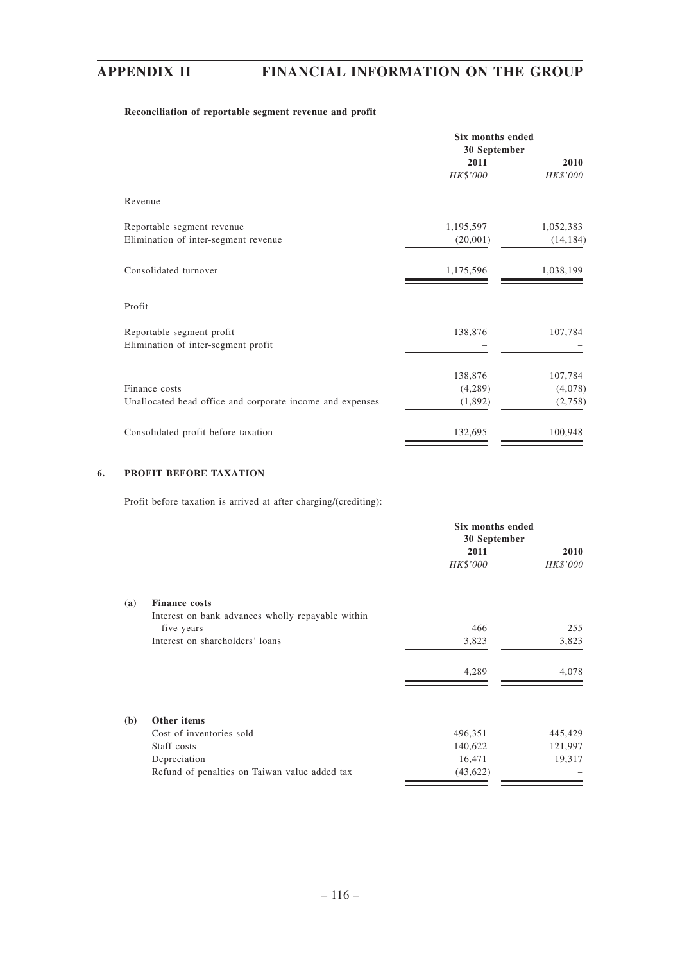## **Reconciliation of reportable segment revenue and profit**

|                                                                  | Six months ended<br>30 September |           |
|------------------------------------------------------------------|----------------------------------|-----------|
|                                                                  | 2011                             | 2010      |
|                                                                  | HK\$'000                         | HK\$'000  |
| Revenue                                                          |                                  |           |
| Reportable segment revenue                                       | 1,195,597                        | 1,052,383 |
| Elimination of inter-segment revenue                             | (20,001)                         | (14, 184) |
| Consolidated turnover                                            | 1,175,596                        | 1,038,199 |
| Profit                                                           |                                  |           |
| Reportable segment profit<br>Elimination of inter-segment profit | 138,876                          | 107,784   |
|                                                                  | 138,876                          | 107,784   |
| Finance costs                                                    | (4,289)                          | (4,078)   |
| Unallocated head office and corporate income and expenses        | (1,892)                          | (2,758)   |
| Consolidated profit before taxation                              | 132,695                          | 100,948   |

## **6. PROFIT BEFORE TAXATION**

Profit before taxation is arrived at after charging/(crediting):

|              |                                                   | Six months ended<br>30 September |             |
|--------------|---------------------------------------------------|----------------------------------|-------------|
|              |                                                   | 2011                             | <b>2010</b> |
|              |                                                   | HK\$'000                         | HK\$'000    |
| (a)          | <b>Finance costs</b>                              |                                  |             |
|              | Interest on bank advances wholly repayable within |                                  |             |
|              | five years                                        | 466                              | 255         |
|              | Interest on shareholders' loans                   | 3,823                            | 3,823       |
|              |                                                   | 4,289                            | 4,078       |
| ( <b>b</b> ) | Other items                                       |                                  |             |
|              | Cost of inventories sold                          | 496,351                          | 445,429     |
|              | Staff costs                                       | 140,622                          | 121,997     |
|              | Depreciation                                      | 16,471                           | 19,317      |
|              | Refund of penalties on Taiwan value added tax     | (43, 622)                        |             |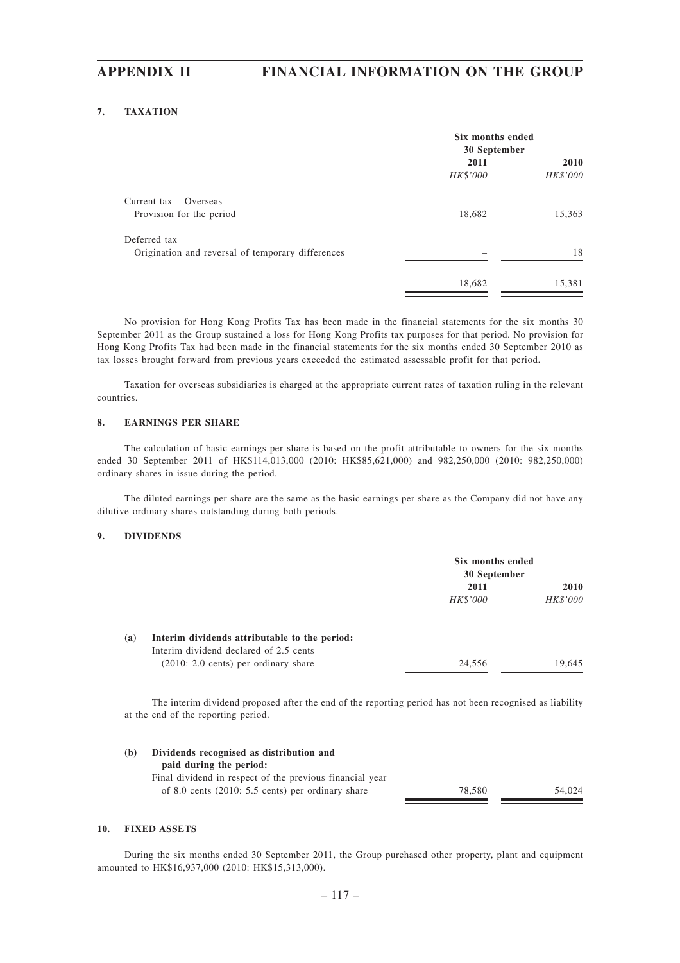## **7. TAXATION**

| Six months ended<br>30 September |             |
|----------------------------------|-------------|
| 2011                             | <b>2010</b> |
| HK\$'000                         | HK\$'000    |
|                                  |             |
| 18,682                           | 15,363      |
|                                  |             |
|                                  | 18          |
|                                  | 15,381      |
|                                  | 18,682      |

No provision for Hong Kong Profits Tax has been made in the financial statements for the six months 30 September 2011 as the Group sustained a loss for Hong Kong Profits tax purposes for that period. No provision for Hong Kong Profits Tax had been made in the financial statements for the six months ended 30 September 2010 as tax losses brought forward from previous years exceeded the estimated assessable profit for that period.

Taxation for overseas subsidiaries is charged at the appropriate current rates of taxation ruling in the relevant countries.

### **8. EARNINGS PER SHARE**

The calculation of basic earnings per share is based on the profit attributable to owners for the six months ended 30 September 2011 of HK\$114,013,000 (2010: HK\$85,621,000) and 982,250,000 (2010: 982,250,000) ordinary shares in issue during the period.

The diluted earnings per share are the same as the basic earnings per share as the Company did not have any dilutive ordinary shares outstanding during both periods.

### **9. DIVIDENDS**

|     |                                                | Six months ended<br>30 September |          |
|-----|------------------------------------------------|----------------------------------|----------|
|     |                                                | 2011                             |          |
|     |                                                | HK\$'000                         | HK\$'000 |
| (a) | Interim dividends attributable to the period:  |                                  |          |
|     | Interim dividend declared of 2.5 cents         |                                  |          |
|     | $(2010: 2.0 \text{ cents})$ per ordinary share | 24.556                           | 19.645   |

The interim dividend proposed after the end of the reporting period has not been recognised as liability at the end of the reporting period.

| (b) | Dividends recognised as distribution and                    |        |        |
|-----|-------------------------------------------------------------|--------|--------|
|     | paid during the period:                                     |        |        |
|     | Final dividend in respect of the previous financial year    |        |        |
|     | of 8.0 cents $(2010: 5.5 \text{ cents})$ per ordinary share | 78.580 | 54.024 |
|     |                                                             |        |        |

#### **10. FIXED ASSETS**

During the six months ended 30 September 2011, the Group purchased other property, plant and equipment amounted to HK\$16,937,000 (2010: HK\$15,313,000).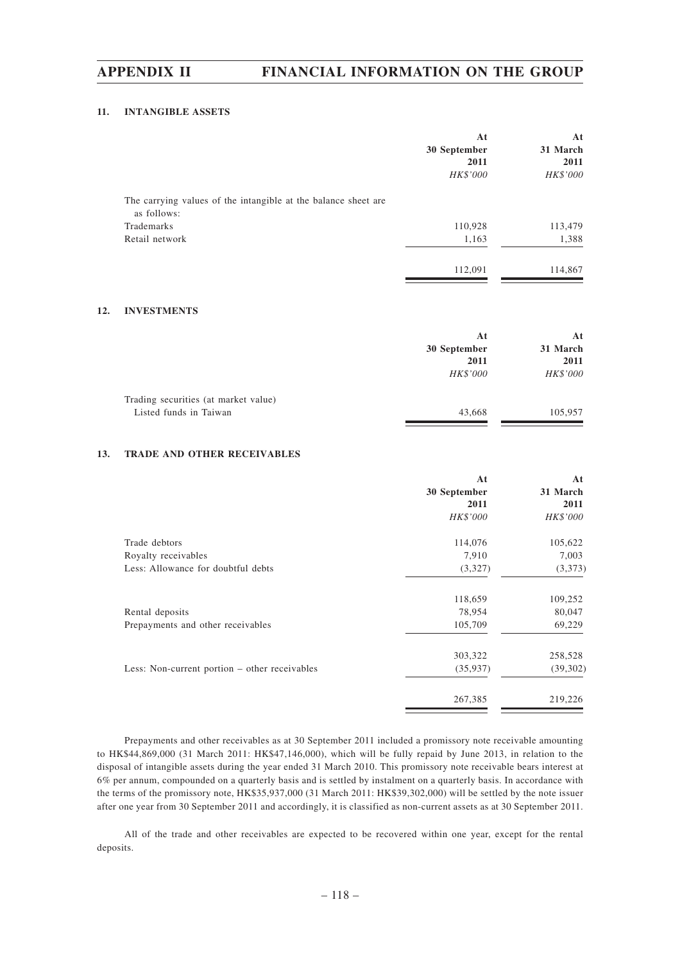## **11. INTANGIBLE ASSETS**

|                                                                               | At<br>30 September<br>2011<br>HK\$'000 | At<br>31 March<br>2011<br>HK\$'000 |
|-------------------------------------------------------------------------------|----------------------------------------|------------------------------------|
| The carrying values of the intangible at the balance sheet are<br>as follows: |                                        |                                    |
| Trademarks                                                                    | 110,928                                | 113,479                            |
| Retail network                                                                | 1,163                                  | 1,388                              |
|                                                                               | 112,091                                | 114,867                            |

## **12. INVESTMENTS**

|                                      | Αt           | At       |
|--------------------------------------|--------------|----------|
|                                      | 30 September | 31 March |
|                                      | 2011         | 2011     |
|                                      | HK\$'000     | HK\$'000 |
| Trading securities (at market value) |              |          |
| Listed funds in Taiwan               | 43,668       | 105,957  |

## **13. TRADE AND OTHER RECEIVABLES**

|                                               | At              | At       |
|-----------------------------------------------|-----------------|----------|
|                                               | 30 September    | 31 March |
|                                               | 2011            | 2011     |
|                                               | <b>HK\$'000</b> | HK\$'000 |
| Trade debtors                                 | 114,076         | 105,622  |
| Royalty receivables                           | 7,910           | 7,003    |
| Less: Allowance for doubtful debts            | (3,327)         | (3,373)  |
|                                               | 118,659         | 109,252  |
| Rental deposits                               | 78,954          | 80,047   |
| Prepayments and other receivables             | 105,709         | 69,229   |
|                                               | 303,322         | 258,528  |
| Less: Non-current portion – other receivables | (35,937)        | (39,302) |
|                                               | 267,385         | 219,226  |

Prepayments and other receivables as at 30 September 2011 included a promissory note receivable amounting to HK\$44,869,000 (31 March 2011: HK\$47,146,000), which will be fully repaid by June 2013, in relation to the disposal of intangible assets during the year ended 31 March 2010. This promissory note receivable bears interest at 6% per annum, compounded on a quarterly basis and is settled by instalment on a quarterly basis. In accordance with the terms of the promissory note, HK\$35,937,000 (31 March 2011: HK\$39,302,000) will be settled by the note issuer after one year from 30 September 2011 and accordingly, it is classified as non-current assets as at 30 September 2011.

All of the trade and other receivables are expected to be recovered within one year, except for the rental deposits.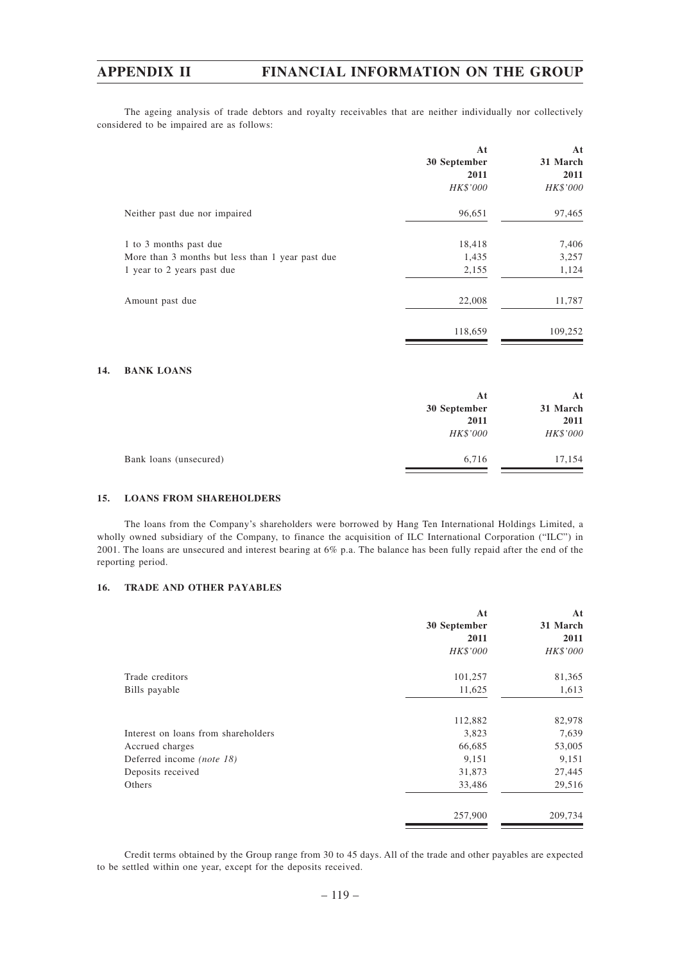The ageing analysis of trade debtors and royalty receivables that are neither individually nor collectively considered to be impaired are as follows:

|                                                                            | At<br>30 September<br>2011<br><b>HK\$'000</b> | At<br>31 March<br>2011<br>HK\$'000 |
|----------------------------------------------------------------------------|-----------------------------------------------|------------------------------------|
| Neither past due nor impaired                                              | 96,651                                        | 97,465                             |
| 1 to 3 months past due<br>More than 3 months but less than 1 year past due | 18,418<br>1,435<br>2,155                      | 7,406<br>3,257<br>1,124            |
| 1 year to 2 years past due<br>Amount past due                              | 22,008                                        | 11,787                             |
|                                                                            | 118,659                                       | 109,252                            |

## **14. BANK LOANS**

|                        | At<br>30 September<br>2011 | Αt<br>31 March<br>2011 |
|------------------------|----------------------------|------------------------|
|                        | HK\$'000                   | HK\$'000               |
| Bank loans (unsecured) | 6,716                      | 17,154                 |

## **15. LOANS FROM SHAREHOLDERS**

The loans from the Company's shareholders were borrowed by Hang Ten International Holdings Limited, a wholly owned subsidiary of the Company, to finance the acquisition of ILC International Corporation ("ILC") in 2001. The loans are unsecured and interest bearing at 6% p.a. The balance has been fully repaid after the end of the reporting period.

## **16. TRADE AND OTHER PAYABLES**

|                                     | At           | At       |
|-------------------------------------|--------------|----------|
|                                     | 30 September | 31 March |
|                                     | 2011         | 2011     |
|                                     | HK\$'000     | HK\$'000 |
| Trade creditors                     | 101,257      | 81,365   |
| Bills payable                       | 11,625       | 1,613    |
|                                     | 112,882      | 82,978   |
| Interest on loans from shareholders | 3,823        | 7,639    |
| Accrued charges                     | 66,685       | 53,005   |
| Deferred income (note 18)           | 9,151        | 9,151    |
| Deposits received                   | 31,873       | 27,445   |
| Others                              | 33,486       | 29,516   |
|                                     | 257,900      | 209,734  |

Credit terms obtained by the Group range from 30 to 45 days. All of the trade and other payables are expected to be settled within one year, except for the deposits received.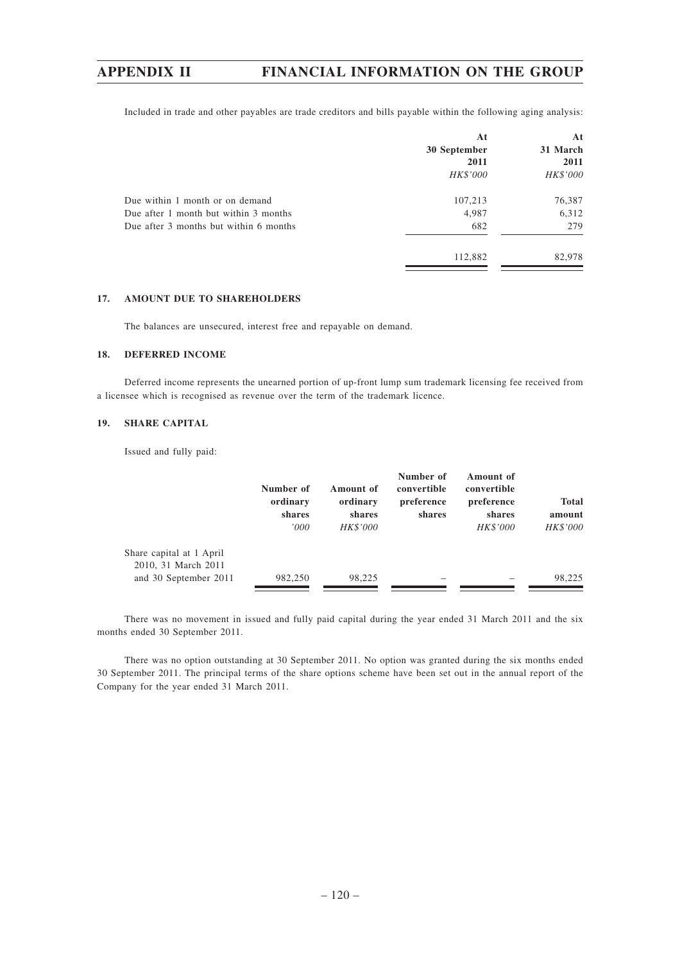Included in trade and other payables are trade creditors and bills payable within the following aging analysis:

|                                        | At<br>30 September<br>2011 | At<br>31 March<br>2011 |
|----------------------------------------|----------------------------|------------------------|
|                                        | HK\$'000                   | HK\$'000               |
| Due within 1 month or on demand        | 107,213                    | 76,387                 |
| Due after 1 month but within 3 months  | 4,987                      | 6,312                  |
| Due after 3 months but within 6 months | 682                        | 279                    |
|                                        | 112,882                    | 82,978                 |
|                                        |                            |                        |

## **17. AMOUNT DUE TO SHAREHOLDERS**

The balances are unsecured, interest free and repayable on demand.

### **18. DEFERRED INCOME**

Deferred income represents the unearned portion of up-front lump sum trademark licensing fee received from a licensee which is recognised as revenue over the term of the trademark licence.

## **19. SHARE CAPITAL**

Issued and fully paid:

|                                                 | Number of<br>ordinary<br>shares<br>000' | Amount of<br>ordinary<br>shares<br>HK\$'000 | Number of<br>convertible<br>preference<br>shares | Amount of<br>convertible<br>preference<br>shares<br>HK\$'000 | <b>Total</b><br>amount<br><b>HK\$'000</b> |
|-------------------------------------------------|-----------------------------------------|---------------------------------------------|--------------------------------------------------|--------------------------------------------------------------|-------------------------------------------|
| Share capital at 1 April<br>2010, 31 March 2011 |                                         |                                             |                                                  |                                                              |                                           |
| and 30 September 2011                           | 982,250                                 | 98.225                                      |                                                  |                                                              | 98.225                                    |

There was no movement in issued and fully paid capital during the year ended 31 March 2011 and the six months ended 30 September 2011.

There was no option outstanding at 30 September 2011. No option was granted during the six months ended 30 September 2011. The principal terms of the share options scheme have been set out in the annual report of the Company for the year ended 31 March 2011.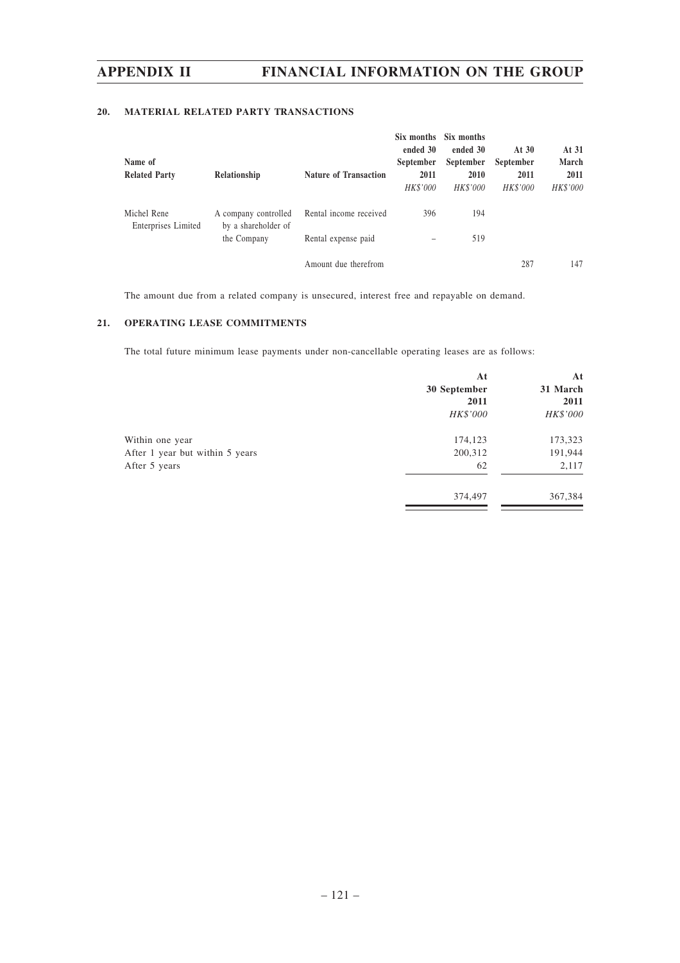## **20. MATERIAL RELATED PARTY TRANSACTIONS**

| Name of<br><b>Related Party</b>    | Relationship                                | <b>Nature of Transaction</b> | Six months<br>ended 30<br>September<br>2011<br>HK\$'000 | Six months<br>ended 30<br>September<br>2010<br>HK\$'000 | At $30$<br>September<br>2011<br>HK\$'000 | At 31<br>March<br>2011<br>HK\$'000 |
|------------------------------------|---------------------------------------------|------------------------------|---------------------------------------------------------|---------------------------------------------------------|------------------------------------------|------------------------------------|
| Michel Rene<br>Enterprises Limited | A company controlled<br>by a shareholder of | Rental income received       | 396                                                     | 194                                                     |                                          |                                    |
|                                    | the Company                                 | Rental expense paid          |                                                         | 519                                                     |                                          |                                    |
|                                    |                                             | Amount due therefrom         |                                                         |                                                         | 287                                      | 147                                |

The amount due from a related company is unsecured, interest free and repayable on demand.

## **21. OPERATING LEASE COMMITMENTS**

The total future minimum lease payments under non-cancellable operating leases are as follows:

|                                 | At           | At       |
|---------------------------------|--------------|----------|
|                                 | 30 September | 31 March |
|                                 | 2011         | 2011     |
|                                 | HK\$'000     | HK\$'000 |
| Within one year                 | 174,123      | 173,323  |
| After 1 year but within 5 years | 200,312      | 191,944  |
| After 5 years                   | 62           | 2,117    |
|                                 | 374,497      | 367,384  |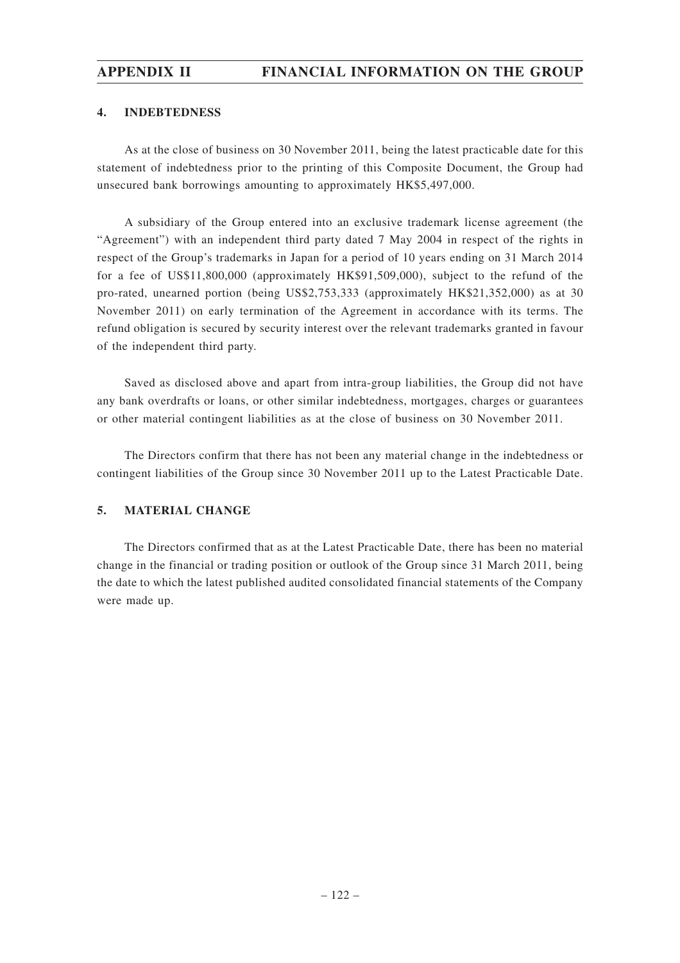## **4. INDEBTEDNESS**

As at the close of business on 30 November 2011, being the latest practicable date for this statement of indebtedness prior to the printing of this Composite Document, the Group had unsecured bank borrowings amounting to approximately HK\$5,497,000.

A subsidiary of the Group entered into an exclusive trademark license agreement (the "Agreement") with an independent third party dated 7 May 2004 in respect of the rights in respect of the Group's trademarks in Japan for a period of 10 years ending on 31 March 2014 for a fee of US\$11,800,000 (approximately HK\$91,509,000), subject to the refund of the pro-rated, unearned portion (being US\$2,753,333 (approximately HK\$21,352,000) as at 30 November 2011) on early termination of the Agreement in accordance with its terms. The refund obligation is secured by security interest over the relevant trademarks granted in favour of the independent third party.

Saved as disclosed above and apart from intra-group liabilities, the Group did not have any bank overdrafts or loans, or other similar indebtedness, mortgages, charges or guarantees or other material contingent liabilities as at the close of business on 30 November 2011.

The Directors confirm that there has not been any material change in the indebtedness or contingent liabilities of the Group since 30 November 2011 up to the Latest Practicable Date.

## **5. MATERIAL CHANGE**

The Directors confirmed that as at the Latest Practicable Date, there has been no material change in the financial or trading position or outlook of the Group since 31 March 2011, being the date to which the latest published audited consolidated financial statements of the Company were made up.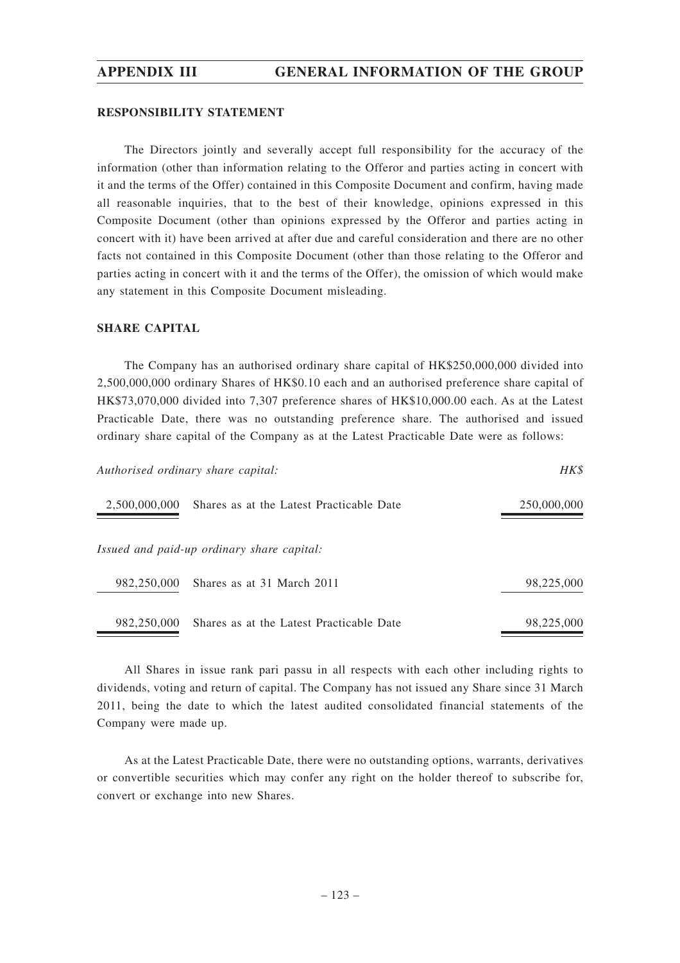## **RESPONSIBILITY STATEMENT**

The Directors jointly and severally accept full responsibility for the accuracy of the information (other than information relating to the Offeror and parties acting in concert with it and the terms of the Offer) contained in this Composite Document and confirm, having made all reasonable inquiries, that to the best of their knowledge, opinions expressed in this Composite Document (other than opinions expressed by the Offeror and parties acting in concert with it) have been arrived at after due and careful consideration and there are no other facts not contained in this Composite Document (other than those relating to the Offeror and parties acting in concert with it and the terms of the Offer), the omission of which would make any statement in this Composite Document misleading.

## **SHARE CAPITAL**

The Company has an authorised ordinary share capital of HK\$250,000,000 divided into 2,500,000,000 ordinary Shares of HK\$0.10 each and an authorised preference share capital of HK\$73,070,000 divided into 7,307 preference shares of HK\$10,000.00 each. As at the Latest Practicable Date, there was no outstanding preference share. The authorised and issued ordinary share capital of the Company as at the Latest Practicable Date were as follows:

| Authorised ordinary share capital:                        |                                            | HK\$        |
|-----------------------------------------------------------|--------------------------------------------|-------------|
| 2,500,000,000<br>Shares as at the Latest Practicable Date |                                            | 250,000,000 |
|                                                           | Issued and paid-up ordinary share capital: |             |
| 982,250,000                                               | Shares as at 31 March 2011                 | 98,225,000  |
| 982,250,000                                               | Shares as at the Latest Practicable Date   | 98,225,000  |

All Shares in issue rank pari passu in all respects with each other including rights to dividends, voting and return of capital. The Company has not issued any Share since 31 March 2011, being the date to which the latest audited consolidated financial statements of the Company were made up.

As at the Latest Practicable Date, there were no outstanding options, warrants, derivatives or convertible securities which may confer any right on the holder thereof to subscribe for, convert or exchange into new Shares.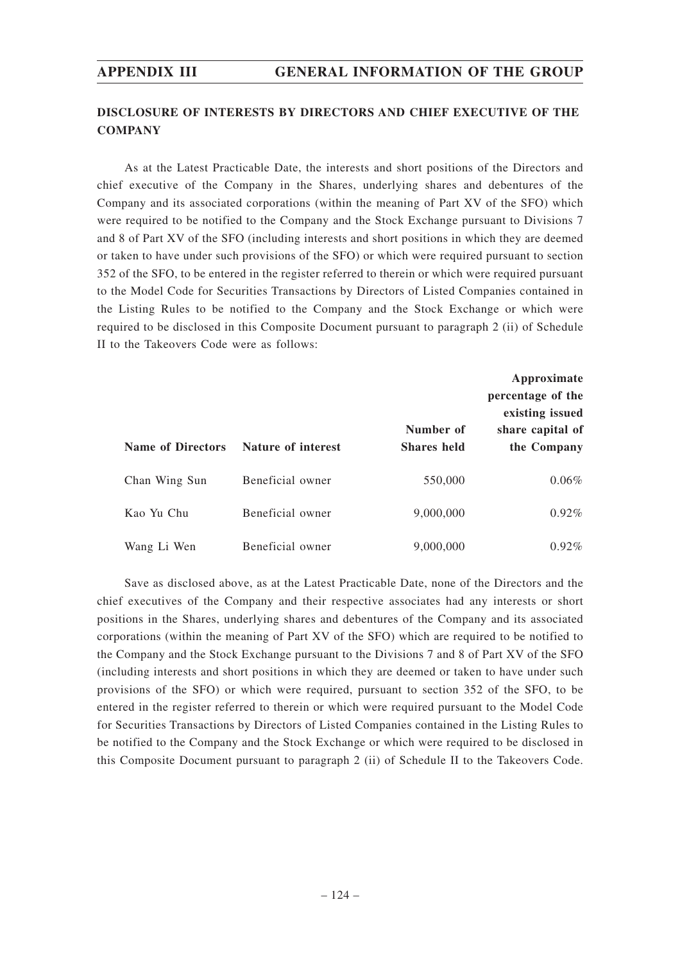# **DISCLOSURE OF INTERESTS BY DIRECTORS AND CHIEF EXECUTIVE OF THE COMPANY**

As at the Latest Practicable Date, the interests and short positions of the Directors and chief executive of the Company in the Shares, underlying shares and debentures of the Company and its associated corporations (within the meaning of Part XV of the SFO) which were required to be notified to the Company and the Stock Exchange pursuant to Divisions 7 and 8 of Part XV of the SFO (including interests and short positions in which they are deemed or taken to have under such provisions of the SFO) or which were required pursuant to section 352 of the SFO, to be entered in the register referred to therein or which were required pursuant to the Model Code for Securities Transactions by Directors of Listed Companies contained in the Listing Rules to be notified to the Company and the Stock Exchange or which were required to be disclosed in this Composite Document pursuant to paragraph 2 (ii) of Schedule II to the Takeovers Code were as follows:

| <b>Name of Directors</b> | Nature of interest | Number of<br><b>Shares</b> held | Approximate<br>percentage of the<br>existing issued<br>share capital of<br>the Company |
|--------------------------|--------------------|---------------------------------|----------------------------------------------------------------------------------------|
| Chan Wing Sun            | Beneficial owner   | 550,000                         | $0.06\%$                                                                               |
| Kao Yu Chu               | Beneficial owner   | 9,000,000                       | $0.92\%$                                                                               |
| Wang Li Wen              | Beneficial owner   | 9,000,000                       | $0.92\%$                                                                               |

Save as disclosed above, as at the Latest Practicable Date, none of the Directors and the chief executives of the Company and their respective associates had any interests or short positions in the Shares, underlying shares and debentures of the Company and its associated corporations (within the meaning of Part XV of the SFO) which are required to be notified to the Company and the Stock Exchange pursuant to the Divisions 7 and 8 of Part XV of the SFO (including interests and short positions in which they are deemed or taken to have under such provisions of the SFO) or which were required, pursuant to section 352 of the SFO, to be entered in the register referred to therein or which were required pursuant to the Model Code for Securities Transactions by Directors of Listed Companies contained in the Listing Rules to be notified to the Company and the Stock Exchange or which were required to be disclosed in this Composite Document pursuant to paragraph 2 (ii) of Schedule II to the Takeovers Code.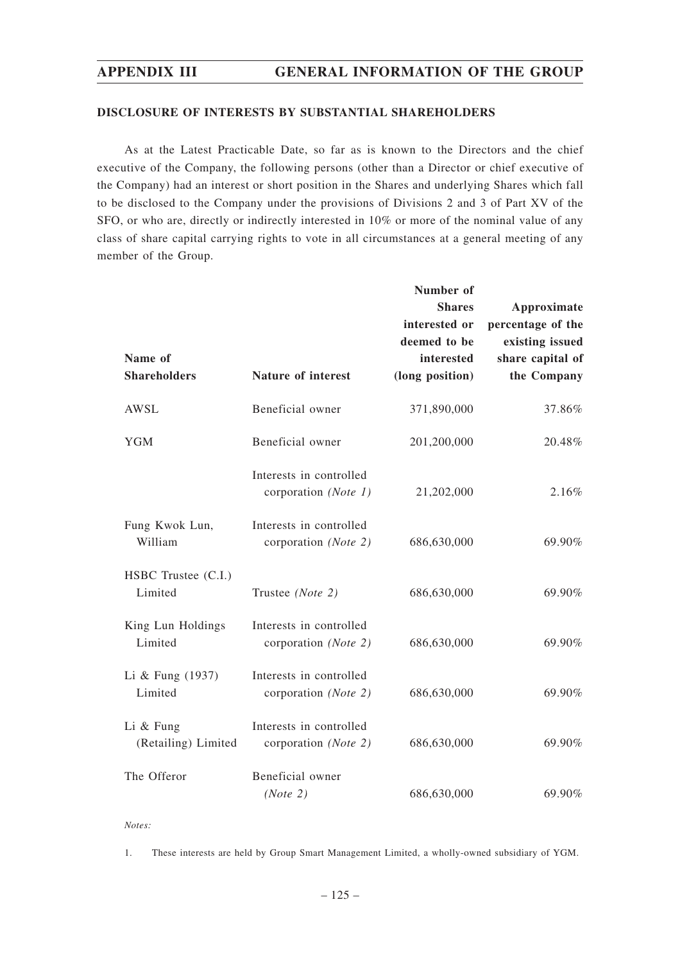## **DISCLOSURE OF INTERESTS BY SUBSTANTIAL SHAREHOLDERS**

As at the Latest Practicable Date, so far as is known to the Directors and the chief executive of the Company, the following persons (other than a Director or chief executive of the Company) had an interest or short position in the Shares and underlying Shares which fall to be disclosed to the Company under the provisions of Divisions 2 and 3 of Part XV of the SFO, or who are, directly or indirectly interested in 10% or more of the nominal value of any class of share capital carrying rights to vote in all circumstances at a general meeting of any member of the Group.

|                                    |                                                 | Number of<br><b>Shares</b> | Approximate       |
|------------------------------------|-------------------------------------------------|----------------------------|-------------------|
|                                    |                                                 | interested or              | percentage of the |
|                                    |                                                 | deemed to be               | existing issued   |
| Name of                            |                                                 | interested                 | share capital of  |
| <b>Shareholders</b>                | <b>Nature of interest</b>                       | (long position)            | the Company       |
| AWSL                               | Beneficial owner                                | 371,890,000                | 37.86%            |
| <b>YGM</b>                         | Beneficial owner                                | 201,200,000                | 20.48%            |
|                                    | Interests in controlled<br>corporation (Note 1) | 21,202,000                 | 2.16%             |
| Fung Kwok Lun,<br>William          | Interests in controlled<br>corporation (Note 2) | 686,630,000                | 69.90%            |
| HSBC Trustee (C.I.)<br>Limited     | Trustee (Note 2)                                | 686,630,000                | 69.90%            |
| King Lun Holdings<br>Limited       | Interests in controlled<br>corporation (Note 2) | 686,630,000                | 69.90%            |
| Li & Fung $(1937)$<br>Limited      | Interests in controlled<br>corporation (Note 2) | 686,630,000                | 69.90%            |
| Li $&$ Fung<br>(Retailing) Limited | Interests in controlled<br>corporation (Note 2) | 686,630,000                | 69.90%            |
| The Offeror                        | Beneficial owner<br>(Note 2)                    | 686,630,000                | 69.90%            |

*Notes:*

1. These interests are held by Group Smart Management Limited, a wholly-owned subsidiary of YGM.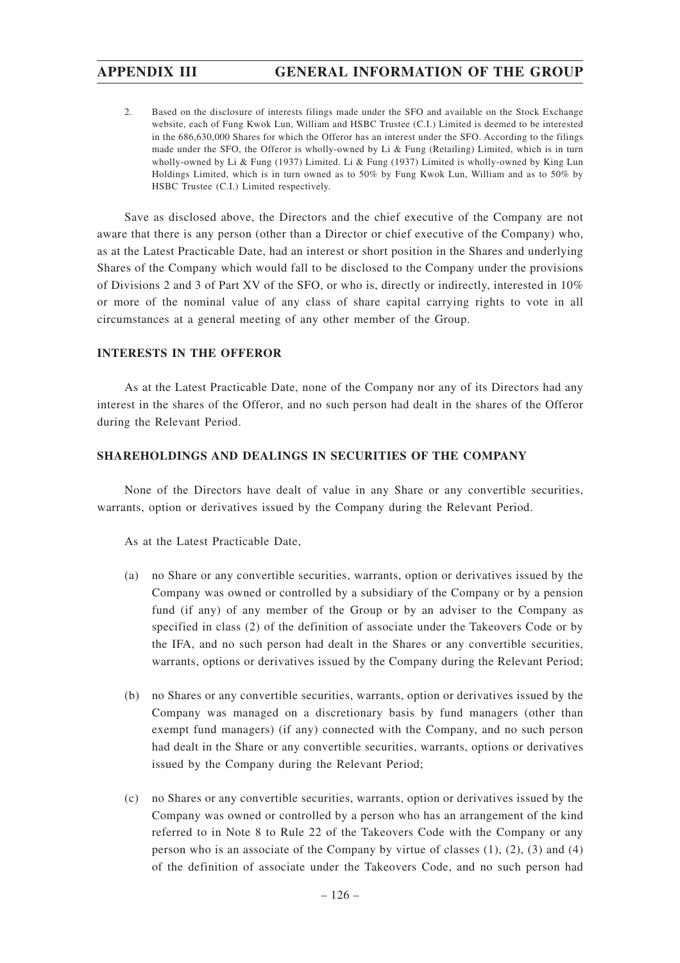2. Based on the disclosure of interests filings made under the SFO and available on the Stock Exchange website, each of Fung Kwok Lun, William and HSBC Trustee (C.I.) Limited is deemed to be interested in the 686,630,000 Shares for which the Offeror has an interest under the SFO. According to the filings made under the SFO, the Offeror is wholly-owned by Li & Fung (Retailing) Limited, which is in turn wholly-owned by Li & Fung (1937) Limited. Li & Fung (1937) Limited is wholly-owned by King Lun Holdings Limited, which is in turn owned as to 50% by Fung Kwok Lun, William and as to 50% by HSBC Trustee (C.I.) Limited respectively.

Save as disclosed above, the Directors and the chief executive of the Company are not aware that there is any person (other than a Director or chief executive of the Company) who, as at the Latest Practicable Date, had an interest or short position in the Shares and underlying Shares of the Company which would fall to be disclosed to the Company under the provisions of Divisions 2 and 3 of Part XV of the SFO, or who is, directly or indirectly, interested in 10% or more of the nominal value of any class of share capital carrying rights to vote in all circumstances at a general meeting of any other member of the Group.

## **INTERESTS IN THE OFFEROR**

As at the Latest Practicable Date, none of the Company nor any of its Directors had any interest in the shares of the Offeror, and no such person had dealt in the shares of the Offeror during the Relevant Period.

## **SHAREHOLDINGS AND DEALINGS IN SECURITIES OF THE COMPANY**

None of the Directors have dealt of value in any Share or any convertible securities, warrants, option or derivatives issued by the Company during the Relevant Period.

As at the Latest Practicable Date,

- (a) no Share or any convertible securities, warrants, option or derivatives issued by the Company was owned or controlled by a subsidiary of the Company or by a pension fund (if any) of any member of the Group or by an adviser to the Company as specified in class (2) of the definition of associate under the Takeovers Code or by the IFA, and no such person had dealt in the Shares or any convertible securities, warrants, options or derivatives issued by the Company during the Relevant Period;
- (b) no Shares or any convertible securities, warrants, option or derivatives issued by the Company was managed on a discretionary basis by fund managers (other than exempt fund managers) (if any) connected with the Company, and no such person had dealt in the Share or any convertible securities, warrants, options or derivatives issued by the Company during the Relevant Period;
- (c) no Shares or any convertible securities, warrants, option or derivatives issued by the Company was owned or controlled by a person who has an arrangement of the kind referred to in Note 8 to Rule 22 of the Takeovers Code with the Company or any person who is an associate of the Company by virtue of classes  $(1)$ ,  $(2)$ ,  $(3)$  and  $(4)$ of the definition of associate under the Takeovers Code, and no such person had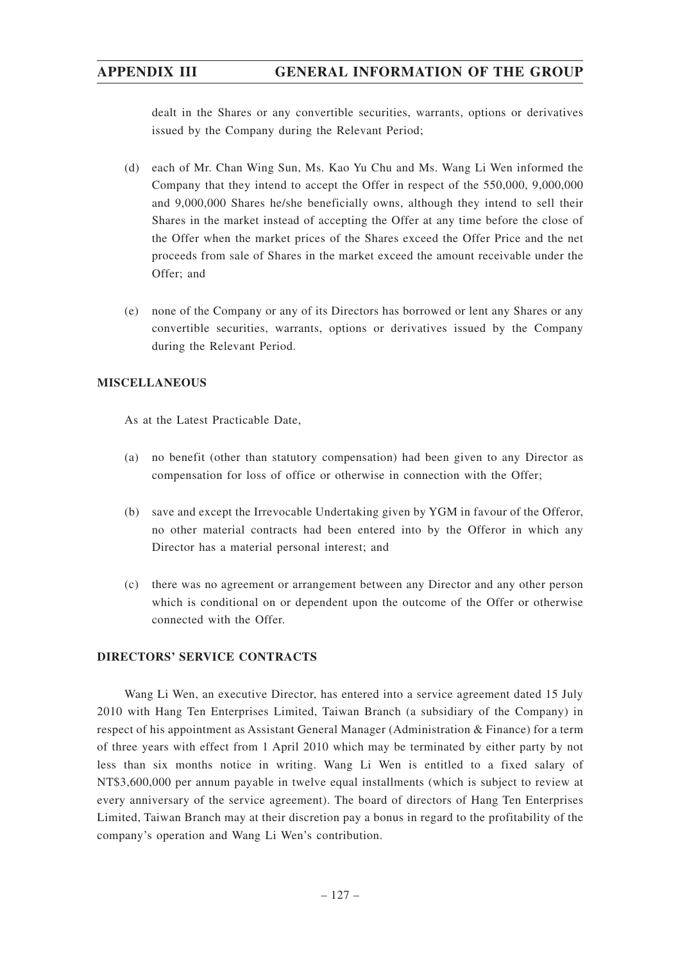dealt in the Shares or any convertible securities, warrants, options or derivatives issued by the Company during the Relevant Period;

- (d) each of Mr. Chan Wing Sun, Ms. Kao Yu Chu and Ms. Wang Li Wen informed the Company that they intend to accept the Offer in respect of the 550,000, 9,000,000 and 9,000,000 Shares he/she beneficially owns, although they intend to sell their Shares in the market instead of accepting the Offer at any time before the close of the Offer when the market prices of the Shares exceed the Offer Price and the net proceeds from sale of Shares in the market exceed the amount receivable under the Offer; and
- (e) none of the Company or any of its Directors has borrowed or lent any Shares or any convertible securities, warrants, options or derivatives issued by the Company during the Relevant Period.

# **MISCELLANEOUS**

As at the Latest Practicable Date,

- (a) no benefit (other than statutory compensation) had been given to any Director as compensation for loss of office or otherwise in connection with the Offer;
- (b) save and except the Irrevocable Undertaking given by YGM in favour of the Offeror, no other material contracts had been entered into by the Offeror in which any Director has a material personal interest; and
- (c) there was no agreement or arrangement between any Director and any other person which is conditional on or dependent upon the outcome of the Offer or otherwise connected with the Offer.

## **DIRECTORS' SERVICE CONTRACTS**

Wang Li Wen, an executive Director, has entered into a service agreement dated 15 July 2010 with Hang Ten Enterprises Limited, Taiwan Branch (a subsidiary of the Company) in respect of his appointment as Assistant General Manager (Administration & Finance) for a term of three years with effect from 1 April 2010 which may be terminated by either party by not less than six months notice in writing. Wang Li Wen is entitled to a fixed salary of NT\$3,600,000 per annum payable in twelve equal installments (which is subject to review at every anniversary of the service agreement). The board of directors of Hang Ten Enterprises Limited, Taiwan Branch may at their discretion pay a bonus in regard to the profitability of the company's operation and Wang Li Wen's contribution.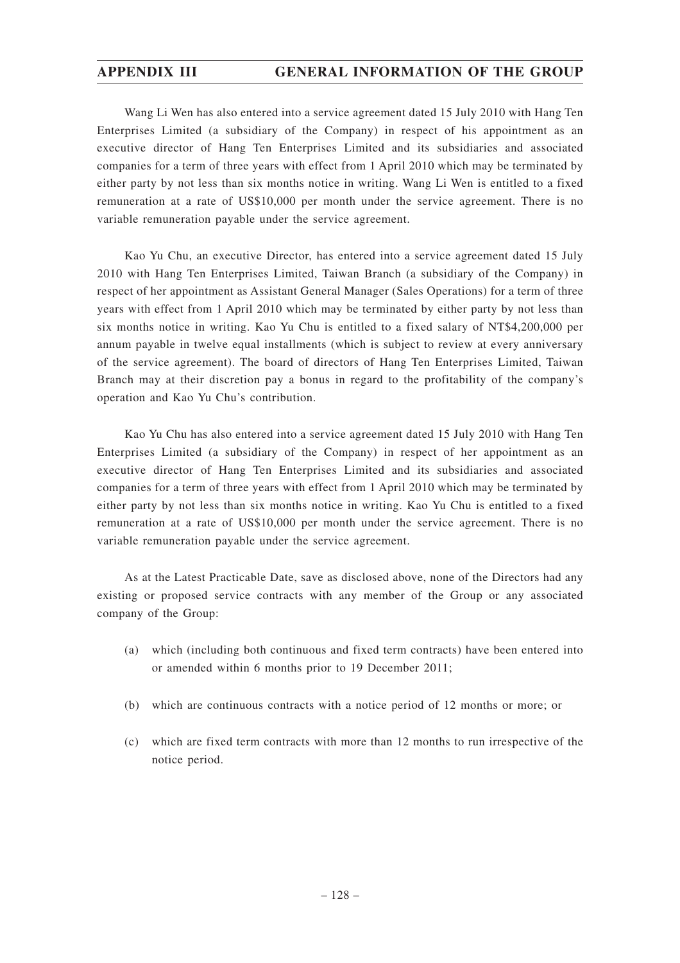Wang Li Wen has also entered into a service agreement dated 15 July 2010 with Hang Ten Enterprises Limited (a subsidiary of the Company) in respect of his appointment as an executive director of Hang Ten Enterprises Limited and its subsidiaries and associated companies for a term of three years with effect from 1 April 2010 which may be terminated by either party by not less than six months notice in writing. Wang Li Wen is entitled to a fixed remuneration at a rate of US\$10,000 per month under the service agreement. There is no variable remuneration payable under the service agreement.

Kao Yu Chu, an executive Director, has entered into a service agreement dated 15 July 2010 with Hang Ten Enterprises Limited, Taiwan Branch (a subsidiary of the Company) in respect of her appointment as Assistant General Manager (Sales Operations) for a term of three years with effect from 1 April 2010 which may be terminated by either party by not less than six months notice in writing. Kao Yu Chu is entitled to a fixed salary of NT\$4,200,000 per annum payable in twelve equal installments (which is subject to review at every anniversary of the service agreement). The board of directors of Hang Ten Enterprises Limited, Taiwan Branch may at their discretion pay a bonus in regard to the profitability of the company's operation and Kao Yu Chu's contribution.

Kao Yu Chu has also entered into a service agreement dated 15 July 2010 with Hang Ten Enterprises Limited (a subsidiary of the Company) in respect of her appointment as an executive director of Hang Ten Enterprises Limited and its subsidiaries and associated companies for a term of three years with effect from 1 April 2010 which may be terminated by either party by not less than six months notice in writing. Kao Yu Chu is entitled to a fixed remuneration at a rate of US\$10,000 per month under the service agreement. There is no variable remuneration payable under the service agreement.

As at the Latest Practicable Date, save as disclosed above, none of the Directors had any existing or proposed service contracts with any member of the Group or any associated company of the Group:

- (a) which (including both continuous and fixed term contracts) have been entered into or amended within 6 months prior to 19 December 2011;
- (b) which are continuous contracts with a notice period of 12 months or more; or
- (c) which are fixed term contracts with more than 12 months to run irrespective of the notice period.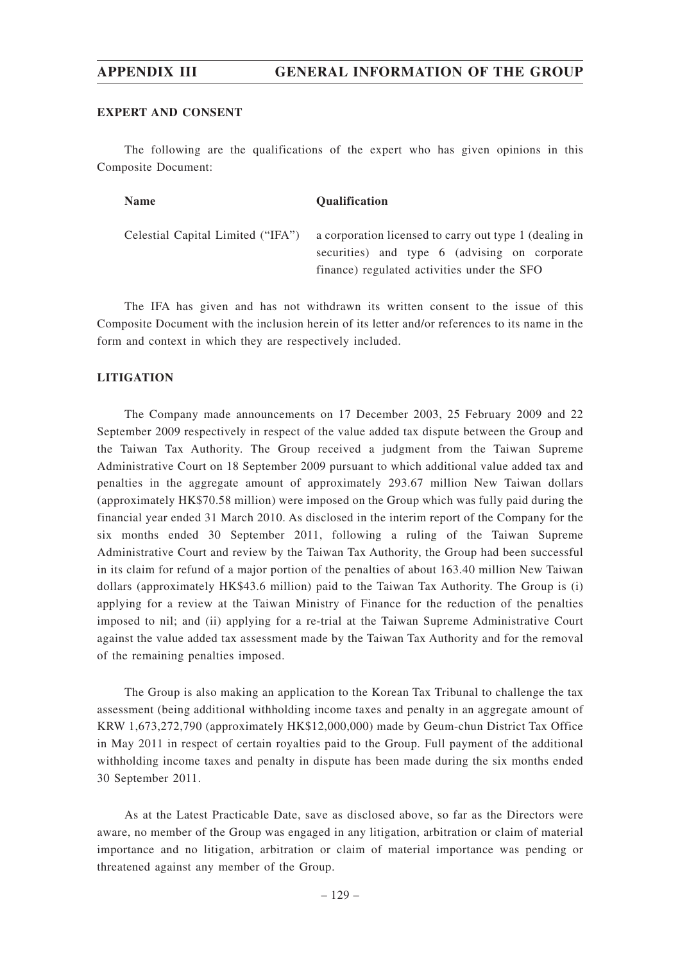## **EXPERT AND CONSENT**

The following are the qualifications of the expert who has given opinions in this Composite Document:

| <b>Name</b> | <b>Oualification</b>                                                                                                                                                                     |
|-------------|------------------------------------------------------------------------------------------------------------------------------------------------------------------------------------------|
|             | Celestial Capital Limited ("IFA") a corporation licensed to carry out type 1 (dealing in<br>securities) and type 6 (advising on corporate<br>finance) regulated activities under the SFO |

The IFA has given and has not withdrawn its written consent to the issue of this Composite Document with the inclusion herein of its letter and/or references to its name in the form and context in which they are respectively included.

## **LITIGATION**

The Company made announcements on 17 December 2003, 25 February 2009 and 22 September 2009 respectively in respect of the value added tax dispute between the Group and the Taiwan Tax Authority. The Group received a judgment from the Taiwan Supreme Administrative Court on 18 September 2009 pursuant to which additional value added tax and penalties in the aggregate amount of approximately 293.67 million New Taiwan dollars (approximately HK\$70.58 million) were imposed on the Group which was fully paid during the financial year ended 31 March 2010. As disclosed in the interim report of the Company for the six months ended 30 September 2011, following a ruling of the Taiwan Supreme Administrative Court and review by the Taiwan Tax Authority, the Group had been successful in its claim for refund of a major portion of the penalties of about 163.40 million New Taiwan dollars (approximately HK\$43.6 million) paid to the Taiwan Tax Authority. The Group is (i) applying for a review at the Taiwan Ministry of Finance for the reduction of the penalties imposed to nil; and (ii) applying for a re-trial at the Taiwan Supreme Administrative Court against the value added tax assessment made by the Taiwan Tax Authority and for the removal of the remaining penalties imposed.

The Group is also making an application to the Korean Tax Tribunal to challenge the tax assessment (being additional withholding income taxes and penalty in an aggregate amount of KRW 1,673,272,790 (approximately HK\$12,000,000) made by Geum-chun District Tax Office in May 2011 in respect of certain royalties paid to the Group. Full payment of the additional withholding income taxes and penalty in dispute has been made during the six months ended 30 September 2011.

As at the Latest Practicable Date, save as disclosed above, so far as the Directors were aware, no member of the Group was engaged in any litigation, arbitration or claim of material importance and no litigation, arbitration or claim of material importance was pending or threatened against any member of the Group.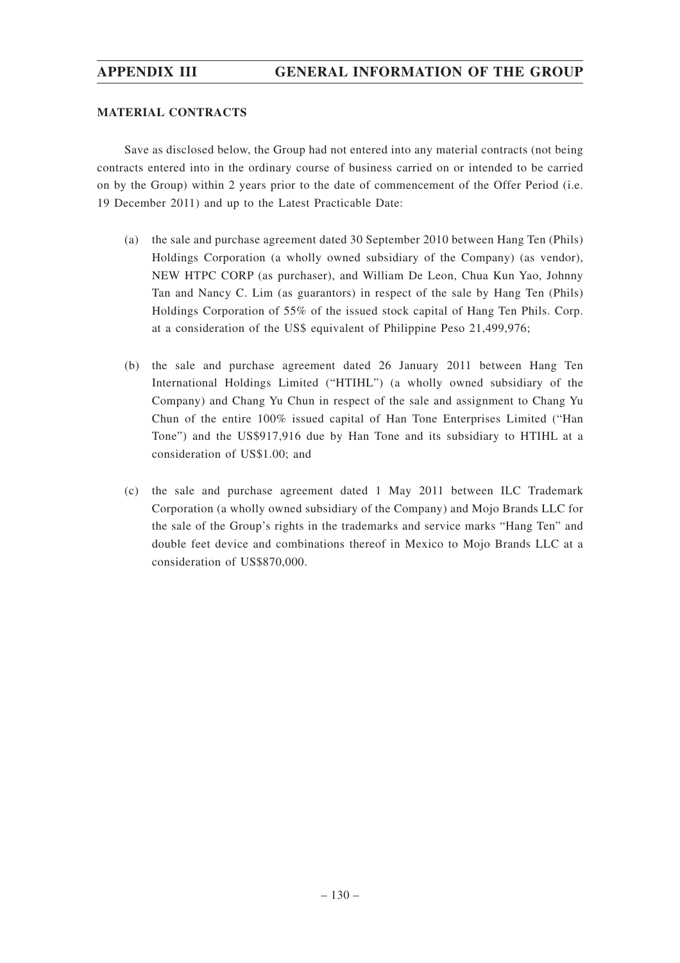## **MATERIAL CONTRACTS**

Save as disclosed below, the Group had not entered into any material contracts (not being contracts entered into in the ordinary course of business carried on or intended to be carried on by the Group) within 2 years prior to the date of commencement of the Offer Period (i.e. 19 December 2011) and up to the Latest Practicable Date:

- (a) the sale and purchase agreement dated 30 September 2010 between Hang Ten (Phils) Holdings Corporation (a wholly owned subsidiary of the Company) (as vendor), NEW HTPC CORP (as purchaser), and William De Leon, Chua Kun Yao, Johnny Tan and Nancy C. Lim (as guarantors) in respect of the sale by Hang Ten (Phils) Holdings Corporation of 55% of the issued stock capital of Hang Ten Phils. Corp. at a consideration of the US\$ equivalent of Philippine Peso 21,499,976;
- (b) the sale and purchase agreement dated 26 January 2011 between Hang Ten International Holdings Limited ("HTIHL") (a wholly owned subsidiary of the Company) and Chang Yu Chun in respect of the sale and assignment to Chang Yu Chun of the entire 100% issued capital of Han Tone Enterprises Limited ("Han Tone") and the US\$917,916 due by Han Tone and its subsidiary to HTIHL at a consideration of US\$1.00; and
- (c) the sale and purchase agreement dated 1 May 2011 between ILC Trademark Corporation (a wholly owned subsidiary of the Company) and Mojo Brands LLC for the sale of the Group's rights in the trademarks and service marks "Hang Ten" and double feet device and combinations thereof in Mexico to Mojo Brands LLC at a consideration of US\$870,000.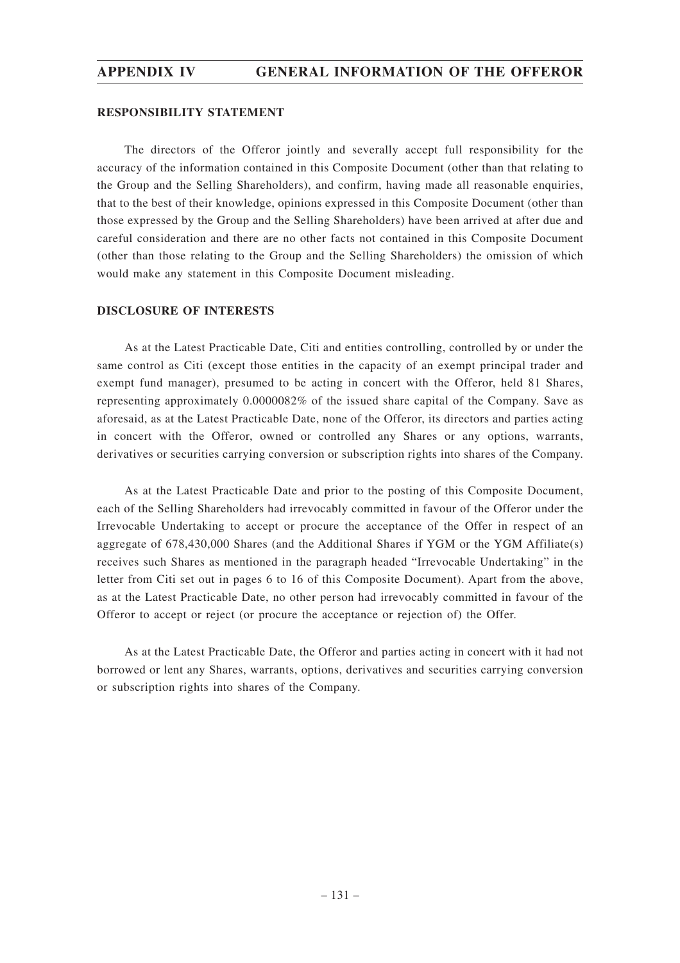## **RESPONSIBILITY STATEMENT**

The directors of the Offeror jointly and severally accept full responsibility for the accuracy of the information contained in this Composite Document (other than that relating to the Group and the Selling Shareholders), and confirm, having made all reasonable enquiries, that to the best of their knowledge, opinions expressed in this Composite Document (other than those expressed by the Group and the Selling Shareholders) have been arrived at after due and careful consideration and there are no other facts not contained in this Composite Document (other than those relating to the Group and the Selling Shareholders) the omission of which would make any statement in this Composite Document misleading.

## **DISCLOSURE OF INTERESTS**

As at the Latest Practicable Date, Citi and entities controlling, controlled by or under the same control as Citi (except those entities in the capacity of an exempt principal trader and exempt fund manager), presumed to be acting in concert with the Offeror, held 81 Shares, representing approximately 0.0000082% of the issued share capital of the Company. Save as aforesaid, as at the Latest Practicable Date, none of the Offeror, its directors and parties acting in concert with the Offeror, owned or controlled any Shares or any options, warrants, derivatives or securities carrying conversion or subscription rights into shares of the Company.

As at the Latest Practicable Date and prior to the posting of this Composite Document, each of the Selling Shareholders had irrevocably committed in favour of the Offeror under the Irrevocable Undertaking to accept or procure the acceptance of the Offer in respect of an aggregate of 678,430,000 Shares (and the Additional Shares if YGM or the YGM Affiliate(s) receives such Shares as mentioned in the paragraph headed "Irrevocable Undertaking" in the letter from Citi set out in pages 6 to 16 of this Composite Document). Apart from the above, as at the Latest Practicable Date, no other person had irrevocably committed in favour of the Offeror to accept or reject (or procure the acceptance or rejection of) the Offer.

As at the Latest Practicable Date, the Offeror and parties acting in concert with it had not borrowed or lent any Shares, warrants, options, derivatives and securities carrying conversion or subscription rights into shares of the Company.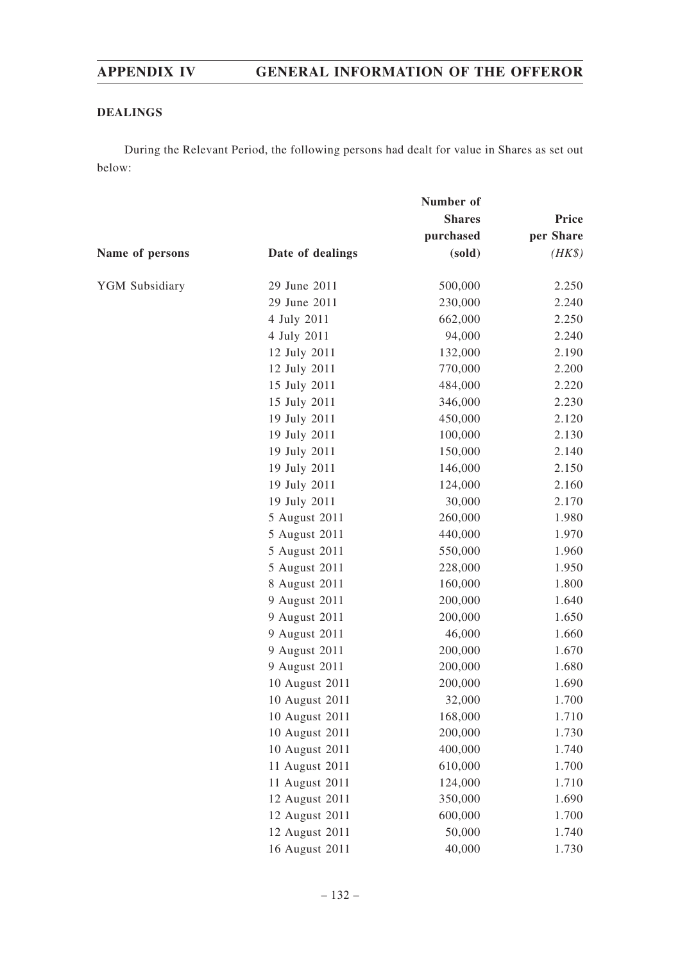# **DEALINGS**

During the Relevant Period, the following persons had dealt for value in Shares as set out below:

|                 | Number of        |               |           |
|-----------------|------------------|---------------|-----------|
|                 |                  | <b>Shares</b> | Price     |
|                 |                  | purchased     | per Share |
| Name of persons | Date of dealings | (sold)        | $(HK\$    |
| YGM Subsidiary  | 29 June 2011     | 500,000       | 2.250     |
|                 | 29 June 2011     | 230,000       | 2.240     |
|                 | 4 July 2011      | 662,000       | 2.250     |
|                 | 4 July 2011      | 94,000        | 2.240     |
|                 | 12 July 2011     | 132,000       | 2.190     |
|                 | 12 July 2011     | 770,000       | 2.200     |
|                 | 15 July 2011     | 484,000       | 2.220     |
|                 | 15 July 2011     | 346,000       | 2.230     |
|                 | 19 July 2011     | 450,000       | 2.120     |
|                 | 19 July 2011     | 100,000       | 2.130     |
|                 | 19 July 2011     | 150,000       | 2.140     |
|                 | 19 July 2011     | 146,000       | 2.150     |
|                 | 19 July 2011     | 124,000       | 2.160     |
|                 | 19 July 2011     | 30,000        | 2.170     |
|                 | 5 August 2011    | 260,000       | 1.980     |
|                 | 5 August 2011    | 440,000       | 1.970     |
|                 | 5 August 2011    | 550,000       | 1.960     |
|                 | 5 August 2011    | 228,000       | 1.950     |
|                 | 8 August 2011    | 160,000       | 1.800     |
|                 | 9 August 2011    | 200,000       | 1.640     |
|                 | 9 August 2011    | 200,000       | 1.650     |
|                 | 9 August 2011    | 46,000        | 1.660     |
|                 | 9 August 2011    | 200,000       | 1.670     |
|                 | 9 August 2011    | 200,000       | 1.680     |
|                 | 10 August 2011   | 200,000       | 1.690     |
|                 | 10 August 2011   | 32,000        | 1.700     |
|                 | 10 August 2011   | 168,000       | 1.710     |
|                 | 10 August 2011   | 200,000       | 1.730     |
|                 | 10 August 2011   | 400,000       | 1.740     |
|                 | 11 August 2011   | 610,000       | 1.700     |
|                 | 11 August 2011   | 124,000       | 1.710     |
|                 | 12 August 2011   | 350,000       | 1.690     |
|                 | 12 August 2011   | 600,000       | 1.700     |
|                 | 12 August 2011   | 50,000        | 1.740     |
|                 | 16 August 2011   | 40,000        | 1.730     |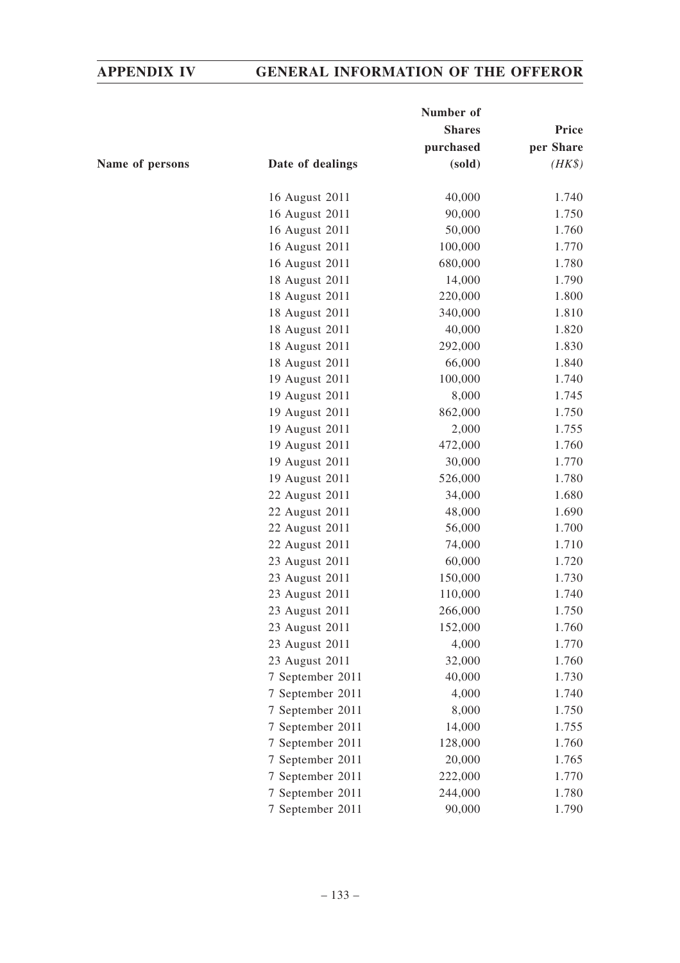|                 | Number of        |               |           |
|-----------------|------------------|---------------|-----------|
|                 |                  | <b>Shares</b> | Price     |
|                 |                  | purchased     | per Share |
| Name of persons | Date of dealings | (sold)        | $(HK\$    |
|                 | 16 August 2011   | 40,000        | 1.740     |
|                 | 16 August 2011   | 90,000        | 1.750     |
|                 | 16 August 2011   | 50,000        | 1.760     |
|                 | 16 August 2011   | 100,000       | 1.770     |
|                 | 16 August 2011   | 680,000       | 1.780     |
|                 | 18 August 2011   | 14,000        | 1.790     |
|                 | 18 August 2011   | 220,000       | 1.800     |
|                 | 18 August 2011   | 340,000       | 1.810     |
|                 | 18 August 2011   | 40,000        | 1.820     |
|                 | 18 August 2011   | 292,000       | 1.830     |
|                 | 18 August 2011   | 66,000        | 1.840     |
|                 | 19 August 2011   | 100,000       | 1.740     |
|                 | 19 August 2011   | 8,000         | 1.745     |
|                 | 19 August 2011   | 862,000       | 1.750     |
|                 | 19 August 2011   | 2,000         | 1.755     |
|                 | 19 August 2011   | 472,000       | 1.760     |
|                 | 19 August 2011   | 30,000        | 1.770     |
|                 | 19 August 2011   | 526,000       | 1.780     |
|                 | 22 August 2011   | 34,000        | 1.680     |
|                 | 22 August 2011   | 48,000        | 1.690     |
|                 | 22 August 2011   | 56,000        | 1.700     |
|                 | 22 August 2011   | 74,000        | 1.710     |
|                 | 23 August 2011   | 60,000        | 1.720     |
|                 | 23 August 2011   | 150,000       | 1.730     |
|                 | 23 August 2011   | 110,000       | 1.740     |
|                 | 23 August 2011   | 266,000       | 1.750     |
|                 | 23 August 2011   | 152,000       | 1.760     |
|                 | 23 August 2011   | 4,000         | 1.770     |
|                 | 23 August 2011   | 32,000        | 1.760     |
|                 | 7 September 2011 | 40,000        | 1.730     |
|                 | 7 September 2011 | 4,000         | 1.740     |
|                 | 7 September 2011 | 8,000         | 1.750     |
|                 | 7 September 2011 | 14,000        | 1.755     |
|                 | 7 September 2011 | 128,000       | 1.760     |
|                 | 7 September 2011 | 20,000        | 1.765     |
|                 | 7 September 2011 | 222,000       | 1.770     |
|                 | 7 September 2011 | 244,000       | 1.780     |
|                 | 7 September 2011 | 90,000        | 1.790     |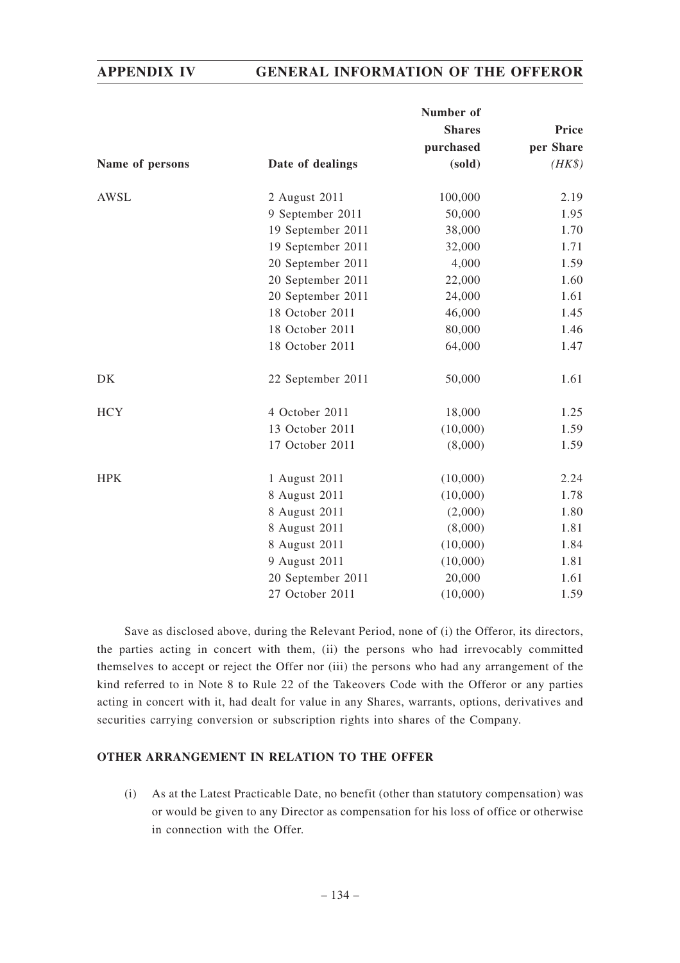|                 |                   | Number of     |           |
|-----------------|-------------------|---------------|-----------|
|                 |                   | <b>Shares</b> | Price     |
|                 |                   | purchased     | per Share |
| Name of persons | Date of dealings  | (sold)        | $(HK\$    |
| <b>AWSL</b>     | 2 August 2011     | 100,000       | 2.19      |
|                 | 9 September 2011  | 50,000        | 1.95      |
|                 | 19 September 2011 | 38,000        | 1.70      |
|                 | 19 September 2011 | 32,000        | 1.71      |
|                 | 20 September 2011 | 4,000         | 1.59      |
|                 | 20 September 2011 | 22,000        | 1.60      |
|                 | 20 September 2011 | 24,000        | 1.61      |
|                 | 18 October 2011   | 46,000        | 1.45      |
|                 | 18 October 2011   | 80,000        | 1.46      |
|                 | 18 October 2011   | 64,000        | 1.47      |
| DK              | 22 September 2011 | 50,000        | 1.61      |
| <b>HCY</b>      | 4 October 2011    | 18,000        | 1.25      |
|                 | 13 October 2011   | (10,000)      | 1.59      |
|                 | 17 October 2011   | (8,000)       | 1.59      |
| <b>HPK</b>      | 1 August 2011     | (10,000)      | 2.24      |
|                 | 8 August 2011     | (10,000)      | 1.78      |
|                 | 8 August 2011     | (2,000)       | 1.80      |
|                 | 8 August 2011     | (8,000)       | 1.81      |
|                 | 8 August 2011     | (10,000)      | 1.84      |
|                 | 9 August 2011     | (10,000)      | 1.81      |
|                 | 20 September 2011 | 20,000        | 1.61      |
|                 | 27 October 2011   | (10,000)      | 1.59      |

Save as disclosed above, during the Relevant Period, none of (i) the Offeror, its directors, the parties acting in concert with them, (ii) the persons who had irrevocably committed themselves to accept or reject the Offer nor (iii) the persons who had any arrangement of the kind referred to in Note 8 to Rule 22 of the Takeovers Code with the Offeror or any parties acting in concert with it, had dealt for value in any Shares, warrants, options, derivatives and securities carrying conversion or subscription rights into shares of the Company.

## **OTHER ARRANGEMENT IN RELATION TO THE OFFER**

(i) As at the Latest Practicable Date, no benefit (other than statutory compensation) was or would be given to any Director as compensation for his loss of office or otherwise in connection with the Offer.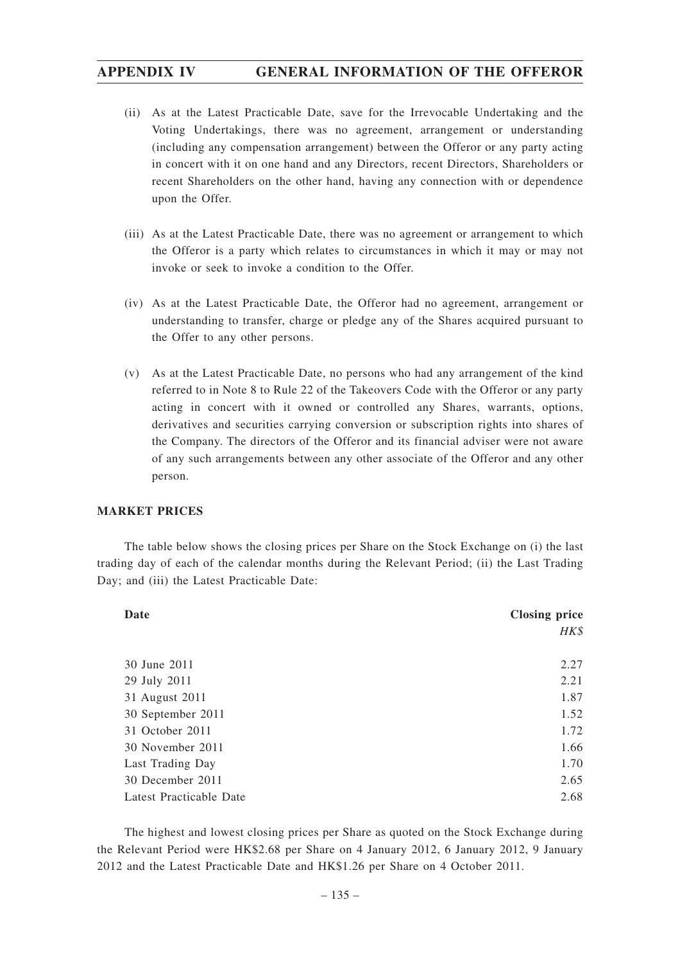- (ii) As at the Latest Practicable Date, save for the Irrevocable Undertaking and the Voting Undertakings, there was no agreement, arrangement or understanding (including any compensation arrangement) between the Offeror or any party acting in concert with it on one hand and any Directors, recent Directors, Shareholders or recent Shareholders on the other hand, having any connection with or dependence upon the Offer.
- (iii) As at the Latest Practicable Date, there was no agreement or arrangement to which the Offeror is a party which relates to circumstances in which it may or may not invoke or seek to invoke a condition to the Offer.
- (iv) As at the Latest Practicable Date, the Offeror had no agreement, arrangement or understanding to transfer, charge or pledge any of the Shares acquired pursuant to the Offer to any other persons.
- (v) As at the Latest Practicable Date, no persons who had any arrangement of the kind referred to in Note 8 to Rule 22 of the Takeovers Code with the Offeror or any party acting in concert with it owned or controlled any Shares, warrants, options, derivatives and securities carrying conversion or subscription rights into shares of the Company. The directors of the Offeror and its financial adviser were not aware of any such arrangements between any other associate of the Offeror and any other person.

# **MARKET PRICES**

The table below shows the closing prices per Share on the Stock Exchange on (i) the last trading day of each of the calendar months during the Relevant Period; (ii) the Last Trading Day; and (iii) the Latest Practicable Date:

| Date                    | <b>Closing price</b> |  |  |
|-------------------------|----------------------|--|--|
|                         | HK\$                 |  |  |
|                         |                      |  |  |
| 30 June 2011            | 2.27                 |  |  |
| 29 July 2011            | 2.21                 |  |  |
| 31 August 2011          | 1.87                 |  |  |
| 30 September 2011       | 1.52                 |  |  |
| 31 October 2011         | 1.72                 |  |  |
| 30 November 2011        | 1.66                 |  |  |
| Last Trading Day        | 1.70                 |  |  |
| 30 December 2011        | 2.65                 |  |  |
| Latest Practicable Date | 2.68                 |  |  |

The highest and lowest closing prices per Share as quoted on the Stock Exchange during the Relevant Period were HK\$2.68 per Share on 4 January 2012, 6 January 2012, 9 January 2012 and the Latest Practicable Date and HK\$1.26 per Share on 4 October 2011.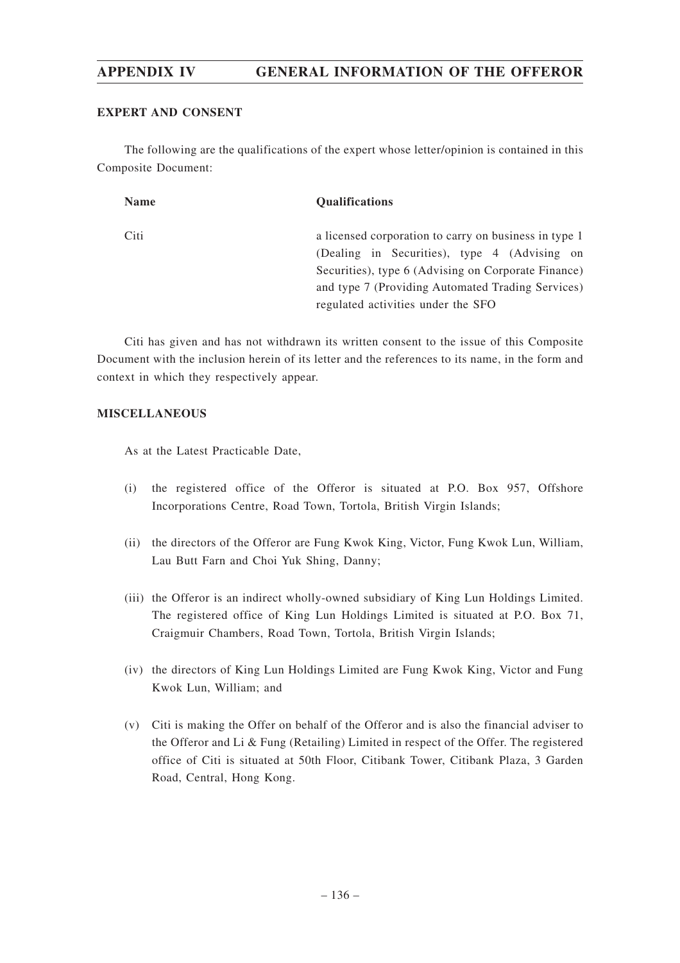## **EXPERT AND CONSENT**

The following are the qualifications of the expert whose letter/opinion is contained in this Composite Document:

| <b>Name</b> | <b>Qualifications</b>                                                                                                                                                                                                                                   |
|-------------|---------------------------------------------------------------------------------------------------------------------------------------------------------------------------------------------------------------------------------------------------------|
| Citi        | a licensed corporation to carry on business in type 1<br>(Dealing in Securities), type 4 (Advising on<br>Securities), type 6 (Advising on Corporate Finance)<br>and type 7 (Providing Automated Trading Services)<br>regulated activities under the SFO |

Citi has given and has not withdrawn its written consent to the issue of this Composite Document with the inclusion herein of its letter and the references to its name, in the form and context in which they respectively appear.

## **MISCELLANEOUS**

As at the Latest Practicable Date,

- (i) the registered office of the Offeror is situated at P.O. Box 957, Offshore Incorporations Centre, Road Town, Tortola, British Virgin Islands;
- (ii) the directors of the Offeror are Fung Kwok King, Victor, Fung Kwok Lun, William, Lau Butt Farn and Choi Yuk Shing, Danny;
- (iii) the Offeror is an indirect wholly-owned subsidiary of King Lun Holdings Limited. The registered office of King Lun Holdings Limited is situated at P.O. Box 71, Craigmuir Chambers, Road Town, Tortola, British Virgin Islands;
- (iv) the directors of King Lun Holdings Limited are Fung Kwok King, Victor and Fung Kwok Lun, William; and
- (v) Citi is making the Offer on behalf of the Offeror and is also the financial adviser to the Offeror and Li & Fung (Retailing) Limited in respect of the Offer. The registered office of Citi is situated at 50th Floor, Citibank Tower, Citibank Plaza, 3 Garden Road, Central, Hong Kong.